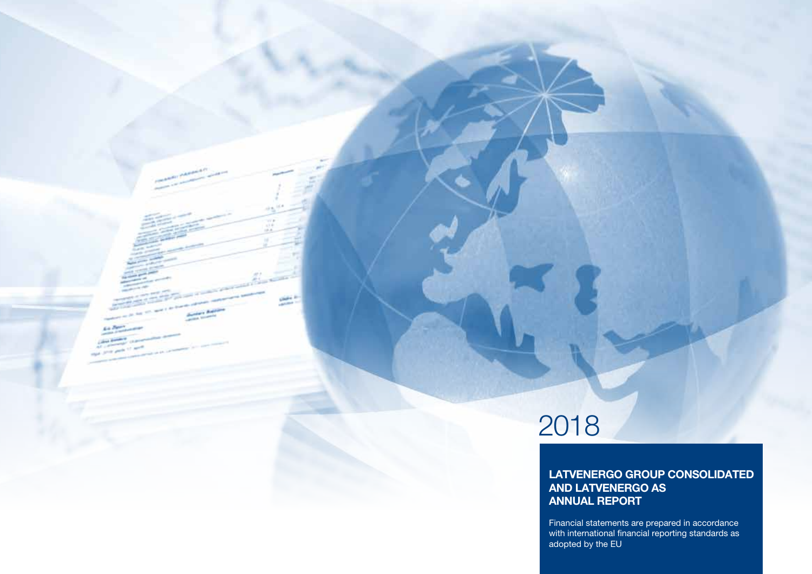# 2018

# **PAR EPORT<br>Financial statements are prepared in accordance** LATVENERGO GROUP CONSOLIDATED AND LATVENERGO AS ANNUAL REPORT

with international financial reporting standards as adopted by the EU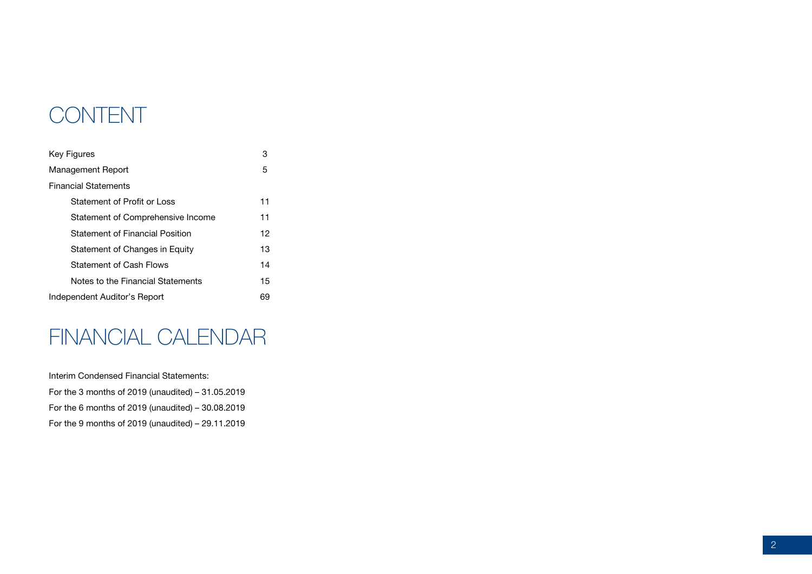# CONTENT

| <b>Key Figures</b>                     | 3  |
|----------------------------------------|----|
| <b>Management Report</b>               | 5  |
| <b>Financial Statements</b>            |    |
| Statement of Profit or Loss            | 11 |
| Statement of Comprehensive Income      | 11 |
| <b>Statement of Financial Position</b> | 12 |
| Statement of Changes in Equity         | 13 |
| <b>Statement of Cash Flows</b>         | 14 |
| Notes to the Financial Statements      | 15 |
| Independent Auditor's Report           | 69 |

# FINANCIAL CALENDAR

Interim Condensed Financial Statements: For the 3 months of 2019 (unaudited) – 31.05.2019 For the 6 months of 2019 (unaudited) – 30.08.2019 For the 9 months of 2019 (unaudited) – 29.11.2019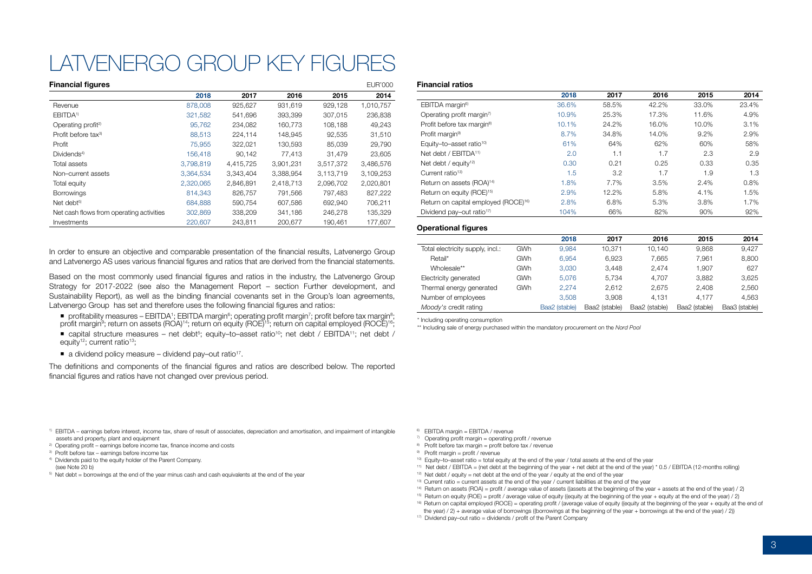# LATVENERGO GROUP KEY FIGURES

| <b>Financial figures</b>                 |           |           |           |           | <b>EUR'000</b> |
|------------------------------------------|-----------|-----------|-----------|-----------|----------------|
|                                          | 2018      | 2017      | 2016      | 2015      | 2014           |
| Revenue                                  | 878,008   | 925.627   | 931.619   | 929.128   | 1,010,757      |
| EBITDA <sup>1)</sup>                     | 321,582   | 541,696   | 393,399   | 307,015   | 236,838        |
| Operating profit <sup>2)</sup>           | 95.762    | 234,082   | 160,773   | 108,188   | 49,243         |
| Profit before tax <sup>3)</sup>          | 88,513    | 224,114   | 148,945   | 92,535    | 31,510         |
| Profit                                   | 75.955    | 322.021   | 130.593   | 85.039    | 29,790         |
| Dividends <sup>4)</sup>                  | 156,418   | 90.142    | 77,413    | 31,479    | 23,605         |
| Total assets                             | 3,798,819 | 4,415,725 | 3.901.231 | 3.517.372 | 3,486,576      |
| Non-current assets                       | 3,364,534 | 3.343.404 | 3,388,954 | 3,113,719 | 3,109,253      |
| Total equity                             | 2,320,065 | 2,846,891 | 2,418,713 | 2,096,702 | 2,020,801      |
| <b>Borrowings</b>                        | 814,343   | 826.757   | 791,566   | 797,483   | 827,222        |
| Net debt $5$                             | 684.888   | 590.754   | 607.586   | 692.940   | 706,211        |
| Net cash flows from operating activities | 302,869   | 338,209   | 341,186   | 246.278   | 135,329        |
| Investments                              | 220,607   | 243,811   | 200,677   | 190,461   | 177,607        |

In order to ensure an objective and comparable presentation of the financial results, Latvenergo Group and Latvenergo AS uses various financial figures and ratios that are derived from the financial statements.

Based on the most commonly used financial figures and ratios in the industry, the Latvenergo Group Strategy for 2017-2022 (see also the Management Report – section Further development, and Sustainability Report), as well as the binding financial covenants set in the Group's loan agreements, Latvenergo Group has set and therefore uses the following financial figures and ratios:

- profitability measures EBITDA<sup>1</sup>; EBITDA margin<sup>6</sup>; operating profit margin<sup>7</sup>; profit before tax margin<sup>8</sup>; profit margin<sup>9</sup>; return on assets (ROA)<sup>14</sup>; return on equity (ROE)<sup>15</sup>; return on capital employed (ROCE)<sup>16</sup>;
- $\blacksquare$  capital structure measures net debt<sup>5</sup>; equity–to–asset ratio<sup>10</sup>; net debt / EBITDA<sup>11</sup>; net debt / equity<sup>12</sup>; current ratio<sup>13</sup>;
- a dividend policy measure dividend pay–out ratio<sup>17</sup>.

The definitions and components of the financial figures and ratios are described below. The reported financial figures and ratios have not changed over previous period.

#### Financial ratios

|                                                  | 2018  | 2017   | 2016   | 2015  | 2014  |
|--------------------------------------------------|-------|--------|--------|-------|-------|
| EBITDA margin <sup>6)</sup>                      | 36.6% | 58.5%  | 42.2%  | 33.0% | 23.4% |
| Operating profit margin <sup>7</sup>             | 10.9% | 25.3%  | 17.3%  | 11.6% | 4.9%  |
| Profit before tax margin <sup>8)</sup>           | 10.1% | 24.2%  | 16.0%  | 10.0% | 3.1%  |
| Profit margin <sup>9)</sup>                      | 8.7%  | 34.8%  | 14.0%  | 9.2%  | 2.9%  |
| Equity-to-asset ratio <sup>10)</sup>             | 61%   | 64%    | 62%    | 60%   | 58%   |
| Net debt / EBITDA <sup>11)</sup>                 | 2.0   | 1.1    | 1.7    | 2.3   | 2.9   |
| Net debt / equity <sup>12)</sup>                 | 0.30  | 0.21   | 0.25   | 0.33  | 0.35  |
| Current ratio <sup>13)</sup>                     | 1.5   | 3.2    | 1.7    | 1.9   | 1.3   |
| Return on assets (ROA) <sup>14)</sup>            | 1.8%  | 7.7%   | 3.5%   | 2.4%  | 0.8%  |
| Return on equity (ROE) <sup>15)</sup>            | 2.9%  | 12.2%  | 5.8%   | 4.1%  | 1.5%  |
| Return on capital employed (ROCE) <sup>16)</sup> | 2.8%  | 6.8%   | 5.3%   | 3.8%  | 1.7%  |
| Dividend pay-out ratio <sup>17</sup>             | 104%  | 66%    | 82%    | 90%   | 92%   |
| <b>Operational figures</b>                       |       |        |        |       |       |
|                                                  | 2018  | 2017   | 2016   | 2015  | 2014  |
| OMB<br>Total algorithic unpublicated             | 0.001 | 10.071 | 10.110 | n nen | 0.107 |

|                                  |     | 2010          | 20 I I        | 2010          | 20 I D        | 20 I 4        |
|----------------------------------|-----|---------------|---------------|---------------|---------------|---------------|
| Total electricity supply, incl.: | GWh | 9.984         | 10.371        | 10.140        | 9.868         | 9.427         |
| Retail*                          | GWh | 6.954         | 6.923         | 7.665         | 7.961         | 8.800         |
| Wholesale**                      | GWh | 3.030         | 3.448         | 2.474         | 1.907         | 627           |
| Electricity generated            | GWh | 5.076         | 5.734         | 4.707         | 3.882         | 3.625         |
| Thermal energy generated         | GWh | 2.274         | 2.612         | 2.675         | 2.408         | 2.560         |
| Number of employees              |     | 3.508         | 3.908         | 4.131         | 4.177         | 4.563         |
| Moody's credit rating            |     | Baa2 (stable) | Baa2 (stable) | Baa2 (stable) | Baa2 (stable) | Baa3 (stable) |
|                                  |     |               |               |               |               |               |

\* Including operating consumption

\*\* Including sale of energy purchased within the mandatory procurement on the *Nord Pool*

1) EBITDA – earnings before interest, income tax, share of result of associates, depreciation and amortisation, and impairment of intangible assets and property, plant and equipment

- $2)$  Operating profit earnings before income tax, finance income and costs
- 3) Profit before tax earnings before income tax
- 4) Dividends paid to the equity holder of the Parent Company.
- (see Note 20 b)
- 5) Net debt = borrowings at the end of the year minus cash and cash equivalents at the end of the year

6) EBITDA margin = EBITDA / revenue

- $7$  Operating profit margin = operating profit / revenue
- $8$  Profit before tax margin = profit before tax / revenue
- $9)$  Profit margin = profit / revenue
- <sup>10)</sup> Equity-to-asset ratio = total equity at the end of the year / total assets at the end of the year
- 11) Net debt / EBITDA = (net debt at the beginning of the year + net debt at the end of the year) \* 0.5 / EBITDA (12-months rolling)
- <sup>12)</sup> Net debt / equity = net debt at the end of the year / equity at the end of the year
- <sup>13)</sup> Current ratio = current assets at the end of the year / current liabilities at the end of the year
- 14) Return on assets (ROA) = profit / average value of assets ((assets at the beginning of the year + assets at the end of the year) / 2)
- 15) Return on equity (ROE) = profit / average value of equity ((equity at the beginning of the year + equity at the end of the year) / 2)
- 16) Return on capital employed (ROCE) = operating profit / (average value of equity ((equity at the beginning of the year + equity at the end of the year) / 2) + average value of borrowings ((borrowings at the beginning of the year + borrowings at the end of the year) / 2))
- $17)$  Dividend pay–out ratio = dividends / profit of the Parent Company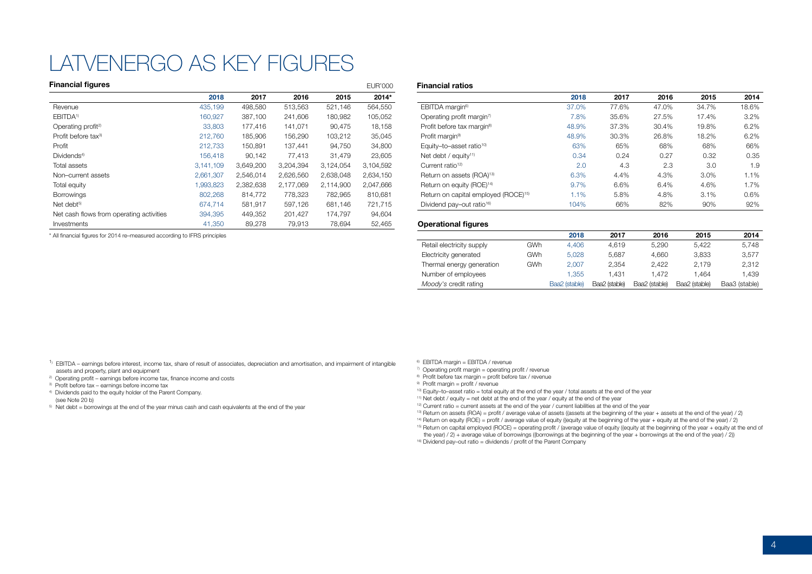# LATVENERGO AS KEY FIGURES

#### Financial figures 2018 2017 2016 2015 2014\* Revenue 435,199 498,580 513,563 521,146 564,550 EBITDA1) 160,927 387,100 241,606 180,982 105,052 Operating profit2) 33,803 177,416 141,071 90,475 18,158 Profit before tax3) 212,760 185,906 156,290 103,212 35,045 Profit 212,733 150,891 137,441 94,750 34,800 Dividends4) 156,418 90,142 77,413 31,479 23,605 Total assets 3,141,109 3,649,200 3,204,394 3,124,054 3,104,592 Non–current assets 2,661,307 2,546,014 2,626,560 2,638,048 2,634,150 Total equity 1,993,823 2,382,638 2,177,069 2,114,900 2,047,666 Borrowings 802,268 814,772 778,323 782,965 810,681 Net debt5) 674,714 581,917 597,126 681,146 721,715 Net cash flows from operating activities 394,395 449,352 201,427 174,797 94,604 Investments 41,350 89,278 79,913 78,694 52,465 EUR'000

\* All financial figures for 2014 re–measured according to IFRS principles

#### Financial ratios

|                                                  | 2018  | 2017  | 2016  | 2015  | 2014  |
|--------------------------------------------------|-------|-------|-------|-------|-------|
| EBITDA margin <sup>6)</sup>                      | 37.0% | 77.6% | 47.0% | 34.7% | 18.6% |
| Operating profit margin <sup>7)</sup>            | 7.8%  | 35.6% | 27.5% | 17.4% | 3.2%  |
| Profit before tax margin <sup>8)</sup>           | 48.9% | 37.3% | 30.4% | 19.8% | 6.2%  |
| Profit margin <sup>9)</sup>                      | 48.9% | 30.3% | 26.8% | 18.2% | 6.2%  |
| Equity-to-asset ratio <sup>10)</sup>             | 63%   | 65%   | 68%   | 68%   | 66%   |
| Net debt / equity <sup>11)</sup>                 | 0.34  | 0.24  | 0.27  | 0.32  | 0.35  |
| Current ratio <sup>12)</sup>                     | 2.0   | 4.3   | 2.3   | 3.0   | 1.9   |
| Return on assets (ROA) <sup>13)</sup>            | 6.3%  | 4.4%  | 4.3%  | 3.0%  | 1.1%  |
| Return on equity (ROE) <sup>14)</sup>            | 9.7%  | 6.6%  | 6.4%  | 4.6%  | 1.7%  |
| Return on capital employed (ROCE) <sup>15)</sup> | 1.1%  | 5.8%  | 4.8%  | 3.1%  | 0.6%  |
| Dividend pay-out ratio <sup>16)</sup>            | 104%  | 66%   | 82%   | 90%   | 92%   |

#### Operational figures

|                           |     | 2018          | 2017          | 2016          | 2015          | 2014          |
|---------------------------|-----|---------------|---------------|---------------|---------------|---------------|
| Retail electricity supply | GWh | 4.406         | 4.619         | 5.290         | 5.422         | 5.748         |
| Electricity generated     | GWh | 5.028         | 5.687         | 4.660         | 3.833         | 3,577         |
| Thermal energy generation | GWh | 2.007         | 2.354         | 2.422         | 2.179         | 2.312         |
| Number of employees       |     | 1.355         | 1.431         | 1.472         | 1.464         | 1.439         |
| Moody's credit rating     |     | Baa2 (stable) | Baa2 (stable) | Baa2 (stable) | Baa2 (stable) | Baa3 (stable) |

<sup>1)</sup> EBITDA – earnings before interest, income tax, share of result of associates, depreciation and amortisation, and impairment of intangible assets and property, plant and equipment

- $2)$  Operating profit earnings before income tax, finance income and costs
- <sup>3)</sup> Profit before tax earnings before income tax
- 4) Dividends paid to the equity holder of the Parent Company.
- (see Note 20 b)
- $5)$  Net debt = borrowings at the end of the year minus cash and cash equivalents at the end of the year

6) EBITDA margin = EBITDA / revenue

- $\sqrt{7}$  Operating profit margin = operating profit / revenue
- 8) Profit before tax margin = profit before tax / revenue
- $9$  Profit margin = profit / revenue
- 10) Equity-to-asset ratio = total equity at the end of the year / total assets at the end of the year
- 11) Net debt / equity = net debt at the end of the year / equity at the end of the year
- <sup>12)</sup> Current ratio = current assets at the end of the year / current liabilities at the end of the year
- 13) Return on assets (ROA) = profit / average value of assets ((assets at the beginning of the year + assets at the end of the year) / 2)
- 14) Return on equity (ROE) = profit / average value of equity ((equity at the beginning of the year + equity at the end of the year) / 2)
- 15) Return on capital employed (ROCE) = operating profit / (average value of equity ((equity at the beginning of the year + equity at the end of the year) / 2) + average value of borrowings ((borrowings at the beginning of the year + borrowings at the end of the year) / 2))  $16$ ) Dividend pay–out ratio = dividends / profit of the Parent Company
-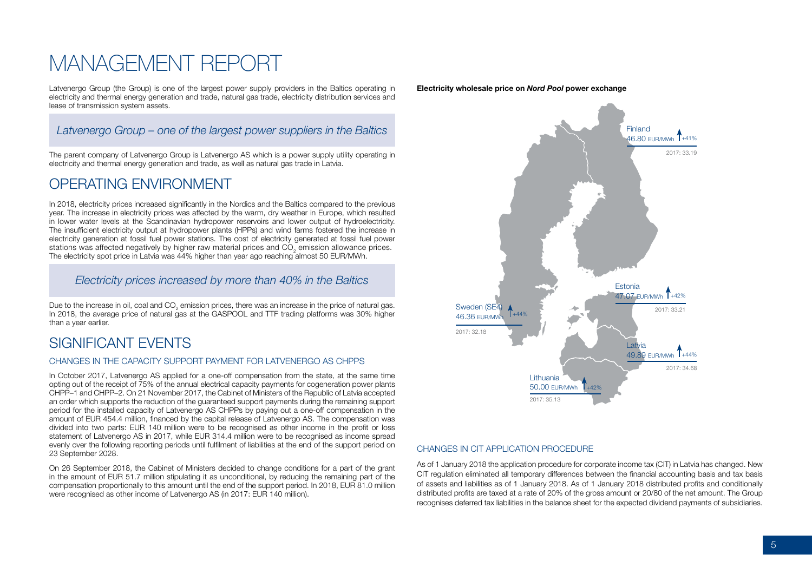# MANAGEMENT REPORT

Latvenergo Group (the Group) is one of the largest power supply providers in the Baltics operating in electricity and thermal energy generation and trade, natural gas trade, electricity distribution services and lease of transmission system assets.

# *Latvenergo Group – one of the largest power suppliers in the Baltics*

The parent company of Latvenergo Group is Latvenergo AS which is a power supply utility operating in electricity and thermal energy generation and trade, as well as natural gas trade in Latvia.

# OPERATING ENVIRONMENT

In 2018, electricity prices increased significantly in the Nordics and the Baltics compared to the previous year. The increase in electricity prices was affected by the warm, dry weather in Europe, which resulted in lower water levels at the Scandinavian hydropower reservoirs and lower output of hydroelectricity. The insufficient electricity output at hydropower plants (HPPs) and wind farms fostered the increase in electricity generation at fossil fuel power stations. The cost of electricity generated at fossil fuel power stations was affected negatively by higher raw material prices and CO<sub>2</sub> emission allowance prices. The electricity spot price in Latvia was 44% higher than year ago reaching almost 50 EUR/MWh.

# *Electricity prices increased by more than 40% in the Baltics*

Due to the increase in oil, coal and  $CO<sub>2</sub>$  emission prices, there was an increase in the price of natural gas. In 2018, the average price of natural gas at the GASPOOL and TTF trading platforms was 30% higher than a year earlier.

# SIGNIFICANT EVENTS

# CHANGES IN THE CAPACITY SUPPORT PAYMENT FOR LATVENERGO AS CHPPS

In October 2017, Latvenergo AS applied for a one-off compensation from the state, at the same time opting out of the receipt of 75% of the annual electrical capacity payments for cogeneration power plants CHPP–1 and CHPP–2. On 21 November 2017, the Cabinet of Ministers of the Republic of Latvia accepted an order which supports the reduction of the guaranteed support payments during the remaining support period for the installed capacity of Latvenergo AS CHPPs by paying out a one-off compensation in the amount of EUR 454.4 million, financed by the capital release of Latvenergo AS. The compensation was divided into two parts: EUR 140 million were to be recognised as other income in the profit or loss statement of Latvenergo AS in 2017, while EUR 314.4 million were to be recognised as income spread evenly over the following reporting periods until fulfilment of liabilities at the end of the support period on 23 September 2028.

On 26 September 2018, the Cabinet of Ministers decided to change conditions for a part of the grant in the amount of EUR 51.7 million stipulating it as unconditional, by reducing the remaining part of the compensation proportionally to this amount until the end of the support period. In 2018, EUR 81.0 million were recognised as other income of Latvenergo AS (in 2017: EUR 140 million).

#### Electricity wholesale price on *Nord Pool* power exchange



# CHANGES IN CIT APPLICATION PROCEDURE

As of 1 January 2018 the application procedure for corporate income tax (CIT) in Latvia has changed. New CIT regulation eliminated all temporary differences between the financial accounting basis and tax basis of assets and liabilities as of 1 January 2018. As of 1 January 2018 distributed profits and conditionally distributed profits are taxed at a rate of 20% of the gross amount or 20/80 of the net amount. The Group recognises deferred tax liabilities in the balance sheet for the expected dividend payments of subsidiaries.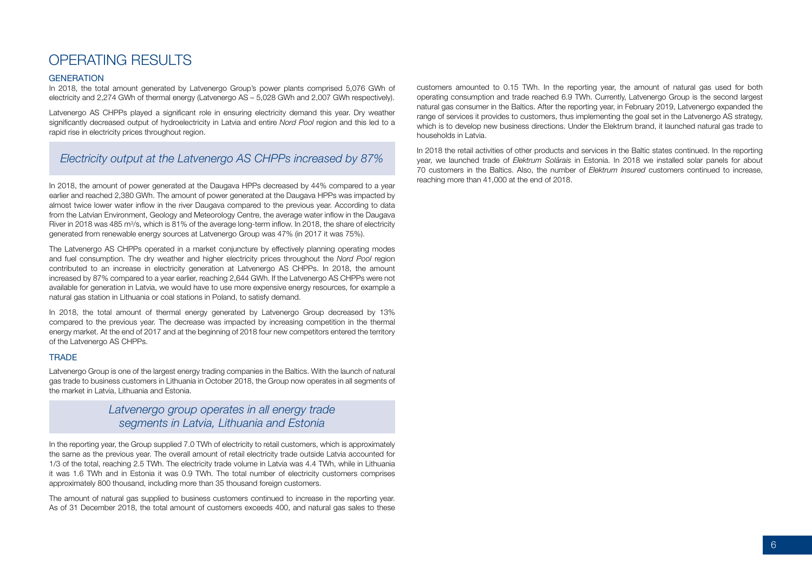# OPFRATING RESULTS

# **GENERATION**

In 2018, the total amount generated by Latvenergo Group's power plants comprised 5,076 GWh of electricity and 2,274 GWh of thermal energy (Latvenergo AS – 5,028 GWh and 2,007 GWh respectively).

Latvenergo AS CHPPs played a significant role in ensuring electricity demand this year. Dry weather significantly decreased output of hydroelectricity in Latvia and entire *Nord Pool* region and this led to a rapid rise in electricity prices throughout region.

# *Electricity output at the Latvenergo AS CHPPs increased by 87%*

In 2018, the amount of power generated at the Daugava HPPs decreased by 44% compared to a year earlier and reached 2,380 GWh. The amount of power generated at the Daugava HPPs was impacted by almost twice lower water inflow in the river Daugava compared to the previous year. According to data from the Latvian Environment, Geology and Meteorology Centre, the average water inflow in the Daugava River in 2018 was 485 m $^3$ /s, which is 81% of the average long-term inflow. In 2018, the share of electricity generated from renewable energy sources at Latvenergo Group was 47% (in 2017 it was 75%).

The Latvenergo AS CHPPs operated in a market conjuncture by effectively planning operating modes and fuel consumption. The dry weather and higher electricity prices throughout the *Nord Pool* region contributed to an increase in electricity generation at Latvenergo AS CHPPs. In 2018, the amount increased by 87% compared to a year earlier, reaching 2,644 GWh. If the Latvenergo AS CHPPs were not available for generation in Latvia, we would have to use more expensive energy resources, for example a natural gas station in Lithuania or coal stations in Poland, to satisfy demand.

In 2018, the total amount of thermal energy generated by Latvenergo Group decreased by 13% compared to the previous year. The decrease was impacted by increasing competition in the thermal energy market. At the end of 2017 and at the beginning of 2018 four new competitors entered the territory of the Latvenergo AS CHPPs.

# **TRADE**

Latvenergo Group is one of the largest energy trading companies in the Baltics. With the launch of natural gas trade to business customers in Lithuania in October 2018, the Group now operates in all segments of the market in Latvia, Lithuania and Estonia.

# *Latvenergo group operates in all energy trade segments in Latvia, Lithuania and Estonia*

In the reporting year, the Group supplied 7.0 TWh of electricity to retail customers, which is approximately the same as the previous year. The overall amount of retail electricity trade outside Latvia accounted for 1/3 of the total, reaching 2.5 TWh. The electricity trade volume in Latvia was 4.4 TWh, while in Lithuania it was 1.6 TWh and in Estonia it was 0.9 TWh. The total number of electricity customers comprises approximately 800 thousand, including more than 35 thousand foreign customers.

The amount of natural gas supplied to business customers continued to increase in the reporting year. As of 31 December 2018, the total amount of customers exceeds 400, and natural gas sales to these

customers amounted to 0.15 TWh. In the reporting year, the amount of natural gas used for both operating consumption and trade reached 6.9 TWh. Currently, Latvenergo Group is the second largest natural gas consumer in the Baltics. After the reporting year, in February 2019, Latvenergo expanded the range of services it provides to customers, thus implementing the goal set in the Latvenergo AS strategy, which is to develop new business directions. Under the Elektrum brand, it launched natural gas trade to households in Latvia.

In 2018 the retail activities of other products and services in the Baltic states continued. In the reporting year, we launched trade of *Elektrum Solārais* in Estonia. In 2018 we installed solar panels for about 70 customers in the Baltics. Also, the number of *Elektrum Insured* customers continued to increase, reaching more than 41,000 at the end of 2018.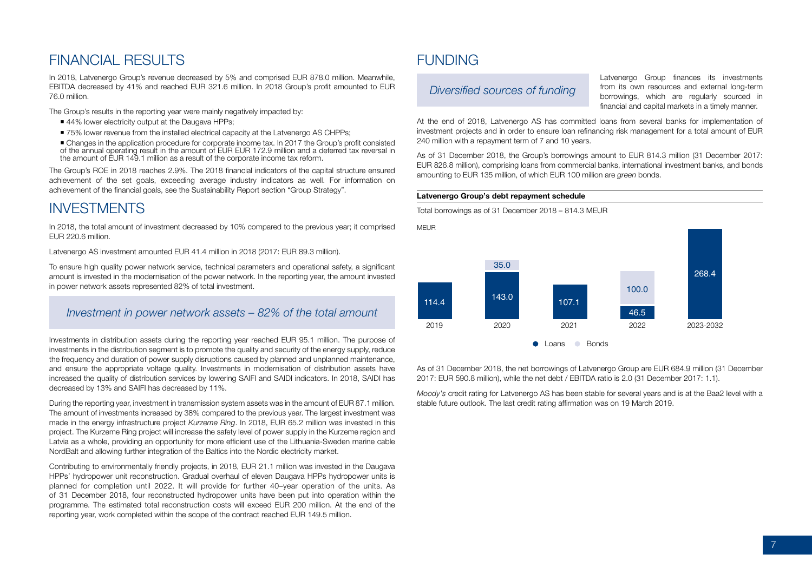# FINANCIAL RESULTS

In 2018, Latvenergo Group's revenue decreased by 5% and comprised EUR 878.0 million. Meanwhile, EBITDA decreased by 41% and reached EUR 321.6 million. In 2018 Group's profit amounted to EUR 76.0 million.

The Group's results in the reporting year were mainly negatively impacted by:

- 44% lower electricity output at the Daugava HPPs;
- 75% lower revenue from the installed electrical capacity at the Latvenergo AS CHPPs;

 Changes in the application procedure for corporate income tax. In 2017 the Group's profit consisted of the annual operating result in the amount of EUR EUR 172.9 million and a deferred tax reversal in the amount of EUR 149.1 million as a result of the corporate income tax reform.

The Group's ROE in 2018 reaches 2.9%. The 2018 financial indicators of the capital structure ensured achievement of the set goals, exceeding average industry indicators as well. For information on achievement of the financial goals, see the Sustainability Report section "Group Strategy".

# INVESTMENTS

In 2018, the total amount of investment decreased by 10% compared to the previous year; it comprised EUR 220.6 million.

Latvenergo AS investment amounted EUR 41.4 million in 2018 (2017: EUR 89.3 million).

To ensure high quality power network service, technical parameters and operational safety, a significant amount is invested in the modernisation of the power network. In the reporting year, the amount invested in power network assets represented 82% of total investment.

# *Investment in power network assets – 82% of the total amount*

Investments in distribution assets during the reporting year reached EUR 95.1 million. The purpose of investments in the distribution segment is to promote the quality and security of the energy supply, reduce the frequency and duration of power supply disruptions caused by planned and unplanned maintenance, and ensure the appropriate voltage quality. Investments in modernisation of distribution assets have increased the quality of distribution services by lowering SAIFI and SAIDI indicators. In 2018, SAIDI has decreased by 13% and SAIFI has decreased by 11%.

During the reporting year, investment in transmission system assets was in the amount of EUR 87.1 million. The amount of investments increased by 38% compared to the previous year. The largest investment was made in the energy infrastructure project *Kurzeme Ring*. In 2018, EUR 65.2 million was invested in this project. The Kurzeme Ring project will increase the safety level of power supply in the Kurzeme region and Latvia as a whole, providing an opportunity for more efficient use of the Lithuania-Sweden marine cable NordBalt and allowing further integration of the Baltics into the Nordic electricity market.

Contributing to environmentally friendly projects, in 2018, EUR 21.1 million was invested in the Daugava HPPs' hydropower unit reconstruction. Gradual overhaul of eleven Daugava HPPs hydropower units is planned for completion until 2022. It will provide for further 40–year operation of the units. As of 31 December 2018, four reconstructed hydropower units have been put into operation within the programme. The estimated total reconstruction costs will exceed EUR 200 million. At the end of the reporting year, work completed within the scope of the contract reached EUR 149.5 million.

# FUNDING

# *Diversified sources of funding*

Latvenergo Group finances its investments from its own resources and external long-term borrowings, which are regularly sourced in financial and capital markets in a timely manner.

At the end of 2018, Latvenergo AS has committed loans from several banks for implementation of investment projects and in order to ensure loan refinancing risk management for a total amount of EUR 240 million with a repayment term of 7 and 10 years.

As of 31 December 2018, the Group's borrowings amount to EUR 814.3 million (31 December 2017: EUR 826.8 million), comprising loans from commercial banks, international investment banks, and bonds amounting to EUR 135 million, of which EUR 100 million are *green* bonds.

#### Latvenergo Group's debt repayment schedule

Total borrowings as of 31 December 2018 – 814.3 MEUR



As of 31 December 2018, the net borrowings of Latvenergo Group are EUR 684.9 million (31 December 2017: EUR 590.8 million), while the net debt / EBITDA ratio is 2.0 (31 December 2017: 1.1).

*Moody's* credit rating for Latvenergo AS has been stable for several years and is at the Baa2 level with a stable future outlook. The last credit rating affirmation was on 19 March 2019.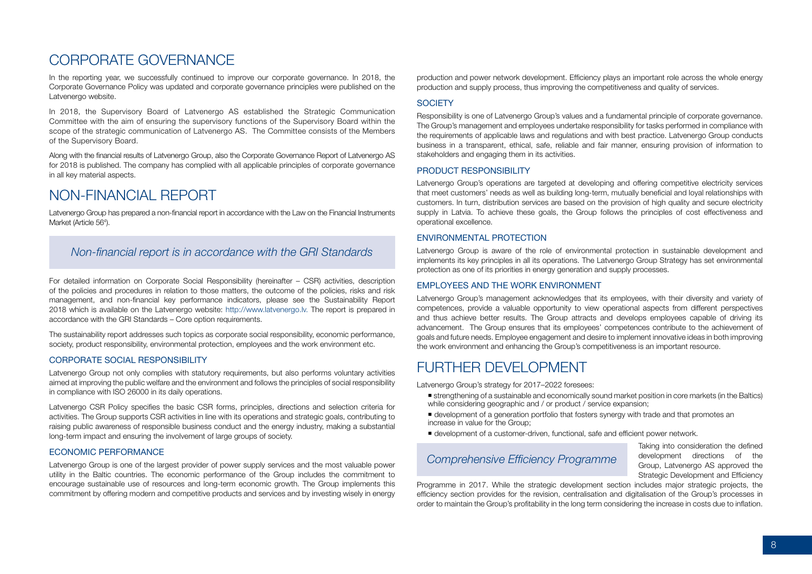# CORPORATE GOVERNANCE

In the reporting year, we successfully continued to improve our corporate governance. In 2018, the Corporate Governance Policy was updated and corporate governance principles were published on the Latvenergo website.

In 2018, the Supervisory Board of Latvenergo AS established the Strategic Communication Committee with the aim of ensuring the supervisory functions of the Supervisory Board within the scope of the strategic communication of Latvenergo AS. The Committee consists of the Members of the Supervisory Board.

Along with the financial results of Latvenergo Group, also the Corporate Governance Report of Latvenergo AS for 2018 is published. The company has complied with all applicable principles of corporate governance in all key material aspects.

# NON-FINANCIAL REPORT

Latvenergo Group has prepared a non-financial report in accordance with the Law on the Financial Instruments Market (Article 56<sup>4</sup>).

# *Non-financial report is in accordance with the GRI Standards*

For detailed information on Corporate Social Responsibility (hereinafter – CSR) activities, description of the policies and procedures in relation to those matters, the outcome of the policies, risks and risk management, and non-financial key performance indicators, please see the Sustainability Report 2018 which is available on the Latvenergo website: http://www.latvenergo.lv. The report is prepared in accordance with the GRI Standards – Core option requirements.

The sustainability report addresses such topics as corporate social responsibility, economic performance, society, product responsibility, environmental protection, employees and the work environment etc.

# CORPORATE SOCIAL RESPONSIBILITY

Latvenergo Group not only complies with statutory requirements, but also performs voluntary activities aimed at improving the public welfare and the environment and follows the principles of social responsibility in compliance with ISO 26000 in its daily operations.

Latvenergo CSR Policy specifies the basic CSR forms, principles, directions and selection criteria for activities. The Group supports CSR activities in line with its operations and strategic goals, contributing to raising public awareness of responsible business conduct and the energy industry, making a substantial long-term impact and ensuring the involvement of large groups of society.

### ECONOMIC PERFORMANCE

Latvenergo Group is one of the largest provider of power supply services and the most valuable power utility in the Baltic countries. The economic performance of the Group includes the commitment to encourage sustainable use of resources and long-term economic growth. The Group implements this commitment by offering modern and competitive products and services and by investing wisely in energy

production and power network development. Efficiency plays an important role across the whole energy production and supply process, thus improving the competitiveness and quality of services.

### **SOCIETY**

Responsibility is one of Latvenergo Group's values and a fundamental principle of corporate governance. The Group's management and employees undertake responsibility for tasks performed in compliance with the requirements of applicable laws and regulations and with best practice. Latvenergo Group conducts business in a transparent, ethical, safe, reliable and fair manner, ensuring provision of information to stakeholders and engaging them in its activities.

#### PRODUCT RESPONSIBILITY

Latvenergo Group's operations are targeted at developing and offering competitive electricity services that meet customers' needs as well as building long-term, mutually beneficial and loyal relationships with customers. In turn, distribution services are based on the provision of high quality and secure electricity supply in Latvia. To achieve these goals, the Group follows the principles of cost effectiveness and operational excellence.

### ENVIRONMENTAL PROTECTION

Latvenergo Group is aware of the role of environmental protection in sustainable development and implements its key principles in all its operations. The Latvenergo Group Strategy has set environmental protection as one of its priorities in energy generation and supply processes.

### EMPLOYEES AND THE WORK ENVIRONMENT

Latvenergo Group's management acknowledges that its employees, with their diversity and variety of competences, provide a valuable opportunity to view operational aspects from different perspectives and thus achieve better results. The Group attracts and develops employees capable of driving its advancement. The Group ensures that its employees' competences contribute to the achievement of goals and future needs. Employee engagement and desire to implement innovative ideas in both improving the work environment and enhancing the Group's competitiveness is an important resource.

# FURTHER DEVELOPMENT

Latvenergo Group's strategy for 2017–2022 foresees:

- strengthening of a sustainable and economically sound market position in core markets (in the Baltics) while considering geographic and / or product / service expansion;
- development of a generation portfolio that fosters synergy with trade and that promotes an increase in value for the Group;
- development of a customer-driven, functional, safe and efficient power network.

# *Comprehensive Efficiency Programme*

Taking into consideration the defined development directions of the Group, Latvenergo AS approved the Strategic Development and Efficiency

Programme in 2017. While the strategic development section includes major strategic projects, the efficiency section provides for the revision, centralisation and digitalisation of the Group's processes in order to maintain the Group's profitability in the long term considering the increase in costs due to inflation.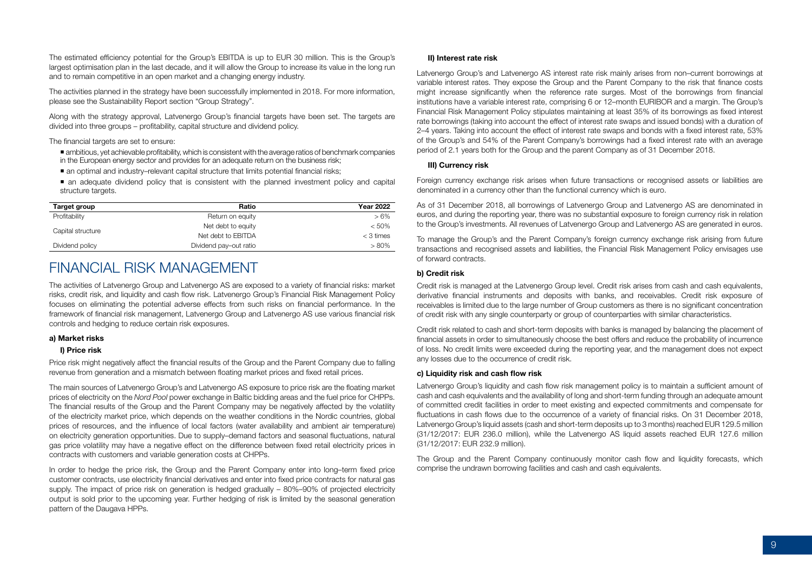The estimated efficiency potential for the Group's EBITDA is up to EUR 30 million. This is the Group's largest optimisation plan in the last decade, and it will allow the Group to increase its value in the long run and to remain competitive in an open market and a changing energy industry.

The activities planned in the strategy have been successfully implemented in 2018. For more information, please see the Sustainability Report section "Group Strategy".

Along with the strategy approval, Latvenergo Group's financial targets have been set. The targets are divided into three groups – profitability, capital structure and dividend policy.

The financial targets are set to ensure:

- ambitious, yet achievable profitability, which is consistent with the average ratios of benchmark companies in the European energy sector and provides for an adequate return on the business risk;
- an optimal and industry–relevant capital structure that limits potential financial risks;
- an adequate dividend policy that is consistent with the planned investment policy and capital structure targets.

| Target group      | Ratio                  | <b>Year 2022</b> |
|-------------------|------------------------|------------------|
| Profitability     | Return on equity       | $>6\%$           |
|                   | Net debt to equity     | < 50%            |
| Capital structure | Net debt to EBITDA     | $<$ 3 times      |
| Dividend policy   | Dividend pay-out ratio | $>80\%$          |

# FINANCIAL RISK MANAGEMENT

The activities of Latvenergo Group and Latvenergo AS are exposed to a variety of financial risks: market risks, credit risk, and liquidity and cash flow risk. Latvenergo Group's Financial Risk Management Policy focuses on eliminating the potential adverse effects from such risks on financial performance. In the framework of financial risk management, Latvenergo Group and Latvenergo AS use various financial risk controls and hedging to reduce certain risk exposures.

# a) Market risks

### I) Price risk

Price risk might negatively affect the financial results of the Group and the Parent Company due to falling revenue from generation and a mismatch between floating market prices and fixed retail prices.

The main sources of Latvenergo Group's and Latvenergo AS exposure to price risk are the floating market prices of electricity on the *Nord Pool* power exchange in Baltic bidding areas and the fuel price for CHPPs. The financial results of the Group and the Parent Company may be negatively affected by the volatility of the electricity market price, which depends on the weather conditions in the Nordic countries, global prices of resources, and the influence of local factors (water availability and ambient air temperature) on electricity generation opportunities. Due to supply–demand factors and seasonal fluctuations, natural gas price volatility may have a negative effect on the difference between fixed retail electricity prices in contracts with customers and variable generation costs at CHPPs.

In order to hedge the price risk, the Group and the Parent Company enter into long–term fixed price customer contracts, use electricity financial derivatives and enter into fixed price contracts for natural gas supply. The impact of price risk on generation is hedged gradually – 80%–90% of projected electricity output is sold prior to the upcoming year. Further hedging of risk is limited by the seasonal generation pattern of the Daugava HPPs.

#### II) Interest rate risk

Latvenergo Group's and Latvenergo AS interest rate risk mainly arises from non–current borrowings at variable interest rates. They expose the Group and the Parent Company to the risk that finance costs might increase significantly when the reference rate surges. Most of the borrowings from financial institutions have a variable interest rate, comprising 6 or 12–month EURIBOR and a margin. The Group's Financial Risk Management Policy stipulates maintaining at least 35% of its borrowings as fixed interest rate borrowings (taking into account the effect of interest rate swaps and issued bonds) with a duration of 2–4 years. Taking into account the effect of interest rate swaps and bonds with a fixed interest rate, 53% of the Group's and 54% of the Parent Company's borrowings had a fixed interest rate with an average period of 2.1 years both for the Group and the parent Company as of 31 December 2018.

### III) Currency risk

Foreign currency exchange risk arises when future transactions or recognised assets or liabilities are denominated in a currency other than the functional currency which is euro.

As of 31 December 2018, all borrowings of Latvenergo Group and Latvenergo AS are denominated in euros, and during the reporting year, there was no substantial exposure to foreign currency risk in relation to the Group's investments. All revenues of Latvenergo Group and Latvenergo AS are generated in euros.

To manage the Group's and the Parent Company's foreign currency exchange risk arising from future transactions and recognised assets and liabilities, the Financial Risk Management Policy envisages use of forward contracts.

### b) Credit risk

Credit risk is managed at the Latvenergo Group level. Credit risk arises from cash and cash equivalents, derivative financial instruments and deposits with banks, and receivables. Credit risk exposure of receivables is limited due to the large number of Group customers as there is no significant concentration of credit risk with any single counterparty or group of counterparties with similar characteristics.

Credit risk related to cash and short-term deposits with banks is managed by balancing the placement of financial assets in order to simultaneously choose the best offers and reduce the probability of incurrence of loss. No credit limits were exceeded during the reporting year, and the management does not expect any losses due to the occurrence of credit risk.

#### c) Liquidity risk and cash flow risk

Latvenergo Group's liquidity and cash flow risk management policy is to maintain a sufficient amount of cash and cash equivalents and the availability of long and short-term funding through an adequate amount of committed credit facilities in order to meet existing and expected commitments and compensate for fluctuations in cash flows due to the occurrence of a variety of financial risks. On 31 December 2018, Latvenergo Group's liquid assets (cash and short-term deposits up to 3 months) reached EUR 129.5 million (31/12/2017: EUR 236.0 million), while the Latvenergo AS liquid assets reached EUR 127.6 million (31/12/2017: EUR 232.9 million).

The Group and the Parent Company continuously monitor cash flow and liquidity forecasts, which comprise the undrawn borrowing facilities and cash and cash equivalents.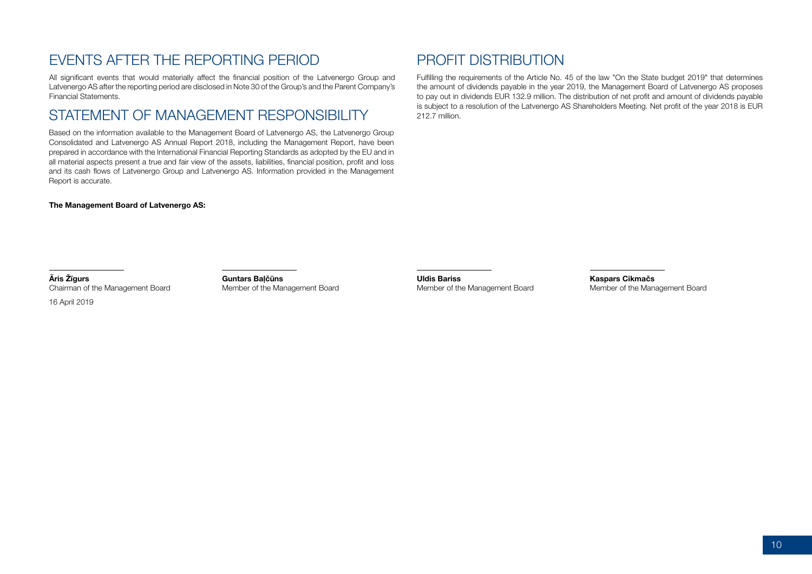# EVENTS AFTER THE REPORTING PERIOD

All significant events that would materially affect the financial position of the Latvenergo Group and Latvenergo AS after the reporting period are disclosed in Note 30 of the Group's and the Parent Company's Financial Statements.

# STATEMENT OF MANAGEMENT RESPONSIBILITY

Based on the information available to the Management Board of Latvenergo AS, the Latvenergo Group Consolidated and Latvenergo AS Annual Report 2018, including the Management Report, have been prepared in accordance with the International Financial Reporting Standards as adopted by the EU and in all material aspects present a true and fair view of the assets, liabilities, financial position, profit and loss and its cash flows of Latvenergo Group and Latvenergo AS. Information provided in the Management Report is accurate.

### The Management Board of Latvenergo AS:

# PROFIT DISTRIBUTION

Fulfilling the requirements of the Article No. 45 of the law "On the State budget 2019" that determines the amount of dividends payable in the year 2019, the Management Board of Latvenergo AS proposes to pay out in dividends EUR 132.9 million. The distribution of net profit and amount of dividends payable is subject to a resolution of the Latvenergo AS Shareholders Meeting. Net profit of the year 2018 is EUR 212.7 million.

Āris Žīgurs Chairman of the Management Board

Guntars Balčūns Member of the Management Board

16 April 2019

Uldis Bariss Member of the Management Board Kaspars Cikmačs Member of the Management Board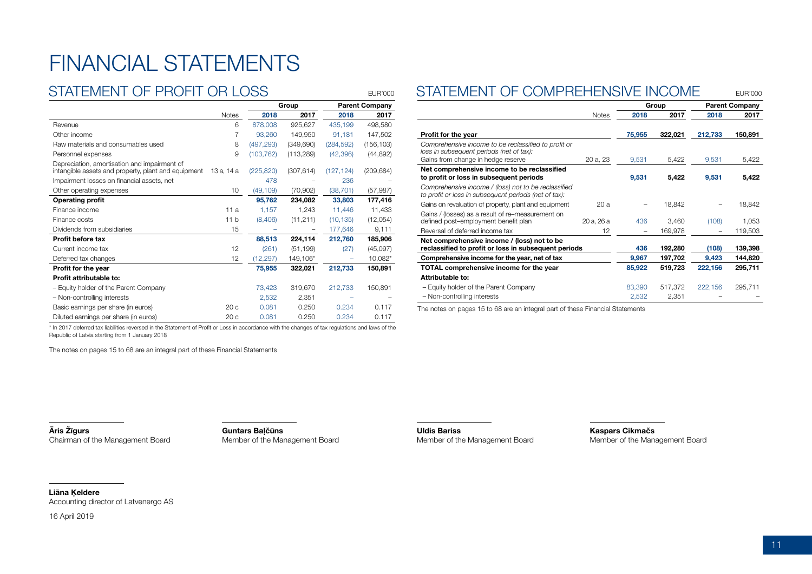# FINANCIAL STATEMENTS

|                                                                                                     |                 |            | Group      | <b>Parent Company</b> |            |  |
|-----------------------------------------------------------------------------------------------------|-----------------|------------|------------|-----------------------|------------|--|
|                                                                                                     | <b>Notes</b>    | 2018       | 2017       | 2018                  | 2017       |  |
| Revenue                                                                                             | 6               | 878,008    | 925,627    | 435,199               | 498,580    |  |
| Other income                                                                                        | 7               | 93.260     | 149,950    | 91,181                | 147,502    |  |
| Raw materials and consumables used                                                                  | 8               | (497, 293) | (349,690)  | (284, 592)            | (156, 103) |  |
| Personnel expenses                                                                                  | 9               | (103, 762) | (113, 289) | (42, 396)             | (44, 892)  |  |
| Depreciation, amortisation and impairment of<br>intangible assets and property, plant and equipment | 13 a, 14 a      | (225, 820) | (307, 614) | (127, 124)            | (209, 684) |  |
| Impairment losses on financial assets, net                                                          |                 | 478        |            | 236                   |            |  |
| Other operating expenses                                                                            | 10              | (49, 109)  | (70, 902)  | (38, 701)             | (57, 987)  |  |
| <b>Operating profit</b>                                                                             |                 | 95,762     | 234,082    | 33,803                | 177,416    |  |
| Finance income                                                                                      | 11a             | 1,157      | 1.243      | 11.446                | 11,433     |  |
| Finance costs                                                                                       | 11 <sub>b</sub> | (8,406)    | (11, 211)  | (10, 135)             | (12,054)   |  |
| Dividends from subsidiaries                                                                         | 15              |            |            | 177,646               | 9,111      |  |
| Profit before tax                                                                                   |                 | 88,513     | 224,114    | 212,760               | 185,906    |  |
| Current income tax                                                                                  | 12              | (261)      | (51, 199)  | (27)                  | (45,097)   |  |
| Deferred tax changes                                                                                | 12              | (12, 297)  | 149,106*   |                       | 10,082*    |  |
| Profit for the year                                                                                 |                 | 75,955     | 322,021    | 212,733               | 150,891    |  |
| Profit attributable to:                                                                             |                 |            |            |                       |            |  |
| - Equity holder of the Parent Company                                                               |                 | 73,423     | 319,670    | 212,733               | 150,891    |  |
| - Non-controlling interests                                                                         |                 | 2.532      | 2.351      |                       |            |  |
| Basic earnings per share (in euros)                                                                 | 20c             | 0.081      | 0.250      | 0.234                 | 0.117      |  |
| Diluted earnings per share (in euros)                                                               | 20c             | 0.081      | 0.250      | 0.234                 | 0.117      |  |

\* In 2017 deferred tax liabilities reversed in the Statement of Profit or Loss in accordance with the changes of tax regulations and laws of the Republic of Latvia starting from 1 January 2018

The notes on pages 15 to 68 are an integral part of these Financial Statements

# STATEMENT OF PROFIT OR LOSS EURICODE STATEMENT OF COMPREHENSIVE INCOME

|                                                                                                               |              |        | Group   | <b>Parent Company</b> |         |  |
|---------------------------------------------------------------------------------------------------------------|--------------|--------|---------|-----------------------|---------|--|
|                                                                                                               | <b>Notes</b> | 2018   | 2017    | 2018                  | 2017    |  |
| Profit for the year                                                                                           |              | 75,955 | 322,021 | 212,733               | 150,891 |  |
| Comprehensive income to be reclassified to profit or<br>loss in subsequent periods (net of tax):              |              |        |         |                       |         |  |
| Gains from change in hedge reserve                                                                            | 20 a, 23     | 9,531  | 5,422   | 9,531                 | 5,422   |  |
| Net comprehensive income to be reclassified<br>to profit or loss in subsequent periods                        |              | 9,531  | 5,422   | 9,531                 | 5,422   |  |
| Comprehensive income / (loss) not to be reclassified<br>to profit or loss in subsequent periods (net of tax): |              |        |         |                       |         |  |
| Gains on revaluation of property, plant and equipment                                                         | 20a          |        | 18,842  |                       | 18,842  |  |
| Gains / (losses) as a result of re-measurement on<br>defined post-employment benefit plan                     | 20 a. 26 a   | 436    | 3.460   | (108)                 | 1,053   |  |
| Reversal of deferred income tax                                                                               | 12           |        | 169,978 |                       | 119,503 |  |
| Net comprehensive income / (loss) not to be<br>reclassified to profit or loss in subsequent periods           |              | 436    | 192,280 | (108)                 | 139,398 |  |
| Comprehensive income for the year, net of tax                                                                 |              | 9,967  | 197,702 | 9,423                 | 144,820 |  |
| TOTAL comprehensive income for the year                                                                       |              | 85,922 | 519,723 | 222,156               | 295,711 |  |
| Attributable to:                                                                                              |              |        |         |                       |         |  |
| - Equity holder of the Parent Company                                                                         |              | 83,390 | 517,372 | 222,156               | 295,711 |  |
| - Non-controlling interests                                                                                   |              | 2,532  | 2,351   |                       |         |  |

The notes on pages 15 to 68 are an integral part of these Financial Statements

Āris Žīgurs Chairman of the Management Board

Guntars Baļčūns Member of the Management Board Uldis Bariss Member of the Management Board

EUR'000

Kaspars Cikmačs Member of the Management Board

Liāna Ķeldere

Accounting director of Latvenergo AS

16 April 2019

EUR'000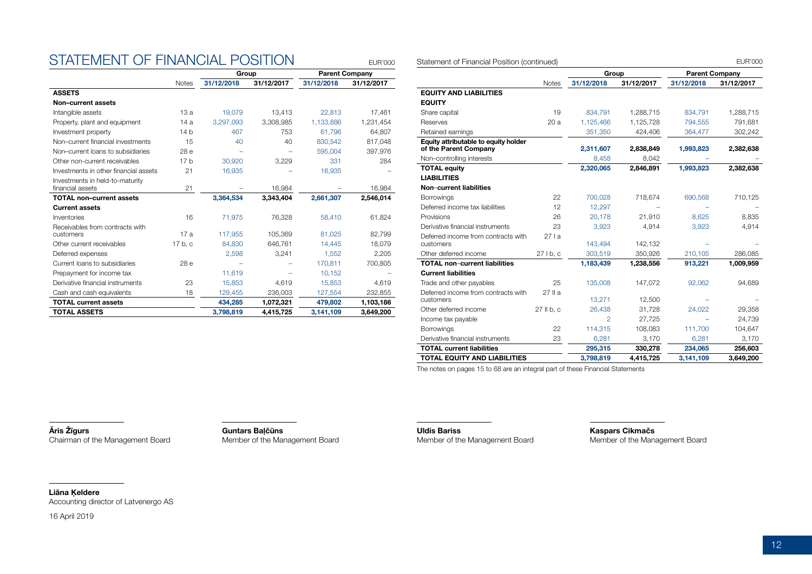# STATEMENT OF FINANCIAL POSITION

|                                                     |                 | Group      |            | <b>Parent Company</b> |            |  |  |
|-----------------------------------------------------|-----------------|------------|------------|-----------------------|------------|--|--|
|                                                     | <b>Notes</b>    | 31/12/2018 | 31/12/2017 | 31/12/2018            | 31/12/2017 |  |  |
| <b>ASSETS</b>                                       |                 |            |            |                       |            |  |  |
| Non-current assets                                  |                 |            |            |                       |            |  |  |
| Intangible assets                                   | 13a             | 19.079     | 13.413     | 22,813                | 17,461     |  |  |
| Property, plant and equipment                       | 14 а            | 3.297.093  | 3.308.985  | 1.133.886             | 1,231,454  |  |  |
| Investment property                                 | 14 <sub>b</sub> | 467        | 753        | 61,796                | 64.807     |  |  |
| Non-current financial investments                   | 15              | 40         | 40         | 830,542               | 817,048    |  |  |
| Non-current loans to subsidiaries                   | 28e             |            |            | 595.004               | 397,976    |  |  |
| Other non-current receivables                       | 17 <sub>b</sub> | 30,920     | 3,229      | 331                   | 284        |  |  |
| Investments in other financial assets               | 21              | 16,935     |            | 16,935                |            |  |  |
| Investments in held-to-maturity<br>financial assets | 21              |            | 16.984     |                       | 16.984     |  |  |
| <b>TOTAL non-current assets</b>                     |                 | 3,364,534  | 3.343.404  | 2,661,307             | 2,546,014  |  |  |
| <b>Current assets</b>                               |                 |            |            |                       |            |  |  |
| Inventories                                         | 16              | 71.975     | 76,328     | 58,410                | 61,824     |  |  |
| Receivables from contracts with                     |                 |            |            |                       |            |  |  |
| customers                                           | 17a             | 117.955    | 105,369    | 81.025                | 82.799     |  |  |
| Other current receivables                           | 17 b, c         | 84,830     | 646,761    | 14,445                | 18,079     |  |  |
| Deferred expenses                                   |                 | 2,598      | 3,241      | 1,552                 | 2,205      |  |  |
| Current loans to subsidiaries                       | 28 e            |            |            | 170.811               | 700,805    |  |  |
| Prepayment for income tax                           |                 | 11,619     |            | 10.152                |            |  |  |
| Derivative financial instruments                    | 23              | 15.853     | 4.619      | 15.853                | 4,619      |  |  |
| Cash and cash equivalents                           | 18              | 129.455    | 236,003    | 127.554               | 232,855    |  |  |
| <b>TOTAL current assets</b>                         |                 | 434,285    | 1,072,321  | 479,802               | 1,103,186  |  |  |
| <b>TOTAL ASSETS</b>                                 |                 | 3,798,819  | 4,415,725  | 3,141,109             | 3,649,200  |  |  |

|                                                               |              | Group      | <b>Parent Company</b> |            |            |  |
|---------------------------------------------------------------|--------------|------------|-----------------------|------------|------------|--|
|                                                               | <b>Notes</b> | 31/12/2018 | 31/12/2017            | 31/12/2018 | 31/12/2017 |  |
| <b>EQUITY AND LIABILITIES</b>                                 |              |            |                       |            |            |  |
| <b>EQUITY</b>                                                 |              |            |                       |            |            |  |
| Share capital                                                 | 19           | 834,791    | 1,288,715             | 834,791    | 1,288,715  |  |
| Reserves                                                      | 20a          | 1,125,466  | 1,125,728             | 794,555    | 791,681    |  |
| Retained earnings                                             |              | 351,350    | 424,406               | 364,477    | 302,242    |  |
| Equity attributable to equity holder<br>of the Parent Company |              | 2,311,607  | 2,838,849             | 1,993,823  | 2,382,638  |  |
| Non-controlling interests                                     |              | 8,458      | 8,042                 |            |            |  |
| <b>TOTAL equity</b>                                           |              | 2,320,065  | 2.846.891             | 1.993.823  | 2,382,638  |  |
| <b>LIABILITIES</b>                                            |              |            |                       |            |            |  |
| Non-current liabilities                                       |              |            |                       |            |            |  |
| <b>Borrowings</b>                                             | 22           | 700,028    | 718,674               | 690,568    | 710,125    |  |
| Deferred income tax liabilities                               | 12           | 12,297     |                       |            |            |  |
| Provisions                                                    | 26           | 20.178     | 21.910                | 8.625      | 8,835      |  |
| Derivative financial instruments                              | 23           | 3,923      | 4,914                 | 3,923      | 4,914      |  |
| Deferred income from contracts with<br>customers              | 271a         | 143,494    | 142,132               |            |            |  |
| Other deferred income                                         | $271b$ , c   | 303.519    | 350,926               | 210,105    | 286,085    |  |
| <b>TOTAL non-current liabilities</b>                          |              | 1,183,439  | 1,238,556             | 913,221    | 1,009,959  |  |
| <b>Current liabilities</b>                                    |              |            |                       |            |            |  |
| Trade and other payables                                      | 25           | 135,008    | 147,072               | 92,062     | 94,689     |  |
| Deferred income from contracts with<br>customers              | $27$ II a    | 13,271     | 12,500                |            |            |  |
| Other deferred income                                         | $27$ II b. c | 26,438     | 31,728                | 24,022     | 29,358     |  |
| Income tax payable                                            |              | 2          | 27,725                |            | 24,739     |  |
| <b>Borrowings</b>                                             | 22           | 114,315    | 108,083               | 111,700    | 104,647    |  |
| Derivative financial instruments                              | 23           | 6,281      | 3,170                 | 6,281      | 3,170      |  |
| <b>TOTAL current liabilities</b>                              |              | 295,315    | 330,278               | 234,065    | 256,603    |  |
| <b>TOTAL EQUITY AND LIABILITIES</b>                           |              | 3.798.819  | 4.415.725             | 3.141.109  | 3.649.200  |  |

The notes on pages 15 to 68 are an integral part of these Financial Statements

Āris Žīgurs Chairman of the Management Board Guntars Baļčūns Member of the Management Board

Uldis Bariss Member of the Management Board Kaspars Cikmačs Member of the Management Board

Liāna Ķeldere

Accounting director of Latvenergo AS

16 April 2019

# EUR'000 Statement of Financial Position (continued)

EUR'000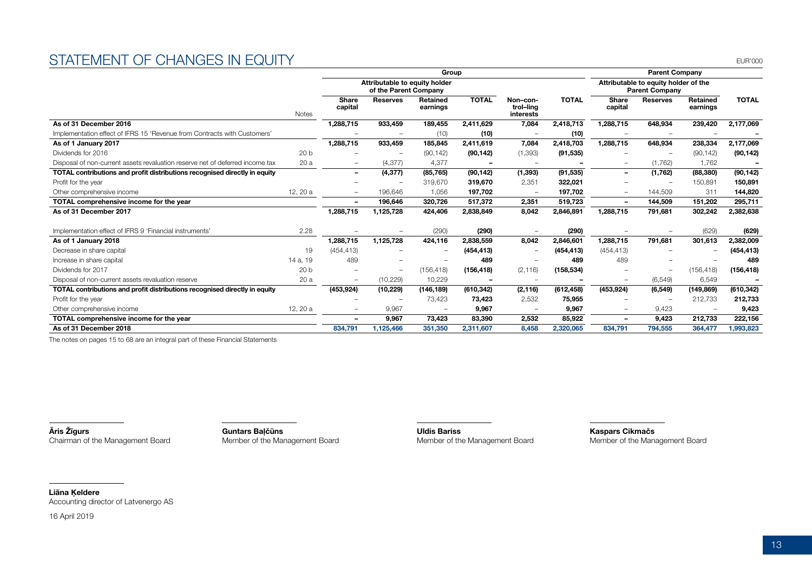# STATEMENT OF CHANGES IN EQUITY

|                                                                               |                 |                          |                                                        | Group                    |              |                                    |              | <b>Parent Company</b>    |                                                               |                      |              |
|-------------------------------------------------------------------------------|-----------------|--------------------------|--------------------------------------------------------|--------------------------|--------------|------------------------------------|--------------|--------------------------|---------------------------------------------------------------|----------------------|--------------|
|                                                                               |                 |                          | Attributable to equity holder<br>of the Parent Company |                          |              |                                    |              |                          | Attributable to equity holder of the<br><b>Parent Company</b> |                      |              |
|                                                                               | <b>Notes</b>    | Share<br>capital         | <b>Reserves</b>                                        | Retained<br>earnings     | <b>TOTAL</b> | Non-con-<br>trol-ling<br>interests | <b>TOTAL</b> | <b>Share</b><br>capital  | <b>Reserves</b>                                               | Retained<br>earnings | <b>TOTAL</b> |
| As of 31 December 2016                                                        |                 | 1,288,715                | 933,459                                                | 189,455                  | 2,411,629    | 7,084                              | 2,418,713    | 1,288,715                | 648,934                                                       | 239,420              | 2,177,069    |
| Implementation effect of IFRS 15 'Revenue from Contracts with Customers'      |                 | $\overline{\phantom{0}}$ |                                                        | (10)                     | (10)         |                                    | (10)         | $\qquad \qquad$          |                                                               |                      |              |
| As of 1 January 2017                                                          |                 | 1,288,715                | 933.459                                                | 185,845                  | 2,411,619    | 7,084                              | 2,418,703    | 1,288,715                | 648,934                                                       | 238,334              | 2,177,069    |
| Dividends for 2016                                                            | 20 <sub>b</sub> | ۰                        |                                                        | (90, 142)                | (90, 142)    | (1, 393)                           | (91, 535)    | $\overline{\phantom{0}}$ | $\overline{\phantom{a}}$                                      | (90, 142)            | (90, 142)    |
| Disposal of non-current assets revaluation reserve net of deferred income tax | 20a             | $\overline{\phantom{0}}$ | (4, 377)                                               | 4,377                    |              | $\overline{\phantom{a}}$           |              | $\qquad \qquad -$        | (1,762)                                                       | 1,762                |              |
| TOTAL contributions and profit distributions recognised directly in equity    |                 | $\overline{\phantom{0}}$ | (4, 377)                                               | (85, 765)                | (90, 142)    | (1, 393)                           | (91, 535)    | $\qquad \qquad$          | (1,762)                                                       | (88, 380)            | (90, 142)    |
| Profit for the year                                                           |                 |                          |                                                        | 319,670                  | 319,670      | 2,351                              | 322,021      |                          | $\overline{\phantom{a}}$                                      | 150,891              | 150,891      |
| Other comprehensive income                                                    | 12, 20 a        | $\overline{\phantom{0}}$ | 196,646                                                | 1,056                    | 197,702      | $\overline{\phantom{m}}$           | 197,702      | $\overline{\phantom{0}}$ | 144,509                                                       | 311                  | 144,820      |
| TOTAL comprehensive income for the year                                       |                 | $\overline{\phantom{0}}$ | 196.646                                                | 320.726                  | 517,372      | 2,351                              | 519,723      | $\overline{\phantom{a}}$ | 144,509                                                       | 151,202              | 295,711      |
| As of 31 December 2017                                                        |                 | 1,288,715                | 1,125,728                                              | 424,406                  | 2,838,849    | 8,042                              | 2,846,891    | 1,288,715                | 791,681                                                       | 302,242              | 2,382,638    |
| Implementation effect of IFRS 9 'Financial instruments'                       | 2.28            |                          |                                                        | (290)                    | (290)        |                                    | (290)        |                          |                                                               | (629)                | (629)        |
| As of 1 January 2018                                                          |                 | 1,288,715                | 1.125.728                                              | 424.116                  | 2,838,559    | 8.042                              | 2,846,601    | 1.288.715                | 791,681                                                       | 301,613              | 2,382,009    |
| Decrease in share capital                                                     | 19              | (454, 413)               |                                                        | $\overline{\phantom{0}}$ | (454, 413)   |                                    | (454, 413)   | (454, 413)               |                                                               |                      | (454, 413)   |
| Increase in share capital                                                     | 14 a, 19        | 489                      |                                                        |                          | 489          |                                    | 489          | 489                      |                                                               |                      | 489          |
| Dividends for 2017                                                            | 20 <sub>b</sub> |                          | $\overline{\phantom{a}}$                               | (156, 418)               | (156, 418)   | (2, 116)                           | (158, 534)   | $\overline{\phantom{0}}$ | $\overline{\phantom{0}}$                                      | (156, 418)           | (156,418)    |
| Disposal of non-current assets revaluation reserve                            | 20a             | $\overline{\phantom{0}}$ | (10, 229)                                              | 10,229                   |              | -                                  |              | $\qquad \qquad$          | (6, 549)                                                      | 6,549                |              |
| TOTAL contributions and profit distributions recognised directly in equity    |                 | (453, 924)               | (10, 229)                                              | (146, 189)               | (610, 342)   | (2, 116)                           | (612, 458)   | (453, 924)               | (6, 549)                                                      | (149, 869)           | (610, 342)   |
| Profit for the year                                                           |                 |                          |                                                        | 73,423                   | 73,423       | 2,532                              | 75,955       | $\overline{\phantom{0}}$ | $\overline{\phantom{a}}$                                      | 212,733              | 212,733      |
| Other comprehensive income                                                    | 12, 20 a        | $\overline{\phantom{a}}$ | 9,967                                                  | $\overline{\phantom{a}}$ | 9,967        | $\overline{\phantom{a}}$           | 9,967        | $\overline{\phantom{m}}$ | 9,423                                                         |                      | 9,423        |
| TOTAL comprehensive income for the year                                       |                 | $\overline{\phantom{0}}$ | 9,967                                                  | 73,423                   | 83,390       | 2,532                              | 85,922       | $\overline{\phantom{0}}$ | 9,423                                                         | 212,733              | 222,156      |
| As of 31 December 2018                                                        |                 | 834,791                  | 1,125,466                                              | 351,350                  | 2,311,607    | 8,458                              | 2,320,065    | 834,791                  | 794,555                                                       | 364,477              | 1,993,823    |

The notes on pages 15 to 68 are an integral part of these Financial Statements

Āris Žīgurs Chairman of the Management Board Guntars Baļčūns Member of the Management Board

Uldis Bariss Member of the Management Board

Kaspars Cikmačs Member of the Management Board

Liāna Ķeldere

Accounting director of Latvenergo AS

16 April 2019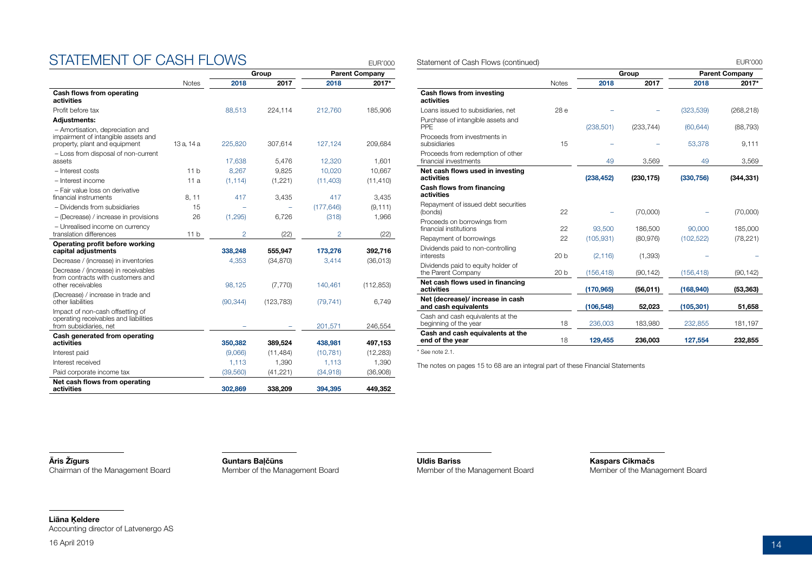# STATEMENT OF CASH FLOWS

EUR'000 EUR'000 Statement of Cash Flows (continued)

| <b>EUR'000</b> |  |
|----------------|--|
|                |  |

|                                                                                                          |                 |           | Group      |            | <b>Parent Company</b> |
|----------------------------------------------------------------------------------------------------------|-----------------|-----------|------------|------------|-----------------------|
|                                                                                                          | <b>Notes</b>    | 2018      | 2017       | 2018       | 2017*                 |
| Cash flows from operating<br>activities                                                                  |                 |           |            |            |                       |
| Profit before tax                                                                                        |                 | 88,513    | 224,114    | 212,760    | 185,906               |
| Adjustments:                                                                                             |                 |           |            |            |                       |
| - Amortisation, depreciation and<br>impairment of intangible assets and<br>property, plant and equipment | 13 a, 14 a      | 225,820   | 307,614    | 127,124    | 209,684               |
| - Loss from disposal of non-current<br>assets                                                            |                 | 17,638    | 5,476      | 12,320     | 1,601                 |
| $-$ Interest costs                                                                                       | 11 <sub>b</sub> | 8.267     | 9,825      | 10,020     | 10,667                |
| - Interest income                                                                                        | 11a             | (1, 114)  | (1, 221)   | (11, 403)  | (11, 410)             |
| - Fair value loss on derivative<br>financial instruments                                                 | 8, 11           | 417       | 3,435      | 417        | 3,435                 |
| - Dividends from subsidiaries                                                                            | 15              |           |            | (177, 646) | (9, 111)              |
| - (Decrease) / increase in provisions                                                                    | 26              | (1, 295)  | 6.726      | (318)      | 1,966                 |
| - Unrealised income on currency<br>translation differences                                               | 11 <sub>b</sub> | 2         | (22)       | 2          | (22)                  |
| Operating profit before working<br>capital adjustments                                                   |                 | 338,248   | 555,947    | 173,276    | 392,716               |
| Decrease / (increase) in inventories                                                                     |                 | 4,353     | (34, 870)  | 3,414      | (36,013)              |
| Decrease / (increase) in receivables<br>from contracts with customers and<br>other receivables           |                 | 98,125    | (7,770)    | 140,461    | (112, 853)            |
| (Decrease) / increase in trade and<br>other liabilities                                                  |                 | (90, 344) | (123, 783) | (79, 741)  | 6,749                 |
| Impact of non-cash offsetting of<br>operating receivables and liabilities<br>from subsidiaries, net      |                 |           |            | 201,571    | 246,554               |
| Cash generated from operating                                                                            |                 |           |            |            |                       |
| activities                                                                                               |                 | 350,382   | 389,524    | 438,981    | 497,153               |
| Interest paid                                                                                            |                 | (9,066)   | (11, 484)  | (10, 781)  | (12, 283)             |
| Interest received                                                                                        |                 | 1,113     | 1,390      | 1,113      | 1,390                 |
| Paid corporate income tax                                                                                |                 | (39,560)  | (41, 221)  | (34,918)   | (36,908)              |
| Net cash flows from operating<br>activities                                                              |                 | 302,869   | 338,209    | 394,395    | 449,352               |

|                                                            |                 |            | Group      |            | <b>Parent Company</b> |  |
|------------------------------------------------------------|-----------------|------------|------------|------------|-----------------------|--|
|                                                            | <b>Notes</b>    | 2018       | 2017       | 2018       | 2017*                 |  |
| Cash flows from investing<br>activities                    |                 |            |            |            |                       |  |
| Loans issued to subsidiaries, net                          | 28 e            |            |            | (323, 539) | (268, 218)            |  |
| Purchase of intangible assets and<br><b>PPF</b>            |                 | (238, 501) | (233, 744) | (60, 644)  | (88, 793)             |  |
| Proceeds from investments in<br>subsidiaries               | 15              |            |            | 53,378     | 9,111                 |  |
| Proceeds from redemption of other<br>financial investments |                 | 49         | 3,569      | 49         | 3,569                 |  |
| Net cash flows used in investing<br>activities             |                 | (238, 452) | (230, 175) | (330, 756) | (344, 331)            |  |
| Cash flows from financing<br>activities                    |                 |            |            |            |                       |  |
| Repayment of issued debt securities<br>(bonds)             | 22              |            | (70,000)   |            | (70,000)              |  |
| Proceeds on borrowings from<br>financial institutions      | 22              | 93,500     | 186,500    | 90,000     | 185,000               |  |
| Repayment of borrowings                                    | 22              | (105, 931) | (80, 976)  | (102, 522) | (78, 221)             |  |
| Dividends paid to non-controlling<br><i>interests</i>      | 20 <sub>b</sub> | (2, 116)   | (1, 393)   |            |                       |  |
| Dividends paid to equity holder of<br>the Parent Company   | 20 <sub>b</sub> | (156, 418) | (90, 142)  | (156, 418) | (90, 142)             |  |
| Net cash flows used in financing<br>activities             |                 | (170,965)  | (56, 011)  | (168, 940) | (53, 363)             |  |
| Net (decrease)/ increase in cash<br>and cash equivalents   |                 | (106, 548) | 52,023     | (105,301)  | 51,658                |  |
| Cash and cash equivalents at the<br>beginning of the year  | 18              | 236,003    | 183,980    | 232,855    | 181,197               |  |
| Cash and cash equivalents at the<br>end of the year        | 18              | 129,455    | 236,003    | 127,554    | 232,855               |  |

\* See note 2.1.

The notes on pages 15 to 68 are an integral part of these Financial Statements

Āris Žīgurs Chairman of the Management Board Guntars Baļčūns Member of the Management Board

#### Uldis Bariss

Member of the Management Board

### Kaspars Cikmačs Member of the Management Board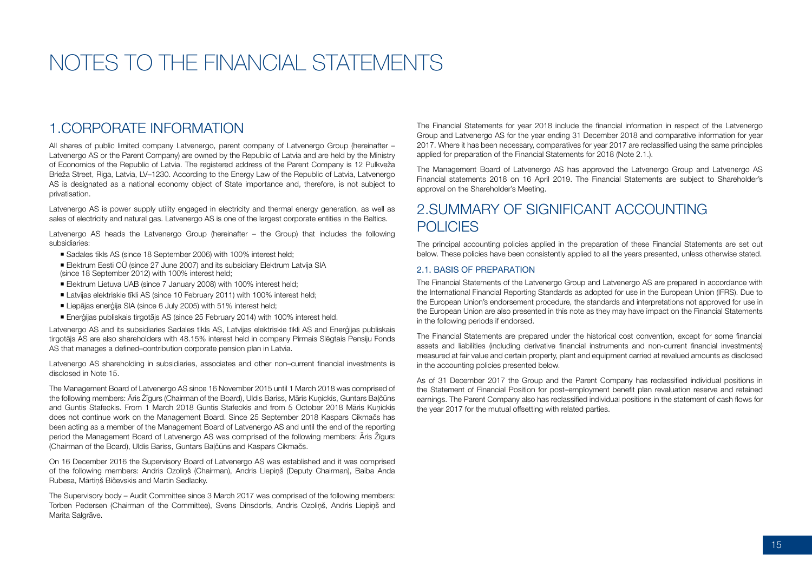# NOTES TO THE FINANCIAL STATEMENTS

# 1.CORPORATE INFORMATION

All shares of public limited company Latvenergo, parent company of Latvenergo Group (hereinafter – Latvenergo AS or the Parent Company) are owned by the Republic of Latvia and are held by the Ministry of Economics of the Republic of Latvia. The registered address of the Parent Company is 12 Pulkveža Brieža Street, Riga, Latvia, LV–1230. According to the Energy Law of the Republic of Latvia, Latvenergo AS is designated as a national economy object of State importance and, therefore, is not subject to privatisation.

Latvenergo AS is power supply utility engaged in electricity and thermal energy generation, as well as sales of electricity and natural gas. Latvenergo AS is one of the largest corporate entities in the Baltics.

Latvenergo AS heads the Latvenergo Group (hereinafter – the Group) that includes the following subsidiaries:

- Sadales tīkls AS (since 18 September 2006) with 100% interest held;
- Elektrum Eesti OÜ (since 27 June 2007) and its subsidiary Elektrum Latvija SIA (since 18 September 2012) with 100% interest held;
- Elektrum Lietuva UAB (since 7 January 2008) with 100% interest held;
- $\blacksquare$  Latvijas elektriskie tīkli AS (since 10 February 2011) with 100% interest held;
- Liepājas enerģija SIA (since 6 July 2005) with 51% interest held:
- Enerģijas publiskais tirgotājs AS (since 25 February 2014) with 100% interest held.

Latvenergo AS and its subsidiaries Sadales tīkls AS, Latvijas elektriskie tīkli AS and Enerģijas publiskais tirgotājs AS are also shareholders with 48.15% interest held in company Pirmais Slēgtais Pensiju Fonds AS that manages a defined–contribution corporate pension plan in Latvia.

Latvenergo AS shareholding in subsidiaries, associates and other non–current financial investments is disclosed in Note 15.

The Management Board of Latvenergo AS since 16 November 2015 until 1 March 2018 was comprised of the following members: Āris Žīgurs (Chairman of the Board), Uldis Bariss, Māris Kuņickis, Guntars Baļčūns and Guntis Stafeckis. From 1 March 2018 Guntis Stafeckis and from 5 October 2018 Māris Kuņickis does not continue work on the Management Board. Since 25 September 2018 Kaspars Cikmačs has been acting as a member of the Management Board of Latvenergo AS and until the end of the reporting period the Management Board of Latvenergo AS was comprised of the following members: Āris Žīgurs (Chairman of the Board), Uldis Bariss, Guntars Baļčūns and Kaspars Cikmačs.

On 16 December 2016 the Supervisory Board of Latvenergo AS was established and it was comprised of the following members: Andris Ozoliņš (Chairman), Andris Liepiņš (Deputy Chairman), Baiba Anda Rubesa, Mārtiņš Bičevskis and Martin Sedlacky.

The Supervisory body – Audit Committee since 3 March 2017 was comprised of the following members: Torben Pedersen (Chairman of the Committee), Svens Dinsdorfs, Andris Ozoliņš, Andris Liepiņš and Marita Salgrāve.

The Financial Statements for year 2018 include the financial information in respect of the Latvenergo Group and Latvenergo AS for the year ending 31 December 2018 and comparative information for year 2017. Where it has been necessary, comparatives for year 2017 are reclassified using the same principles applied for preparation of the Financial Statements for 2018 (Note 2.1.).

The Management Board of Latvenergo AS has approved the Latvenergo Group and Latvenergo AS Financial statements 2018 on 16 April 2019. The Financial Statements are subject to Shareholder's approval on the Shareholder's Meeting.

# 2.SUMMARY OF SIGNIFICANT ACCOUNTING POLICIES

The principal accounting policies applied in the preparation of these Financial Statements are set out below. These policies have been consistently applied to all the years presented, unless otherwise stated.

### 2.1. BASIS OF PREPARATION

The Financial Statements of the Latvenergo Group and Latvenergo AS are prepared in accordance with the International Financial Reporting Standards as adopted for use in the European Union (IFRS). Due to the European Union's endorsement procedure, the standards and interpretations not approved for use in the European Union are also presented in this note as they may have impact on the Financial Statements in the following periods if endorsed.

The Financial Statements are prepared under the historical cost convention, except for some financial assets and liabilities (including derivative financial instruments and non-current financial investments) measured at fair value and certain property, plant and equipment carried at revalued amounts as disclosed in the accounting policies presented below.

As of 31 December 2017 the Group and the Parent Company has reclassified individual positions in the Statement of Financial Position for post–employment benefit plan revaluation reserve and retained earnings. The Parent Company also has reclassified individual positions in the statement of cash flows for the year 2017 for the mutual offsetting with related parties.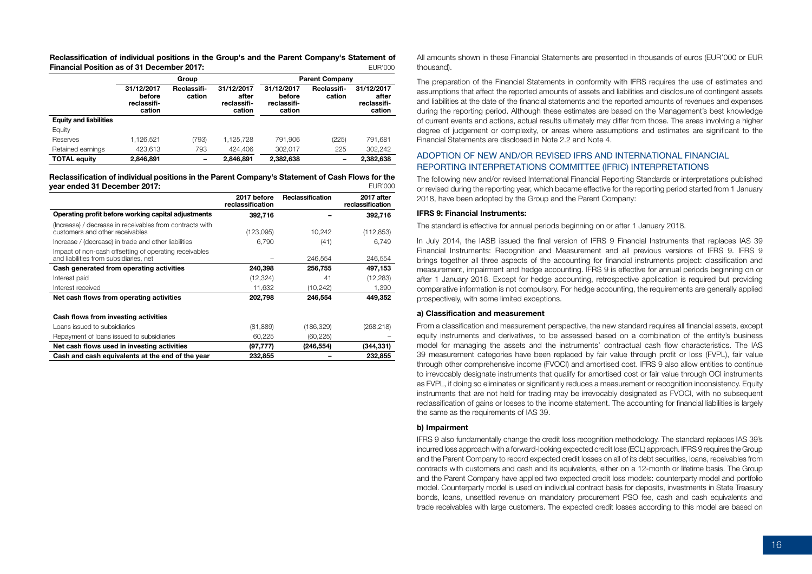Reclassification of individual positions in the Group's and the Parent Company's Statement of Financial Position as of 31 December 2017: EUR'000

|                               |                                               | Group                 |                                              | <b>Parent Company</b>                         |                       |                                              |  |  |
|-------------------------------|-----------------------------------------------|-----------------------|----------------------------------------------|-----------------------------------------------|-----------------------|----------------------------------------------|--|--|
|                               | 31/12/2017<br>before<br>reclassifi-<br>cation | Reclassifi-<br>cation | 31/12/2017<br>after<br>reclassifi-<br>cation | 31/12/2017<br>before<br>reclassifi-<br>cation | Reclassifi-<br>cation | 31/12/2017<br>after<br>reclassifi-<br>cation |  |  |
| <b>Equity and liabilities</b> |                                               |                       |                                              |                                               |                       |                                              |  |  |
| Equity                        |                                               |                       |                                              |                                               |                       |                                              |  |  |
| Reserves                      | 1.126.521                                     | (793)                 | 1,125,728                                    | 791.906                                       | (225)                 | 791,681                                      |  |  |
| Retained earnings             | 423.613                                       | 793                   | 424,406                                      | 302.017                                       | 225                   | 302,242                                      |  |  |
| <b>TOTAL equity</b>           | 2,846,891                                     |                       | 2,846,891                                    | 2,382,638                                     | -                     | 2,382,638                                    |  |  |

#### EUR'000 Reclassification of individual positions in the Parent Company's Statement of Cash Flows for the year ended 31 December 2017:

|                                                                                                  | 2017 before<br>reclassification | Reclassification | 2017 after<br>reclassification |
|--------------------------------------------------------------------------------------------------|---------------------------------|------------------|--------------------------------|
| Operating profit before working capital adjustments                                              | 392,716                         |                  | 392,716                        |
| (Increase) / decrease in receivables from contracts with<br>customers and other receivables      | (123,095)                       | 10.242           | (112, 853)                     |
| Increase / (decrease) in trade and other liabilities                                             | 6.790                           | (41)             | 6.749                          |
| Impact of non-cash offsetting of operating receivables<br>and liabilities from subsidiaries, net |                                 | 246.554          | 246,554                        |
| Cash generated from operating activities                                                         | 240,398                         | 256.755          | 497,153                        |
| Interest paid                                                                                    | (12, 324)                       | 41               | (12, 283)                      |
| Interest received                                                                                | 11.632                          | (10, 242)        | 1.390                          |
| Net cash flows from operating activities                                                         | 202,798                         | 246.554          | 449,352                        |
| Cash flows from investing activities                                                             |                                 |                  |                                |
| Loans issued to subsidiaries                                                                     | (81, 889)                       | (186,329)        | (268,218)                      |
| Repayment of loans issued to subsidiaries                                                        | 60,225                          | (60,225)         |                                |
| Net cash flows used in investing activities                                                      | (97,777)                        | (246, 554)       | (344,331)                      |
| Cash and cash equivalents at the end of the year                                                 | 232,855                         |                  | 232,855                        |

All amounts shown in these Financial Statements are presented in thousands of euros (EUR'000 or EUR thousand).

The preparation of the Financial Statements in conformity with IFRS requires the use of estimates and assumptions that affect the reported amounts of assets and liabilities and disclosure of contingent assets and liabilities at the date of the financial statements and the reported amounts of revenues and expenses during the reporting period. Although these estimates are based on the Management's best knowledge of current events and actions, actual results ultimately may differ from those. The areas involving a higher degree of judgement or complexity, or areas where assumptions and estimates are significant to the Financial Statements are disclosed in Note 2.2 and Note 4.

# ADOPTION OF NEW AND/OR REVISED IFRS AND INTERNATIONAL FINANCIAL REPORTING INTERPRETATIONS COMMITTEE (IFRIC) INTERPRETATIONS

The following new and/or revised International Financial Reporting Standards or interpretations published or revised during the reporting year, which became effective for the reporting period started from 1 January 2018, have been adopted by the Group and the Parent Company:

#### IFRS 9: Financial Instruments:

The standard is effective for annual periods beginning on or after 1 January 2018.

In July 2014, the IASB issued the final version of IFRS 9 Financial Instruments that replaces IAS 39 Financial Instruments: Recognition and Measurement and all previous versions of IFRS 9. IFRS 9 brings together all three aspects of the accounting for financial instruments project: classification and measurement, impairment and hedge accounting. IFRS 9 is effective for annual periods beginning on or after 1 January 2018. Except for hedge accounting, retrospective application is required but providing comparative information is not compulsory. For hedge accounting, the requirements are generally applied prospectively, with some limited exceptions.

#### a) Classification and measurement

From a classification and measurement perspective, the new standard requires all financial assets, except equity instruments and derivatives, to be assessed based on a combination of the entity's business model for managing the assets and the instruments' contractual cash flow characteristics. The IAS 39 measurement categories have been replaced by fair value through profit or loss (FVPL), fair value through other comprehensive income (FVOCI) and amortised cost. IFRS 9 also allow entities to continue to irrevocably designate instruments that qualify for amortised cost or fair value through OCI instruments as FVPL, if doing so eliminates or significantly reduces a measurement or recognition inconsistency. Equity instruments that are not held for trading may be irrevocably designated as FVOCI, with no subsequent reclassification of gains or losses to the income statement. The accounting for financial liabilities is largely the same as the requirements of IAS 39.

#### b) Impairment

IFRS 9 also fundamentally change the credit loss recognition methodology. The standard replaces IAS 39's incurred loss approach with a forward-looking expected credit loss (ECL) approach. IFRS 9 requires the Group and the Parent Company to record expected credit losses on all of its debt securities, loans, receivables from contracts with customers and cash and its equivalents, either on a 12-month or lifetime basis. The Group and the Parent Company have applied two expected credit loss models: counterparty model and portfolio model. Counterparty model is used on individual contract basis for deposits, investments in State Treasury bonds, loans, unsettled revenue on mandatory procurement PSO fee, cash and cash equivalents and trade receivables with large customers. The expected credit losses according to this model are based on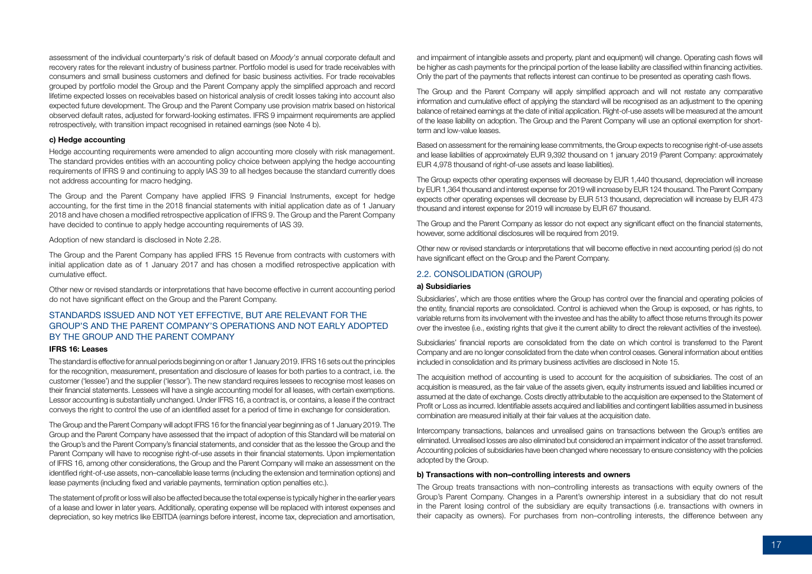assessment of the individual counterparty's risk of default based on *Moody's* annual corporate default and recovery rates for the relevant industry of business partner. Portfolio model is used for trade receivables with consumers and small business customers and defined for basic business activities. For trade receivables grouped by portfolio model the Group and the Parent Company apply the simplified approach and record lifetime expected losses on receivables based on historical analysis of credit losses taking into account also expected future development. The Group and the Parent Company use provision matrix based on historical observed default rates, adjusted for forward-looking estimates. IFRS 9 impairment requirements are applied retrospectively, with transition impact recognised in retained earnings (see Note 4 b).

#### c) Hedge accounting

Hedge accounting requirements were amended to align accounting more closely with risk management. The standard provides entities with an accounting policy choice between applying the hedge accounting requirements of IFRS 9 and continuing to apply IAS 39 to all hedges because the standard currently does not address accounting for macro hedging.

The Group and the Parent Company have applied IFRS 9 Financial Instruments, except for hedge accounting, for the first time in the 2018 financial statements with initial application date as of 1 January 2018 and have chosen a modified retrospective application of IFRS 9. The Group and the Parent Company have decided to continue to apply hedge accounting requirements of IAS 39.

Adoption of new standard is disclosed in Note 2.28.

The Group and the Parent Company has applied IFRS 15 Revenue from contracts with customers with initial application date as of 1 January 2017 and has chosen a modified retrospective application with cumulative effect.

Other new or revised standards or interpretations that have become effective in current accounting period do not have significant effect on the Group and the Parent Company.

# STANDARDS ISSUED AND NOT YET EFFECTIVE, BUT ARE RELEVANT FOR THE GROUP'S AND THE PARENT COMPANY'S OPERATIONS AND NOT EARLY ADOPTED BY THE GROUP AND THE PARENT COMPANY

#### IFRS 16: Leases

The standard is effective for annual periods beginning on or after 1 January 2019. IFRS 16 sets out the principles for the recognition, measurement, presentation and disclosure of leases for both parties to a contract, i.e. the customer ('lessee') and the supplier ('lessor'). The new standard requires lessees to recognise most leases on their financial statements. Lessees will have a single accounting model for all leases, with certain exemptions. Lessor accounting is substantially unchanged. Under IFRS 16, a contract is, or contains, a lease if the contract conveys the right to control the use of an identified asset for a period of time in exchange for consideration.

The Group and the Parent Company will adopt IFRS 16 for the financial year beginning as of 1 January 2019. The Group and the Parent Company have assessed that the impact of adoption of this Standard will be material on the Group's and the Parent Company's financial statements, and consider that as the lessee the Group and the Parent Company will have to recognise right-of-use assets in their financial statements. Upon implementation of IFRS 16, among other considerations, the Group and the Parent Company will make an assessment on the identified right-of-use assets, non–cancellable lease terms (including the extension and termination options) and lease payments (including fixed and variable payments, termination option penalties etc.).

The statement of profit or loss will also be affected because the total expense is typically higher in the earlier years of a lease and lower in later years. Additionally, operating expense will be replaced with interest expenses and depreciation, so key metrics like EBITDA (earnings before interest, income tax, depreciation and amortisation,

and impairment of intangible assets and property, plant and equipment) will change. Operating cash flows will be higher as cash payments for the principal portion of the lease liability are classified within financing activities. Only the part of the payments that reflects interest can continue to be presented as operating cash flows.

The Group and the Parent Company will apply simplified approach and will not restate any comparative information and cumulative effect of applying the standard will be recognised as an adjustment to the opening balance of retained earnings at the date of initial application. Right-of-use assets will be measured at the amount of the lease liability on adoption. The Group and the Parent Company will use an optional exemption for shortterm and low-value leases.

Based on assessment for the remaining lease commitments, the Group expects to recognise right-of-use assets and lease liabilities of approximately EUR 9,392 thousand on 1 january 2019 (Parent Company: approximately EUR 4,978 thousand of right-of-use assets and lease liabilities).

The Group expects other operating expenses will decrease by EUR 1,440 thousand, depreciation will increase by EUR 1,364 thousand and interest expense for 2019 will increase by EUR 124 thousand. The Parent Company expects other operating expenses will decrease by EUR 513 thousand, depreciation will increase by EUR 473 thousand and interest expense for 2019 will increase by EUR 67 thousand.

The Group and the Parent Company as lessor do not expect any significant effect on the financial statements, however, some additional disclosures will be required from 2019.

Other new or revised standards or interpretations that will become effective in next accounting period (s) do not have significant effect on the Group and the Parent Company.

### 2.2. CONSOLIDATION (GROUP)

### a) Subsidiaries

Subsidiaries', which are those entities where the Group has control over the financial and operating policies of the entity, financial reports are consolidated. Control is achieved when the Group is exposed, or has rights, to variable returns from its involvement with the investee and has the ability to affect those returns through its power over the investee (i.e., existing rights that give it the current ability to direct the relevant activities of the investee).

Subsidiaries' financial reports are consolidated from the date on which control is transferred to the Parent Company and are no longer consolidated from the date when control ceases. General information about entities included in consolidation and its primary business activities are disclosed in Note 15.

The acquisition method of accounting is used to account for the acquisition of subsidiaries. The cost of an acquisition is measured, as the fair value of the assets given, equity instruments issued and liabilities incurred or assumed at the date of exchange. Costs directly attributable to the acquisition are expensed to the Statement of Profit or Loss as incurred. Identifiable assets acquired and liabilities and contingent liabilities assumed in business combination are measured initially at their fair values at the acquisition date.

Intercompany transactions, balances and unrealised gains on transactions between the Group's entities are eliminated. Unrealised losses are also eliminated but considered an impairment indicator of the asset transferred. Accounting policies of subsidiaries have been changed where necessary to ensure consistency with the policies adopted by the Group.

#### b) Transactions with non–controlling interests and owners

The Group treats transactions with non–controlling interests as transactions with equity owners of the Group's Parent Company. Changes in a Parent's ownership interest in a subsidiary that do not result in the Parent losing control of the subsidiary are equity transactions (i.e. transactions with owners in their capacity as owners). For purchases from non–controlling interests, the difference between any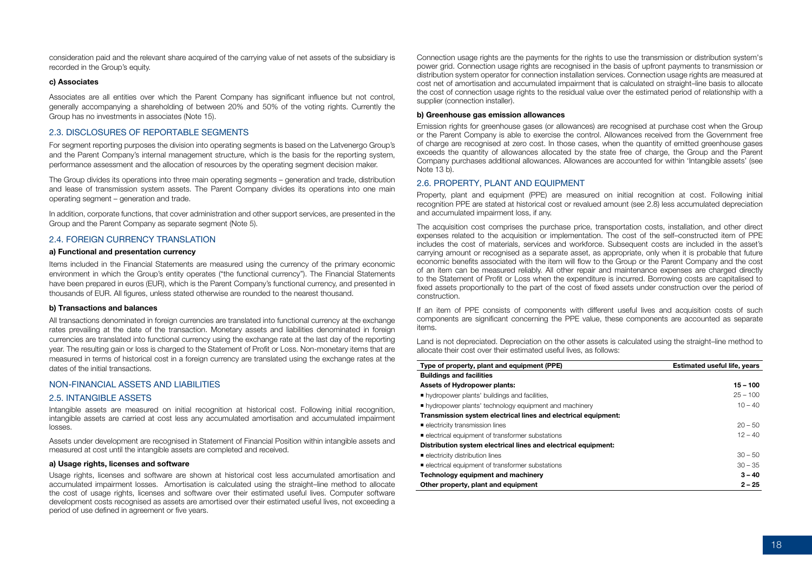consideration paid and the relevant share acquired of the carrying value of net assets of the subsidiary is recorded in the Group's equity.

#### c) Associates

Associates are all entities over which the Parent Company has significant influence but not control, generally accompanying a shareholding of between 20% and 50% of the voting rights. Currently the Group has no investments in associates (Note 15).

### 2.3. DISCLOSURES OF REPORTABLE SEGMENTS

For segment reporting purposes the division into operating segments is based on the Latvenergo Group's and the Parent Company's internal management structure, which is the basis for the reporting system, performance assessment and the allocation of resources by the operating segment decision maker.

The Group divides its operations into three main operating segments – generation and trade, distribution and lease of transmission system assets. The Parent Company divides its operations into one main operating segment – generation and trade.

In addition, corporate functions, that cover administration and other support services, are presented in the Group and the Parent Company as separate segment (Note 5).

### 2.4. FOREIGN CURRENCY TRANSLATION

#### a) Functional and presentation currency

Items included in the Financial Statements are measured using the currency of the primary economic environment in which the Group's entity operates ("the functional currency"). The Financial Statements have been prepared in euros (EUR), which is the Parent Company's functional currency, and presented in thousands of EUR. All figures, unless stated otherwise are rounded to the nearest thousand.

#### b) Transactions and balances

All transactions denominated in foreign currencies are translated into functional currency at the exchange rates prevailing at the date of the transaction. Monetary assets and liabilities denominated in foreign currencies are translated into functional currency using the exchange rate at the last day of the reporting year. The resulting gain or loss is charged to the Statement of Profit or Loss. Non-monetary items that are measured in terms of historical cost in a foreign currency are translated using the exchange rates at the dates of the initial transactions.

#### NON-FINANCIAL ASSETS AND LIABILITIES

### 2.5. INTANGIBLE ASSETS

Intangible assets are measured on initial recognition at historical cost. Following initial recognition, intangible assets are carried at cost less any accumulated amortisation and accumulated impairment losses.

Assets under development are recognised in Statement of Financial Position within intangible assets and measured at cost until the intangible assets are completed and received.

#### a) Usage rights, licenses and software

Usage rights, licenses and software are shown at historical cost less accumulated amortisation and accumulated impairment losses. Amortisation is calculated using the straight–line method to allocate the cost of usage rights, licenses and software over their estimated useful lives. Computer software development costs recognised as assets are amortised over their estimated useful lives, not exceeding a period of use defined in agreement or five years.

Connection usage rights are the payments for the rights to use the transmission or distribution system's power grid. Connection usage rights are recognised in the basis of upfront payments to transmission or distribution system operator for connection installation services. Connection usage rights are measured at cost net of amortisation and accumulated impairment that is calculated on straight–line basis to allocate the cost of connection usage rights to the residual value over the estimated period of relationship with a supplier (connection installer).

#### b) Greenhouse gas emission allowances

Emission rights for greenhouse gases (or allowances) are recognised at purchase cost when the Group or the Parent Company is able to exercise the control. Allowances received from the Government free of charge are recognised at zero cost. In those cases, when the quantity of emitted greenhouse gases exceeds the quantity of allowances allocated by the state free of charge, the Group and the Parent Company purchases additional allowances. Allowances are accounted for within 'Intangible assets' (see Note 13 b).

#### 2.6. PROPERTY, PLANT AND EQUIPMENT

Property, plant and equipment (PPE) are measured on initial recognition at cost. Following initial recognition PPE are stated at historical cost or revalued amount (see 2.8) less accumulated depreciation and accumulated impairment loss, if any.

The acquisition cost comprises the purchase price, transportation costs, installation, and other direct expenses related to the acquisition or implementation. The cost of the self–constructed item of PPE includes the cost of materials, services and workforce. Subsequent costs are included in the asset's carrying amount or recognised as a separate asset, as appropriate, only when it is probable that future economic benefits associated with the item will flow to the Group or the Parent Company and the cost of an item can be measured reliably. All other repair and maintenance expenses are charged directly to the Statement of Profit or Loss when the expenditure is incurred. Borrowing costs are capitalised to fixed assets proportionally to the part of the cost of fixed assets under construction over the period of construction.

If an item of PPE consists of components with different useful lives and acquisition costs of such components are significant concerning the PPE value, these components are accounted as separate items.

Land is not depreciated. Depreciation on the other assets is calculated using the straight–line method to allocate their cost over their estimated useful lives, as follows:

| Type of property, plant and equipment (PPE)                    | <b>Estimated useful life, years</b> |
|----------------------------------------------------------------|-------------------------------------|
| <b>Buildings and facilities</b>                                |                                     |
| <b>Assets of Hydropower plants:</b>                            | $15 - 100$                          |
| ■ hydropower plants' buildings and facilities,                 | $25 - 100$                          |
| • hydropower plants' technology equipment and machinery        | $10 - 40$                           |
| Transmission system electrical lines and electrical equipment: |                                     |
| ■ electricity transmission lines                               | $20 - 50$                           |
| ■ electrical equipment of transformer substations              | $12 - 40$                           |
| Distribution system electrical lines and electrical equipment: |                                     |
| ■ electricity distribution lines                               | $30 - 50$                           |
| ■ electrical equipment of transformer substations              | $30 - 35$                           |
| Technology equipment and machinery                             | $3 - 40$                            |
| Other property, plant and equipment                            | $2 - 25$                            |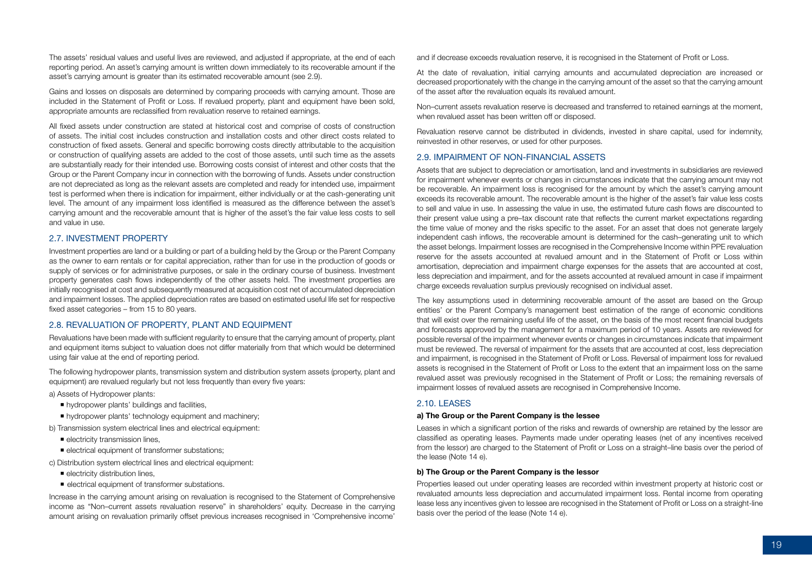The assets' residual values and useful lives are reviewed, and adjusted if appropriate, at the end of each reporting period. An asset's carrying amount is written down immediately to its recoverable amount if the asset's carrying amount is greater than its estimated recoverable amount (see 2.9).

Gains and losses on disposals are determined by comparing proceeds with carrying amount. Those are included in the Statement of Profit or Loss. If revalued property, plant and equipment have been sold, appropriate amounts are reclassified from revaluation reserve to retained earnings.

All fixed assets under construction are stated at historical cost and comprise of costs of construction of assets. The initial cost includes construction and installation costs and other direct costs related to construction of fixed assets. General and specific borrowing costs directly attributable to the acquisition or construction of qualifying assets are added to the cost of those assets, until such time as the assets are substantially ready for their intended use. Borrowing costs consist of interest and other costs that the Group or the Parent Company incur in connection with the borrowing of funds. Assets under construction are not depreciated as long as the relevant assets are completed and ready for intended use, impairment test is performed when there is indication for impairment, either individually or at the cash-generating unit level. The amount of any impairment loss identified is measured as the difference between the asset's carrying amount and the recoverable amount that is higher of the asset's the fair value less costs to sell and value in use.

# 2.7. INVESTMENT PROPERTY

Investment properties are land or a building or part of a building held by the Group or the Parent Company as the owner to earn rentals or for capital appreciation, rather than for use in the production of goods or supply of services or for administrative purposes, or sale in the ordinary course of business. Investment property generates cash flows independently of the other assets held. The investment properties are initially recognised at cost and subsequently measured at acquisition cost net of accumulated depreciation and impairment losses. The applied depreciation rates are based on estimated useful life set for respective fixed asset categories – from 15 to 80 years.

### 2.8. REVALUATION OF PROPERTY, PLANT AND EQUIPMENT

Revaluations have been made with sufficient regularity to ensure that the carrying amount of property, plant and equipment items subject to valuation does not differ materially from that which would be determined using fair value at the end of reporting period.

The following hydropower plants, transmission system and distribution system assets (property, plant and equipment) are revalued regularly but not less frequently than every five years:

a) Assets of Hydropower plants:

- **hydropower plants' buildings and facilities,**
- hydropower plants' technology equipment and machinery:

b) Transmission system electrical lines and electrical equipment:

- electricity transmission lines.
- electrical equipment of transformer substations;

c) Distribution system electrical lines and electrical equipment:

- $\blacksquare$  electricity distribution lines.
- electrical equipment of transformer substations.

Increase in the carrying amount arising on revaluation is recognised to the Statement of Comprehensive income as "Non–current assets revaluation reserve" in shareholders' equity. Decrease in the carrying amount arising on revaluation primarily offset previous increases recognised in 'Comprehensive income'

and if decrease exceeds revaluation reserve, it is recognised in the Statement of Profit or Loss.

At the date of revaluation, initial carrying amounts and accumulated depreciation are increased or decreased proportionately with the change in the carrying amount of the asset so that the carrying amount of the asset after the revaluation equals its revalued amount.

Non–current assets revaluation reserve is decreased and transferred to retained earnings at the moment, when revalued asset has been written off or disposed.

Revaluation reserve cannot be distributed in dividends, invested in share capital, used for indemnity, reinvested in other reserves, or used for other purposes.

#### 2.9. IMPAIRMENT OF NON-FINANCIAL ASSETS

Assets that are subject to depreciation or amortisation, land and investments in subsidiaries are reviewed for impairment whenever events or changes in circumstances indicate that the carrying amount may not be recoverable. An impairment loss is recognised for the amount by which the asset's carrying amount exceeds its recoverable amount. The recoverable amount is the higher of the asset's fair value less costs to sell and value in use. In assessing the value in use, the estimated future cash flows are discounted to their present value using a pre–tax discount rate that reflects the current market expectations regarding the time value of money and the risks specific to the asset. For an asset that does not generate largely independent cash inflows, the recoverable amount is determined for the cash–generating unit to which the asset belongs. Impairment losses are recognised in the Comprehensive Income within PPE revaluation reserve for the assets accounted at revalued amount and in the Statement of Profit or Loss within amortisation, depreciation and impairment charge expenses for the assets that are accounted at cost, less depreciation and impairment, and for the assets accounted at revalued amount in case if impairment charge exceeds revaluation surplus previously recognised on individual asset.

The key assumptions used in determining recoverable amount of the asset are based on the Group entities' or the Parent Company's management best estimation of the range of economic conditions that will exist over the remaining useful life of the asset, on the basis of the most recent financial budgets and forecasts approved by the management for a maximum period of 10 years. Assets are reviewed for possible reversal of the impairment whenever events or changes in circumstances indicate that impairment must be reviewed. The reversal of impairment for the assets that are accounted at cost, less depreciation and impairment, is recognised in the Statement of Profit or Loss. Reversal of impairment loss for revalued assets is recognised in the Statement of Profit or Loss to the extent that an impairment loss on the same revalued asset was previously recognised in the Statement of Profit or Loss; the remaining reversals of impairment losses of revalued assets are recognised in Comprehensive Income.

### 2.10. LEASES

#### a) The Group or the Parent Company is the lessee

Leases in which a significant portion of the risks and rewards of ownership are retained by the lessor are classified as operating leases. Payments made under operating leases (net of any incentives received from the lessor) are charged to the Statement of Profit or Loss on a straight–line basis over the period of the lease (Note 14 e).

#### b) The Group or the Parent Company is the lessor

Properties leased out under operating leases are recorded within investment property at historic cost or revaluated amounts less depreciation and accumulated impairment loss. Rental income from operating lease less any incentives given to lessee are recognised in the Statement of Profit or Loss on a straight-line basis over the period of the lease (Note 14 e).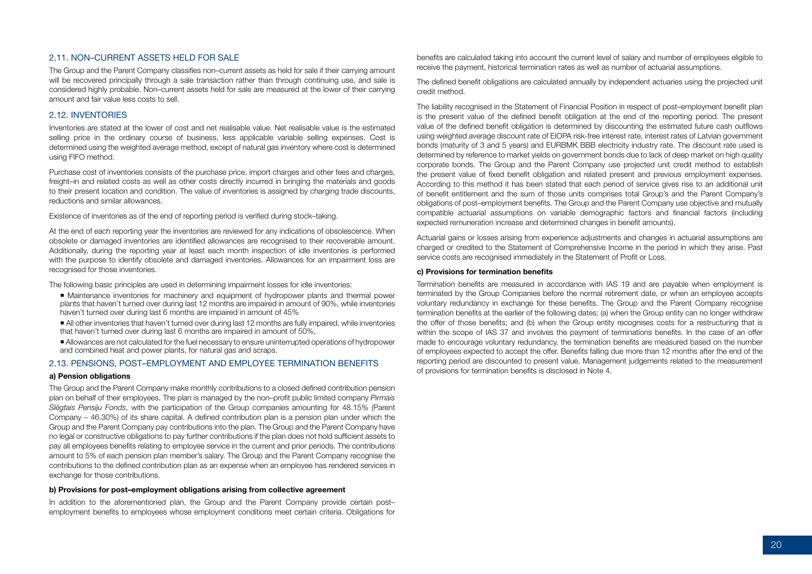# 2.11. NON–CURRENT ASSETS HELD FOR SALE

The Group and the Parent Company classifies non–current assets as held for sale if their carrying amount will be recovered principally through a sale transaction rather than through continuing use, and sale is considered highly probable. Non–current assets held for sale are measured at the lower of their carrying amount and fair value less costs to sell.

### 2.12. INVENTORIES

Inventories are stated at the lower of cost and net realisable value. Net realisable value is the estimated selling price in the ordinary course of business, less applicable variable selling expenses. Cost is determined using the weighted average method, except of natural gas inventory where cost is determined using FIFO method.

Purchase cost of inventories consists of the purchase price, import charges and other fees and charges, freight–in and related costs as well as other costs directly incurred in bringing the materials and goods to their present location and condition. The value of inventories is assigned by charging trade discounts, reductions and similar allowances.

### Existence of inventories as of the end of reporting period is verified during stock–taking.

At the end of each reporting year the inventories are reviewed for any indications of obsolescence. When obsolete or damaged inventories are identified allowances are recognised to their recoverable amount. Additionally, during the reporting year at least each month inspection of idle inventories is performed with the purpose to identify obsolete and damaged inventories. Allowances for an impairment loss are recognised for those inventories.

The following basic principles are used in determining impairment losses for idle inventories:

- Maintenance inventories for machinery and equipment of hydropower plants and thermal power plants that haven't turned over during last 12 months are impaired in amount of 90%, while inventories haven't turned over during last 6 months are impaired in amount of 45%
- All other inventories that haven't turned over during last 12 months are fully impaired, while inventories that haven't turned over during last 6 months are impaired in amount of 50%,
- Allowances are not calculated for the fuel necessary to ensure uninterrupted operations of hydropower and combined heat and power plants, for natural gas and scraps.

#### 2.13. PENSIONS, POST–EMPLOYMENT AND EMPLOYEE TERMINATION BENEFITS

#### a) Pension obligations

The Group and the Parent Company make monthly contributions to a closed defined contribution pension plan on behalf of their employees. The plan is managed by the non–profit public limited company *Pirmais Slēgtais Pensiju Fonds*, with the participation of the Group companies amounting for 48.15% (Parent Company – 46.30%) of its share capital. A defined contribution plan is a pension plan under which the Group and the Parent Company pay contributions into the plan. The Group and the Parent Company have no legal or constructive obligations to pay further contributions if the plan does not hold sufficient assets to pay all employees benefits relating to employee service in the current and prior periods. The contributions amount to 5% of each pension plan member's salary. The Group and the Parent Company recognise the contributions to the defined contribution plan as an expense when an employee has rendered services in exchange for those contributions.

#### b) Provisions for post–employment obligations arising from collective agreement

In addition to the aforementioned plan, the Group and the Parent Company provide certain postemployment benefits to employees whose employment conditions meet certain criteria. Obligations for benefits are calculated taking into account the current level of salary and number of employees eligible to receive the payment, historical termination rates as well as number of actuarial assumptions.

The defined benefit obligations are calculated annually by independent actuaries using the projected unit credit method.

The liability recognised in the Statement of Financial Position in respect of post–employment benefit plan is the present value of the defined benefit obligation at the end of the reporting period. The present value of the defined benefit obligation is determined by discounting the estimated future cash outflows using weighted average discount rate of EIOPA risk-free interest rate, interest rates of Latvian government bonds (maturity of 3 and 5 years) and EURBMK BBB electricity industry rate. The discount rate used is determined by reference to market yields on government bonds due to lack of deep market on high quality corporate bonds. The Group and the Parent Company use projected unit credit method to establish the present value of fixed benefit obligation and related present and previous employment expenses. According to this method it has been stated that each period of service gives rise to an additional unit of benefit entitlement and the sum of those units comprises total Group's and the Parent Company's obligations of post–employment benefits. The Group and the Parent Company use objective and mutually compatible actuarial assumptions on variable demographic factors and financial factors (including expected remuneration increase and determined changes in benefit amounts).

Actuarial gains or losses arising from experience adjustments and changes in actuarial assumptions are charged or credited to the Statement of Comprehensive Income in the period in which they arise. Past service costs are recognised immediately in the Statement of Profit or Loss.

#### c) Provisions for termination benefits

Termination benefits are measured in accordance with IAS 19 and are payable when employment is terminated by the Group Companies before the normal retirement date, or when an employee accepts voluntary redundancy in exchange for these benefits. The Group and the Parent Company recognise termination benefits at the earlier of the following dates: (a) when the Group entity can no longer withdraw the offer of those benefits; and (b) when the Group entity recognises costs for a restructuring that is within the scope of IAS 37 and involves the payment of terminations benefits. In the case of an offer made to encourage voluntary redundancy, the termination benefits are measured based on the number of employees expected to accept the offer. Benefits falling due more than 12 months after the end of the reporting period are discounted to present value. Management judgements related to the measurement of provisions for termination benefits is disclosed in Note 4.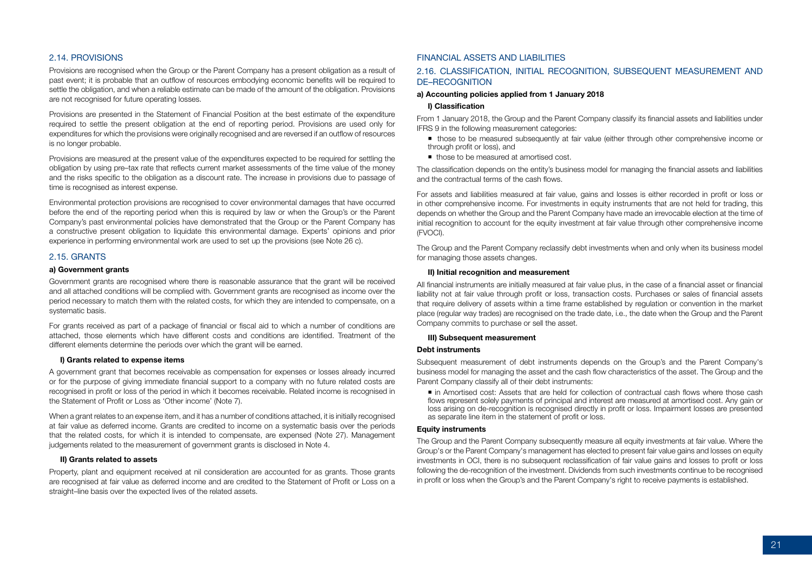### 2.14. PROVISIONS

Provisions are recognised when the Group or the Parent Company has a present obligation as a result of past event; it is probable that an outflow of resources embodying economic benefits will be required to settle the obligation, and when a reliable estimate can be made of the amount of the obligation. Provisions are not recognised for future operating losses.

Provisions are presented in the Statement of Financial Position at the best estimate of the expenditure required to settle the present obligation at the end of reporting period. Provisions are used only for expenditures for which the provisions were originally recognised and are reversed if an outflow of resources is no longer probable.

Provisions are measured at the present value of the expenditures expected to be required for settling the obligation by using pre–tax rate that reflects current market assessments of the time value of the money and the risks specific to the obligation as a discount rate. The increase in provisions due to passage of time is recognised as interest expense.

Environmental protection provisions are recognised to cover environmental damages that have occurred before the end of the reporting period when this is required by law or when the Group's or the Parent Company's past environmental policies have demonstrated that the Group or the Parent Company has a constructive present obligation to liquidate this environmental damage. Experts' opinions and prior experience in performing environmental work are used to set up the provisions (see Note 26 c).

### 2.15. GRANTS

#### a) Government grants

Government grants are recognised where there is reasonable assurance that the grant will be received and all attached conditions will be complied with. Government grants are recognised as income over the period necessary to match them with the related costs, for which they are intended to compensate, on a systematic basis.

For grants received as part of a package of financial or fiscal aid to which a number of conditions are attached, those elements which have different costs and conditions are identified. Treatment of the different elements determine the periods over which the grant will be earned.

#### I) Grants related to expense items

A government grant that becomes receivable as compensation for expenses or losses already incurred or for the purpose of giving immediate financial support to a company with no future related costs are recognised in profit or loss of the period in which it becomes receivable. Related income is recognised in the Statement of Profit or Loss as 'Other income' (Note 7).

When a grant relates to an expense item, and it has a number of conditions attached, it is initially recognised at fair value as deferred income. Grants are credited to income on a systematic basis over the periods that the related costs, for which it is intended to compensate, are expensed (Note 27). Management judgements related to the measurement of government grants is disclosed in Note 4.

#### II) Grants related to assets

Property, plant and equipment received at nil consideration are accounted for as grants. Those grants are recognised at fair value as deferred income and are credited to the Statement of Profit or Loss on a straight–line basis over the expected lives of the related assets.

# FINANCIAL ASSETS AND LIABILITIES

## 2.16. CLASSIFICATION, INITIAL RECOGNITION, SUBSEQUENT MEASUREMENT AND DE–RECOGNITION

#### a) Accounting policies applied from 1 January 2018

#### I) Classification

From 1 January 2018, the Group and the Parent Company classify its financial assets and liabilities under IFRS 9 in the following measurement categories:

- those to be measured subsequently at fair value (either through other comprehensive income or through profit or loss), and
- **those to be measured at amortised cost.**

The classification depends on the entity's business model for managing the financial assets and liabilities and the contractual terms of the cash flows.

For assets and liabilities measured at fair value, gains and losses is either recorded in profit or loss or in other comprehensive income. For investments in equity instruments that are not held for trading, this depends on whether the Group and the Parent Company have made an irrevocable election at the time of initial recognition to account for the equity investment at fair value through other comprehensive income (FVOCI).

The Group and the Parent Company reclassify debt investments when and only when its business model for managing those assets changes.

#### II) Initial recognition and measurement

All financial instruments are initially measured at fair value plus, in the case of a financial asset or financial liability not at fair value through profit or loss, transaction costs. Purchases or sales of financial assets that require delivery of assets within a time frame established by regulation or convention in the market place (regular way trades) are recognised on the trade date, i.e., the date when the Group and the Parent Company commits to purchase or sell the asset.

#### III) Subsequent measurement

#### Debt instruments

Subsequent measurement of debt instruments depends on the Group's and the Parent Company's business model for managing the asset and the cash flow characteristics of the asset. The Group and the Parent Company classify all of their debt instruments:

 in Amortised cost: Assets that are held for collection of contractual cash flows where those cash flows represent solely payments of principal and interest are measured at amortised cost. Any gain or loss arising on de-recognition is recognised directly in profit or loss. Impairment losses are presented as separate line item in the statement of profit or loss.

#### Equity instruments

The Group and the Parent Company subsequently measure all equity investments at fair value. Where the Group's or the Parent Company's management has elected to present fair value gains and losses on equity investments in OCI, there is no subsequent reclassification of fair value gains and losses to profit or loss following the de-recognition of the investment. Dividends from such investments continue to be recognised in profit or loss when the Group's and the Parent Company's right to receive payments is established.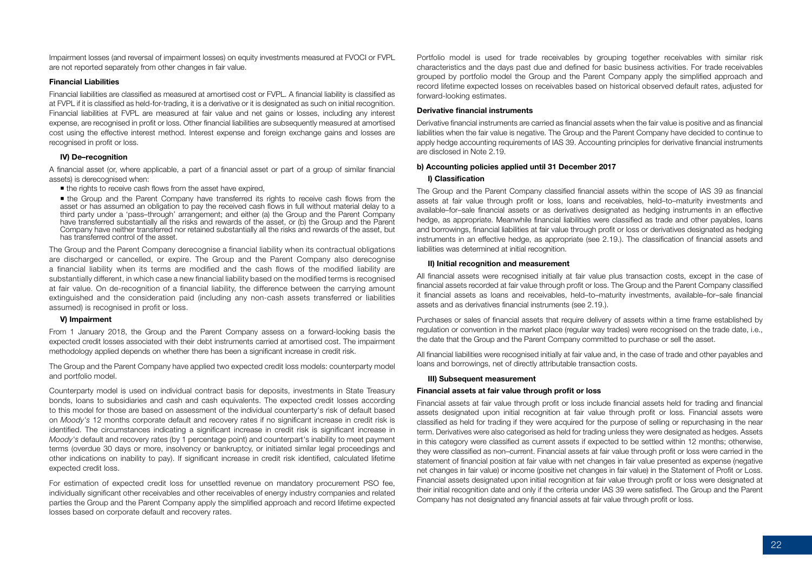Impairment losses (and reversal of impairment losses) on equity investments measured at FVOCI or FVPL are not reported separately from other changes in fair value.

#### Financial Liabilities

Financial liabilities are classified as measured at amortised cost or FVPL. A financial liability is classified as at FVPL if it is classified as held-for-trading, it is a derivative or it is designated as such on initial recognition. Financial liabilities at FVPL are measured at fair value and net gains or losses, including any interest expense, are recognised in profit or loss. Other financial liabilities are subsequently measured at amortised cost using the effective interest method. Interest expense and foreign exchange gains and losses are recognised in profit or loss.

#### IV) De–recognition

A financial asset (or, where applicable, a part of a financial asset or part of a group of similar financial assets) is derecognised when:

 $\blacksquare$  the rights to receive cash flows from the asset have expired,

 the Group and the Parent Company have transferred its rights to receive cash flows from the asset or has assumed an obligation to pay the received cash flows in full without material delay to a third party under a 'pass–through' arrangement; and either (a) the Group and the Parent Company have transferred substantially all the risks and rewards of the asset, or (b) the Group and the Parent Company have neither transferred nor retained substantially all the risks and rewards of the asset, but has transferred control of the asset.

The Group and the Parent Company derecognise a financial liability when its contractual obligations are discharged or cancelled, or expire. The Group and the Parent Company also derecognise a financial liability when its terms are modified and the cash flows of the modified liability are substantially different, in which case a new financial liability based on the modified terms is recognised at fair value. On de-recognition of a financial liability, the difference between the carrying amount extinguished and the consideration paid (including any non-cash assets transferred or liabilities assumed) is recognised in profit or loss.

#### V) Impairment

From 1 January 2018, the Group and the Parent Company assess on a forward-looking basis the expected credit losses associated with their debt instruments carried at amortised cost. The impairment methodology applied depends on whether there has been a significant increase in credit risk.

The Group and the Parent Company have applied two expected credit loss models: counterparty model and portfolio model.

Counterparty model is used on individual contract basis for deposits, investments in State Treasury bonds, loans to subsidiaries and cash and cash equivalents. The expected credit losses according to this model for those are based on assessment of the individual counterparty's risk of default based on *Moody's* 12 months corporate default and recovery rates if no significant increase in credit risk is identified. The circumstances indicating a significant increase in credit risk is significant increase in *Moody's* default and recovery rates (by 1 percentage point) and counterpart's inability to meet payment terms (overdue 30 days or more, insolvency or bankruptcy, or initiated similar legal proceedings and other indications on inability to pay). If significant increase in credit risk identified, calculated lifetime expected credit loss.

For estimation of expected credit loss for unsettled revenue on mandatory procurement PSO fee, individually significant other receivables and other receivables of energy industry companies and related parties the Group and the Parent Company apply the simplified approach and record lifetime expected losses based on corporate default and recovery rates.

Portfolio model is used for trade receivables by grouping together receivables with similar risk characteristics and the days past due and defined for basic business activities. For trade receivables grouped by portfolio model the Group and the Parent Company apply the simplified approach and record lifetime expected losses on receivables based on historical observed default rates, adjusted for forward-looking estimates.

#### Derivative financial instruments

Derivative financial instruments are carried as financial assets when the fair value is positive and as financial liabilities when the fair value is negative. The Group and the Parent Company have decided to continue to apply hedge accounting requirements of IAS 39. Accounting principles for derivative financial instruments are disclosed in Note 2.19.

#### b) Accounting policies applied until 31 December 2017

#### I) Classification

The Group and the Parent Company classified financial assets within the scope of IAS 39 as financial assets at fair value through profit or loss, loans and receivables, held–to–maturity investments and available–for–sale financial assets or as derivatives designated as hedging instruments in an effective hedge, as appropriate. Meanwhile financial liabilities were classified as trade and other payables, loans and borrowings, financial liabilities at fair value through profit or loss or derivatives designated as hedging instruments in an effective hedge, as appropriate (see 2.19.). The classification of financial assets and liabilities was determined at initial recognition.

#### II) Initial recognition and measurement

All financial assets were recognised initially at fair value plus transaction costs, except in the case of financial assets recorded at fair value through profit or loss. The Group and the Parent Company classified it financial assets as loans and receivables, held–to–maturity investments, available–for–sale financial assets and as derivatives financial instruments (see 2.19.).

Purchases or sales of financial assets that require delivery of assets within a time frame established by regulation or convention in the market place (regular way trades) were recognised on the trade date, i.e., the date that the Group and the Parent Company committed to purchase or sell the asset.

All financial liabilities were recognised initially at fair value and, in the case of trade and other payables and loans and borrowings, net of directly attributable transaction costs.

#### III) Subsequent measurement

#### Financial assets at fair value through profit or loss

Financial assets at fair value through profit or loss include financial assets held for trading and financial assets designated upon initial recognition at fair value through profit or loss. Financial assets were classified as held for trading if they were acquired for the purpose of selling or repurchasing in the near term. Derivatives were also categorised as held for trading unless they were designated as hedges. Assets in this category were classified as current assets if expected to be settled within 12 months; otherwise, they were classified as non–current. Financial assets at fair value through profit or loss were carried in the statement of financial position at fair value with net changes in fair value presented as expense (negative net changes in fair value) or income (positive net changes in fair value) in the Statement of Profit or Loss. Financial assets designated upon initial recognition at fair value through profit or loss were designated at their initial recognition date and only if the criteria under IAS 39 were satisfied. The Group and the Parent Company has not designated any financial assets at fair value through profit or loss.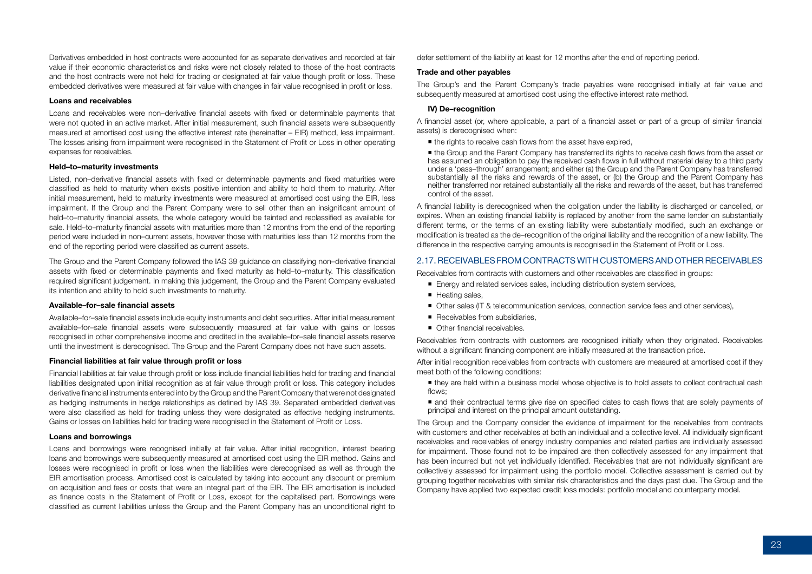Derivatives embedded in host contracts were accounted for as separate derivatives and recorded at fair value if their economic characteristics and risks were not closely related to those of the host contracts and the host contracts were not held for trading or designated at fair value though profit or loss. These embedded derivatives were measured at fair value with changes in fair value recognised in profit or loss.

#### Loans and receivables

Loans and receivables were non–derivative financial assets with fixed or determinable payments that were not quoted in an active market. After initial measurement, such financial assets were subsequently measured at amortised cost using the effective interest rate (hereinafter – EIR) method, less impairment. The losses arising from impairment were recognised in the Statement of Profit or Loss in other operating expenses for receivables.

#### Held–to–maturity investments

Listed, non–derivative financial assets with fixed or determinable payments and fixed maturities were classified as held to maturity when exists positive intention and ability to hold them to maturity. After initial measurement, held to maturity investments were measured at amortised cost using the EIR, less impairment. If the Group and the Parent Company were to sell other than an insignificant amount of held–to–maturity financial assets, the whole category would be tainted and reclassified as available for sale. Held–to–maturity financial assets with maturities more than 12 months from the end of the reporting period were included in non–current assets, however those with maturities less than 12 months from the end of the reporting period were classified as current assets.

The Group and the Parent Company followed the IAS 39 guidance on classifying non–derivative financial assets with fixed or determinable payments and fixed maturity as held–to–maturity. This classification required significant judgement. In making this judgement, the Group and the Parent Company evaluated its intention and ability to hold such investments to maturity.

#### Available–for–sale financial assets

Available–for–sale financial assets include equity instruments and debt securities. After initial measurement available–for–sale financial assets were subsequently measured at fair value with gains or losses recognised in other comprehensive income and credited in the available–for–sale financial assets reserve until the investment is derecognised. The Group and the Parent Company does not have such assets.

### Financial liabilities at fair value through profit or loss

Financial liabilities at fair value through profit or loss include financial liabilities held for trading and financial liabilities designated upon initial recognition as at fair value through profit or loss. This category includes derivative financial instruments entered into by the Group and the Parent Company that were not designated as hedging instruments in hedge relationships as defined by IAS 39. Separated embedded derivatives were also classified as held for trading unless they were designated as effective hedging instruments. Gains or losses on liabilities held for trading were recognised in the Statement of Profit or Loss.

### Loans and borrowings

Loans and borrowings were recognised initially at fair value. After initial recognition, interest bearing loans and borrowings were subsequently measured at amortised cost using the EIR method. Gains and losses were recognised in profit or loss when the liabilities were derecognised as well as through the EIR amortisation process. Amortised cost is calculated by taking into account any discount or premium on acquisition and fees or costs that were an integral part of the EIR. The EIR amortisation is included as finance costs in the Statement of Profit or Loss, except for the capitalised part. Borrowings were classified as current liabilities unless the Group and the Parent Company has an unconditional right to defer settlement of the liability at least for 12 months after the end of reporting period.

#### Trade and other payables

The Group's and the Parent Company's trade payables were recognised initially at fair value and subsequently measured at amortised cost using the effective interest rate method.

### IV) De–recognition

A financial asset (or, where applicable, a part of a financial asset or part of a group of similar financial assets) is derecognised when:

- $\blacksquare$  the rights to receive cash flows from the asset have expired,
- the Group and the Parent Company has transferred its rights to receive cash flows from the asset or has assumed an obligation to pay the received cash flows in full without material delay to a third party under a 'pass–through' arrangement; and either (a) the Group and the Parent Company has transferred substantially all the risks and rewards of the asset, or (b) the Group and the Parent Company has neither transferred nor retained substantially all the risks and rewards of the asset, but has transferred control of the asset.

A financial liability is derecognised when the obligation under the liability is discharged or cancelled, or expires. When an existing financial liability is replaced by another from the same lender on substantially different terms, or the terms of an existing liability were substantially modified, such an exchange or modification is treated as the de–recognition of the original liability and the recognition of a new liability. The difference in the respective carrying amounts is recognised in the Statement of Profit or Loss.

### 2.17. RECEIVABLES FROM CONTRACTS WITH CUSTOMERS AND OTHER RECEIVABLES

Receivables from contracts with customers and other receivables are classified in groups:

- Energy and related services sales, including distribution system services,
- **Heating sales**
- Other sales (IT & telecommunication services, connection service fees and other services),
- Receivables from subsidiaries,
- $\blacksquare$  Other financial receivables.

Receivables from contracts with customers are recognised initially when they originated. Receivables without a significant financing component are initially measured at the transaction price.

After initial recognition receivables from contracts with customers are measured at amortised cost if they meet both of the following conditions:

- they are held within a business model whose objective is to hold assets to collect contractual cash flows;
- and their contractual terms give rise on specified dates to cash flows that are solely payments of principal and interest on the principal amount outstanding.

The Group and the Company consider the evidence of impairment for the receivables from contracts with customers and other receivables at both an individual and a collective level. All individually significant receivables and receivables of energy industry companies and related parties are individually assessed for impairment. Those found not to be impaired are then collectively assessed for any impairment that has been incurred but not yet individually identified. Receivables that are not individually significant are collectively assessed for impairment using the portfolio model. Collective assessment is carried out by grouping together receivables with similar risk characteristics and the days past due. The Group and the Company have applied two expected credit loss models: portfolio model and counterparty model.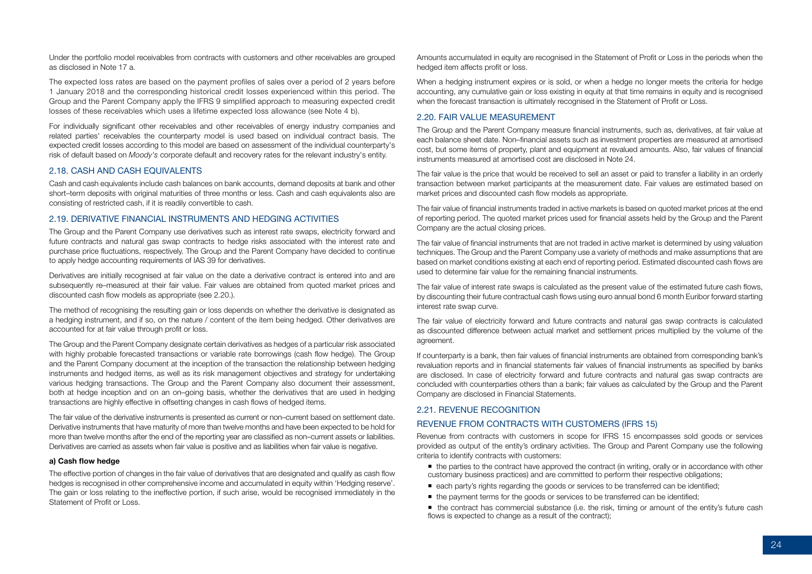Under the portfolio model receivables from contracts with customers and other receivables are grouped as disclosed in Note 17 a.

The expected loss rates are based on the payment profiles of sales over a period of 2 years before 1 January 2018 and the corresponding historical credit losses experienced within this period. The Group and the Parent Company apply the IFRS 9 simplified approach to measuring expected credit losses of these receivables which uses a lifetime expected loss allowance (see Note 4 b).

For individually significant other receivables and other receivables of energy industry companies and related parties' receivables the counterparty model is used based on individual contract basis. The expected credit losses according to this model are based on assessment of the individual counterparty's risk of default based on *Moody's* corporate default and recovery rates for the relevant industry's entity.

# 2.18. CASH AND CASH EQUIVALENTS

Cash and cash equivalents include cash balances on bank accounts, demand deposits at bank and other short–term deposits with original maturities of three months or less. Cash and cash equivalents also are consisting of restricted cash, if it is readily convertible to cash.

# 2.19. DERIVATIVE FINANCIAL INSTRUMENTS AND HEDGING ACTIVITIES

The Group and the Parent Company use derivatives such as interest rate swaps, electricity forward and future contracts and natural gas swap contracts to hedge risks associated with the interest rate and purchase price fluctuations, respectively. The Group and the Parent Company have decided to continue to apply hedge accounting requirements of IAS 39 for derivatives.

Derivatives are initially recognised at fair value on the date a derivative contract is entered into and are subsequently re–measured at their fair value. Fair values are obtained from quoted market prices and discounted cash flow models as appropriate (see 2.20.).

The method of recognising the resulting gain or loss depends on whether the derivative is designated as a hedging instrument, and if so, on the nature / content of the item being hedged. Other derivatives are accounted for at fair value through profit or loss.

The Group and the Parent Company designate certain derivatives as hedges of a particular risk associated with highly probable forecasted transactions or variable rate borrowings (cash flow hedge). The Group and the Parent Company document at the inception of the transaction the relationship between hedging instruments and hedged items, as well as its risk management objectives and strategy for undertaking various hedging transactions. The Group and the Parent Company also document their assessment, both at hedge inception and on an on–going basis, whether the derivatives that are used in hedging transactions are highly effective in offsetting changes in cash flows of hedged items.

The fair value of the derivative instruments is presented as current or non–current based on settlement date. Derivative instruments that have maturity of more than twelve months and have been expected to be hold for more than twelve months after the end of the reporting year are classified as non–current assets or liabilities. Derivatives are carried as assets when fair value is positive and as liabilities when fair value is negative.

# a) Cash flow hedge

The effective portion of changes in the fair value of derivatives that are designated and qualify as cash flow hedges is recognised in other comprehensive income and accumulated in equity within 'Hedging reserve'. The gain or loss relating to the ineffective portion, if such arise, would be recognised immediately in the Statement of Profit or Loss.

Amounts accumulated in equity are recognised in the Statement of Profit or Loss in the periods when the hedged item affects profit or loss.

When a hedging instrument expires or is sold, or when a hedge no longer meets the criteria for hedge accounting, any cumulative gain or loss existing in equity at that time remains in equity and is recognised when the forecast transaction is ultimately recognised in the Statement of Profit or Loss.

# 2.20. FAIR VALUE MEASUREMENT

The Group and the Parent Company measure financial instruments, such as, derivatives, at fair value at each balance sheet date. Non–financial assets such as investment properties are measured at amortised cost, but some items of property, plant and equipment at revalued amounts. Also, fair values of financial instruments measured at amortised cost are disclosed in Note 24.

The fair value is the price that would be received to sell an asset or paid to transfer a liability in an orderly transaction between market participants at the measurement date. Fair values are estimated based on market prices and discounted cash flow models as appropriate.

The fair value of financial instruments traded in active markets is based on quoted market prices at the end of reporting period. The quoted market prices used for financial assets held by the Group and the Parent Company are the actual closing prices.

The fair value of financial instruments that are not traded in active market is determined by using valuation techniques. The Group and the Parent Company use a variety of methods and make assumptions that are based on market conditions existing at each end of reporting period. Estimated discounted cash flows are used to determine fair value for the remaining financial instruments.

The fair value of interest rate swaps is calculated as the present value of the estimated future cash flows, by discounting their future contractual cash flows using euro annual bond 6 month Euribor forward starting interest rate swap curve.

The fair value of electricity forward and future contracts and natural gas swap contracts is calculated as discounted difference between actual market and settlement prices multiplied by the volume of the agreement.

If counterparty is a bank, then fair values of financial instruments are obtained from corresponding bank's revaluation reports and in financial statements fair values of financial instruments as specified by banks are disclosed. In case of electricity forward and future contracts and natural gas swap contracts are concluded with counterparties others than a bank; fair values as calculated by the Group and the Parent Company are disclosed in Financial Statements.

# 2.21. REVENUE RECOGNITION

# REVENUE FROM CONTRACTS WITH CUSTOMERS (IFRS 15)

Revenue from contracts with customers in scope for IFRS 15 encompasses sold goods or services provided as output of the entity's ordinary activities. The Group and Parent Company use the following criteria to identify contracts with customers:

- the parties to the contract have approved the contract (in writing, orally or in accordance with other customary business practices) and are committed to perform their respective obligations;
- each party's rights regarding the goods or services to be transferred can be identified;
- the payment terms for the goods or services to be transferred can be identified;
- the contract has commercial substance (i.e. the risk, timing or amount of the entity's future cash flows is expected to change as a result of the contract);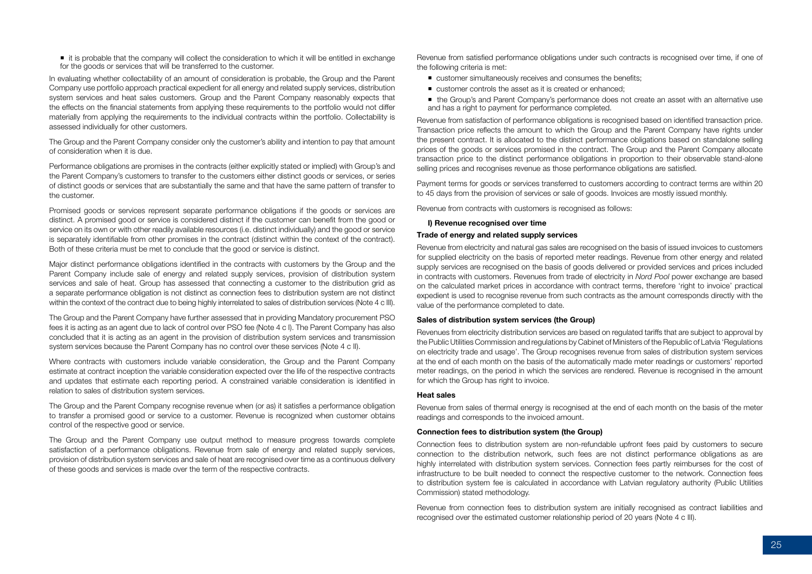$\blacksquare$  it is probable that the company will collect the consideration to which it will be entitled in exchange for the goods or services that will be transferred to the customer.

In evaluating whether collectability of an amount of consideration is probable, the Group and the Parent Company use portfolio approach practical expedient for all energy and related supply services, distribution system services and heat sales customers. Group and the Parent Company reasonably expects that the effects on the financial statements from applying these requirements to the portfolio would not differ materially from applying the requirements to the individual contracts within the portfolio. Collectability is assessed individually for other customers.

The Group and the Parent Company consider only the customer's ability and intention to pay that amount of consideration when it is due.

Performance obligations are promises in the contracts (either explicitly stated or implied) with Group's and the Parent Company's customers to transfer to the customers either distinct goods or services, or series of distinct goods or services that are substantially the same and that have the same pattern of transfer to the customer.

Promised goods or services represent separate performance obligations if the goods or services are distinct. A promised good or service is considered distinct if the customer can benefit from the good or service on its own or with other readily available resources (i.e. distinct individually) and the good or service is separately identifiable from other promises in the contract (distinct within the context of the contract). Both of these criteria must be met to conclude that the good or service is distinct.

Major distinct performance obligations identified in the contracts with customers by the Group and the Parent Company include sale of energy and related supply services, provision of distribution system services and sale of heat. Group has assessed that connecting a customer to the distribution grid as a separate performance obligation is not distinct as connection fees to distribution system are not distinct within the context of the contract due to being highly interrelated to sales of distribution services (Note 4 c III).

The Group and the Parent Company have further assessed that in providing Mandatory procurement PSO fees it is acting as an agent due to lack of control over PSO fee (Note 4 c I). The Parent Company has also concluded that it is acting as an agent in the provision of distribution system services and transmission system services because the Parent Company has no control over these services (Note 4 c II).

Where contracts with customers include variable consideration, the Group and the Parent Company estimate at contract inception the variable consideration expected over the life of the respective contracts and updates that estimate each reporting period. A constrained variable consideration is identified in relation to sales of distribution system services.

The Group and the Parent Company recognise revenue when (or as) it satisfies a performance obligation to transfer a promised good or service to a customer. Revenue is recognized when customer obtains control of the respective good or service.

The Group and the Parent Company use output method to measure progress towards complete satisfaction of a performance obligations. Revenue from sale of energy and related supply services, provision of distribution system services and sale of heat are recognised over time as a continuous delivery of these goods and services is made over the term of the respective contracts.

Revenue from satisfied performance obligations under such contracts is recognised over time, if one of the following criteria is met:

- customer simultaneously receives and consumes the benefits;
- customer controls the asset as it is created or enhanced:
- the Group's and Parent Company's performance does not create an asset with an alternative use and has a right to payment for performance completed.

Revenue from satisfaction of performance obligations is recognised based on identified transaction price. Transaction price reflects the amount to which the Group and the Parent Company have rights under the present contract. It is allocated to the distinct performance obligations based on standalone selling prices of the goods or services promised in the contract. The Group and the Parent Company allocate transaction price to the distinct performance obligations in proportion to their observable stand-alone selling prices and recognises revenue as those performance obligations are satisfied.

Payment terms for goods or services transferred to customers according to contract terms are within 20 to 45 days from the provision of services or sale of goods. Invoices are mostly issued monthly.

Revenue from contracts with customers is recognised as follows:

#### I) Revenue recognised over time

#### Trade of energy and related supply services

Revenue from electricity and natural gas sales are recognised on the basis of issued invoices to customers for supplied electricity on the basis of reported meter readings. Revenue from other energy and related supply services are recognised on the basis of goods delivered or provided services and prices included in contracts with customers. Revenues from trade of electricity in *Nord Pool* power exchange are based on the calculated market prices in accordance with contract terms, therefore 'right to invoice' practical expedient is used to recognise revenue from such contracts as the amount corresponds directly with the value of the performance completed to date.

#### Sales of distribution system services (the Group)

Revenues from electricity distribution services are based on regulated tariffs that are subject to approval by the Public Utilities Commission and regulations by Cabinet of Ministers of the Republic of Latvia 'Regulations on electricity trade and usage'. The Group recognises revenue from sales of distribution system services at the end of each month on the basis of the automatically made meter readings or customers' reported meter readings, on the period in which the services are rendered. Revenue is recognised in the amount for which the Group has right to invoice.

#### Heat sales

Revenue from sales of thermal energy is recognised at the end of each month on the basis of the meter readings and corresponds to the invoiced amount.

#### Connection fees to distribution system (the Group)

Connection fees to distribution system are non-refundable upfront fees paid by customers to secure connection to the distribution network, such fees are not distinct performance obligations as are highly interrelated with distribution system services. Connection fees partly reimburses for the cost of infrastructure to be built needed to connect the respective customer to the network. Connection fees to distribution system fee is calculated in accordance with Latvian regulatory authority (Public Utilities Commission) stated methodology.

Revenue from connection fees to distribution system are initially recognised as contract liabilities and recognised over the estimated customer relationship period of 20 years (Note 4 c III).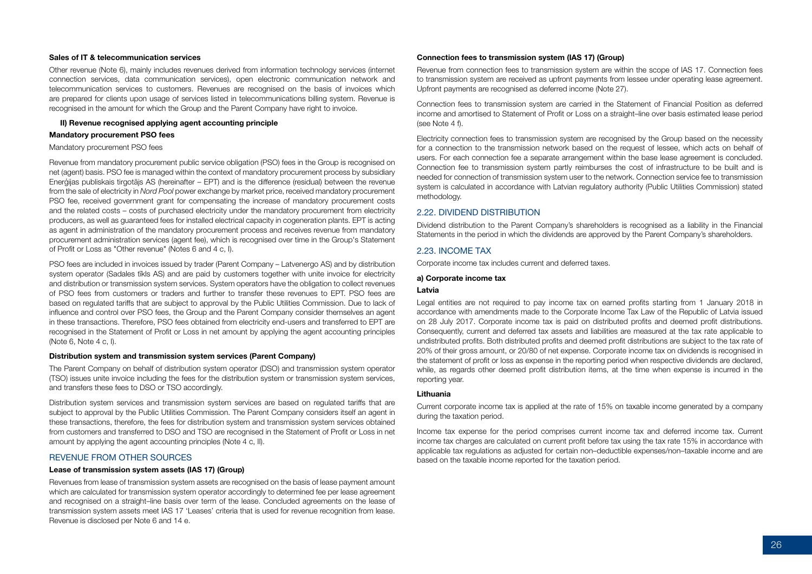#### Sales of IT & telecommunication services

Other revenue (Note 6), mainly includes revenues derived from information technology services (internet connection services, data communication services), open electronic communication network and telecommunication services to customers. Revenues are recognised on the basis of invoices which are prepared for clients upon usage of services listed in telecommunications billing system. Revenue is recognised in the amount for which the Group and the Parent Company have right to invoice.

#### II) Revenue recognised applying agent accounting principle

#### Mandatory procurement PSO fees

#### Mandatory procurement PSO fees

Revenue from mandatory procurement public service obligation (PSO) fees in the Group is recognised on net (agent) basis. PSO fee is managed within the context of mandatory procurement process by subsidiary Enerģijas publiskais tirgotājs AS (hereinafter – EPT) and is the difference (residual) between the revenue from the sale of electricity in *Nord Pool* power exchange by market price, received mandatory procurement PSO fee, received government grant for compensating the increase of mandatory procurement costs and the related costs – costs of purchased electricity under the mandatory procurement from electricity producers, as well as guaranteed fees for installed electrical capacity in cogeneration plants. EPT is acting as agent in administration of the mandatory procurement process and receives revenue from mandatory procurement administration services (agent fee), which is recognised over time in the Group's Statement of Profit or Loss as "Other revenue" (Notes 6 and 4 c, I).

PSO fees are included in invoices issued by trader (Parent Company – Latvenergo AS) and by distribution system operator (Sadales tīkls AS) and are paid by customers together with unite invoice for electricity and distribution or transmission system services. System operators have the obligation to collect revenues of PSO fees from customers or traders and further to transfer these revenues to EPT. PSO fees are based on regulated tariffs that are subject to approval by the Public Utilities Commission. Due to lack of influence and control over PSO fees, the Group and the Parent Company consider themselves an agent in these transactions. Therefore, PSO fees obtained from electricity end-users and transferred to EPT are recognised in the Statement of Profit or Loss in net amount by applying the agent accounting principles (Note 6, Note 4 c, I).

### Distribution system and transmission system services (Parent Company)

The Parent Company on behalf of distribution system operator (DSO) and transmission system operator (TSO) issues unite invoice including the fees for the distribution system or transmission system services, and transfers these fees to DSO or TSO accordingly.

Distribution system services and transmission system services are based on regulated tariffs that are subject to approval by the Public Utilities Commission. The Parent Company considers itself an agent in these transactions, therefore, the fees for distribution system and transmission system services obtained from customers and transferred to DSO and TSO are recognised in the Statement of Profit or Loss in net amount by applying the agent accounting principles (Note 4 c, II).

# REVENUE FROM OTHER SOURCES

### Lease of transmission system assets (IAS 17) (Group)

Revenues from lease of transmission system assets are recognised on the basis of lease payment amount which are calculated for transmission system operator accordingly to determined fee per lease agreement and recognised on a straight–line basis over term of the lease. Concluded agreements on the lease of transmission system assets meet IAS 17 'Leases' criteria that is used for revenue recognition from lease. Revenue is disclosed per Note 6 and 14 e.

#### Connection fees to transmission system (IAS 17) (Group)

Revenue from connection fees to transmission system are within the scope of IAS 17. Connection fees to transmission system are received as upfront payments from lessee under operating lease agreement. Upfront payments are recognised as deferred income (Note 27).

Connection fees to transmission system are carried in the Statement of Financial Position as deferred income and amortised to Statement of Profit or Loss on a straight–line over basis estimated lease period (see Note 4 f).

Electricity connection fees to transmission system are recognised by the Group based on the necessity for a connection to the transmission network based on the request of lessee, which acts on behalf of users. For each connection fee a separate arrangement within the base lease agreement is concluded. Connection fee to transmission system partly reimburses the cost of infrastructure to be built and is needed for connection of transmission system user to the network. Connection service fee to transmission system is calculated in accordance with Latvian regulatory authority (Public Utilities Commission) stated methodology.

# 2.22. DIVIDEND DISTRIBUTION

Dividend distribution to the Parent Company's shareholders is recognised as a liability in the Financial Statements in the period in which the dividends are approved by the Parent Company's shareholders.

# 2.23. INCOME TAX

Corporate income tax includes current and deferred taxes.

#### a) Corporate income tax

#### Latvia

Legal entities are not required to pay income tax on earned profits starting from 1 January 2018 in accordance with amendments made to the Corporate Income Tax Law of the Republic of Latvia issued on 28 July 2017. Corporate income tax is paid on distributed profits and deemed profit distributions. Consequently, current and deferred tax assets and liabilities are measured at the tax rate applicable to undistributed profits. Both distributed profits and deemed profit distributions are subject to the tax rate of 20% of their gross amount, or 20/80 of net expense. Corporate income tax on dividends is recognised in the statement of profit or loss as expense in the reporting period when respective dividends are declared, while, as regards other deemed profit distribution items, at the time when expense is incurred in the reporting year.

#### Lithuania

Current corporate income tax is applied at the rate of 15% on taxable income generated by a company during the taxation period.

Income tax expense for the period comprises current income tax and deferred income tax. Current income tax charges are calculated on current profit before tax using the tax rate 15% in accordance with applicable tax regulations as adjusted for certain non–deductible expenses/non–taxable income and are based on the taxable income reported for the taxation period.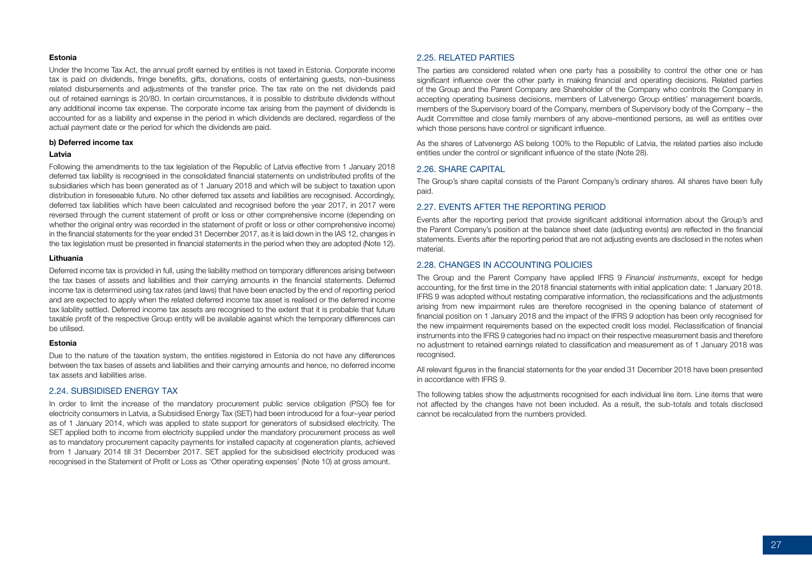#### Estonia

Under the Income Tax Act, the annual profit earned by entities is not taxed in Estonia. Corporate income tax is paid on dividends, fringe benefits, gifts, donations, costs of entertaining guests, non–business related disbursements and adjustments of the transfer price. The tax rate on the net dividends paid out of retained earnings is 20/80. In certain circumstances, it is possible to distribute dividends without any additional income tax expense. The corporate income tax arising from the payment of dividends is accounted for as a liability and expense in the period in which dividends are declared, regardless of the actual payment date or the period for which the dividends are paid.

#### b) Deferred income tax

#### Latvia

Following the amendments to the tax legislation of the Republic of Latvia effective from 1 January 2018 deferred tax liability is recognised in the consolidated financial statements on undistributed profits of the subsidiaries which has been generated as of 1 January 2018 and which will be subject to taxation upon distribution in foreseeable future. No other deferred tax assets and liabilities are recognised. Accordingly, deferred tax liabilities which have been calculated and recognised before the year 2017, in 2017 were reversed through the current statement of profit or loss or other comprehensive income (depending on whether the original entry was recorded in the statement of profit or loss or other comprehensive income) in the financial statements for the year ended 31 December 2017, as it is laid down in the IAS 12, changes in the tax legislation must be presented in financial statements in the period when they are adopted (Note 12).

#### Lithuania

Deferred income tax is provided in full, using the liability method on temporary differences arising between the tax bases of assets and liabilities and their carrying amounts in the financial statements. Deferred income tax is determined using tax rates (and laws) that have been enacted by the end of reporting period and are expected to apply when the related deferred income tax asset is realised or the deferred income tax liability settled. Deferred income tax assets are recognised to the extent that it is probable that future taxable profit of the respective Group entity will be available against which the temporary differences can be utilised.

### Estonia

Due to the nature of the taxation system, the entities registered in Estonia do not have any differences between the tax bases of assets and liabilities and their carrying amounts and hence, no deferred income tax assets and liabilities arise.

### 2.24. SUBSIDISED ENERGY TAX

In order to limit the increase of the mandatory procurement public service obligation (PSO) fee for electricity consumers in Latvia, a Subsidised Energy Tax (SET) had been introduced for a four–year period as of 1 January 2014, which was applied to state support for generators of subsidised electricity. The SET applied both to income from electricity supplied under the mandatory procurement process as well as to mandatory procurement capacity payments for installed capacity at cogeneration plants, achieved from 1 January 2014 till 31 December 2017. SET applied for the subsidised electricity produced was recognised in the Statement of Profit or Loss as 'Other operating expenses' (Note 10) at gross amount.

# 2.25. RELATED PARTIES

The parties are considered related when one party has a possibility to control the other one or has significant influence over the other party in making financial and operating decisions. Related parties of the Group and the Parent Company are Shareholder of the Company who controls the Company in accepting operating business decisions, members of Latvenergo Group entities' management boards, members of the Supervisory board of the Company, members of Supervisory body of the Company – the Audit Committee and close family members of any above–mentioned persons, as well as entities over which those persons have control or significant influence.

As the shares of Latvenergo AS belong 100% to the Republic of Latvia, the related parties also include entities under the control or significant influence of the state (Note 28).

# 2.26. SHARE CAPITAL

The Group's share capital consists of the Parent Company's ordinary shares. All shares have been fully paid.

# 2.27. EVENTS AFTER THE REPORTING PERIOD

Events after the reporting period that provide significant additional information about the Group's and the Parent Company's position at the balance sheet date (adjusting events) are reflected in the financial statements. Events after the reporting period that are not adjusting events are disclosed in the notes when material.

# 2.28. CHANGES IN ACCOUNTING POLICIES

The Group and the Parent Company have applied IFRS 9 *Financial instruments*, except for hedge accounting, for the first time in the 2018 financial statements with initial application date: 1 January 2018. IFRS 9 was adopted without restating comparative information, the reclassifications and the adjustments arising from new impairment rules are therefore recognised in the opening balance of statement of financial position on 1 January 2018 and the impact of the IFRS 9 adoption has been only recognised for the new impairment requirements based on the expected credit loss model. Reclassification of financial instruments into the IFRS 9 categories had no impact on their respective measurement basis and therefore no adjustment to retained earnings related to classification and measurement as of 1 January 2018 was recognised.

All relevant figures in the financial statements for the year ended 31 December 2018 have been presented in accordance with IFRS 9.

The following tables show the adjustments recognised for each individual line item. Line items that were not affected by the changes have not been included. As a result, the sub-totals and totals disclosed cannot be recalculated from the numbers provided.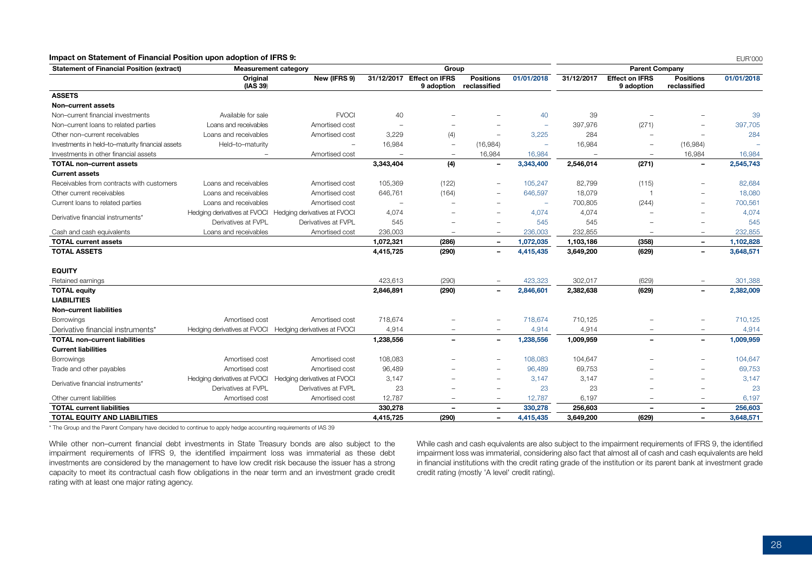#### Impact on Statement of Financial Position upon adoption of IFRS 9: EUR'000 entitled by the Unit of Statement of Financial Position upon adoption of IFRS 9:

| <b>Statement of Financial Position (extract)</b> |                              | <b>Measurement category</b>                               |           | Group                                   |                                  |                          |            | <b>Parent Company</b>               |                                  |            |  |
|--------------------------------------------------|------------------------------|-----------------------------------------------------------|-----------|-----------------------------------------|----------------------------------|--------------------------|------------|-------------------------------------|----------------------------------|------------|--|
|                                                  | Original<br>(IAS 39)         | New (IFRS 9)                                              |           | 31/12/2017 Effect on IFRS<br>9 adoption | <b>Positions</b><br>reclassified | 01/01/2018               | 31/12/2017 | <b>Effect on IFRS</b><br>9 adoption | <b>Positions</b><br>reclassified | 01/01/2018 |  |
| <b>ASSETS</b>                                    |                              |                                                           |           |                                         |                                  |                          |            |                                     |                                  |            |  |
| Non-current assets                               |                              |                                                           |           |                                         |                                  |                          |            |                                     |                                  |            |  |
| Non-current financial investments                | Available for sale           | <b>FVOCI</b>                                              | 40        |                                         |                                  | 40                       | 39         |                                     |                                  | 39         |  |
| Non-current loans to related parties             | Loans and receivables        | Amortised cost                                            |           |                                         |                                  | $\overline{\phantom{a}}$ | 397,976    | (271)                               |                                  | 397,705    |  |
| Other non-current receivables                    | Loans and receivables        | Amortised cost                                            | 3,229     | (4)                                     |                                  | 3,225                    | 284        | $\overline{\phantom{0}}$            |                                  | 284        |  |
| Investments in held-to-maturity financial assets | Held-to-maturity             |                                                           | 16,984    | $\overline{\phantom{a}}$                | (16,984)                         |                          | 16,984     |                                     | (16,984)                         |            |  |
| Investments in other financial assets            |                              | Amortised cost                                            |           | $\overline{\phantom{0}}$                | 16,984                           | 16,984                   |            |                                     | 16,984                           | 16,984     |  |
| <b>TOTAL non-current assets</b>                  |                              |                                                           | 3,343,404 | (4)                                     | $\overline{\phantom{0}}$         | 3,343,400                | 2,546,014  | (271)                               |                                  | 2,545,743  |  |
| <b>Current assets</b>                            |                              |                                                           |           |                                         |                                  |                          |            |                                     |                                  |            |  |
| Receivables from contracts with customers        | Loans and receivables        | Amortised cost                                            | 105,369   | (122)                                   |                                  | 105,247                  | 82,799     | (115)                               |                                  | 82,684     |  |
| Other current receivables                        | Loans and receivables        | Amortised cost                                            | 646,761   | (164)                                   |                                  | 646,597                  | 18,079     |                                     |                                  | 18,080     |  |
| Current loans to related parties                 | Loans and receivables        | Amortised cost                                            |           |                                         |                                  |                          | 700,805    | (244)                               |                                  | 700,561    |  |
|                                                  | Hedging derivatives at FVOCI | Hedging derivatives at FVOCI                              | 4,074     |                                         |                                  | 4,074                    | 4,074      |                                     |                                  | 4,074      |  |
| Derivative financial instruments*                | Derivatives at FVPL          | Derivatives at FVPL                                       | 545       |                                         |                                  | 545                      | 545        |                                     |                                  | 545        |  |
| Cash and cash equivalents                        | Loans and receivables        | Amortised cost                                            | 236,003   |                                         | $\overline{\phantom{a}}$         | 236,003                  | 232,855    |                                     |                                  | 232,855    |  |
| <b>TOTAL current assets</b>                      |                              |                                                           | 1,072,321 | (286)                                   | $\overline{\phantom{a}}$         | 1,072,035                | 1,103,186  | (358)                               | $\overline{\phantom{a}}$         | 1,102,828  |  |
| <b>TOTAL ASSETS</b>                              |                              |                                                           | 4,415,725 | (290)                                   | $\overline{\phantom{a}}$         | 4,415,435                | 3,649,200  | (629)                               | $\overline{\phantom{a}}$         | 3,648,571  |  |
| <b>EQUITY</b>                                    |                              |                                                           |           |                                         |                                  |                          |            |                                     |                                  |            |  |
| Retained earnings                                |                              |                                                           | 423,613   | (290)                                   | $\overline{\phantom{m}}$         | 423,323                  | 302,017    | (629)                               | $\overline{\phantom{0}}$         | 301,388    |  |
| <b>TOTAL equity</b>                              |                              |                                                           | 2,846,891 | (290)                                   | $\overline{\phantom{0}}$         | 2,846,601                | 2,382,638  | (629)                               | $\overline{\phantom{0}}$         | 2,382,009  |  |
| <b>LIABILITIES</b>                               |                              |                                                           |           |                                         |                                  |                          |            |                                     |                                  |            |  |
| Non-current liabilities                          |                              |                                                           |           |                                         |                                  |                          |            |                                     |                                  |            |  |
| Borrowings                                       | Amortised cost               | Amortised cost                                            | 718,674   |                                         |                                  | 718,674                  | 710,125    |                                     |                                  | 710,125    |  |
| Derivative financial instruments*                |                              | Hedging derivatives at FVOCI Hedging derivatives at FVOCI | 4,914     |                                         |                                  | 4,914                    | 4,914      |                                     |                                  | 4,914      |  |
| <b>TOTAL non-current liabilities</b>             |                              |                                                           | 1,238,556 | $\overline{\phantom{a}}$                | $\overline{\phantom{a}}$         | 1,238,556                | 1,009,959  |                                     | $\overline{\phantom{a}}$         | 1,009,959  |  |
| <b>Current liabilities</b>                       |                              |                                                           |           |                                         |                                  |                          |            |                                     |                                  |            |  |
| <b>Borrowings</b>                                | Amortised cost               | Amortised cost                                            | 108,083   |                                         |                                  | 108,083                  | 104,647    |                                     |                                  | 104,647    |  |
| Trade and other payables                         | Amortised cost               | Amortised cost                                            | 96,489    |                                         |                                  | 96,489                   | 69,753     |                                     |                                  | 69,753     |  |
|                                                  | Hedging derivatives at FVOCI | Hedging derivatives at FVOCI                              | 3,147     |                                         |                                  | 3,147                    | 3,147      |                                     |                                  | 3.147      |  |
| Derivative financial instruments*                | Derivatives at FVPL          | Derivatives at FVPL                                       | 23        |                                         |                                  | 23                       | 23         |                                     |                                  | 23         |  |
| Other current liabilities                        | Amortised cost               | Amortised cost                                            | 12,787    | $\overline{\phantom{0}}$                |                                  | 12,787                   | 6,197      | $\equiv$                            |                                  | 6,197      |  |
| <b>TOTAL current liabilities</b>                 |                              |                                                           | 330,278   |                                         |                                  | 330,278                  | 256,603    |                                     |                                  | 256,603    |  |
| <b>TOTAL EQUITY AND LIABILITIES</b>              |                              |                                                           | 4,415,725 | (290)                                   |                                  | 4,415,435                | 3,649,200  | (629)                               |                                  | 3,648,571  |  |

\* The Group and the Parent Company have decided to continue to apply hedge accounting requirements of IAS 39

While other non–current financial debt investments in State Treasury bonds are also subject to the impairment requirements of IFRS 9, the identified impairment loss was immaterial as these debt investments are considered by the management to have low credit risk because the issuer has a strong capacity to meet its contractual cash flow obligations in the near term and an investment grade credit rating with at least one major rating agency.

While cash and cash equivalents are also subject to the impairment requirements of IFRS 9, the identified impairment loss was immaterial, considering also fact that almost all of cash and cash equivalents are held in financial institutions with the credit rating grade of the institution or its parent bank at investment grade credit rating (mostly 'A level' credit rating).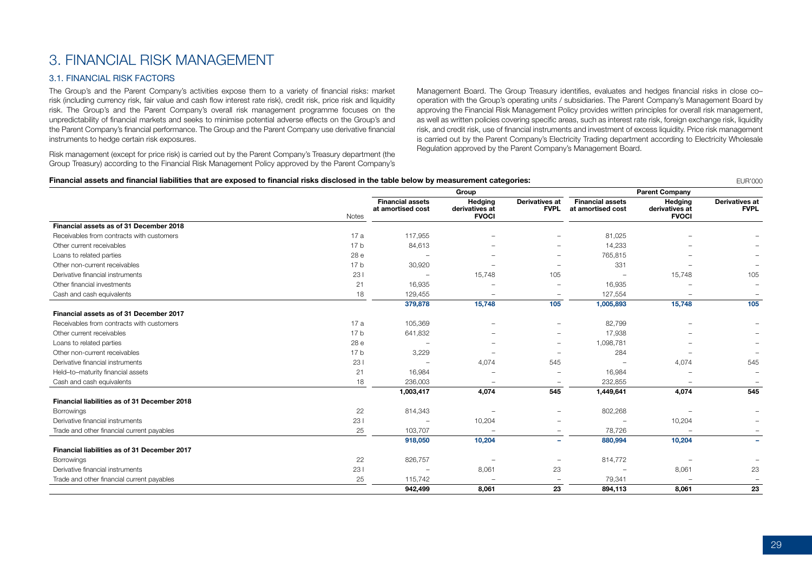# 3. FINANCIAL RISK MANAGEMENT

# 3.1. FINANCIAL RISK FACTORS

Financial assets as of 31 December 2018

Financial assets as of 31 December 2017

Financial liabilities as of 31 December 2017

The Group's and the Parent Company's activities expose them to a variety of financial risks: market risk (including currency risk, fair value and cash flow interest rate risk), credit risk, price risk and liquidity risk. The Group's and the Parent Company's overall risk management programme focuses on the unpredictability of financial markets and seeks to minimise potential adverse effects on the Group's and the Parent Company's financial performance. The Group and the Parent Company use derivative financial instruments to hedge certain risk exposures.

Risk management (except for price risk) is carried out by the Parent Company's Treasury department (the Group Treasury) according to the Financial Risk Management Policy approved by the Parent Company's Management Board. The Group Treasury identifies, evaluates and hedges financial risks in close co– operation with the Group's operating units / subsidiaries. The Parent Company's Management Board by approving the Financial Risk Management Policy provides written principles for overall risk management, as well as written policies covering specific areas, such as interest rate risk, foreign exchange risk, liquidity risk, and credit risk, use of financial instruments and investment of excess liquidity. Price risk management is carried out by the Parent Company's Electricity Trading department according to Electricity Wholesale Regulation approved by the Parent Company's Management Board.

Financial assets

**Hedging** 

Derivatives at

EUR'000

Group **Parent Company** 

918,050 10,204 – 880,994 10,204 –

942,499 8,061 23 894,113 8,061 23

Derivatives at

### Financial assets and financial liabilities that are exposed to financial risks disclosed in the table below by measurement categories:

Notes at amortised cost Hedging derivatives at FVOCI FVPL at amortised cost derivatives at FVOCI FVPL Receivables from contracts with customers 17 a 117,955 – 17 a 117,955 – – 117,955 – – 81,025 Other current receivables 17 b 84,613 – – 14,233 – – Loans to related parties 28 e – – – 765,815 – – Other non-current receivables 17 b 30,920 – – 331 – – Derivative financial instruments 23 I – 15,748 105 – 15,748 105 Other financial investments and the control of the control of the control of the control of the control of the control of the control of the control of the control of the control of the control of the control of the contro Cash and cash equivalents 18 129,455 127,554 379,878 15,748 105 1,005,893 15,748 105 Receivables from contracts with customers and the contracts of the customers of the customers of the customers of the customers of the customers of the customers of the customers of the customers of the customers of the cu Other current receivables 17 b 641,832 – – 17,938 – – Loans to related parties 28 e – – – 1,098,781 – – Other non-current receivables 17 b 3,229 – – 284 – – Derivative financial instruments 23 I – 4,074 545 – 4,074 545 Held–to–maturity financial assets 21 16,984 – – 16,984 – – Cash and cash equivalents 18 236,003 – – 232,855 – – 1,003,417 4,074 545 1,449,641 4,074 545 Financial liabilities as of 31 December 2018 Borrowings 22 814,343 – – 802,268 – – Derivative financial instruments 23 I – 10,204 – – 10,204 – Trade and other financial current payables 25 103,707 – – – 28,726 – 78,726

Financial assets

Borrowings 22 826,757 – – 814,772 – – Derivative financial instruments 23 I – 8,061 23 – 8,061 23 Trade and other financial current payables 25 115,742 – – 79,341 – –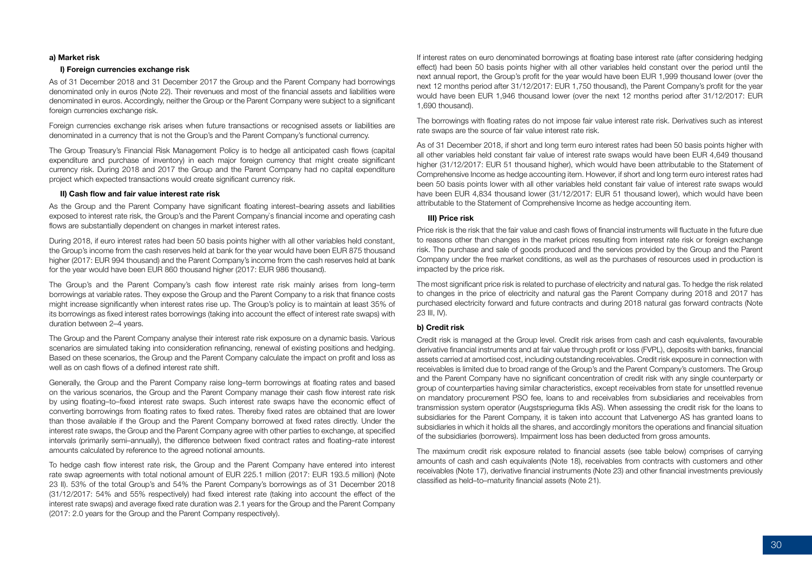#### a) Market risk

#### I) Foreign currencies exchange risk

As of 31 December 2018 and 31 December 2017 the Group and the Parent Company had borrowings denominated only in euros (Note 22). Their revenues and most of the financial assets and liabilities were denominated in euros. Accordingly, neither the Group or the Parent Company were subject to a significant foreign currencies exchange risk.

Foreign currencies exchange risk arises when future transactions or recognised assets or liabilities are denominated in a currency that is not the Group's and the Parent Company's functional currency.

The Group Treasury's Financial Risk Management Policy is to hedge all anticipated cash flows (capital expenditure and purchase of inventory) in each major foreign currency that might create significant currency risk. During 2018 and 2017 the Group and the Parent Company had no capital expenditure project which expected transactions would create significant currency risk.

#### II) Cash flow and fair value interest rate risk

As the Group and the Parent Company have significant floating interest–bearing assets and liabilities exposed to interest rate risk, the Group's and the Parent Company`s financial income and operating cash flows are substantially dependent on changes in market interest rates.

During 2018, if euro interest rates had been 50 basis points higher with all other variables held constant, the Group's income from the cash reserves held at bank for the year would have been EUR 875 thousand higher (2017: EUR 994 thousand) and the Parent Company's income from the cash reserves held at bank for the year would have been EUR 860 thousand higher (2017: EUR 986 thousand).

The Group's and the Parent Company's cash flow interest rate risk mainly arises from long–term borrowings at variable rates. They expose the Group and the Parent Company to a risk that finance costs might increase significantly when interest rates rise up. The Group's policy is to maintain at least 35% of its borrowings as fixed interest rates borrowings (taking into account the effect of interest rate swaps) with duration between 2–4 years.

The Group and the Parent Company analyse their interest rate risk exposure on a dynamic basis. Various scenarios are simulated taking into consideration refinancing, renewal of existing positions and hedging. Based on these scenarios, the Group and the Parent Company calculate the impact on profit and loss as well as on cash flows of a defined interest rate shift.

Generally, the Group and the Parent Company raise long–term borrowings at floating rates and based on the various scenarios, the Group and the Parent Company manage their cash flow interest rate risk by using floating–to–fixed interest rate swaps. Such interest rate swaps have the economic effect of converting borrowings from floating rates to fixed rates. Thereby fixed rates are obtained that are lower than those available if the Group and the Parent Company borrowed at fixed rates directly. Under the interest rate swaps, the Group and the Parent Company agree with other parties to exchange, at specified intervals (primarily semi–annually), the difference between fixed contract rates and floating–rate interest amounts calculated by reference to the agreed notional amounts.

To hedge cash flow interest rate risk, the Group and the Parent Company have entered into interest rate swap agreements with total notional amount of EUR 225.1 million (2017: EUR 193.5 million) (Note 23 II). 53% of the total Group's and 54% the Parent Company's borrowings as of 31 December 2018 (31/12/2017: 54% and 55% respectively) had fixed interest rate (taking into account the effect of the interest rate swaps) and average fixed rate duration was 2.1 years for the Group and the Parent Company (2017: 2.0 years for the Group and the Parent Company respectively).

If interest rates on euro denominated borrowings at floating base interest rate (after considering hedging effect) had been 50 basis points higher with all other variables held constant over the period until the next annual report, the Group's profit for the year would have been EUR 1,999 thousand lower (over the next 12 months period after 31/12/2017: EUR 1,750 thousand), the Parent Company's profit for the year would have been EUR 1,946 thousand lower (over the next 12 months period after 31/12/2017: EUR 1,690 thousand).

The borrowings with floating rates do not impose fair value interest rate risk. Derivatives such as interest rate swaps are the source of fair value interest rate risk.

As of 31 December 2018, if short and long term euro interest rates had been 50 basis points higher with all other variables held constant fair value of interest rate swaps would have been EUR 4,649 thousand higher (31/12/2017: EUR 51 thousand higher), which would have been attributable to the Statement of Comprehensive Income as hedge accounting item. However, if short and long term euro interest rates had been 50 basis points lower with all other variables held constant fair value of interest rate swaps would have been EUR 4,834 thousand lower (31/12/2017: EUR 51 thousand lower), which would have been attributable to the Statement of Comprehensive Income as hedge accounting item.

#### III) Price risk

Price risk is the risk that the fair value and cash flows of financial instruments will fluctuate in the future due to reasons other than changes in the market prices resulting from interest rate risk or foreign exchange risk. The purchase and sale of goods produced and the services provided by the Group and the Parent Company under the free market conditions, as well as the purchases of resources used in production is impacted by the price risk.

The most significant price risk is related to purchase of electricity and natural gas. To hedge the risk related to changes in the price of electricity and natural gas the Parent Company during 2018 and 2017 has purchased electricity forward and future contracts and during 2018 natural gas forward contracts (Note 23 III, IV).

### b) Credit risk

Credit risk is managed at the Group level. Credit risk arises from cash and cash equivalents, favourable derivative financial instruments and at fair value through profit or loss (FVPL), deposits with banks, financial assets carried at amortised cost, including outstanding receivables. Credit risk exposure in connection with receivables is limited due to broad range of the Group's and the Parent Company's customers. The Group and the Parent Company have no significant concentration of credit risk with any single counterparty or group of counterparties having similar characteristics, except receivables from state for unsettled revenue on mandatory procurement PSO fee, loans to and receivables from subsidiaries and receivables from transmission system operator (Augstsprieguma tīkls AS). When assessing the credit risk for the loans to subsidiaries for the Parent Company, it is taken into account that Latvenergo AS has granted loans to subsidiaries in which it holds all the shares, and accordingly monitors the operations and financial situation of the subsidiaries (borrowers). Impairment loss has been deducted from gross amounts.

The maximum credit risk exposure related to financial assets (see table below) comprises of carrying amounts of cash and cash equivalents (Note 18), receivables from contracts with customers and other receivables (Note 17), derivative financial instruments (Note 23) and other financial investments previously classified as held–to–maturity financial assets (Note 21).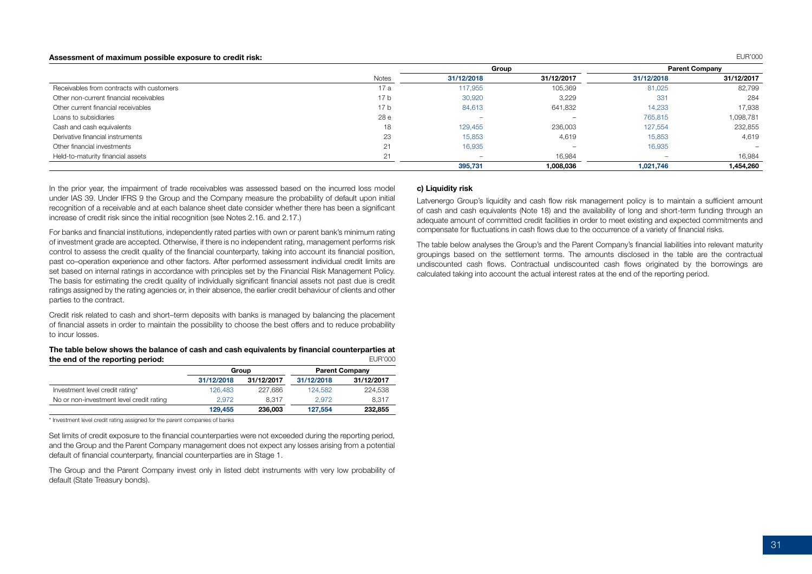#### Assessment of maximum possible exposure to credit risk:

EUR'000

|                                           |                 | Group                    |            | <b>Parent Company</b> |                          |  |
|-------------------------------------------|-----------------|--------------------------|------------|-----------------------|--------------------------|--|
|                                           | Notes           | 31/12/2018               | 31/12/2017 | 31/12/2018            | 31/12/2017               |  |
| Receivables from contracts with customers | 17a             | 117.955                  | 105,369    | 81,025                | 82,799                   |  |
| Other non-current financial receivables   | 17 <sub>b</sub> | 30,920                   | 3,229      | 331                   | 284                      |  |
| Other current financial receivables       | 17 <sub>b</sub> | 84,613                   | 641,832    | 14,233                | 17,938                   |  |
| Loans to subsidiaries                     | 28 e            |                          |            | 765,815               | 1,098,781                |  |
| Cash and cash equivalents                 | 18              | 129,455                  | 236,003    | 127.554               | 232,855                  |  |
| Derivative financial instruments          | 23              | 15,853                   | 4,619      | 15,853                | 4,619                    |  |
| Other financial investments               | 21              | 16,935                   |            | 16,935                | $\overline{\phantom{0}}$ |  |
| Held-to-maturity financial assets         | 21              | $\overline{\phantom{a}}$ | 16,984     | -                     | 16,984                   |  |
|                                           |                 | 395,731                  | 1.008.036  | 1,021,746             | 1,454,260                |  |

In the prior year, the impairment of trade receivables was assessed based on the incurred loss model under IAS 39. Under IFRS 9 the Group and the Company measure the probability of default upon initial recognition of a receivable and at each balance sheet date consider whether there has been a significant increase of credit risk since the initial recognition (see Notes 2.16. and 2.17.)

For banks and financial institutions, independently rated parties with own or parent bank's minimum rating of investment grade are accepted. Otherwise, if there is no independent rating, management performs risk control to assess the credit quality of the financial counterparty, taking into account its financial position, past co–operation experience and other factors. After performed assessment individual credit limits are set based on internal ratings in accordance with principles set by the Financial Risk Management Policy. The basis for estimating the credit quality of individually significant financial assets not past due is credit ratings assigned by the rating agencies or, in their absence, the earlier credit behaviour of clients and other parties to the contract.

Credit risk related to cash and short–term deposits with banks is managed by balancing the placement of financial assets in order to maintain the possibility to choose the best offers and to reduce probability to incur losses.

#### The table below shows the balance of cash and cash equivalents by financial counterparties at the end of the reporting period: EUR'000

|                                          |            | Group      | <b>Parent Company</b> |            |  |
|------------------------------------------|------------|------------|-----------------------|------------|--|
|                                          | 31/12/2018 | 31/12/2017 | 31/12/2018            | 31/12/2017 |  |
| Investment level credit rating*          | 126.483    | 227.686    | 124.582               | 224,538    |  |
| No or non-investment level credit rating | 2.972      | 8.317      | 2.972                 | 8.317      |  |
|                                          | 129,455    | 236,003    | 127.554               | 232,855    |  |

\* Investment level credit rating assigned for the parent companies of banks

Set limits of credit exposure to the financial counterparties were not exceeded during the reporting period, and the Group and the Parent Company management does not expect any losses arising from a potential default of financial counterparty, financial counterparties are in Stage 1.

The Group and the Parent Company invest only in listed debt instruments with very low probability of default (State Treasury bonds).

# c) Liquidity risk

Latvenergo Group's liquidity and cash flow risk management policy is to maintain a sufficient amount of cash and cash equivalents (Note 18) and the availability of long and short-term funding through an adequate amount of committed credit facilities in order to meet existing and expected commitments and compensate for fluctuations in cash flows due to the occurrence of a variety of financial risks.

The table below analyses the Group's and the Parent Company's financial liabilities into relevant maturity groupings based on the settlement terms. The amounts disclosed in the table are the contractual undiscounted cash flows. Contractual undiscounted cash flows originated by the borrowings are calculated taking into account the actual interest rates at the end of the reporting period.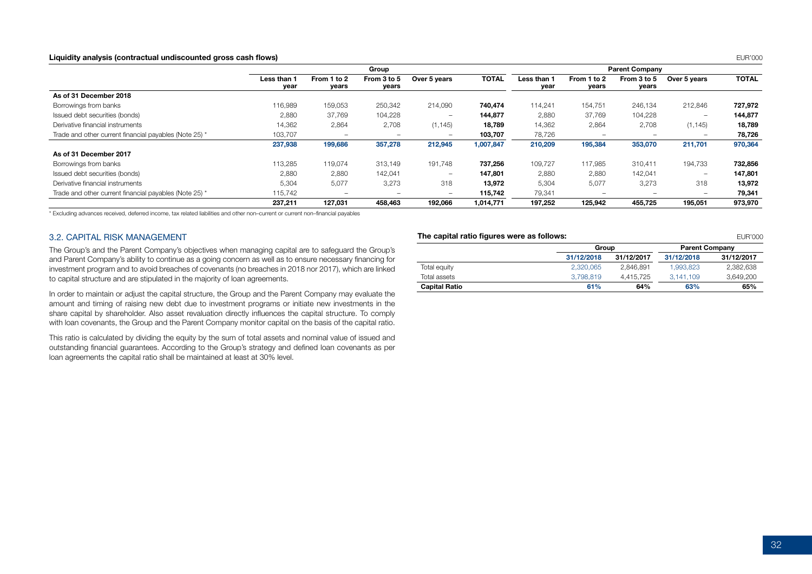#### Liquidity analysis (contractual undiscounted gross cash flows)

|                                                        | Group               |                          |                          |                          |              |                     |                      | <b>Parent Company</b> |                          |              |
|--------------------------------------------------------|---------------------|--------------------------|--------------------------|--------------------------|--------------|---------------------|----------------------|-----------------------|--------------------------|--------------|
|                                                        | Less than 1<br>year | From 1 to 2<br>years     | From 3 to 5<br>years     | Over 5 years             | <b>TOTAL</b> | Less than 1<br>year | From 1 to 2<br>years | From 3 to 5<br>years  | Over 5 years             | <b>TOTAL</b> |
| As of 31 December 2018                                 |                     |                          |                          |                          |              |                     |                      |                       |                          |              |
| Borrowings from banks                                  | 116.989             | 159,053                  | 250,342                  | 214,090                  | 740.474      | 114,241             | 154.751              | 246,134               | 212,846                  | 727,972      |
| Issued debt securities (bonds)                         | 2,880               | 37,769                   | 104,228                  | -                        | 144,877      | 2,880               | 37,769               | 104,228               | $\overline{\phantom{a}}$ | 144,877      |
| Derivative financial instruments                       | 14,362              | 2,864                    | 2,708                    | (1, 145)                 | 18,789       | 14,362              | 2,864                | 2,708                 | (1, 145)                 | 18,789       |
| Trade and other current financial payables (Note 25) * | 103,707             | $\overline{\phantom{a}}$ | $\overline{\phantom{a}}$ | $\overline{\phantom{a}}$ | 103,707      | 78,726              | -                    | -                     |                          | 78,726       |
|                                                        | 237,938             | 199,686                  | 357,278                  | 212,945                  | 1,007,847    | 210,209             | 195,384              | 353,070               | 211,701                  | 970,364      |
| As of 31 December 2017                                 |                     |                          |                          |                          |              |                     |                      |                       |                          |              |
| Borrowings from banks                                  | 113.285             | 119,074                  | 313.149                  | 191,748                  | 737.256      | 109,727             | 117.985              | 310,411               | 194,733                  | 732,856      |
| Issued debt securities (bonds)                         | 2,880               | 2,880                    | 142,041                  | $\overline{\phantom{a}}$ | 147,801      | 2,880               | 2,880                | 142,041               | -                        | 147,801      |
| Derivative financial instruments                       | 5,304               | 5,077                    | 3,273                    | 318                      | 13.972       | 5,304               | 5,077                | 3,273                 | 318                      | 13,972       |
| Trade and other current financial payables (Note 25) * | 115,742             | $\overline{\phantom{a}}$ | $\overline{\phantom{a}}$ | -                        | 115,742      | 79,341              | -                    | -                     | -                        | 79,341       |
|                                                        | 237.211             | 127.031                  | 458,463                  | 192,066                  | 1,014,771    | 197.252             | 125,942              | 455.725               | 195.051                  | 973,970      |

\* Excluding advances received, deferred income, tax related liabilities and other non–current or current non–financial payables

### 3.2. CAPITAL RISK MANAGEMENT

The Group's and the Parent Company's objectives when managing capital are to safeguard the Group's and Parent Company's ability to continue as a going concern as well as to ensure necessary financing for investment program and to avoid breaches of covenants (no breaches in 2018 nor 2017), which are linked to capital structure and are stipulated in the majority of loan agreements.

In order to maintain or adjust the capital structure, the Group and the Parent Company may evaluate the amount and timing of raising new debt due to investment programs or initiate new investments in the share capital by shareholder. Also asset revaluation directly influences the capital structure. To comply with loan covenants, the Group and the Parent Company monitor capital on the basis of the capital ratio.

This ratio is calculated by dividing the equity by the sum of total assets and nominal value of issued and outstanding financial guarantees. According to the Group's strategy and defined loan covenants as per loan agreements the capital ratio shall be maintained at least at 30% level.

#### The capital ratio figures were as follows: EUR'000

|                      | Group      |            | <b>Parent Company</b> |            |  |
|----------------------|------------|------------|-----------------------|------------|--|
|                      | 31/12/2018 | 31/12/2017 | 31/12/2018            | 31/12/2017 |  |
| Total equity         | 2.320.065  | 2.846.891  | 1.993.823             | 2,382,638  |  |
| Total assets         | 3.798.819  | 4.415.725  | 3.141.109             | 3.649.200  |  |
| <b>Capital Ratio</b> | 61%        | 64%        | 63%                   | 65%        |  |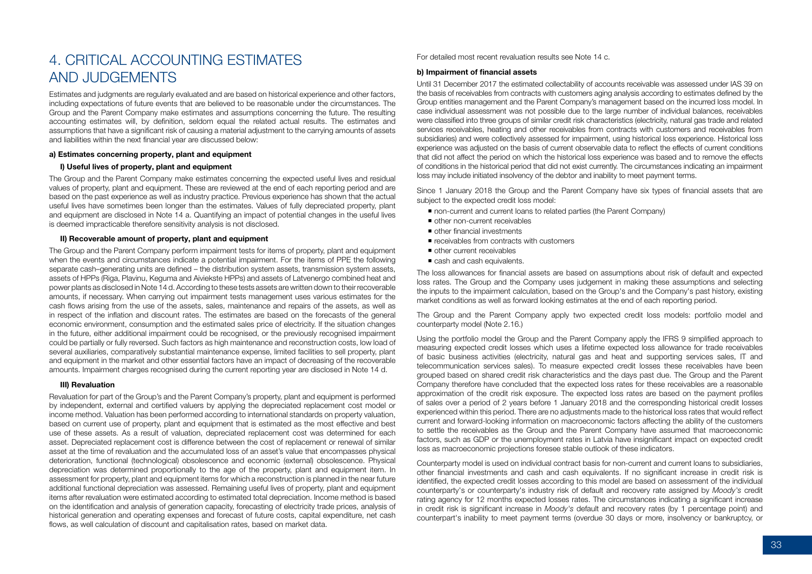# 4. CRITICAL ACCOUNTING ESTIMATES AND JUDGEMENTS

Estimates and judgments are regularly evaluated and are based on historical experience and other factors, including expectations of future events that are believed to be reasonable under the circumstances. The Group and the Parent Company make estimates and assumptions concerning the future. The resulting accounting estimates will, by definition, seldom equal the related actual results. The estimates and assumptions that have a significant risk of causing a material adjustment to the carrying amounts of assets and liabilities within the next financial year are discussed below:

#### a) Estimates concerning property, plant and equipment

#### I) Useful lives of property, plant and equipment

The Group and the Parent Company make estimates concerning the expected useful lives and residual values of property, plant and equipment. These are reviewed at the end of each reporting period and are based on the past experience as well as industry practice. Previous experience has shown that the actual useful lives have sometimes been longer than the estimates. Values of fully depreciated property, plant and equipment are disclosed in Note 14 a. Quantifying an impact of potential changes in the useful lives is deemed impracticable therefore sensitivity analysis is not disclosed.

#### II) Recoverable amount of property, plant and equipment

The Group and the Parent Company perform impairment tests for items of property, plant and equipment when the events and circumstances indicate a potential impairment. For the items of PPE the following separate cash–generating units are defined – the distribution system assets, transmission system assets, assets of HPPs (Riga, Plavinu, Keguma and Aiviekste HPPs) and assets of Latvenergo combined heat and power plants as disclosed in Note 14 d. According to these tests assets are written down to their recoverable amounts, if necessary. When carrying out impairment tests management uses various estimates for the cash flows arising from the use of the assets, sales, maintenance and repairs of the assets, as well as in respect of the inflation and discount rates. The estimates are based on the forecasts of the general economic environment, consumption and the estimated sales price of electricity. If the situation changes in the future, either additional impairment could be recognised, or the previously recognised impairment could be partially or fully reversed. Such factors as high maintenance and reconstruction costs, low load of several auxiliaries, comparatively substantial maintenance expense, limited facilities to sell property, plant and equipment in the market and other essential factors have an impact of decreasing of the recoverable amounts. Impairment charges recognised during the current reporting year are disclosed in Note 14 d.

#### III) Revaluation

Revaluation for part of the Group's and the Parent Company's property, plant and equipment is performed by independent, external and certified valuers by applying the depreciated replacement cost model or income method. Valuation has been performed according to international standards on property valuation, based on current use of property, plant and equipment that is estimated as the most effective and best use of these assets. As a result of valuation, depreciated replacement cost was determined for each asset. Depreciated replacement cost is difference between the cost of replacement or renewal of similar asset at the time of revaluation and the accumulated loss of an asset's value that encompasses physical deterioration, functional (technological) obsolescence and economic (external) obsolescence. Physical depreciation was determined proportionally to the age of the property, plant and equipment item. In assessment for property, plant and equipment items for which a reconstruction is planned in the near future additional functional depreciation was assessed. Remaining useful lives of property, plant and equipment items after revaluation were estimated according to estimated total depreciation. Income method is based on the identification and analysis of generation capacity, forecasting of electricity trade prices, analysis of historical generation and operating expenses and forecast of future costs, capital expenditure, net cash flows, as well calculation of discount and capitalisation rates, based on market data.

For detailed most recent revaluation results see Note 14 c.

#### b) Impairment of financial assets

Until 31 December 2017 the estimated collectability of accounts receivable was assessed under IAS 39 on the basis of receivables from contracts with customers aging analysis according to estimates defined by the Group entities management and the Parent Company's management based on the incurred loss model. In case individual assessment was not possible due to the large number of individual balances, receivables were classified into three groups of similar credit risk characteristics (electricity, natural gas trade and related services receivables, heating and other receivables from contracts with customers and receivables from subsidiaries) and were collectively assessed for impairment, using historical loss experience. Historical loss experience was adjusted on the basis of current observable data to reflect the effects of current conditions that did not affect the period on which the historical loss experience was based and to remove the effects of conditions in the historical period that did not exist currently. The circumstances indicating an impairment loss may include initiated insolvency of the debtor and inability to meet payment terms.

Since 1 January 2018 the Group and the Parent Company have six types of financial assets that are subject to the expected credit loss model:

- non-current and current loans to related parties (the Parent Company)
- other non-current receivables
- other financial investments
- receivables from contracts with customers
- **n** other current receivables
- cash and cash equivalents.

The loss allowances for financial assets are based on assumptions about risk of default and expected loss rates. The Group and the Company uses judgement in making these assumptions and selecting the inputs to the impairment calculation, based on the Group's and the Company's past history, existing market conditions as well as forward looking estimates at the end of each reporting period.

The Group and the Parent Company apply two expected credit loss models: portfolio model and counterparty model (Note 2.16.)

Using the portfolio model the Group and the Parent Company apply the IFRS 9 simplified approach to measuring expected credit losses which uses a lifetime expected loss allowance for trade receivables of basic business activities (electricity, natural gas and heat and supporting services sales, IT and telecommunication services sales). To measure expected credit losses these receivables have been grouped based on shared credit risk characteristics and the days past due. The Group and the Parent Company therefore have concluded that the expected loss rates for these receivables are a reasonable approximation of the credit risk exposure. The expected loss rates are based on the payment profiles of sales over a period of 2 years before 1 January 2018 and the corresponding historical credit losses experienced within this period. There are no adjustments made to the historical loss rates that would reflect current and forward-looking information on macroeconomic factors affecting the ability of the customers to settle the receivables as the Group and the Parent Company have assumed that macroeconomic factors, such as GDP or the unemployment rates in Latvia have insignificant impact on expected credit loss as macroeconomic projections foresee stable outlook of these indicators.

Counterparty model is used on individual contract basis for non-current and current loans to subsidiaries, other financial investments and cash and cash equivalents. If no significant increase in credit risk is identified, the expected credit losses according to this model are based on assessment of the individual counterparty's or counterparty's industry risk of default and recovery rate assigned by *Moody's* credit rating agency for 12 months expected losses rates. The circumstances indicating a significant increase in credit risk is significant increase in *Moody's* default and recovery rates (by 1 percentage point) and counterpart's inability to meet payment terms (overdue 30 days or more, insolvency or bankruptcy, or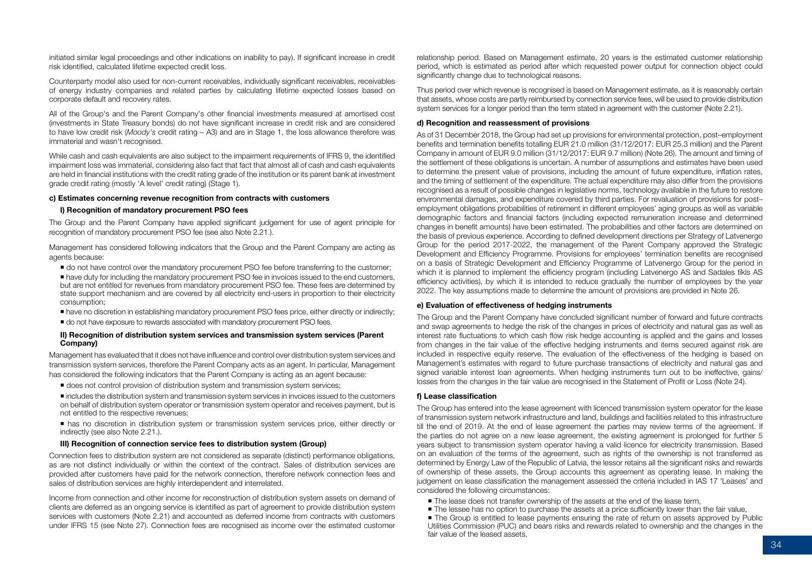initiated similar legal proceedings and other indications on inability to pay). If significant increase in credit risk identified, calculated lifetime expected credit loss.

Counterparty model also used for non-current receivables, individually significant receivables, receivables of energy industry companies and related parties by calculating lifetime expected losses based on corporate default and recovery rates.

All of the Group's and the Parent Company's other financial investments measured at amortised cost (investments in State Treasury bonds) do not have significant increase in credit risk and are considered to have low credit risk (*Moody's* credit rating – A3) and are in Stage 1, the loss allowance therefore was immaterial and wasn't recognised.

While cash and cash equivalents are also subject to the impairment requirements of IFRS 9, the identified impairment loss was immaterial, considering also fact that fact that almost all of cash and cash equivalents are held in financial institutions with the credit rating grade of the institution or its parent bank at investment grade credit rating (mostly 'A level' credit rating) (Stage 1).

#### c) Estimates concerning revenue recognition from contracts with customers

#### I) Recognition of mandatory procurement PSO fees

The Group and the Parent Company have applied significant judgement for use of agent principle for recognition of mandatory procurement PSO fee (see also Note 2.21.).

Management has considered following indicators that the Group and the Parent Company are acting as agents because:

- $\blacksquare$  do not have control over the mandatory procurement PSO fee before transferring to the customer;
- have duty for including the mandatory procurement PSO fee in invoices issued to the end customers, but are not entitled for revenues from mandatory procurement PSO fee. These fees are determined by state support mechanism and are covered by all electricity end-users in proportion to their electricity consumption;
- $\blacksquare$  have no discretion in establishing mandatory procurement PSO fees price, either directly or indirectly;
- $\blacksquare$  do not have exposure to rewards associated with mandatory procurement PSO fees.

#### II) Recognition of distribution system services and transmission system services (Parent Company)

Management has evaluated that it does not have influence and control over distribution system services and transmission system services, therefore the Parent Company acts as an agent. In particular, Management has considered the following indicators that the Parent Company is acting as an agent because:

- does not control provision of distribution system and transmission system services;
- includes the distribution system and transmission system services in invoices issued to the customers on behalf of distribution system operator or transmission system operator and receives payment, but is not entitled to the respective revenues;
- has no discretion in distribution system or transmission system services price, either directly or indirectly (see also Note 2.21.).

#### III) Recognition of connection service fees to distribution system (Group)

Connection fees to distribution system are not considered as separate (distinct) performance obligations, as are not distinct individually or within the context of the contract. Sales of distribution services are provided after customers have paid for the network connection, therefore network connection fees and sales of distribution services are highly interdependent and interrelated.

Income from connection and other income for reconstruction of distribution system assets on demand of clients are deferred as an ongoing service is identified as part of agreement to provide distribution system services with customers (Note 2.21) and accounted as deferred income from contracts with customers under IFRS 15 (see Note 27). Connection fees are recognised as income over the estimated customer

relationship period. Based on Management estimate, 20 years is the estimated customer relationship period, which is estimated as period after which requested power output for connection object could significantly change due to technological reasons.

Thus period over which revenue is recognised is based on Management estimate, as it is reasonably certain that assets, whose costs are partly reimbursed by connection service fees, will be used to provide distribution system services for a longer period than the term stated in agreement with the customer (Note 2.21).

#### d) Recognition and reassessment of provisions

As of 31 December 2018, the Group had set up provisions for environmental protection, post–employment benefits and termination benefits totalling EUR 21.0 million (31/12/2017: EUR 25.3 million) and the Parent Company in amount of EUR 9.0 million (31/12/2017: EUR 9.7 million) (Note 26). The amount and timing of the settlement of these obligations is uncertain. A number of assumptions and estimates have been used to determine the present value of provisions, including the amount of future expenditure, inflation rates, and the timing of settlement of the expenditure. The actual expenditure may also differ from the provisions recognised as a result of possible changes in legislative norms, technology available in the future to restore environmental damages, and expenditure covered by third parties. For revaluation of provisions for post– employment obligations probabilities of retirement in different employees' aging groups as well as variable demographic factors and financial factors (including expected remuneration increase and determined changes in benefit amounts) have been estimated. The probabilities and other factors are determined on the basis of previous experience. According to defined development directions per Strategy of Latvenergo Group for the period 2017-2022, the management of the Parent Company approved the Strategic Development and Efficiency Programme. Provisions for employees' termination benefits are recognised on a basis of Strategic Development and Efficiency Programme of Latvenergo Group for the period in which it is planned to implement the efficiency program (including Latvenergo AS and Sadales tīkls AS efficiency activities), by which it is intended to reduce gradually the number of employees by the year 2022. The key assumptions made to determine the amount of provisions are provided in Note 26.

#### e) Evaluation of effectiveness of hedging instruments

The Group and the Parent Company have concluded significant number of forward and future contracts and swap agreements to hedge the risk of the changes in prices of electricity and natural gas as well as interest rate fluctuations to which cash flow risk hedge accounting is applied and the gains and losses from changes in the fair value of the effective hedging instruments and items secured against risk are included in respective equity reserve. The evaluation of the effectiveness of the hedging is based on Management's estimates with regard to future purchase transactions of electricity and natural gas and signed variable interest loan agreements. When hedging instruments turn out to be ineffective, gains/ losses from the changes in the fair value are recognised in the Statement of Profit or Loss (Note 24).

#### f) Lease classification

The Group has entered into the lease agreement with licenced transmission system operator for the lease of transmission system network infrastructure and land, buildings and facilities related to this infrastructure till the end of 2019. At the end of lease agreement the parties may review terms of the agreement. If the parties do not agree on a new lease agreement, the existing agreement is prolonged for further 5 years subject to transmission system operator having a valid licence for electricity transmission. Based on an evaluation of the terms of the agreement, such as rights of the ownership is not transferred as determined by Energy Law of the Republic of Latvia, the lessor retains all the significant risks and rewards of ownership of these assets, the Group accounts this agreement as operating lease. In making the judgement on lease classification the management assessed the criteria included in IAS 17 'Leases' and considered the following circumstances:

- **The lease does not transfer ownership of the assets at the end of the lease term,**
- The lessee has no option to purchase the assets at a price sufficiently lower than the fair value,
- The Group is entitled to lease payments ensuring the rate of return on assets approved by Public Utilities Commission (PUC) and bears risks and rewards related to ownership and the changes in the fair value of the leased assets,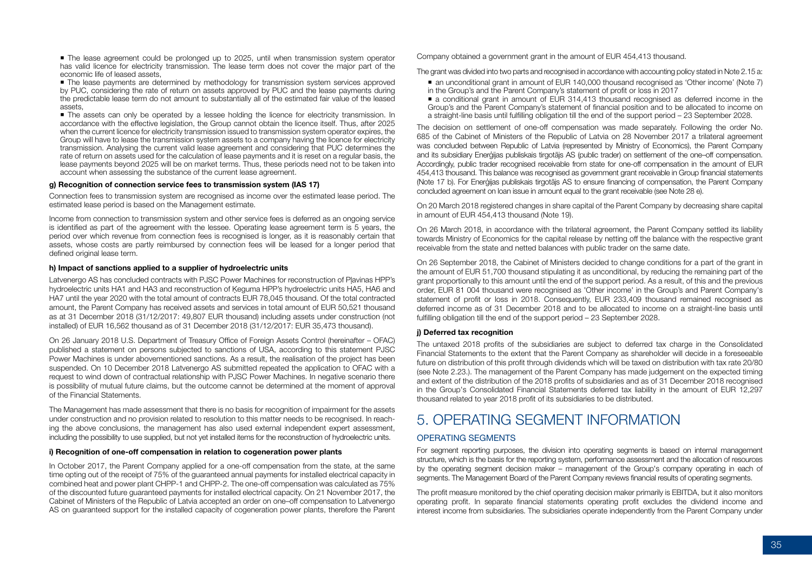The lease agreement could be prolonged up to 2025, until when transmission system operator has valid licence for electricity transmission. The lease term does not cover the major part of the economic life of leased assets,

 The lease payments are determined by methodology for transmission system services approved by PUC, considering the rate of return on assets approved by PUC and the lease payments during the predictable lease term do not amount to substantially all of the estimated fair value of the leased assets,

**The assets can only be operated by a lessee holding the licence for electricity transmission. In** accordance with the effective legislation, the Group cannot obtain the licence itself. Thus, after 2025 when the current licence for electricity transmission issued to transmission system operator expires, the Group will have to lease the transmission system assets to a company having the licence for electricity transmission. Analysing the current valid lease agreement and considering that PUC determines the rate of return on assets used for the calculation of lease payments and it is reset on a regular basis, the lease payments beyond 2025 will be on market terms. Thus, these periods need not to be taken into account when assessing the substance of the current lease agreement.

#### g) Recognition of connection service fees to transmission system (IAS 17)

Connection fees to transmission system are recognised as income over the estimated lease period. The estimated lease period is based on the Management estimate.

Income from connection to transmission system and other service fees is deferred as an ongoing service is identified as part of the agreement with the lessee. Operating lease agreement term is 5 years, the period over which revenue from connection fees is recognised is longer, as it is reasonably certain that assets, whose costs are partly reimbursed by connection fees will be leased for a longer period that defined original lease term.

#### h) Impact of sanctions applied to a supplier of hydroelectric units

Latvenergo AS has concluded contracts with PJSC Power Machines for reconstruction of Plavinas HPP's hydroelectric units HA1 and HA3 and reconstruction of Ķeguma HPP's hydroelectric units HA5, HA6 and HA7 until the year 2020 with the total amount of contracts EUR 78,045 thousand. Of the total contracted amount, the Parent Company has received assets and services in total amount of EUR 50,521 thousand as at 31 December 2018 (31/12/2017: 49,807 EUR thousand) including assets under construction (not installed) of EUR 16,562 thousand as of 31 December 2018 (31/12/2017: EUR 35,473 thousand).

On 26 January 2018 U.S. Department of Treasury Office of Foreign Assets Control (hereinafter – OFAC) published a statement on persons subjected to sanctions of USA, according to this statement PJSC Power Machines is under abovementioned sanctions. As a result, the realisation of the project has been suspended. On 10 December 2018 Latvenergo AS submitted repeated the application to OFAC with a request to wind down of contractual relationship with PJSC Power Machines. In negative scenario there is possibility of mutual future claims, but the outcome cannot be determined at the moment of approval of the Financial Statements.

The Management has made assessment that there is no basis for recognition of impairment for the assets under construction and no provision related to resolution to this matter needs to be recognised. In reaching the above conclusions, the management has also used external independent expert assessment, including the possibility to use supplied, but not yet installed items for the reconstruction of hydroelectric units.

#### i) Recognition of one-off compensation in relation to cogeneration power plants

In October 2017, the Parent Company applied for a one-off compensation from the state, at the same time opting out of the receipt of 75% of the guaranteed annual payments for installed electrical capacity in combined heat and power plant CHPP-1 and CHPP-2. The one-off compensation was calculated as 75% of the discounted future guaranteed payments for installed electrical capacity. On 21 November 2017, the Cabinet of Ministers of the Republic of Latvia accepted an order on one–off compensation to Latvenergo AS on guaranteed support for the installed capacity of cogeneration power plants, therefore the Parent

Company obtained a government grant in the amount of EUR 454,413 thousand.

The grant was divided into two parts and recognised in accordance with accounting policy stated in Note 2.15 a:

- an unconditional grant in amount of EUR 140,000 thousand recognised as 'Other income' (Note 7) in the Group's and the Parent Company's statement of profit or loss in 2017
- a conditional grant in amount of EUR 314,413 thousand recognised as deferred income in the Group's and the Parent Company's statement of financial position and to be allocated to income on a straight-line basis until fulfilling obligation till the end of the support period – 23 September 2028.

The decision on settlement of one-off compensation was made separately. Following the order No. 685 of the Cabinet of Ministers of the Republic of Latvia on 28 November 2017 a trilateral agreement was concluded between Republic of Latvia (represented by Ministry of Economics), the Parent Company and its subsidiary Enerģijas publiskais tirgotājs AS (public trader) on settlement of the one–off compensation. Accordingly, public trader recognised receivable from state for one-off compensation in the amount of EUR 454,413 thousand. This balance was recognised as government grant receivable in Group financial statements (Note 17 b). For Enerģijas publiskais tirgotājs AS to ensure financing of compensation, the Parent Company concluded agreement on loan issue in amount equal to the grant receivable (see Note 28 e).

On 20 March 2018 registered changes in share capital of the Parent Company by decreasing share capital in amount of EUR 454,413 thousand (Note 19).

On 26 March 2018, in accordance with the trilateral agreement, the Parent Company settled its liability towards Ministry of Economics for the capital release by netting off the balance with the respective grant receivable from the state and netted balances with public trader on the same date.

On 26 September 2018, the Cabinet of Ministers decided to change conditions for a part of the grant in the amount of EUR 51,700 thousand stipulating it as unconditional, by reducing the remaining part of the grant proportionally to this amount until the end of the support period. As a result, of this and the previous order, EUR 81 004 thousand were recognised as 'Other income' in the Group's and Parent Company's statement of profit or loss in 2018. Consequently, EUR 233,409 thousand remained recognised as deferred income as of 31 December 2018 and to be allocated to income on a straight-line basis until fulfilling obligation till the end of the support period – 23 September 2028.

#### j) Deferred tax recognition

The untaxed 2018 profits of the subsidiaries are subject to deferred tax charge in the Consolidated Financial Statements to the extent that the Parent Company as shareholder will decide in a foreseeable future on distribution of this profit through dividends which will be taxed on distribution with tax rate 20/80 (see Note 2.23.). The management of the Parent Company has made judgement on the expected timing and extent of the distribution of the 2018 profits of subsidiaries and as of 31 December 2018 recognised in the Group's Consolidated Financial Statements deferred tax liability in the amount of EUR 12,297 thousand related to year 2018 profit of its subsidiaries to be distributed.

# 5. OPERATING SEGMENT INFORMATION

#### OPERATING SEGMENTS

For segment reporting purposes, the division into operating segments is based on internal management structure, which is the basis for the reporting system, performance assessment and the allocation of resources by the operating segment decision maker – management of the Group's company operating in each of segments. The Management Board of the Parent Company reviews financial results of operating segments.

The profit measure monitored by the chief operating decision maker primarily is EBITDA, but it also monitors operating profit. In separate financial statements operating profit excludes the dividend income and interest income from subsidiaries. The subsidiaries operate independently from the Parent Company under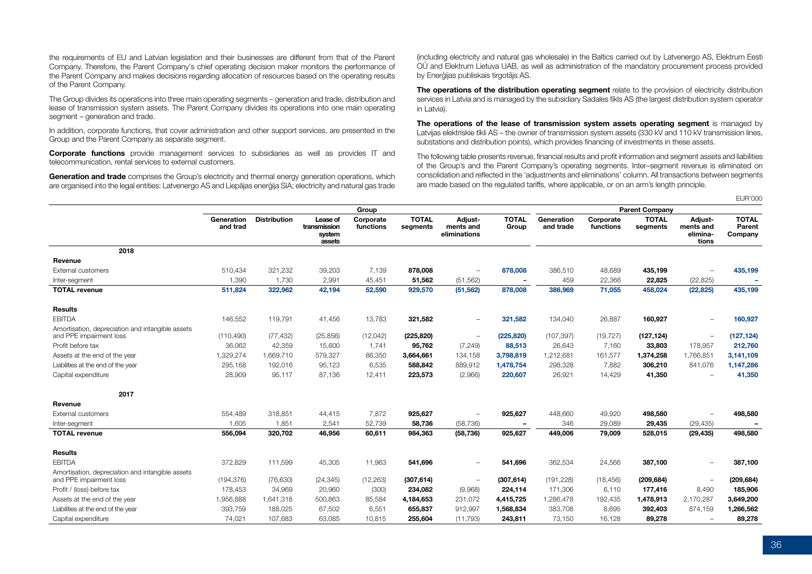the requirements of EU and Latvian legislation and their businesses are different from that of the Parent Company. Therefore, the Parent Company's chief operating decision maker monitors the performance of the Parent Company and makes decisions regarding allocation of resources based on the operating results of the Parent Company.

The Group divides its operations into three main operating segments – generation and trade, distribution and lease of transmission system assets. The Parent Company divides its operations into one main operating segment – generation and trade.

In addition, corporate functions, that cover administration and other support services, are presented in the Group and the Parent Company as separate segment.

Corporate functions provide management services to subsidiaries as well as provides IT and telecommunication, rental services to external customers.

Generation and trade comprises the Group's electricity and thermal energy generation operations, which are organised into the legal entities: Latvenergo AS and Liepājas enerģija SIA; electricity and natural gas trade

(including electricity and natural gas wholesale) in the Baltics carried out by Latvenergo AS, Elektrum Eesti OÜ and Elektrum Lietuva UAB, as well as administration of the mandatory procurement process provided by Enerģijas publiskais tirgotājs AS.

The operations of the distribution operating segment relate to the provision of electricity distribution services in Latvia and is managed by the subsidiary Sadales tīkls AS (the largest distribution system operator in Latvia).

The operations of the lease of transmission system assets operating segment is managed by Latvijas elektriskie tīkli AS – the owner of transmission system assets (330 kV and 110 kV transmission lines, substations and distribution points), which provides financing of investments in these assets.

The following table presents revenue, financial results and profit information and segment assets and liabilities of the Group's and the Parent Company's operating segments. Inter–segment revenue is eliminated on consolidation and reflected in the 'adjustments and eliminations' column. All transactions between segments are made based on the regulated tariffs, where applicable, or on an arm's length principle.

EUR'000

|                                                                             |                        | Group               |                                              |                        |                          |                                      |                          |                         |                        | <b>Parent Company</b>    |                                           |                                   |
|-----------------------------------------------------------------------------|------------------------|---------------------|----------------------------------------------|------------------------|--------------------------|--------------------------------------|--------------------------|-------------------------|------------------------|--------------------------|-------------------------------------------|-----------------------------------|
|                                                                             | Generation<br>and trad | <b>Distribution</b> | Lease of<br>transmission<br>system<br>assets | Corporate<br>functions | <b>TOTAL</b><br>segments | Adjust-<br>ments and<br>eliminations | <b>TOTAL</b><br>Group    | Generation<br>and trade | Corporate<br>functions | <b>TOTAL</b><br>segments | Adiust-<br>ments and<br>elimina-<br>tions | <b>TOTAL</b><br>Parent<br>Company |
| 2018                                                                        |                        |                     |                                              |                        |                          |                                      |                          |                         |                        |                          |                                           |                                   |
| Revenue                                                                     |                        |                     |                                              |                        |                          |                                      |                          |                         |                        |                          |                                           |                                   |
| External customers                                                          | 510,434                | 321,232             | 39,203                                       | 7,139                  | 878,008                  | $\qquad \qquad -$                    | 878,008                  | 386,510                 | 48,689                 | 435,199                  | $\overline{\phantom{0}}$                  | 435,199                           |
| Inter-segment                                                               | 1,390                  | 1,730               | 2,991                                        | 45,451                 | 51,562                   | (51, 562)                            |                          | 459                     | 22,366                 | 22,825                   | (22, 825)                                 |                                   |
| <b>TOTAL revenue</b>                                                        | 511,824                | 322,962             | 42,194                                       | 52,590                 | 929,570                  | (51, 562)                            | 878,008                  | 386,969                 | 71,055                 | 458,024                  | (22, 825)                                 | 435,199                           |
| <b>Results</b>                                                              |                        |                     |                                              |                        |                          |                                      |                          |                         |                        |                          |                                           |                                   |
| <b>EBITDA</b>                                                               | 146,552                | 119,791             | 41,456                                       | 13,783                 | 321,582                  | -                                    | 321,582                  | 134,040                 | 26,887                 | 160,927                  |                                           | 160,927                           |
| Amortisation, depreciation and intangible assets<br>and PPE impairment loss | (110, 490)             | (77, 432)           | (25, 856)                                    | (12,042)               | (225, 820)               | $\overline{\phantom{m}}$             | (225, 820)               | (107, 397)              | (19, 727)              | (127, 124)               | $\overline{\phantom{a}}$                  | (127, 124)                        |
| Profit before tax                                                           | 36,062                 | 42,359              | 15,600                                       | 1,741                  | 95,762                   | (7, 249)                             | 88,513                   | 26,643                  | 7,160                  | 33,803                   | 178,957                                   | 212,760                           |
| Assets at the end of the year                                               | 1,329,274              | 1,669,710           | 579,327                                      | 86,350                 | 3,664,661                | 134,158                              | 3,798,819                | 1,212,681               | 161,577                | 1,374,258                | 1,766,851                                 | 3,141,109                         |
| Liabilities at the end of the year                                          | 295,168                | 192,016             | 95,123                                       | 6,535                  | 588,842                  | 889,912                              | 1,478,754                | 298,328                 | 7,882                  | 306,210                  | 841,076                                   | 1,147,286                         |
| Capital expenditure                                                         | 28,909                 | 95,117              | 87,136                                       | 12,411                 | 223,573                  | (2,966)                              | 220,607                  | 26,921                  | 14.429                 | 41,350                   |                                           | 41,350                            |
| 2017                                                                        |                        |                     |                                              |                        |                          |                                      |                          |                         |                        |                          |                                           |                                   |
| Revenue                                                                     |                        |                     |                                              |                        |                          |                                      |                          |                         |                        |                          |                                           |                                   |
| External customers                                                          | 554,489                | 318,851             | 44,415                                       | 7,872                  | 925,627                  | $\overline{\phantom{0}}$             | 925,627                  | 448,660                 | 49,920                 | 498.580                  |                                           | 498,580                           |
| Inter-segment                                                               | 1,605                  | 1,851               | 2,541                                        | 52,739                 | 58,736                   | (58, 736)                            | $\overline{\phantom{a}}$ | 346                     | 29,089                 | 29,435                   | (29, 435)                                 |                                   |
| <b>TOTAL revenue</b>                                                        | 556,094                | 320,702             | 46,956                                       | 60,611                 | 984,363                  | (58, 736)                            | 925,627                  | 449,006                 | 79,009                 | 528,015                  | (29, 435)                                 | 498,580                           |
| <b>Results</b>                                                              |                        |                     |                                              |                        |                          |                                      |                          |                         |                        |                          |                                           |                                   |
| <b>EBITDA</b>                                                               | 372,829                | 111,599             | 45,305                                       | 11,963                 | 541,696                  | $\qquad \qquad -$                    | 541,696                  | 362,534                 | 24,566                 | 387,100                  |                                           | 387,100                           |
| Amortisation, depreciation and intangible assets<br>and PPE impairment loss | (194, 376)             | (76, 630)           | (24, 345)                                    | (12, 263)              | (307, 614)               | $\qquad \qquad -$                    | (307, 614)               | (191, 228)              | (18, 456)              | (209, 684)               | $\overline{\phantom{0}}$                  | (209, 684)                        |
| Profit / (loss) before tax                                                  | 178,453                | 34,969              | 20,960                                       | (300)                  | 234,082                  | (9,968)                              | 224,114                  | 171,306                 | 6,110                  | 177,416                  | 8,490                                     | 185,906                           |
| Assets at the end of the year                                               | 1,956,888              | 1,641,318           | 500,863                                      | 85,584                 | 4,184,653                | 231,072                              | 4,415,725                | 1,286,478               | 192,435                | 1,478,913                | 2,170,287                                 | 3,649,200                         |
| Liabilities at the end of the year                                          | 393,759                | 188,025             | 67,502                                       | 6,551                  | 655,837                  | 912,997                              | 1,568,834                | 383,708                 | 8,695                  | 392,403                  | 874,159                                   | 1,266,562                         |
| Capital expenditure                                                         | 74,021                 | 107,683             | 63,085                                       | 10,815                 | 255,604                  | (11, 793)                            | 243,811                  | 73,150                  | 16.128                 | 89,278                   |                                           | 89,278                            |
|                                                                             |                        |                     |                                              |                        |                          |                                      |                          |                         |                        |                          |                                           |                                   |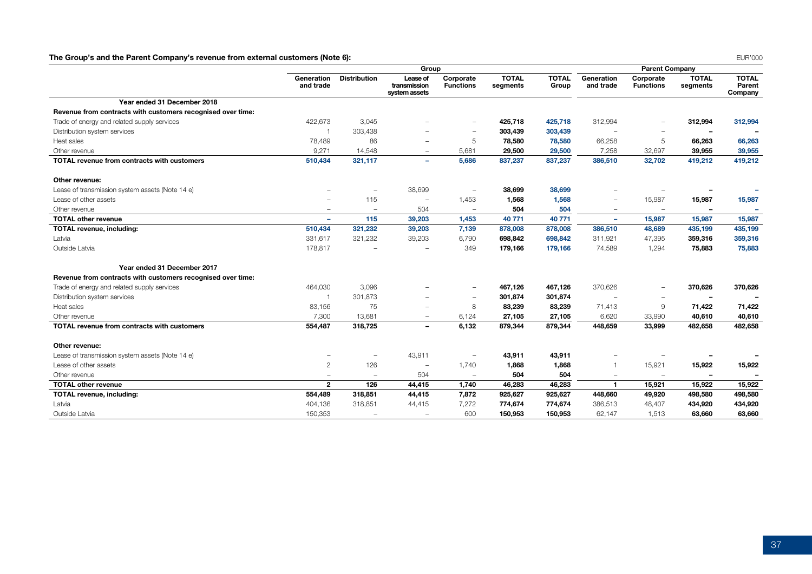### The Group's and the Parent Company's revenue from external customers (Note 6):

|                                                             |                          |                          | Group                                     |                               |                          |                       | <b>Parent Company</b>    |                               |                          |                                   |
|-------------------------------------------------------------|--------------------------|--------------------------|-------------------------------------------|-------------------------------|--------------------------|-----------------------|--------------------------|-------------------------------|--------------------------|-----------------------------------|
|                                                             | Generation<br>and trade  | <b>Distribution</b>      | Lease of<br>transmission<br>system assets | Corporate<br><b>Functions</b> | <b>TOTAL</b><br>segments | <b>TOTAL</b><br>Group | Generation<br>and trade  | Corporate<br><b>Functions</b> | <b>TOTAL</b><br>segments | <b>TOTAL</b><br>Parent<br>Company |
| Year ended 31 December 2018                                 |                          |                          |                                           |                               |                          |                       |                          |                               |                          |                                   |
| Revenue from contracts with customers recognised over time: |                          |                          |                                           |                               |                          |                       |                          |                               |                          |                                   |
| Trade of energy and related supply services                 | 422.673                  | 3,045                    |                                           | $\overline{\phantom{m}}$      | 425,718                  | 425,718               | 312,994                  | $\overline{\phantom{0}}$      | 312,994                  | 312,994                           |
| Distribution system services                                | 1                        | 303,438                  |                                           | $\overline{\phantom{a}}$      | 303,439                  | 303,439               |                          |                               |                          |                                   |
| Heat sales                                                  | 78,489                   | 86                       |                                           | 5                             | 78,580                   | 78,580                | 66,258                   | 5                             | 66,263                   | 66,263                            |
| Other revenue                                               | 9,271                    | 14,548                   | $\overline{\phantom{a}}$                  | 5,681                         | 29,500                   | 29,500                | 7,258                    | 32,697                        | 39,955                   | 39,955                            |
| <b>TOTAL revenue from contracts with customers</b>          | 510,434                  | 321,117                  | $\equiv$                                  | 5,686                         | 837,237                  | 837,237               | 386,510                  | 32,702                        | 419,212                  | 419,212                           |
| Other revenue:                                              |                          |                          |                                           |                               |                          |                       |                          |                               |                          |                                   |
| Lease of transmission system assets (Note 14 e)             |                          | $\overline{\phantom{m}}$ | 38,699                                    | $\overline{\phantom{a}}$      | 38,699                   | 38,699                |                          |                               |                          |                                   |
| Lease of other assets                                       |                          | 115                      | $\overline{\phantom{a}}$                  | 1,453                         | 1,568                    | 1,568                 | $\overline{\phantom{0}}$ | 15,987                        | 15,987                   | 15,987                            |
| Other revenue                                               | $\overline{\phantom{m}}$ | $\overline{\phantom{a}}$ | 504                                       | $\overline{\phantom{a}}$      | 504                      | 504                   | $\equiv$                 | $\overline{\phantom{0}}$      | $\overline{\phantom{a}}$ | $\overline{\phantom{m}}$          |
| <b>TOTAL other revenue</b>                                  | $\overline{\phantom{0}}$ | 115                      | 39,203                                    | 1,453                         | 40 771                   | 40 771                | $\equiv$                 | 15,987                        | 15,987                   | 15,987                            |
| <b>TOTAL revenue, including:</b>                            | 510,434                  | 321,232                  | 39,203                                    | 7,139                         | 878,008                  | 878,008               | 386,510                  | 48,689                        | 435,199                  | 435,199                           |
| Latvia                                                      | 331,617                  | 321,232                  | 39,203                                    | 6.790                         | 698,842                  | 698,842               | 311,921                  | 47,395                        | 359,316                  | 359,316                           |
| Outside Latvia                                              | 178,817                  |                          |                                           | 349                           | 179,166                  | 179,166               | 74,589                   | 1,294                         | 75,883                   | 75,883                            |
| Year ended 31 December 2017                                 |                          |                          |                                           |                               |                          |                       |                          |                               |                          |                                   |
| Revenue from contracts with customers recognised over time: |                          |                          |                                           |                               |                          |                       |                          |                               |                          |                                   |
| Trade of energy and related supply services                 | 464,030                  | 3,096                    |                                           | $\overline{\phantom{m}}$      | 467,126                  | 467,126               | 370,626                  | $\overline{\phantom{0}}$      | 370,626                  | 370,626                           |
| Distribution system services                                | $\mathbf{1}$             | 301,873                  |                                           | $\overline{\phantom{a}}$      | 301,874                  | 301,874               |                          |                               |                          |                                   |
| Heat sales                                                  | 83,156                   | 75                       |                                           | 8                             | 83,239                   | 83,239                | 71,413                   | 9                             | 71,422                   | 71,422                            |
| Other revenue                                               | 7,300                    | 13,681                   | $\overline{\phantom{a}}$                  | 6.124                         | 27,105                   | 27,105                | 6.620                    | 33,990                        | 40,610                   | 40,610                            |
| TOTAL revenue from contracts with customers                 | 554,487                  | 318,725                  | $\overline{\phantom{0}}$                  | 6,132                         | 879,344                  | 879,344               | 448,659                  | 33,999                        | 482,658                  | 482,658                           |
| Other revenue:                                              |                          |                          |                                           |                               |                          |                       |                          |                               |                          |                                   |
| Lease of transmission system assets (Note 14 e)             |                          | $\qquad \qquad -$        | 43,911                                    | $\overline{\phantom{a}}$      | 43,911                   | 43,911                |                          |                               |                          |                                   |
| Lease of other assets                                       | $\overline{c}$           | 126                      | $\overline{\phantom{a}}$                  | 1,740                         | 1,868                    | 1,868                 | $\mathbf{1}$             | 15,921                        | 15,922                   | 15,922                            |
| Other revenue                                               | $\overline{\phantom{a}}$ | $\overline{\phantom{m}}$ | 504                                       | $\overline{\phantom{a}}$      | 504                      | 504                   | $\overline{\phantom{0}}$ | $\overline{\phantom{0}}$      | $\overline{\phantom{0}}$ |                                   |
| <b>TOTAL other revenue</b>                                  | $\mathbf{2}$             | 126                      | 44,415                                    | 1,740                         | 46,283                   | 46,283                | $\mathbf{1}$             | 15,921                        | 15,922                   | 15,922                            |
| <b>TOTAL revenue, including:</b>                            | 554,489                  | 318,851                  | 44,415                                    | 7,872                         | 925,627                  | 925,627               | 448,660                  | 49,920                        | 498,580                  | 498,580                           |
| Latvia                                                      | 404,136                  | 318,851                  | 44,415                                    | 7,272                         | 774,674                  | 774,674               | 386,513                  | 48,407                        | 434,920                  | 434,920                           |
| Outside Latvia                                              | 150,353                  |                          |                                           | 600                           | 150,953                  | 150,953               | 62,147                   | 1,513                         | 63,660                   | 63,660                            |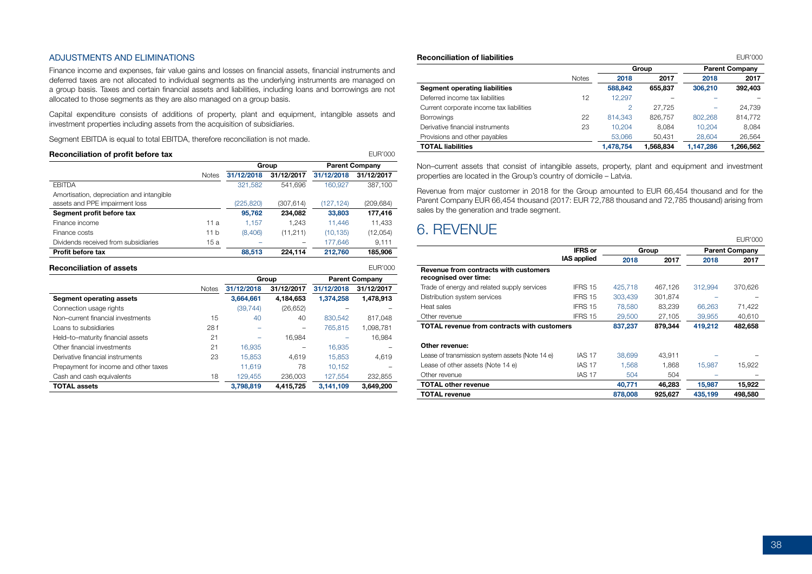#### ADJUSTMENTS AND ELIMINATIONS

Finance income and expenses, fair value gains and losses on financial assets, financial instruments and deferred taxes are not allocated to individual segments as the underlying instruments are managed on a group basis. Taxes and certain financial assets and liabilities, including loans and borrowings are not allocated to those segments as they are also managed on a group basis.

Capital expenditure consists of additions of property, plant and equipment, intangible assets and investment properties including assets from the acquisition of subsidiaries.

Segment EBITDA is equal to total EBITDA, therefore reconciliation is not made.

#### Reconciliation of profit before tax

|                                           |                 |            | Group      |            | <b>Parent Company</b> |
|-------------------------------------------|-----------------|------------|------------|------------|-----------------------|
|                                           | <b>Notes</b>    | 31/12/2018 | 31/12/2017 | 31/12/2018 | 31/12/2017            |
| <b>FBITDA</b>                             |                 | 321.582    | 541.696    | 160.927    | 387.100               |
| Amortisation, depreciation and intangible |                 |            |            |            |                       |
| assets and PPE impairment loss            |                 | (225, 820) | (307, 614) | (127,124)  | (209, 684)            |
| Segment profit before tax                 |                 | 95,762     | 234,082    | 33,803     | 177,416               |
| Finance income                            | 11a             | 1.157      | 1.243      | 11.446     | 11,433                |
| Finance costs                             | 11 <sub>b</sub> | (8,406)    | (11, 211)  | (10, 135)  | (12,054)              |
| Dividends received from subsidiaries      | 15a             |            |            | 177.646    | 9,111                 |
| Profit before tax                         |                 | 88,513     | 224.114    | 212.760    | 185.906               |

EUR'000 Reconciliation of assets

|                                       |              |            | Group      | <b>Parent Company</b> |            |  |
|---------------------------------------|--------------|------------|------------|-----------------------|------------|--|
|                                       | <b>Notes</b> | 31/12/2018 | 31/12/2017 | 31/12/2018            | 31/12/2017 |  |
| <b>Segment operating assets</b>       |              | 3,664,661  | 4,184,653  | 1,374,258             | 1,478,913  |  |
| Connection usage rights               |              | (39, 744)  | (26, 652)  |                       |            |  |
| Non-current financial investments     | 15           | 40         | 40         | 830.542               | 817,048    |  |
| Loans to subsidiaries                 | 28 f         |            |            | 765.815               | 1.098.781  |  |
| Held-to-maturity financial assets     | 21           |            | 16.984     |                       | 16.984     |  |
| Other financial investments           | 21           | 16.935     |            | 16.935                |            |  |
| Derivative financial instruments      | 23           | 15.853     | 4.619      | 15.853                | 4.619      |  |
| Prepayment for income and other taxes |              | 11.619     | 78         | 10.152                |            |  |
| Cash and cash equivalents             | 18           | 129.455    | 236,003    | 127.554               | 232,855    |  |
| <b>TOTAL assets</b>                   |              | 3,798,819  | 4,415,725  | 3,141,109             | 3,649,200  |  |

#### Reconciliation of liabilities

|                                          |              |           | Group     | <b>Parent Company</b> |           |
|------------------------------------------|--------------|-----------|-----------|-----------------------|-----------|
|                                          | <b>Notes</b> | 2018      | 2017      | 2018                  | 2017      |
| <b>Segment operating liabilities</b>     |              | 588.842   | 655.837   | 306,210               | 392,403   |
| Deferred income tax liabilities          | 12           | 12.297    |           |                       |           |
| Current corporate income tax liabilities |              | 2         | 27.725    | -                     | 24,739    |
| <b>Borrowings</b>                        | 22           | 814.343   | 826.757   | 802.268               | 814.772   |
| Derivative financial instruments         | 23           | 10.204    | 8.084     | 10.204                | 8.084     |
| Provisions and other payables            |              | 53.066    | 50.431    | 28.604                | 26,564    |
| <b>TOTAL liabilities</b>                 |              | 1,478,754 | 1,568,834 | 1,147,286             | 1,266,562 |

Non–current assets that consist of intangible assets, property, plant and equipment and investment properties are located in the Group's country of domicile – Latvia.

Revenue from major customer in 2018 for the Group amounted to EUR 66,454 thousand and for the Parent Company EUR 66,454 thousand (2017: EUR 72,788 thousand and 72,785 thousand) arising from sales by the generation and trade segment.

# 6. REVENUE

EUR'000

|                                                                |                    |         |         |                       | LUI I UUU |
|----------------------------------------------------------------|--------------------|---------|---------|-----------------------|-----------|
|                                                                | <b>IFRS or</b>     | Group   |         | <b>Parent Company</b> |           |
|                                                                | <b>IAS applied</b> | 2018    | 2017    | 2018                  | 2017      |
| Revenue from contracts with customers<br>recognised over time: |                    |         |         |                       |           |
| Trade of energy and related supply services                    | IFRS 15            | 425.718 | 467,126 | 312.994               | 370,626   |
| Distribution system services                                   | IFRS 15            | 303.439 | 301,874 |                       |           |
| Heat sales                                                     | IFRS 15            | 78.580  | 83.239  | 66.263                | 71,422    |
| Other revenue                                                  | IFRS 15            | 29,500  | 27,105  | 39.955                | 40.610    |
| <b>TOTAL revenue from contracts with customers</b>             |                    | 837,237 | 879.344 | 419.212               | 482,658   |
|                                                                |                    |         |         |                       |           |
| Other revenue:                                                 |                    |         |         |                       |           |
| Lease of transmission system assets (Note 14 e)                | <b>IAS 17</b>      | 38.699  | 43.911  |                       |           |
| Lease of other assets (Note 14 e)                              | <b>IAS 17</b>      | 1.568   | 1.868   | 15.987                | 15,922    |
| Other revenue                                                  | <b>IAS 17</b>      | 504     | 504     |                       |           |
| <b>TOTAL other revenue</b>                                     |                    | 40.771  | 46.283  | 15.987                | 15.922    |
| <b>TOTAL revenue</b>                                           |                    | 878,008 | 925.627 | 435.199               | 498.580   |

EUR'000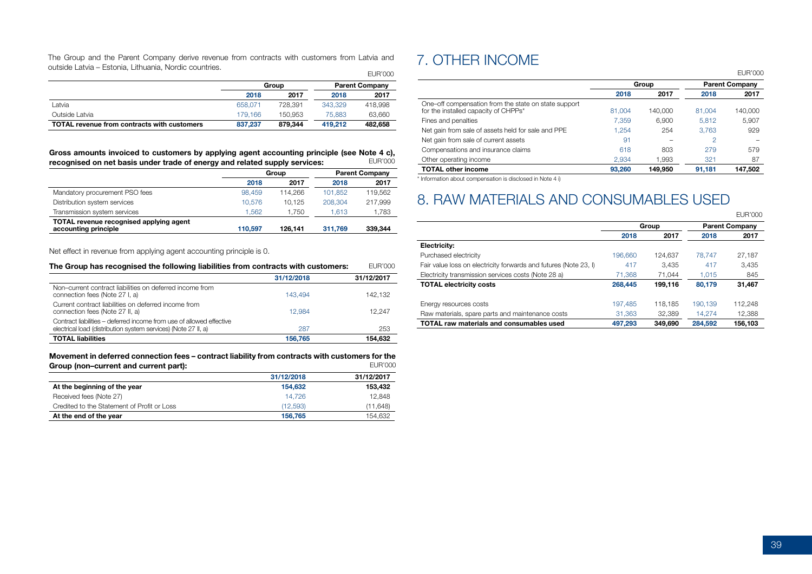The Group and the Parent Company derive revenue from contracts with customers from Latvia and outside Latvia – Estonia, Lithuania, Nordic countries. EUR'000

|                                                    |         |         |                       | __      |  |
|----------------------------------------------------|---------|---------|-----------------------|---------|--|
|                                                    | Group   |         | <b>Parent Company</b> |         |  |
|                                                    | 2018    | 2017    | 2018                  | 2017    |  |
| Latvia                                             | 658,071 | 728.391 | 343.329               | 418.998 |  |
| Outside Latvia                                     | 179.166 | 150.953 | 75,883                | 63.660  |  |
| <b>TOTAL revenue from contracts with customers</b> | 837.237 | 879.344 | 419.212               | 482.658 |  |

EUR'000 Gross amounts invoiced to customers by applying agent accounting principle (see Note 4 c), recognised on net basis under trade of energy and related supply services:

|                                                                        |         | Group   |         | <b>Parent Company</b> |
|------------------------------------------------------------------------|---------|---------|---------|-----------------------|
|                                                                        | 2018    | 2017    | 2018    | 2017                  |
| Mandatory procurement PSO fees                                         | 98.459  | 114.266 | 101.852 | 119.562               |
| Distribution system services                                           | 10.576  | 10.125  | 208.304 | 217.999               |
| Transmission system services                                           | .562    | 1.750   | 1.613   | 1,783                 |
| <b>TOTAL revenue recognised applying agent</b><br>accounting principle | 110.597 | 126.141 | 311.769 | 339,344               |

Net effect in revenue from applying agent accounting principle is 0.

#### EUR'000 The Group has recognised the following liabilities from contracts with customers:

|                                                                                                                                        | 31/12/2018 | 31/12/2017 |
|----------------------------------------------------------------------------------------------------------------------------------------|------------|------------|
| Non-current contract liabilities on deferred income from<br>connection fees (Note 27 I, a)                                             | 143.494    | 142.132    |
| Current contract liabilities on deferred income from<br>connection fees (Note 27 II, a)                                                | 12.984     | 12.247     |
| Contract liabilities – deferred income from use of allowed effective<br>electrical load (distribution system services) (Note 27 II, a) | 287        | 253        |
| <b>TOTAL liabilities</b>                                                                                                               | 156.765    | 154.632    |

#### EUR'000 Movement in deferred connection fees – contract liability from contracts with customers for the Group (non–current and current part):

| aroup mon-current and current party.        |            | ------     |
|---------------------------------------------|------------|------------|
|                                             | 31/12/2018 | 31/12/2017 |
| At the beginning of the year                | 154.632    | 153.432    |
| Received fees (Note 27)                     | 14.726     | 12.848     |
| Credited to the Statement of Profit or Loss | (12.593)   | (11.648)   |
| At the end of the year                      | 156.765    | 154.632    |

## 7. OTHER INCOME

|                                                                                              |        |         |        | LUN UUU               |
|----------------------------------------------------------------------------------------------|--------|---------|--------|-----------------------|
|                                                                                              | Group  |         |        | <b>Parent Company</b> |
|                                                                                              | 2018   | 2017    | 2018   | 2017                  |
| One-off compensation from the state on state support<br>for the installed capacity of CHPPs* | 81.004 | 140.000 | 81.004 | 140,000               |
| Fines and penalties                                                                          | 7.359  | 6.900   | 5.812  | 5,907                 |
| Net gain from sale of assets held for sale and PPE                                           | 1.254  | 254     | 3.763  | 929                   |
| Net gain from sale of current assets                                                         | 91     |         | 2      |                       |
| Compensations and insurance claims                                                           | 618    | 803     | 279    | 579                   |
| Other operating income                                                                       | 2.934  | 1.993   | 321    | 87                    |
| <b>TOTAL other income</b>                                                                    | 93.260 | 149.950 | 91.181 | 147.502               |

\* Information about compensation is disclosed in Note 4 i)

# 8. RAW MATERIALS AND CONSUMABLES USED

|                                                                  |         |         |         | EUR'000               |
|------------------------------------------------------------------|---------|---------|---------|-----------------------|
|                                                                  |         | Group   |         | <b>Parent Company</b> |
|                                                                  | 2018    | 2017    | 2018    | 2017                  |
| Electricity:                                                     |         |         |         |                       |
| Purchased electricity                                            | 196.660 | 124.637 | 78.747  | 27,187                |
| Fair value loss on electricity forwards and futures (Note 23, I) | 417     | 3.435   | 417     | 3,435                 |
| Electricity transmission services costs (Note 28 a)              | 71.368  | 71.044  | 1.015   | 845                   |
| <b>TOTAL electricity costs</b>                                   | 268,445 | 199.116 | 80.179  | 31.467                |
| Energy resources costs                                           | 197.485 | 118.185 | 190.139 | 112.248               |
| Raw materials, spare parts and maintenance costs                 | 31,363  | 32.389  | 14.274  | 12,388                |
| <b>TOTAL raw materials and consumables used</b>                  | 497,293 | 349,690 | 284.592 | 156.103               |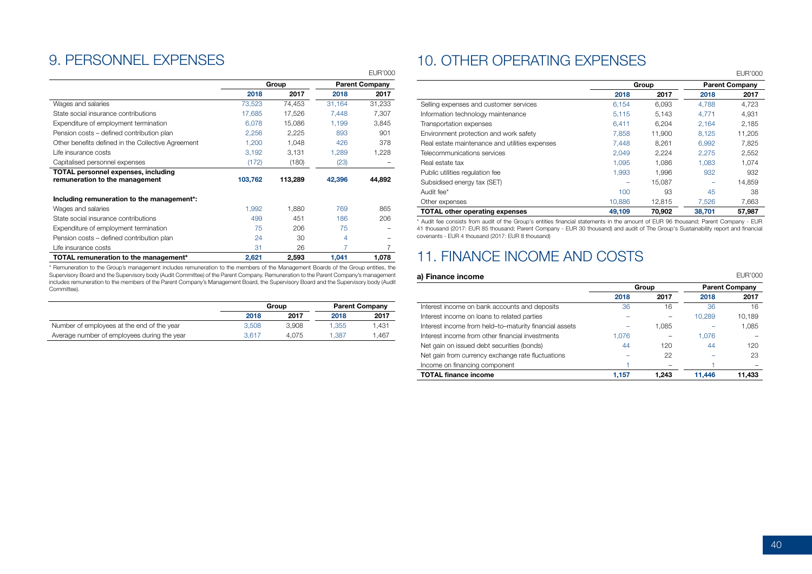## 9. PERSONNEL EXPENSES

|                                                    |         | Group   |        | <b>Parent Company</b> |
|----------------------------------------------------|---------|---------|--------|-----------------------|
|                                                    | 2018    | 2017    | 2018   | 2017                  |
| Wages and salaries                                 | 73,523  | 74,453  | 31,164 | 31,233                |
| State social insurance contributions               | 17,685  | 17,526  | 7,448  | 7,307                 |
| Expenditure of employment termination              | 6.078   | 15,086  | 1,199  | 3,845                 |
| Pension costs - defined contribution plan          | 2,256   | 2,225   | 893    | 901                   |
| Other benefits defined in the Collective Agreement | 1,200   | 1,048   | 426    | 378                   |
| Life insurance costs                               | 3,192   | 3,131   | 1,289  | 1,228                 |
| Capitalised personnel expenses                     | (172)   | (180)   | (23)   |                       |
| <b>TOTAL personnel expenses, including</b>         |         |         |        |                       |
| remuneration to the management                     | 103,762 | 113,289 | 42,396 | 44,892                |
| Including remuneration to the management*:         |         |         |        |                       |
| Wages and salaries                                 | 1.992   | 1.880   | 769    | 865                   |
| State social insurance contributions               | 499     | 451     | 186    | 206                   |
| Expenditure of employment termination              | 75      | 206     | 75     |                       |
| Pension costs - defined contribution plan          | 24      | 30      | 4      |                       |
| Life insurance costs                               | 31      | 26      | 7      |                       |
| TOTAL remuneration to the management*              | 2,621   | 2,593   | 1,041  | 1,078                 |

Supervisory Board and the Supervisory body (Audit Committee) of the Parent Company. Remuneration to the Parent Company's management<br>Includes remuneration to the members of the Parent Company's Management Board, the Supervi \* Remuneration to the Group's management includes remuneration to the members of the Management Boards of the Group entities, the includes remuneration to the members of the Parent Company's Management Board, the Supervisory Board and the Supervisory body (Audit Committee).

|                                             | Group |       | <b>Parent Company</b> |       |
|---------------------------------------------|-------|-------|-----------------------|-------|
|                                             | 2018  | 2017  | 2018                  | 2017  |
| Number of employees at the end of the year  | 3.508 | 3.908 | 1.355                 | 1.431 |
| Average number of employees during the year | 3.617 | 4.075 | 1.387                 | .467  |

# 10. OTHER OPERATING EXPENSES

EUR'000

|                                                |        | Group  |        | <b>Parent Company</b> |
|------------------------------------------------|--------|--------|--------|-----------------------|
|                                                | 2018   | 2017   | 2018   | 2017                  |
| Selling expenses and customer services         | 6.154  | 6.093  | 4.788  | 4,723                 |
| Information technology maintenance             | 5.115  | 5.143  | 4.771  | 4,931                 |
| Transportation expenses                        | 6.411  | 6.204  | 2.164  | 2,185                 |
| Environment protection and work safety         | 7.858  | 11.900 | 8.125  | 11,205                |
| Real estate maintenance and utilities expenses | 7.448  | 8.261  | 6.992  | 7.825                 |
| Telecommunications services                    | 2.049  | 2,224  | 2.275  | 2,552                 |
| Real estate tax                                | 1.095  | 1.086  | 1.083  | 1.074                 |
| Public utilities regulation fee                | 1.993  | 1.996  | 932    | 932                   |
| Subsidised energy tax (SET)                    |        | 15.087 |        | 14,859                |
| Audit fee*                                     | 100    | 93     | 45     | 38                    |
| Other expenses                                 | 10,886 | 12,815 | 7,526  | 7,663                 |
| <b>TOTAL other operating expenses</b>          | 49.109 | 70,902 | 38.701 | 57,987                |

\* Audit fee consists from audit of the Group's entities financial statements in the amount of EUR 96 thousand; Parent Company - EUR 41 thousand (2017: EUR 85 thousand; Parent Company - EUR 30 thousand) and audit of The Group's Sustainability report and financial covenants - EUR 4 thousand (2017: EUR 8 thousand)

# 11. FINANCE INCOME AND COSTS

| a) Finance income                                      |       |       |        | EUR'000               |
|--------------------------------------------------------|-------|-------|--------|-----------------------|
|                                                        |       | Group |        | <b>Parent Company</b> |
|                                                        | 2018  | 2017  | 2018   | 2017                  |
| Interest income on bank accounts and deposits          | 36    | 16    | 36     | 16                    |
| Interest income on loans to related parties            |       |       | 10.289 | 10.189                |
| Interest income from held-to-maturity financial assets |       | 1.085 |        | 1,085                 |
| Interest income from other financial investments       | 1.076 |       | 1.076  |                       |
| Net gain on issued debt securities (bonds)             | 44    | 120   | 44     | 120                   |
| Net gain from currency exchange rate fluctuations      |       | 22    |        | 23                    |
| Income on financing component                          |       |       |        |                       |
| <b>TOTAL finance income</b>                            | 1.157 | 1.243 | 11.446 | 11,433                |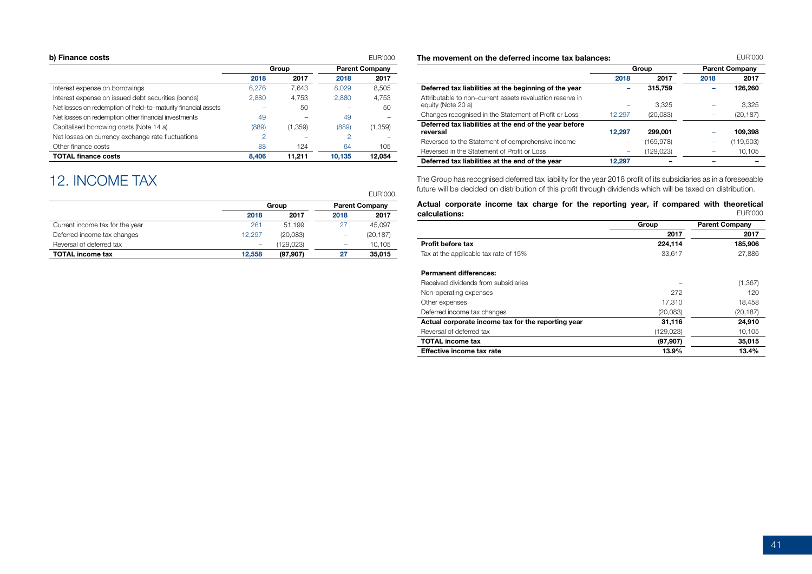### Group Parent Company 2018 2017 2018 2017 Interest expense on borrowings 6,276 7,643 8,029 8,505 Interest expense on issued debt securities (bonds) 2,880 4,753 2,880 4,753 Net losses on redemption of held–to–maturity financial assets  $\qquad \qquad -$  50  $\qquad \qquad -$  50 Net losses on redemption other financial investments  $49$  - 49 – 49 – Capitalised borrowing costs (Note 14 a) (889) (1,359) (889) (889) (1,359) Net losses on currency exchange rate fluctuations  $2 - 2$  – 2 – 2 Other finance costs and the cost of the costs and the costs of the costs of the costs of the costs of the costs and the costs of the costs of the costs of the costs of the costs of the costs of the costs of the costs of th TOTAL finance costs **8,406** 11,211 10,135 12,054 b) Finance costs EUR'000

# 12. INCOME TAX

|                                 |        |                       |      | <b>EUR'000</b> |
|---------------------------------|--------|-----------------------|------|----------------|
|                                 | Group  | <b>Parent Company</b> |      |                |
|                                 | 2018   | 2017                  | 2018 | 2017           |
| Current income tax for the year | 261    | 51.199                | 27   | 45.097         |
| Deferred income tax changes     | 12.297 | (20,083)              | -    | (20, 187)      |
| Reversal of deferred tax        | -      | (129, 023)            | -    | 10,105         |
| <b>TOTAL income tax</b>         | 12,558 | (97, 907)             | 27   | 35,015         |

#### The movement on the deferred income tax balances:

|                                                                                 |        | Group      | <b>Parent Company</b> |           |  |
|---------------------------------------------------------------------------------|--------|------------|-----------------------|-----------|--|
|                                                                                 | 2018   | 2017       | 2018                  | 2017      |  |
| Deferred tax liabilities at the beginning of the year                           |        | 315,759    |                       | 126,260   |  |
| Attributable to non-current assets revaluation reserve in<br>equity (Note 20 a) |        | 3.325      |                       | 3.325     |  |
| Changes recognised in the Statement of Profit or Loss                           | 12.297 | (20,083)   |                       | (20, 187) |  |
| Deferred tax liabilities at the end of the year before<br>reversal              | 12.297 | 299.001    |                       | 109.398   |  |
| Reversed to the Statement of comprehensive income                               |        | (169, 978) |                       | (119,503) |  |
| Reversed in the Statement of Profit or Loss                                     | -      | (129, 023) |                       | 10.105    |  |
| Deferred tax liabilities at the end of the year                                 | 12.297 |            |                       |           |  |

The Group has recognised deferred tax liability for the year 2018 profit of its subsidiaries as in a foreseeable future will be decided on distribution of this profit through dividends which will be taxed on distribution.

#### EUR'000 Actual corporate income tax charge for the reporting year, if compared with theoretical calculations:

|                                                    | Group     | <b>Parent Company</b> |
|----------------------------------------------------|-----------|-----------------------|
|                                                    | 2017      | 2017                  |
| Profit before tax                                  | 224,114   | 185,906               |
| Tax at the applicable tax rate of 15%              | 33.617    | 27.886                |
| <b>Permanent differences:</b>                      |           |                       |
| Received dividends from subsidiaries               |           | (1,367)               |
| Non-operating expenses                             | 272       | 120                   |
| Other expenses                                     | 17.310    | 18.458                |
| Deferred income tax changes                        | (20,083)  | (20, 187)             |
| Actual corporate income tax for the reporting year | 31,116    | 24.910                |
| Reversal of deferred tax                           | (129,023) | 10,105                |
| <b>TOTAL income tax</b>                            | (97, 907) | 35,015                |
| Effective income tax rate                          | 13.9%     | 13.4%                 |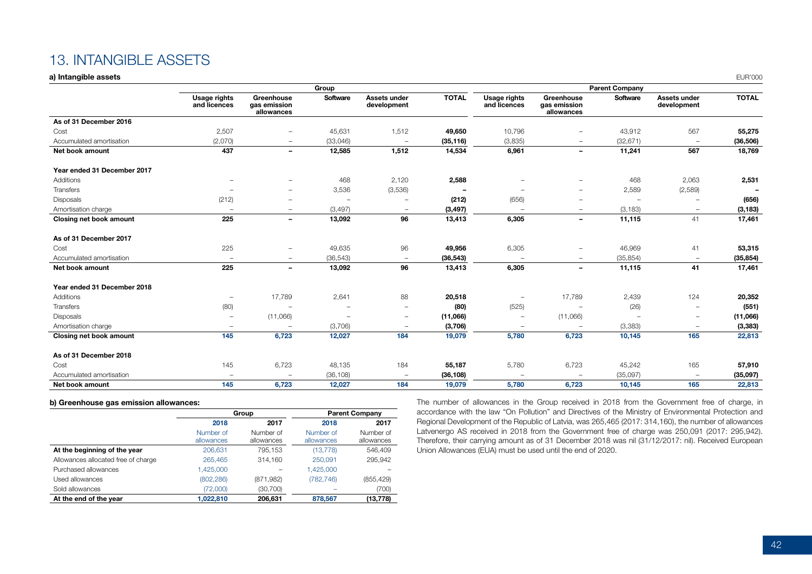# 13. INTANGIBLE ASSETS

### a) Intangible assets

|                             |                                     | Group                                    |           |                             |              | <b>Parent Company</b>               |                                          |           |                             |              |
|-----------------------------|-------------------------------------|------------------------------------------|-----------|-----------------------------|--------------|-------------------------------------|------------------------------------------|-----------|-----------------------------|--------------|
|                             | <b>Usage rights</b><br>and licences | Greenhouse<br>gas emission<br>allowances | Software  | Assets under<br>development | <b>TOTAL</b> | <b>Usage rights</b><br>and licences | Greenhouse<br>gas emission<br>allowances | Software  | Assets under<br>development | <b>TOTAL</b> |
| As of 31 December 2016      |                                     |                                          |           |                             |              |                                     |                                          |           |                             |              |
| Cost                        | 2,507                               | $\overline{\phantom{a}}$                 | 45,631    | 1,512                       | 49,650       | 10,796                              |                                          | 43,912    | 567                         | 55,275       |
| Accumulated amortisation    | (2,070)                             | $\overline{\phantom{m}}$                 | (33,046)  | $\overline{\phantom{a}}$    | (35, 116)    | (3,835)                             | $\qquad \qquad -$                        | (32, 671) |                             | (36, 506)    |
| Net book amount             | 437                                 | $\overline{\phantom{a}}$                 | 12,585    | 1,512                       | 14,534       | 6,961                               | $\overline{\phantom{0}}$                 | 11,241    | 567                         | 18,769       |
| Year ended 31 December 2017 |                                     |                                          |           |                             |              |                                     |                                          |           |                             |              |
| Additions                   | $\overline{\phantom{0}}$            | $\overline{\phantom{a}}$                 | 468       | 2,120                       | 2,588        |                                     |                                          | 468       | 2,063                       | 2,531        |
| Transfers                   |                                     | $\overline{\phantom{m}}$                 | 3,536     | (3,536)                     |              |                                     | $\overline{\phantom{0}}$                 | 2,589     | (2,589)                     |              |
| <b>Disposals</b>            | (212)                               | $\overline{\phantom{a}}$                 |           | $\overline{\phantom{a}}$    | (212)        | (656)                               | $\overline{\phantom{0}}$                 |           |                             | (656)        |
| Amortisation charge         | $\equiv$                            | $\qquad \qquad -$                        | (3, 497)  | $\overline{\phantom{a}}$    | (3, 497)     | $\sim$                              | $\qquad \qquad -$                        | (3, 183)  | $\qquad \qquad$             | (3, 183)     |
| Closing net book amount     | 225                                 | $\overline{\phantom{a}}$                 | 13,092    | 96                          | 13,413       | 6,305                               | $\overline{\phantom{a}}$                 | 11,115    | 41                          | 17,461       |
| As of 31 December 2017      |                                     |                                          |           |                             |              |                                     |                                          |           |                             |              |
| Cost                        | 225                                 | $\qquad \qquad -$                        | 49,635    | 96                          | 49,956       | 6,305                               | $\qquad \qquad -$                        | 46,969    | 41                          | 53,315       |
| Accumulated amortisation    | $\overline{\phantom{m}}$            | $\overline{\phantom{0}}$                 | (36, 543) | $\overline{\phantom{a}}$    | (36, 543)    |                                     | $\qquad \qquad -$                        | (35, 854) | $\overline{\phantom{a}}$    | (35, 854)    |
| Net book amount             | 225                                 | $\overline{\phantom{0}}$                 | 13,092    | 96                          | 13,413       | 6,305                               | $\overline{\phantom{a}}$                 | 11,115    | 41                          | 17,461       |
| Year ended 31 December 2018 |                                     |                                          |           |                             |              |                                     |                                          |           |                             |              |
| Additions                   | $\overline{\phantom{a}}$            | 17,789                                   | 2,641     | 88                          | 20,518       | $\overline{\phantom{a}}$            | 17,789                                   | 2,439     | 124                         | 20,352       |
| Transfers                   | (80)                                |                                          |           | $\overline{\phantom{a}}$    | (80)         | (525)                               |                                          | (26)      |                             | (551)        |
| <b>Disposals</b>            | -                                   | (11,066)                                 |           | $\overline{\phantom{a}}$    | (11,066)     | $\overline{\phantom{a}}$            | (11,066)                                 |           | -                           | (11,066)     |
| Amortisation charge         | $\overline{\phantom{0}}$            | $\overline{\phantom{a}}$                 | (3,706)   | $\overline{\phantom{m}}$    | (3,706)      | $\overline{\phantom{a}}$            | $\overline{\phantom{0}}$                 | (3,383)   | $\overline{\phantom{a}}$    | (3, 383)     |
| Closing net book amount     | 145                                 | 6,723                                    | 12,027    | 184                         | 19,079       | 5,780                               | 6,723                                    | 10,145    | 165                         | 22,813       |
| As of 31 December 2018      |                                     |                                          |           |                             |              |                                     |                                          |           |                             |              |
| Cost                        | 145                                 | 6,723                                    | 48,135    | 184                         | 55,187       | 5,780                               | 6,723                                    | 45,242    | 165                         | 57,910       |
| Accumulated amortisation    | $\overline{\phantom{0}}$            | $\qquad \qquad -$                        | (36, 108) | $\overline{\phantom{m}}$    | (36, 108)    | $\overline{\phantom{a}}$            |                                          | (35,097)  | $\qquad \qquad -$           | (35,097)     |
| Net book amount             | 145                                 | 6,723                                    | 12,027    | 184                         | 19,079       | 5,780                               | 6,723                                    | 10,145    | 165                         | 22,813       |

#### b) Greenhouse gas emission allowances:

|                                     |                         | Group                   |                         | <b>Parent Company</b>   |
|-------------------------------------|-------------------------|-------------------------|-------------------------|-------------------------|
|                                     | 2018                    | 2017                    | 2018                    | 2017                    |
|                                     | Number of<br>allowances | Number of<br>allowances | Number of<br>allowances | Number of<br>allowances |
| At the beginning of the year        | 206.631                 | 795.153                 | (13, 778)               | 546,409                 |
| Allowances allocated free of charge | 265.465                 | 314.160                 | 250.091                 | 295.942                 |
| Purchased allowances                | 1,425,000               |                         | 1,425,000               |                         |
| Used allowances                     | (802, 286)              | (871, 982)              | (782, 746)              | (855, 429)              |
| Sold allowances                     | (72,000)                | (30, 700)               |                         | (700)                   |
| At the end of the year              | 1.022.810               | 206.631                 | 878,567                 | (13,778)                |

The number of allowances in the Group received in 2018 from the Government free of charge, in accordance with the law "On Pollution" and Directives of the Ministry of Environmental Protection and Regional Development of the Republic of Latvia, was 265,465 (2017: 314,160), the number of allowances Latvenergo AS received in 2018 from the Government free of charge was 250,091 (2017: 295,942). Therefore, their carrying amount as of 31 December 2018 was nil (31/12/2017: nil). Received European Union Allowances (EUA) must be used until the end of 2020.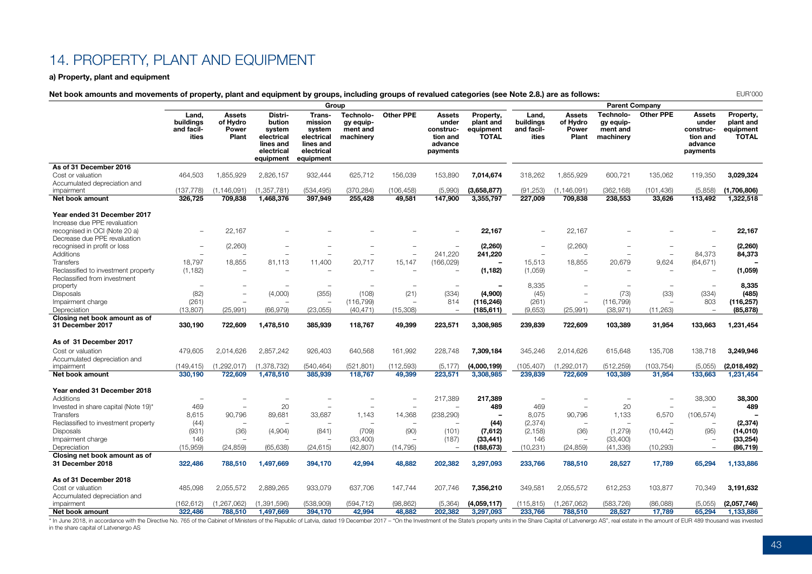# 14. PROPERTY, PLANT AND EQUIPMENT

### a) Property, plant and equipment

Net book amounts and movements of property, plant and equipment by groups, including groups of revalued categories (see Note 2.8.) are as follows: EUR'000

|                                                                                                                                                                                                                                                                                                                                                                     | Group                                                                                                                                |                                                                                                                                                          |                                                                                                                        |                                                                                   |                                                 | <b>Parent Company</b>                                  |                                                                        |                                                                                 |                                                                                                                |                                                                                                                                                                                      |                                                                                                               |                                                                                                                           |                                                                        |                                                                                      |
|---------------------------------------------------------------------------------------------------------------------------------------------------------------------------------------------------------------------------------------------------------------------------------------------------------------------------------------------------------------------|--------------------------------------------------------------------------------------------------------------------------------------|----------------------------------------------------------------------------------------------------------------------------------------------------------|------------------------------------------------------------------------------------------------------------------------|-----------------------------------------------------------------------------------|-------------------------------------------------|--------------------------------------------------------|------------------------------------------------------------------------|---------------------------------------------------------------------------------|----------------------------------------------------------------------------------------------------------------|--------------------------------------------------------------------------------------------------------------------------------------------------------------------------------------|---------------------------------------------------------------------------------------------------------------|---------------------------------------------------------------------------------------------------------------------------|------------------------------------------------------------------------|--------------------------------------------------------------------------------------|
|                                                                                                                                                                                                                                                                                                                                                                     | Land.<br>buildings<br>and facil-<br>ities                                                                                            | <b>Assets</b><br>of Hydro<br>Power<br>Plant                                                                                                              | Distri-<br>bution<br>system<br>electrical<br>lines and<br>electrical<br>equipment                                      | Trans-<br>mission<br>system<br>electrical<br>lines and<br>electrical<br>equipment | Technolo-<br>gy equip-<br>ment and<br>machinerv | Other PPE                                              | <b>Assets</b><br>under<br>construc-<br>tion and<br>advance<br>payments | Property,<br>plant and<br>equipment<br><b>TOTAL</b>                             | Land.<br>buildings<br>and facil-<br>ities                                                                      | <b>Assets</b><br>of Hydro<br>Power<br>Plant                                                                                                                                          | Technolo-<br>gy equip-<br>ment and<br>machinery                                                               | <b>Other PPE</b>                                                                                                          | <b>Assets</b><br>under<br>construc-<br>tion and<br>advance<br>payments | Property,<br>plant and<br>equipment<br><b>TOTAL</b>                                  |
| As of 31 December 2016<br>Cost or valuation<br>Accumulated depreciation and                                                                                                                                                                                                                                                                                         | 464.503                                                                                                                              | 1,855,929                                                                                                                                                | 2,826,157                                                                                                              | 932,444                                                                           | 625,712                                         | 156.039                                                | 153,890                                                                | 7.014.674                                                                       | 318,262                                                                                                        | 1,855,929                                                                                                                                                                            | 600.721                                                                                                       | 135,062                                                                                                                   | 119.350                                                                | 3.029.324                                                                            |
| impairment<br>Net book amount                                                                                                                                                                                                                                                                                                                                       | (137, 778)<br>326,725                                                                                                                | (1, 146, 091)<br>709,838                                                                                                                                 | (1, 357, 781)<br>1,468,376                                                                                             | (534, 495)<br>397,949                                                             | (370, 284)<br>255,428                           | (106, 458)<br>49,581                                   | (5,990)<br>147,900                                                     | (3,658,877)<br>3,355,797                                                        | (91, 253)<br>227,009                                                                                           | (1, 146, 091)<br>709,838                                                                                                                                                             | (362, 168)<br>238,553                                                                                         | (101, 436)<br>33,626                                                                                                      | (5,858)<br>113,492                                                     | (1,706,806)<br>1,322,518                                                             |
| Year ended 31 December 2017<br>Increase due PPE revaluation<br>recognised in OCI (Note 20 a)<br>Decrease due PPE revaluation<br>recognised in profit or loss<br>Additions<br>Transfers<br>Reclassified to investment property<br>Reclassified from investment<br>property<br><b>Disposals</b><br>Impairment charge<br>Depreciation<br>Closing net book amount as of | $\overline{\phantom{a}}$<br>$\overline{\phantom{a}}$<br>18.797<br>(1, 182)<br>$\overline{\phantom{0}}$<br>(82)<br>(261)<br>(13, 807) | 22.167<br>(2,260)<br>18,855<br>$\overline{\phantom{a}}$<br>$\overline{\phantom{0}}$<br>$\overline{\phantom{0}}$<br>$\overline{\phantom{0}}$<br>(25, 991) | $\overline{\phantom{0}}$<br>$\overline{\phantom{0}}$<br>81.113<br>۳<br>(4,000)<br>$\overline{\phantom{0}}$<br>(66,979) | $\equiv$<br>11.400<br>(355)<br>÷,<br>(23,055)                                     | 20,717<br>(108)<br>(116, 799)<br>(40, 471)      | $\overline{\phantom{a}}$<br>15,147<br>(21)<br>(15,308) | 241,220<br>(166, 029)<br>(334)<br>814                                  | 22,167<br>(2, 260)<br>241,220<br>(1, 182)<br>(4,900)<br>(116, 246)<br>(185,611) | $\overline{\phantom{a}}$<br>$\overline{\phantom{0}}$<br>15,513<br>(1,059)<br>8,335<br>(45)<br>(261)<br>(9,653) | 22.167<br>(2,260)<br>$\overline{\phantom{m}}$<br>18,855<br>$\overline{\phantom{a}}$<br>$\overline{\phantom{0}}$<br>$\overline{\phantom{a}}$<br>$\overline{\phantom{a}}$<br>(25, 991) | $\overline{\phantom{0}}$<br>$\equiv$<br>20,679<br>$\overline{\phantom{m}}$<br>(73)<br>(116, 799)<br>(38, 971) | $\overline{\phantom{0}}$<br>$\overline{\phantom{a}}$<br>9.624<br>$\overline{\phantom{a}}$<br>(33)<br>$\equiv$<br>(11,263) | 84,373<br>(64, 671)<br>(334)<br>803                                    | 22,167<br>(2, 260)<br>84,373<br>(1,059)<br>8,335<br>(485)<br>(116, 257)<br>(85, 878) |
| 31 December 2017                                                                                                                                                                                                                                                                                                                                                    | 330,190                                                                                                                              | 722,609                                                                                                                                                  | 1,478,510                                                                                                              | 385,939                                                                           | 118,767                                         | 49.399                                                 | 223,571                                                                | 3.308.985                                                                       | 239,839                                                                                                        | 722,609                                                                                                                                                                              | 103,389                                                                                                       | 31,954                                                                                                                    | 133,663                                                                | 1,231,454                                                                            |
| As of 31 December 2017<br>Cost or valuation<br>Accumulated depreciation and                                                                                                                                                                                                                                                                                         | 479,605                                                                                                                              | 2,014,626                                                                                                                                                | 2,857,242                                                                                                              | 926,403                                                                           | 640,568                                         | 161,992                                                | 228,748                                                                | 7,309,184                                                                       | 345,246                                                                                                        | 2,014,626                                                                                                                                                                            | 615,648                                                                                                       | 135,708                                                                                                                   | 138,718                                                                | 3,249,946                                                                            |
| impairment<br>Net book amount                                                                                                                                                                                                                                                                                                                                       | (149, 415)<br>330,190                                                                                                                | (1.292.017)<br>722,609                                                                                                                                   | (1, 378, 732)<br>1,478,510                                                                                             | (540, 464)<br>385,939                                                             | (521,801)<br>118,767                            | (112, 593)<br>49,399                                   | (5, 177)<br>223,571                                                    | (4,000,199)<br>3,308,985                                                        | (105, 407)<br>239,839                                                                                          | (1,292,017)<br>722,609                                                                                                                                                               | (512, 259)<br>103,389                                                                                         | (103, 754)<br>31,954                                                                                                      | (5,055)<br>133,663                                                     | (2,018,492)<br>1,231,454                                                             |
| Year ended 31 December 2018                                                                                                                                                                                                                                                                                                                                         |                                                                                                                                      |                                                                                                                                                          |                                                                                                                        |                                                                                   |                                                 |                                                        |                                                                        |                                                                                 |                                                                                                                |                                                                                                                                                                                      |                                                                                                               |                                                                                                                           |                                                                        |                                                                                      |
| Additions<br>Invested in share capital (Note 19)*<br><b>Transfers</b>                                                                                                                                                                                                                                                                                               | $\overline{\phantom{0}}$<br>469<br>8,615                                                                                             | $\overline{\phantom{0}}$<br>$\overline{\phantom{0}}$<br>90,796                                                                                           | $\overline{\phantom{0}}$<br>20<br>89,681                                                                               | $\equiv$<br>33,687                                                                | 1.143                                           | 14,368                                                 | 217,389<br>(238, 290)                                                  | 217,389<br>489<br>$\overline{\phantom{0}}$                                      | 469<br>8,075                                                                                                   | $\overline{\phantom{a}}$<br>90,796                                                                                                                                                   | $\overline{\phantom{0}}$<br>20<br>1,133                                                                       | $\overline{\phantom{a}}$<br>6,570                                                                                         | 38,300<br>(106, 574)                                                   | 38,300<br>489                                                                        |
| Reclassified to investment property<br>Disposals<br>Impairment charge                                                                                                                                                                                                                                                                                               | (44)<br>(931)<br>146                                                                                                                 | (36)                                                                                                                                                     | (4,904)                                                                                                                | (841)                                                                             | (709)<br>(33, 400)                              | (90)                                                   | (101)<br>(187)                                                         | (44)<br>(7,612)<br>(33, 441)                                                    | (2,374)<br>(2, 158)<br>146                                                                                     | (36)<br>$\overline{\phantom{a}}$                                                                                                                                                     | (1, 279)<br>(33, 400)                                                                                         | (10, 442)                                                                                                                 | (95)                                                                   | (2, 374)<br>(14,010)<br>(33, 254)                                                    |
| Depreciation<br>Closing net book amount as of<br>31 December 2018                                                                                                                                                                                                                                                                                                   | (15,959)<br>322,486                                                                                                                  | (24, 859)<br>788,510                                                                                                                                     | (65, 638)<br>1,497,669                                                                                                 | (24, 615)<br>394,170                                                              | (42, 807)<br>42,994                             | (14, 795)<br>48,882                                    | $\overline{\phantom{0}}$<br>202,382                                    | (188,673)<br>3,297,093                                                          | (10, 231)<br>233,766                                                                                           | (24, 859)<br>788,510                                                                                                                                                                 | (41.336)<br>28,527                                                                                            | (10, 293)<br>17,789                                                                                                       | $\overline{\phantom{a}}$<br>65,294                                     | (86, 719)<br>1,133,886                                                               |
| As of 31 December 2018<br>Cost or valuation<br>Accumulated depreciation and                                                                                                                                                                                                                                                                                         | 485,098                                                                                                                              | 2,055,572                                                                                                                                                | 2,889,265                                                                                                              | 933,079                                                                           | 637,706                                         | 147,744                                                | 207,746                                                                | 7,356,210                                                                       | 349,581                                                                                                        | 2,055,572                                                                                                                                                                            | 612,253                                                                                                       | 103,877                                                                                                                   | 70,349                                                                 | 3,191,632                                                                            |
| impairment<br>Net book amount                                                                                                                                                                                                                                                                                                                                       | (162, 612)<br>322,486                                                                                                                | (1, 267, 062)<br>788,510                                                                                                                                 | (1, 391, 596)<br>1,497,669                                                                                             | (538,909)<br>394,170                                                              | (594,712)<br>42,994                             | (98, 862)<br>48,882                                    | (5,364)<br>202,382                                                     | (4,059,117)<br>3,297,093                                                        | (115, 815)<br>233,766                                                                                          | (1, 267, 062)<br>788,510                                                                                                                                                             | (583, 726)<br>28,527                                                                                          | (86,088)<br>17,789                                                                                                        | (5,055)<br>65,294                                                      | (2,057,746)<br>1,133,886                                                             |

\* In June 2018, in accordance with the Directive No. 765 of the Cabinet of Ministers of the Republic of Latvia, dated 19 December 2017 - "On the Investment of the State's property units in the Share Capital of Latvenergo A in the share capital of Latvenergo AS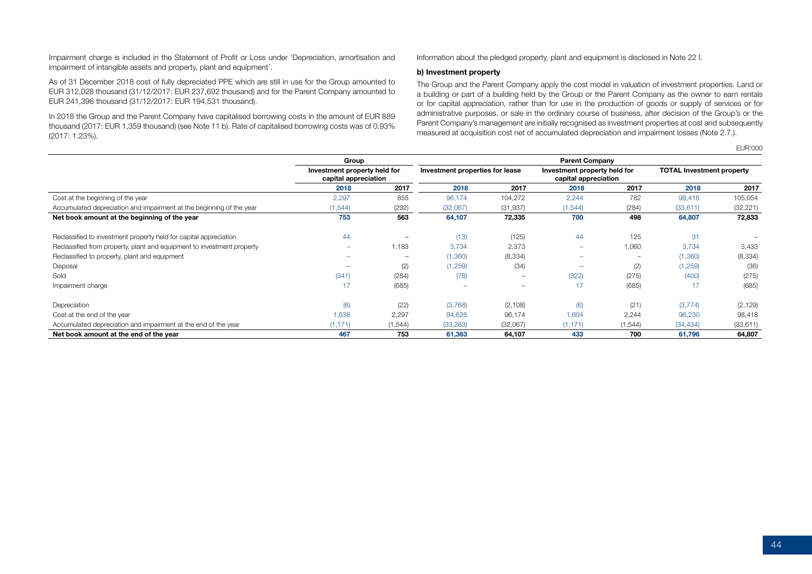Impairment charge is included in the Statement of Profit or Loss under 'Depreciation, amortisation and impairment of intangible assets and property, plant and equipment'.

As of 31 December 2018 cost of fully depreciated PPE which are still in use for the Group amounted to EUR 312,028 thousand (31/12/2017: EUR 237,692 thousand) and for the Parent Company amounted to EUR 241,396 thousand (31/12/2017: EUR 194,531 thousand).

In 2018 the Group and the Parent Company have capitalised borrowing costs in the amount of EUR 889 thousand (2017: EUR 1,359 thousand) (see Note 11 b). Rate of capitalised borrowing costs was of 0.93% (2017: 1.23%).

Information about the pledged property, plant and equipment is disclosed in Note 22 I.

#### b) Investment property

The Group and the Parent Company apply the cost model in valuation of investment properties. Land or a building or part of a building held by the Group or the Parent Company as the owner to earn rentals or for capital appreciation, rather than for use in the production of goods or supply of services or for administrative purposes, or sale in the ordinary course of business, after decision of the Group's or the Parent Company's management are initially recognised as investment properties at cost and subsequently measured at acquisition cost net of accumulated depreciation and impairment losses (Note 2.7.).

Group **Company** Company **Company Parent Company** Investment property held for capital appreciation Investment properties for lease Investment property held for capital appreciation TOTAL Investment property 2018 2017 2018 2017 2018 2017 2018 2017 Cost at the beginning of the year 2,297 855 96,174 104,272 2,244 782 98,418 105,054 Accumulated depreciation and impairment at the beginning of the year (1,544) (1,544) (32,067) (31,937) (31,937) (31,644) (33,611) (32,221) (32,221) Net book amount at the beginning of the year 72,833 753 563 563 64,107 72,335 700 498 64,807 72,833 Reclassified to investment property held for capital appreciation and the control and the control and the control of the control of the control of the control of the control of the control of the control of the control of Reclassified from property, plant and equipment to investment property  $-$  1,183  $3,734$  2,373  $-$  1,060 3,734 3,433 Reclassified to property, plant and equipment (8.334) (8.334) – (1,360) (8.334) – (1,360) (8.334) – (1,360) (8.334) Disposal – (2) (1,259) (34) – (2) (1,259) (36) Sold (341) (284) (78) – (322) (275) (400) (275) Impairment charge 17 (685) – – 17 (685) – – 17 (685) – 17 (685) (685) (685) (685) Depreciation (6) (22) (3,768) (2,108) (6) (21) (3,774) (2,129) Cost at the end of the year 1,638 1,638 2,297 94,626 96,174 1,604 2,244 96,230 98,418 Accumulated depreciation and impairment at the end of the year (1,171) (1,171) (1,544) (33,263) (32,067) (32,067) (1,171) (1,544) (34,434) (33,611) Net book amount at the end of the year **467** 467 467 753 61,363 64,107 433 700 61,796 64,807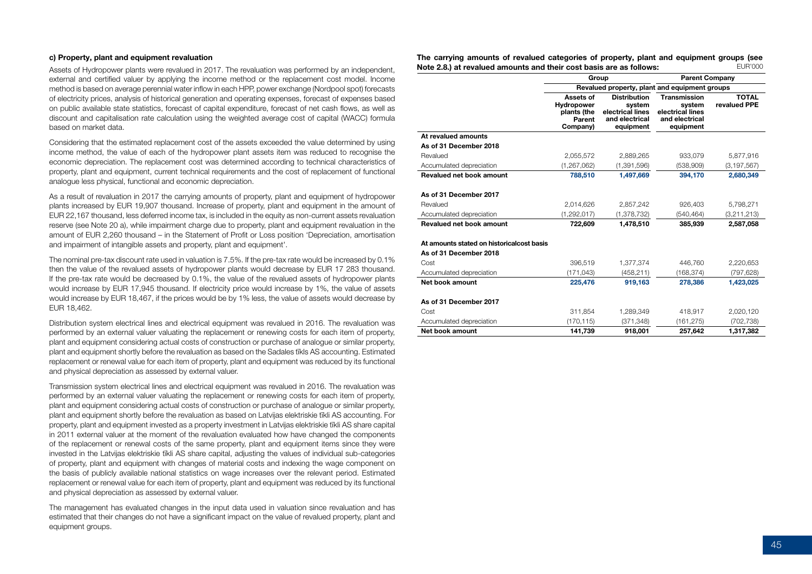#### c) Property, plant and equipment revaluation

Assets of Hydropower plants were revalued in 2017. The revaluation was performed by an independent, external and certified valuer by applying the income method or the replacement cost model. Income method is based on average perennial water inflow in each HPP, power exchange (Nordpool spot) forecasts of electricity prices, analysis of historical generation and operating expenses, forecast of expenses based on public available state statistics, forecast of capital expenditure, forecast of net cash flows, as well as discount and capitalisation rate calculation using the weighted average cost of capital (WACC) formula based on market data.

Considering that the estimated replacement cost of the assets exceeded the value determined by using income method, the value of each of the hydropower plant assets item was reduced to recognise the economic depreciation. The replacement cost was determined according to technical characteristics of property, plant and equipment, current technical requirements and the cost of replacement of functional analogue less physical, functional and economic depreciation.

As a result of revaluation in 2017 the carrying amounts of property, plant and equipment of hydropower plants increased by EUR 19,907 thousand. Increase of property, plant and equipment in the amount of EUR 22,167 thousand, less deferred income tax, is included in the equity as non-current assets revaluation reserve (see Note 20 a), while impairment charge due to property, plant and equipment revaluation in the amount of EUR 2,260 thousand – in the Statement of Profit or Loss position 'Depreciation, amortisation and impairment of intangible assets and property, plant and equipment'.

The nominal pre-tax discount rate used in valuation is 7.5%. If the pre-tax rate would be increased by 0.1% then the value of the revalued assets of hydropower plants would decrease by EUR 17 283 thousand. If the pre-tax rate would be decreased by 0.1%, the value of the revalued assets of hydropower plants would increase by EUR 17,945 thousand. If electricity price would increase by 1%, the value of assets would increase by EUR 18,467, if the prices would be by 1% less, the value of assets would decrease by EUR 18,462.

Distribution system electrical lines and electrical equipment was revalued in 2016. The revaluation was performed by an external valuer valuating the replacement or renewing costs for each item of property, plant and equipment considering actual costs of construction or purchase of analogue or similar property, plant and equipment shortly before the revaluation as based on the Sadales tīkls AS accounting. Estimated replacement or renewal value for each item of property, plant and equipment was reduced by its functional and physical depreciation as assessed by external valuer.

Transmission system electrical lines and electrical equipment was revalued in 2016. The revaluation was performed by an external valuer valuating the replacement or renewing costs for each item of property, plant and equipment considering actual costs of construction or purchase of analogue or similar property, plant and equipment shortly before the revaluation as based on Latvijas elektriskie tīkli AS accounting. For property, plant and equipment invested as a property investment in Latvijas elektriskie tīkli AS share capital in 2011 external valuer at the moment of the revaluation evaluated how have changed the components of the replacement or renewal costs of the same property, plant and equipment items since they were invested in the Latvijas elektriskie tīkli AS share capital, adjusting the values of individual sub-categories of property, plant and equipment with changes of material costs and indexing the wage component on the basis of publicly available national statistics on wage increases over the relevant period. Estimated replacement or renewal value for each item of property, plant and equipment was reduced by its functional and physical depreciation as assessed by external valuer.

The management has evaluated changes in the input data used in valuation since revaluation and has estimated that their changes do not have a significant impact on the value of revalued property, plant and equipment groups.

| The carrying amounts of revalued categories of property, plant and equipment groups (see |         |
|------------------------------------------------------------------------------------------|---------|
| Note 2.8.) at revalued amounts and their cost basis are as follows:                      | EUR'000 |

|                                           | Group                                                               |                                                                                  | <b>Parent Company</b>                                                     |                              |  |
|-------------------------------------------|---------------------------------------------------------------------|----------------------------------------------------------------------------------|---------------------------------------------------------------------------|------------------------------|--|
|                                           |                                                                     |                                                                                  | Revalued property, plant and equipment groups                             |                              |  |
|                                           | Assets of<br><b>Hydropower</b><br>plants (the<br>Parent<br>Company) | <b>Distribution</b><br>svstem<br>electrical lines<br>and electrical<br>equipment | Transmission<br>svstem<br>electrical lines<br>and electrical<br>equipment | <b>TOTAL</b><br>revalued PPE |  |
| At revalued amounts                       |                                                                     |                                                                                  |                                                                           |                              |  |
| As of 31 December 2018                    |                                                                     |                                                                                  |                                                                           |                              |  |
| Revalued                                  | 2,055,572                                                           | 2,889,265                                                                        | 933,079                                                                   | 5,877,916                    |  |
| Accumulated depreciation                  | (1, 267, 062)                                                       | (1,391,596)                                                                      | (538,909)                                                                 | (3, 197, 567)                |  |
| <b>Revalued net book amount</b>           | 788,510                                                             | 1.497.669                                                                        | 394.170                                                                   | 2.680.349                    |  |
| As of 31 December 2017                    |                                                                     |                                                                                  |                                                                           |                              |  |
| Revalued                                  | 2,014,626                                                           | 2,857,242                                                                        | 926,403                                                                   | 5,798,271                    |  |
| Accumulated depreciation                  | (1,292,017)                                                         | (1,378,732)                                                                      | (540, 464)                                                                | (3,211,213)                  |  |
| <b>Revalued net book amount</b>           | 722.609                                                             | 1.478.510                                                                        | 385.939                                                                   | 2.587.058                    |  |
| At amounts stated on historicalcost basis |                                                                     |                                                                                  |                                                                           |                              |  |
| As of 31 December 2018                    |                                                                     |                                                                                  |                                                                           |                              |  |
| Cost                                      | 396.519                                                             | 1,377,374                                                                        | 446.760                                                                   | 2,220,653                    |  |
| Accumulated depreciation                  | (171, 043)                                                          | (458, 211)                                                                       | (168,374)                                                                 | (797, 628)                   |  |
| Net book amount                           | 225,476                                                             | 919,163                                                                          | 278,386                                                                   | 1,423,025                    |  |
| As of 31 December 2017                    |                                                                     |                                                                                  |                                                                           |                              |  |
| Cost                                      | 311,854                                                             | 1,289,349                                                                        | 418.917                                                                   | 2,020,120                    |  |
| Accumulated depreciation                  | (170, 115)                                                          | (371, 348)                                                                       | (161,275)                                                                 | (702, 738)                   |  |
| Net book amount                           | 141,739                                                             | 918,001                                                                          | 257,642                                                                   | 1,317,382                    |  |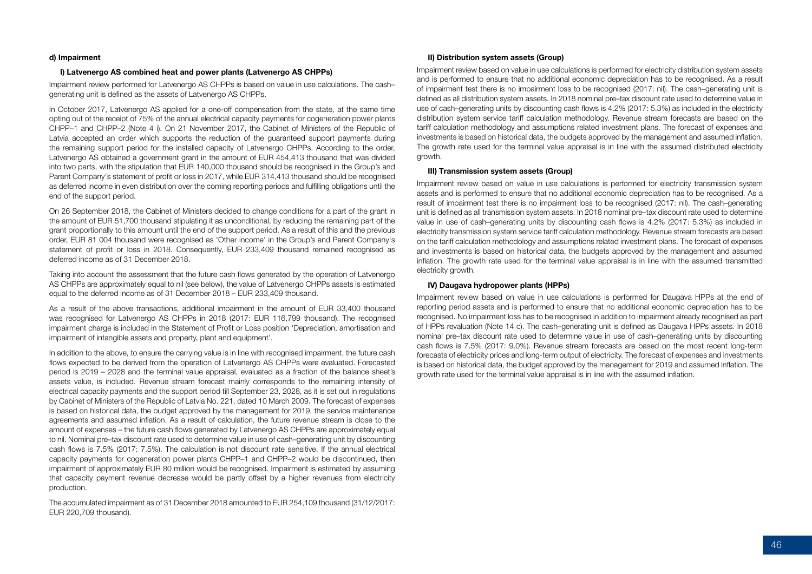#### d) Impairment

#### I) Latvenergo AS combined heat and power plants (Latvenergo AS CHPPs)

Impairment review performed for Latvenergo AS CHPPs is based on value in use calculations. The cash– generating unit is defined as the assets of Latvenergo AS CHPPs.

In October 2017, Latvenergo AS applied for a one-off compensation from the state, at the same time opting out of the receipt of 75% of the annual electrical capacity payments for cogeneration power plants CHPP–1 and CHPP–2 (Note 4 i). On 21 November 2017, the Cabinet of Ministers of the Republic of Latvia accepted an order which supports the reduction of the guaranteed support payments during the remaining support period for the installed capacity of Latvenergo CHPPs. According to the order, Latvenergo AS obtained a government grant in the amount of EUR 454,413 thousand that was divided into two parts, with the stipulation that EUR 140,000 thousand should be recognised in the Group's and Parent Company's statement of profit or loss in 2017, while EUR 314,413 thousand should be recognised as deferred income in even distribution over the coming reporting periods and fulfilling obligations until the end of the support period.

On 26 September 2018, the Cabinet of Ministers decided to change conditions for a part of the grant in the amount of EUR 51,700 thousand stipulating it as unconditional, by reducing the remaining part of the grant proportionally to this amount until the end of the support period. As a result of this and the previous order, EUR 81 004 thousand were recognised as 'Other income' in the Group's and Parent Company's statement of profit or loss in 2018. Consequently, EUR 233,409 thousand remained recognised as deferred income as of 31 December 2018.

Taking into account the assessment that the future cash flows generated by the operation of Latvenergo AS CHPPs are approximately equal to nil (see below), the value of Latvenergo CHPPs assets is estimated equal to the deferred income as of 31 December 2018 – EUR 233,409 thousand.

As a result of the above transactions, additional impairment in the amount of EUR 33,400 thousand was recognised for Latvenergo AS CHPPs in 2018 (2017: EUR 116,799 thousand). The recognised impairment charge is included in the Statement of Profit or Loss position 'Depreciation, amortisation and impairment of intangible assets and property, plant and equipment'.

In addition to the above, to ensure the carrying value is in line with recognised impairment, the future cash flows expected to be derived from the operation of Latvenergo AS CHPPs were evaluated. Forecasted period is 2019 – 2028 and the terminal value appraisal, evaluated as a fraction of the balance sheet's assets value, is included. Revenue stream forecast mainly corresponds to the remaining intensity of electrical capacity payments and the support period till September 23, 2028, as it is set out in regulations by Cabinet of Ministers of the Republic of Latvia No. 221, dated 10 March 2009. The forecast of expenses is based on historical data, the budget approved by the management for 2019, the service maintenance agreements and assumed inflation. As a result of calculation, the future revenue stream is close to the amount of expenses – the future cash flows generated by Latvenergo AS CHPPs are approximately equal to nil. Nominal pre–tax discount rate used to determine value in use of cash–generating unit by discounting cash flows is 7.5% (2017: 7.5%). The calculation is not discount rate sensitive. If the annual electrical capacity payments for cogeneration power plants CHPP–1 and CHPP–2 would be discontinued, then impairment of approximately EUR 80 million would be recognised. Impairment is estimated by assuming that capacity payment revenue decrease would be partly offset by a higher revenues from electricity production.

The accumulated impairment as of 31 December 2018 amounted to EUR 254,109 thousand (31/12/2017: EUR 220,709 thousand).

#### II) Distribution system assets (Group)

Impairment review based on value in use calculations is performed for electricity distribution system assets and is performed to ensure that no additional economic depreciation has to be recognised. As a result of impairment test there is no impairment loss to be recognised (2017: nil). The cash–generating unit is defined as all distribution system assets. In 2018 nominal pre–tax discount rate used to determine value in use of cash–generating units by discounting cash flows is 4.2% (2017: 5.3%) as included in the electricity distribution system service tariff calculation methodology. Revenue stream forecasts are based on the tariff calculation methodology and assumptions related investment plans. The forecast of expenses and investments is based on historical data, the budgets approved by the management and assumed inflation. The growth rate used for the terminal value appraisal is in line with the assumed distributed electricity growth.

#### III) Transmission system assets (Group)

Impairment review based on value in use calculations is performed for electricity transmission system assets and is performed to ensure that no additional economic depreciation has to be recognised. As a result of impairment test there is no impairment loss to be recognised (2017: nil). The cash–generating unit is defined as all transmission system assets. In 2018 nominal pre–tax discount rate used to determine value in use of cash–generating units by discounting cash flows is 4.2% (2017: 5.3%) as included in electricity transmission system service tariff calculation methodology. Revenue stream forecasts are based on the tariff calculation methodology and assumptions related investment plans. The forecast of expenses and investments is based on historical data, the budgets approved by the management and assumed inflation. The growth rate used for the terminal value appraisal is in line with the assumed transmitted electricity growth.

#### IV) Daugava hydropower plants (HPPs)

Impairment review based on value in use calculations is performed for Daugava HPPs at the end of reporting period assets and is performed to ensure that no additional economic depreciation has to be recognised. No impairment loss has to be recognised in addition to impairment already recognised as part of HPPs revaluation (Note 14 c). The cash–generating unit is defined as Daugava HPPs assets. In 2018 nominal pre–tax discount rate used to determine value in use of cash–generating units by discounting cash flows is 7.5% (2017: 9.0%). Revenue stream forecasts are based on the most recent long-term forecasts of electricity prices and long-term output of electricity. The forecast of expenses and investments is based on historical data, the budget approved by the management for 2019 and assumed inflation. The growth rate used for the terminal value appraisal is in line with the assumed inflation.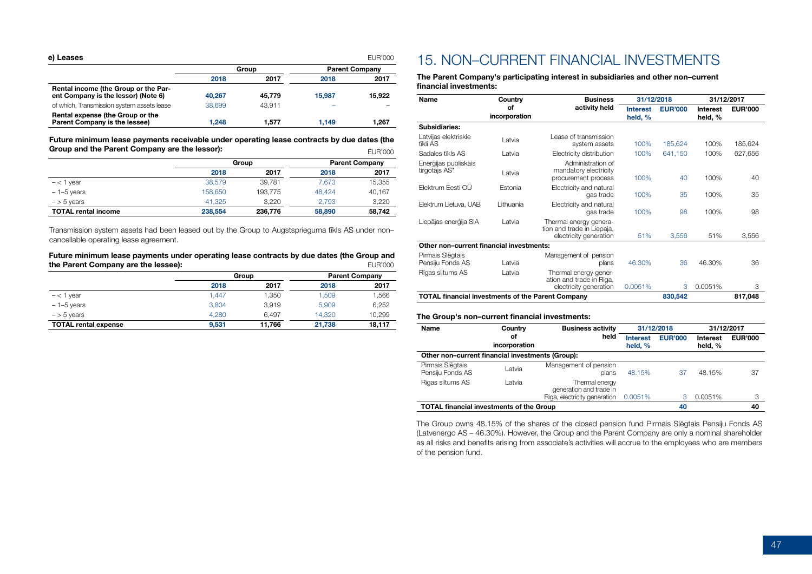| e) Leases<br><b>EUR'000</b>                                                 |        |        |        |                       |  |  |
|-----------------------------------------------------------------------------|--------|--------|--------|-----------------------|--|--|
|                                                                             |        | Group  |        | <b>Parent Company</b> |  |  |
|                                                                             | 2018   | 2017   | 2018   | 2017                  |  |  |
| Rental income (the Group or the Par-<br>ent Company is the lessor) (Note 6) | 40.267 | 45.779 | 15,987 | 15,922                |  |  |
| of which, Transmission system assets lease                                  | 38.699 | 43.911 |        |                       |  |  |
| Rental expense (the Group or the<br>Parent Company is the lessee)           | 1.248  | 1.577  | 1.149  | 1,267                 |  |  |

EUR'000 Future minimum lease payments receivable under operating lease contracts by due dates (the Group and the Parent Company are the lessor):

|                            |         | Group   | <b>Parent Company</b> |        |  |
|----------------------------|---------|---------|-----------------------|--------|--|
|                            | 2018    | 2017    | 2018                  | 2017   |  |
| $-$ < 1 year               | 38.579  | 39.781  | 7.673                 | 15,355 |  |
| $-1-5$ years               | 158,650 | 193.775 | 48.424                | 40.167 |  |
| $-$ > 5 years              | 41.325  | 3.220   | 2.793                 | 3,220  |  |
| <b>TOTAL rental income</b> | 238,554 | 236,776 | 58,890                | 58,742 |  |

Transmission system assets had been leased out by the Group to Augstsprieguma tīkls AS under non– cancellable operating lease agreement.

#### EUR'000 Future minimum lease payments under operating lease contracts by due dates (the Group and the Parent Company are the lessee):

|                             |       | Group  |        | <b>Parent Company</b> |  |  |
|-----------------------------|-------|--------|--------|-----------------------|--|--|
|                             | 2018  | 2017   | 2018   | 2017                  |  |  |
| $-$ < 1 year                | 1.447 | 1.350  | 1,509  | 1,566                 |  |  |
| $-1-5$ years                | 3.804 | 3.919  | 5,909  | 6,252                 |  |  |
| $-$ > 5 years               | 4.280 | 6.497  | 14.320 | 10,299                |  |  |
| <b>TOTAL rental expense</b> | 9.531 | 11.766 | 21.738 | 18,117                |  |  |

# 15. NON–CURRENT FINANCIAL INVESTMENTS

The Parent Company's participating interest in subsidiaries and other non–current financial investments:

| Name                                                     | Country             | <b>Business</b>                                                                | 31/12/2018                 |                |                            | 31/12/2017     |
|----------------------------------------------------------|---------------------|--------------------------------------------------------------------------------|----------------------------|----------------|----------------------------|----------------|
|                                                          | Ωf<br>incorporation | activity held                                                                  | <b>Interest</b><br>held, % | <b>EUR'000</b> | <b>Interest</b><br>held, % | <b>EUR'000</b> |
| Subsidiaries:                                            |                     |                                                                                |                            |                |                            |                |
| Latvijas elektriskie<br>tīkli AS                         | Latvia              | Lease of transmission<br>system assets                                         | 100%                       | 185,624        | 100%                       | 185,624        |
| Sadales tīkls AS                                         | Latvia              | Electricity distribution                                                       | 100%                       | 641,150        | 100%                       | 627,656        |
| Enerģijas publiskais<br>tirgotājs AS*                    | Latvia              | Administration of<br>mandatory electricity<br>procurement process              | 100%                       | 40             | 100%                       | 40             |
| Flektrum Festi OÜ                                        | Estonia             | Electricity and natural<br>gas trade                                           | 100%                       | 35             | 100%                       | 35             |
| Elektrum Lietuva, UAB                                    | Lithuania           | Electricity and natural<br>gas trade                                           | 100%                       | 98             | 100%                       | 98             |
| Liepājas enerģija SIA                                    | Latvia              | Thermal energy genera-<br>tion and trade in Liepaja,<br>electricity generation | 51%                        | 3,556          | 51%                        | 3,556          |
| Other non-current financial investments:                 |                     |                                                                                |                            |                |                            |                |
| Pirmais Slēgtais<br>Pensiju Fonds AS                     | Latvia              | Management of pension<br>plans                                                 | 46.30%                     | 36             | 46.30%                     | 36             |
| Rīgas siltums AS                                         | Latvia              | Thermal energy gener-<br>ation and trade in Riga,<br>electricity generation    | 0.0051%                    | 3              | 0.0051%                    | 3              |
| <b>TOTAL financial investments of the Parent Company</b> |                     |                                                                                |                            | 830,542        |                            | 817,048        |

### The Group's non–current financial investments:

| Name                                             | Country       | <b>Business activity</b>                                                  | 31/12/2018      |                | 31/12/2017      |                |  |
|--------------------------------------------------|---------------|---------------------------------------------------------------------------|-----------------|----------------|-----------------|----------------|--|
|                                                  | οf            | held                                                                      | <b>Interest</b> | <b>EUR'000</b> | <b>Interest</b> | <b>EUR'000</b> |  |
|                                                  | incorporation |                                                                           | held, %         |                | held, %         |                |  |
| Other non-current financial investments (Group): |               |                                                                           |                 |                |                 |                |  |
| Pirmais Slēgtais<br>Pensiju Fonds AS             | Latvia        | Management of pension<br>plans                                            | 48.15%          | 37             | 48.15%          | 37             |  |
| Rīgas siltums AS                                 | Latvia        | Thermal energy<br>generation and trade in<br>Riga, electricity generation | 0.0051%         | 3              | 0.0051%         | 3              |  |
| <b>TOTAL financial investments of the Group</b>  |               |                                                                           | 40              |                | 40              |                |  |

The Group owns 48.15% of the shares of the closed pension fund Pirmais Slēgtais Pensiju Fonds AS (Latvenergo AS – 46.30%). However, the Group and the Parent Company are only a nominal shareholder as all risks and benefits arising from associate's activities will accrue to the employees who are members of the pension fund.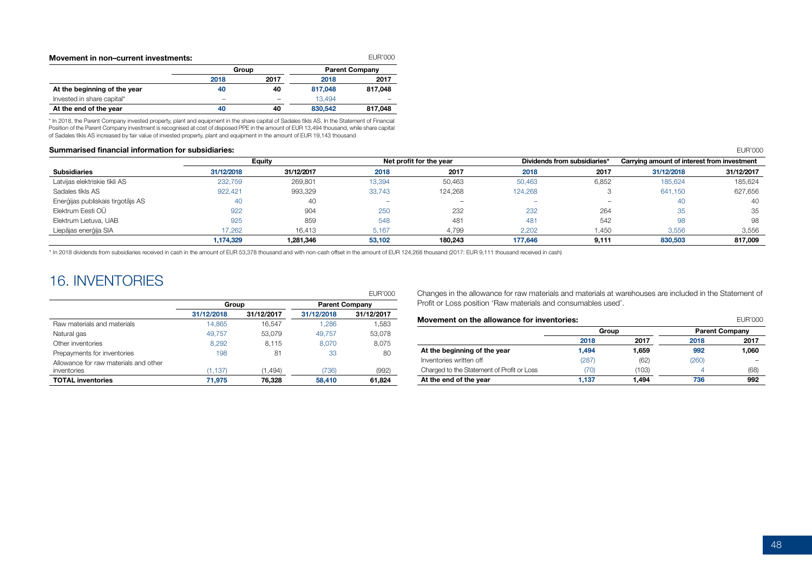| Movement in non-current investments: |       |      |                       | EUR'000 |  |
|--------------------------------------|-------|------|-----------------------|---------|--|
|                                      | Group |      | <b>Parent Company</b> |         |  |
|                                      | 2018  | 2017 | 2018                  | 2017    |  |
| At the beginning of the year         | 40    | 40   | 817.048               | 817.048 |  |
| Invested in share capital*           | -     | -    | 13.494                |         |  |
| At the end of the year               | 40    | 40   | 830,542               | 817.048 |  |

\* In 2018, the Parent Company invested property, plant and equipment in the share capital of Sadales tīkls AS. In the Statement of Financial Position of the Parent Company investment is recognised at cost of disposed PPE in the amount of EUR 13,494 thousand, while share capital of Sadales tīkls AS increased by fair value of invested property, plant and equipment in the amount of EUR 19,143 thousand

#### Summarised financial information for subsidiaries:

EUR'000

|                                   | <b>Equity</b> |            |        | Dividends from subsidiaries*<br>Net profit for the year |         | Carrying amount of interest from investment |            |            |  |
|-----------------------------------|---------------|------------|--------|---------------------------------------------------------|---------|---------------------------------------------|------------|------------|--|
| <b>Subsidiaries</b>               | 31/12/2018    | 31/12/2017 | 2018   | 2017                                                    | 2018    | 2017                                        | 31/12/2018 | 31/12/2017 |  |
| Latvijas elektriskie tīkli AS     | 232,759       | 269.801    | 13,394 | 50,463                                                  | 50,463  | 6,852                                       | 185,624    | 185.624    |  |
| Sadales tīkls AS                  | 922,421       | 993,329    | 33,743 | 124,268                                                 | 124,268 |                                             | 641.150    | 627,656    |  |
| Enerģijas publiskais tirgotājs AS | 40            | 40         | -      | $\overline{\phantom{a}}$                                | -       |                                             | 40         | 40         |  |
| Elektrum Eesti OÜ                 | 922           | 904        | 250    | 232                                                     | 232     | 264                                         | 35         | -35        |  |
| Elektrum Lietuva, UAB             | 925           | 859        | 548    | 481                                                     | 481     | 542                                         | 98         | 98         |  |
| Liepājas enerģija SIA             | 17.262        | 16.413     | 5,167  | 4,799                                                   | 2,202   | 1,450                                       | 3,556      | 3,556      |  |
|                                   | 1.174.329     | 1.281.346  | 53.102 | 180.243                                                 | 177.646 | 9,111                                       | 830,503    | 817.009    |  |

\* In 2018 dividends from subsidiaries received in cash in the amount of EUR 53,378 thousand and with non-cash offset in the amount of EUR 124,268 thousand (2017: EUR 9,111 thousand received in cash)

# 16. INVENTORIES

|                                                      |            |            |            | <b>EUR'000</b>        |  |  |
|------------------------------------------------------|------------|------------|------------|-----------------------|--|--|
|                                                      | Group      |            |            | <b>Parent Company</b> |  |  |
|                                                      | 31/12/2018 | 31/12/2017 | 31/12/2018 | 31/12/2017            |  |  |
| Raw materials and materials                          | 14.865     | 16.547     | 1.286      | 1,583                 |  |  |
| Natural gas                                          | 49.757     | 53.079     | 49.757     | 53,078                |  |  |
| Other inventories                                    | 8.292      | 8.115      | 8.070      | 8.075                 |  |  |
| Prepayments for inventories                          | 198        | 81         | 33         | 80                    |  |  |
| Allowance for raw materials and other<br>inventories | (1, 137)   | (1,494)    | (736)      | (992)                 |  |  |
| <b>TOTAL inventories</b>                             | 71,975     | 76,328     | 58,410     | 61,824                |  |  |

Changes in the allowance for raw materials and materials at warehouses are included in the Statement of Profit or Loss position 'Raw materials and consumables used'.

| Movement on the allowance for inventories: |       |       |                       | EUR'000 |
|--------------------------------------------|-------|-------|-----------------------|---------|
|                                            | Group |       | <b>Parent Company</b> |         |
|                                            | 2018  | 2017  | 2018                  | 2017    |
| At the beginning of the year               | 1.494 | 1,659 | 992                   | 1.060   |
| Inventories written off                    | (287) | (62)  | (260)                 |         |
| Charged to the Statement of Profit or Loss | 70)   | (103) |                       | (68)    |
| At the end of the year                     | 1.137 | 1.494 | 736                   | 992     |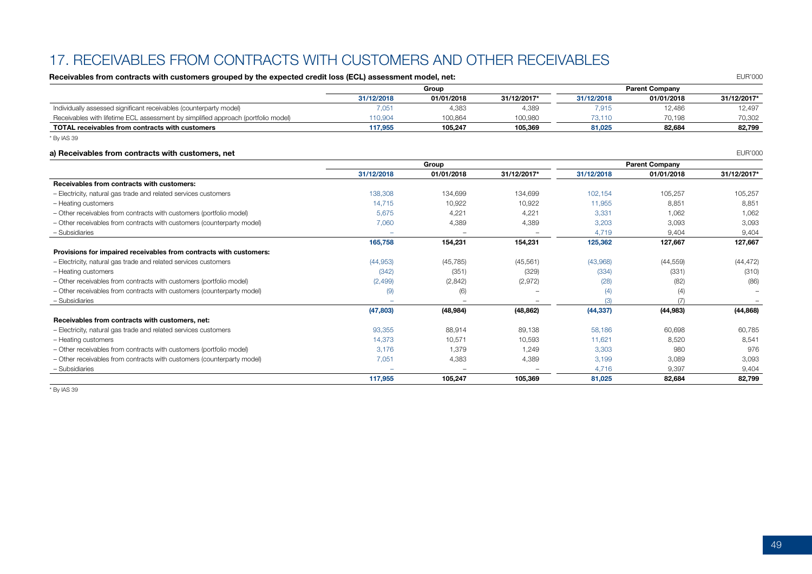# 17. RECEIVABLES FROM CONTRACTS WITH CUSTOMERS AND OTHER RECEIVABLES

| Receivables from contracts with customers grouped by the expected credit loss (ECL) assessment model, net: |            |            |             |            |                       | <b>EUR'000</b> |
|------------------------------------------------------------------------------------------------------------|------------|------------|-------------|------------|-----------------------|----------------|
|                                                                                                            |            | Group      |             |            | <b>Parent Company</b> |                |
|                                                                                                            | 31/12/2018 | 01/01/2018 | 31/12/2017* | 31/12/2018 | 01/01/2018            | 31/12/2017*    |
| Individually assessed significant receivables (counterparty model)                                         | 7,051      | 4,383      | 4,389       | 7,915      | 12,486                | 12,497         |
| Receivables with lifetime ECL assessment by simplified approach (portfolio model)                          | 110.904    | 100,864    | 100,980     | 73,110     | 70,198                | 70,302         |
| <b>TOTAL receivables from contracts with customers</b>                                                     | 117,955    | 105,247    | 105.369     | 81,025     | 82,684                | 82,799         |
| * By IAS 39                                                                                                |            |            |             |            |                       |                |
| a) Receivables from contracts with customers, net                                                          |            |            |             |            |                       | <b>EUR'000</b> |
|                                                                                                            |            | Group      |             |            | <b>Parent Company</b> |                |
|                                                                                                            | 31/12/2018 | 01/01/2018 | 31/12/2017* | 31/12/2018 | 01/01/2018            | 31/12/2017*    |
| Receivables from contracts with customers:                                                                 |            |            |             |            |                       |                |
| - Electricity, natural gas trade and related services customers                                            | 138,308    | 134,699    | 134,699     | 102,154    | 105,257               | 105,257        |
| - Heating customers                                                                                        | 14,715     | 10,922     | 10,922      | 11,955     | 8,851                 | 8,851          |
| - Other receivables from contracts with customers (portfolio model)                                        | 5,675      | 4,221      | 4,221       | 3,331      | 1,062                 | 1,062          |
| - Other receivables from contracts with customers (counterparty model)                                     | 7,060      | 4,389      | 4,389       | 3,203      | 3,093                 | 3,093          |
| - Subsidiaries                                                                                             |            |            |             | 4,719      | 9,404                 | 9,404          |
|                                                                                                            | 165,758    | 154,231    | 154,231     | 125,362    | 127,667               | 127,667        |
| Provisions for impaired receivables from contracts with customers:                                         |            |            |             |            |                       |                |
| - Electricity, natural gas trade and related services customers                                            | (44,953)   | (45, 785)  | (45, 561)   | (43,968)   | (44, 559)             | (44, 472)      |
| - Heating customers                                                                                        | (342)      | (351)      | (329)       | (334)      | (331)                 | (310)          |
| - Other receivables from contracts with customers (portfolio model)                                        | (2,499)    | (2,842)    | (2,972)     | (28)       | (82)                  | (86)           |
| - Other receivables from contracts with customers (counterparty model)                                     | (9)        | (6)        |             | (4)        | (4)                   |                |
| - Subsidiaries                                                                                             |            |            |             | (3)        | (7)                   |                |
|                                                                                                            | (47, 803)  | (48, 984)  | (48, 862)   | (44, 337)  | (44, 983)             | (44, 868)      |
| Receivables from contracts with customers, net:                                                            |            |            |             |            |                       |                |
| - Electricity, natural gas trade and related services customers                                            | 93,355     | 88,914     | 89,138      | 58,186     | 60,698                | 60.785         |
| - Heating customers                                                                                        | 14,373     | 10,571     | 10,593      | 11,621     | 8,520                 | 8,541          |
| - Other receivables from contracts with customers (portfolio model)                                        | 3.176      | 1,379      | 1,249       | 3,303      | 980                   | 976            |
| - Other receivables from contracts with customers (counterparty model)                                     | 7,051      | 4,383      | 4,389       | 3,199      | 3,089                 | 3,093          |
| - Subsidiaries                                                                                             |            |            |             | 4,716      | 9,397                 | 9,404          |
|                                                                                                            | 117.955    | 105.247    | 105.369     | 81,025     | 82.684                | 82,799         |

\* By IAS 39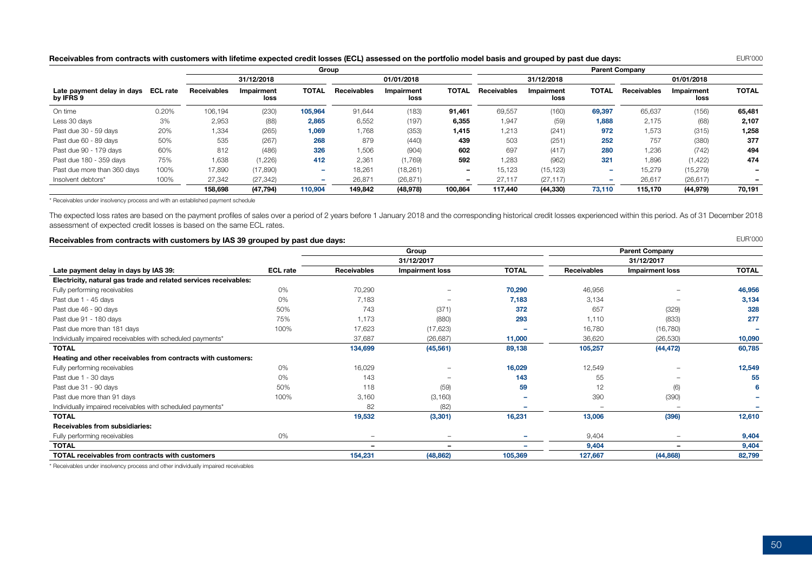Receivables from contracts with customers with lifetime expected credit losses (ECL) assessed on the portfolio model basis and grouped by past due days:

|                                         |                 |             |                    | Group                    |                    |                    |                          |             |                    | <b>Parent Company</b>    |                    |                    |                          |
|-----------------------------------------|-----------------|-------------|--------------------|--------------------------|--------------------|--------------------|--------------------------|-------------|--------------------|--------------------------|--------------------|--------------------|--------------------------|
|                                         |                 |             | 31/12/2018         |                          |                    | 01/01/2018         |                          |             | 31/12/2018         |                          |                    | 01/01/2018         |                          |
| Late payment delay in days<br>by IFRS 9 | <b>ECL rate</b> | Receivables | Impairment<br>loss | TOTAL                    | <b>Receivables</b> | Impairment<br>loss | TOTAL                    | Receivables | Impairment<br>loss | <b>TOTAL</b>             | <b>Receivables</b> | Impairment<br>loss | <b>TOTAL</b>             |
| On time                                 | 0.20%           | 106,194     | (230)              | 105,964                  | 91,644             | (183)              | 91,461                   | 69,557      | (160)              | 69,397                   | 65,637             | (156)              | 65,481                   |
| Less 30 days                            | 3%              | 2,953       | (88)               | 2,865                    | 6,552              | (197)              | 6,355                    | 1,947       | (59)               | 1,888                    | 2,175              | (68)               | 2,107                    |
| Past due 30 - 59 days                   | 20%             | 1,334       | (265)              | 1,069                    | .768               | (353)              | 1,415                    | 1,213       | (241)              | 972                      | 1.573              | (315)              | 1,258                    |
| Past due 60 - 89 days                   | 50%             | 535         | (267)              | 268                      | 879                | (440)              | 439                      | 503         | (251)              | 252                      | 757                | (380)              | 377                      |
| Past due 90 - 179 days                  | 60%             | 812         | (486)              | 326                      | 1,506              | (904)              | 602                      | 697         | (417)              | 280                      | 1,236              | (742)              | 494                      |
| Past due 180 - 359 days                 | 75%             | 1.638       | (1,226)            | 412                      | 2,361              | (1,769)            | 592                      | 1,283       | (962)              | 321                      | 1.896              | (1, 422)           | 474                      |
| Past due more than 360 days             | 100%            | 17,890      | (17, 890)          | $\overline{\phantom{a}}$ | 18,261             | (18, 261)          | $\overline{\phantom{0}}$ | 15,123      | (15, 123)          | $\overline{\phantom{a}}$ | 15,279             | (15, 279)          | $\overline{\phantom{a}}$ |
| Insolvent debtors*                      | 100%            | 27,342      | (27, 342)          | ۰                        | 26,871             | (26, 871)          |                          | 27,117      | (27, 117)          |                          | 26,617             | (26, 617)          |                          |
|                                         |                 | 158.698     | (47, 794)          | 110.904                  | 149.842            | (48, 978)          | 100.864                  | 117.440     | (44, 330)          | 73.110                   | 115.170            | (44, 979)          | 70.191                   |

\* Receivables under insolvency process and with an established payment schedule

The expected loss rates are based on the payment profiles of sales over a period of 2 years before 1 January 2018 and the corresponding historical credit losses experienced within this period. As of 31 December 2018 assessment of expected credit losses is based on the same ECL rates.

#### Receivables from contracts with customers by IAS 39 grouped by past due days: EUR'000

|                                                                  |                 |                    | Group                    |                          |                    | <b>Parent Company</b>    |              |
|------------------------------------------------------------------|-----------------|--------------------|--------------------------|--------------------------|--------------------|--------------------------|--------------|
|                                                                  |                 |                    | 31/12/2017               |                          |                    | 31/12/2017               |              |
| Late payment delay in days by IAS 39:                            | <b>ECL rate</b> | <b>Receivables</b> | Impairment loss          | <b>TOTAL</b>             | <b>Receivables</b> | <b>Impairment loss</b>   | <b>TOTAL</b> |
| Electricity, natural gas trade and related services receivables: |                 |                    |                          |                          |                    |                          |              |
| Fully performing receivables                                     | 0%              | 70,290             |                          | 70,290                   | 46,956             |                          | 46,956       |
| Past due 1 - 45 days                                             | 0%              | 7,183              |                          | 7,183                    | 3,134              |                          | 3,134        |
| Past due 46 - 90 days                                            | 50%             | 743                | (371)                    | 372                      | 657                | (329)                    | 328          |
| Past due 91 - 180 days                                           | 75%             | 1,173              | (880)                    | 293                      | 1,110              | (833)                    | 277          |
| Past due more than 181 days                                      | 100%            | 17,623             | (17, 623)                |                          | 16,780             | (16, 780)                |              |
| Individually impaired receivables with scheduled payments*       |                 | 37,687             | (26, 687)                | 11,000                   | 36,620             | (26, 530)                | 10,090       |
| <b>TOTAL</b>                                                     |                 | 134,699            | (45, 561)                | 89,138                   | 105,257            | (44, 472)                | 60,785       |
| Heating and other receivables from contracts with customers:     |                 |                    |                          |                          |                    |                          |              |
| Fully performing receivables                                     | 0%              | 16,029             |                          | 16,029                   | 12,549             |                          | 12,549       |
| Past due 1 - 30 days                                             | 0%              | 143                |                          | 143                      | 55                 |                          | 55           |
| Past due 31 - 90 days                                            | 50%             | 118                | (59)                     | 59                       | 12                 | (6)                      | 6            |
| Past due more than 91 days                                       | 100%            | 3,160              | (3, 160)                 |                          | 390                | (390)                    |              |
| Individually impaired receivables with scheduled payments*       |                 | 82                 | (82)                     |                          |                    |                          |              |
| <b>TOTAL</b>                                                     |                 | 19,532             | (3, 301)                 | 16,231                   | 13,006             | (396)                    | 12,610       |
| <b>Receivables from subsidiaries:</b>                            |                 |                    |                          |                          |                    |                          |              |
| Fully performing receivables                                     | $0\%$           |                    | -                        | $\overline{\phantom{0}}$ | 9,404              |                          | 9,404        |
| <b>TOTAL</b>                                                     |                 |                    | $\overline{\phantom{0}}$ | $\overline{\phantom{0}}$ | 9,404              | $\overline{\phantom{0}}$ | 9,404        |
| <b>TOTAL receivables from contracts with customers</b>           |                 | 154,231            | (48, 862)                | 105,369                  | 127,667            | (44, 868)                | 82,799       |

\* Receivables under insolvency process and other individually impaired receivables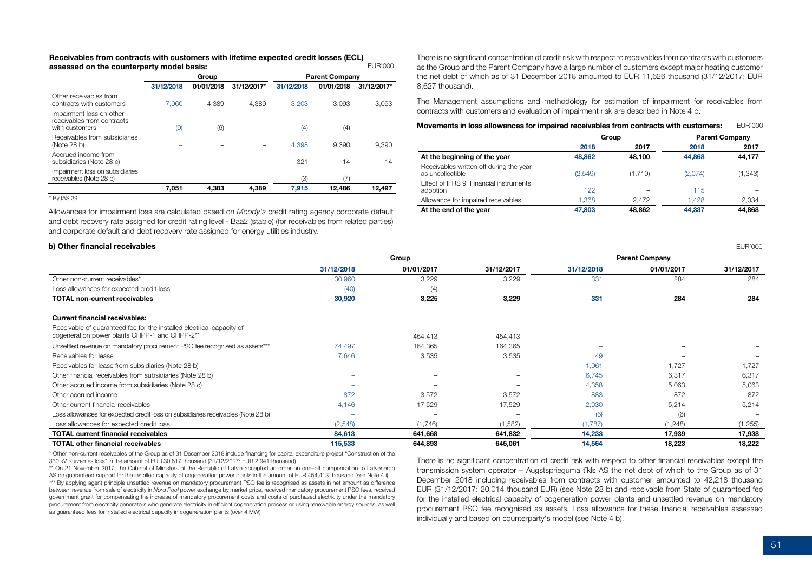| Receivables from contracts with customers with lifetime expected credit losses (ECL) |         |
|--------------------------------------------------------------------------------------|---------|
| assessed on the counterparty model basis:                                            | EUR'000 |

|                                                                          | Group      |            |             | <b>Parent Company</b> |            |             |
|--------------------------------------------------------------------------|------------|------------|-------------|-----------------------|------------|-------------|
|                                                                          | 31/12/2018 | 01/01/2018 | 31/12/2017* | 31/12/2018            | 01/01/2018 | 31/12/2017* |
| Other receivables from<br>contracts with customers                       | 7.060      | 4.389      | 4.389       | 3.203                 | 3.093      | 3.093       |
| Impairment loss on other<br>receivables from contracts<br>with customers | (9)        | (6)        |             | (4)                   | (4)        |             |
| Receivables from subsidiaries<br>(Note 28 b)                             |            |            |             | 4.398                 | 9.390      | 9.390       |
| Accrued income from<br>subsidiaries (Note 28 c)                          |            |            |             | 321                   | 14         | 14          |
| Impairment loss on subsidiaries<br>receivables (Note 28 b)               |            |            |             | (3)                   | (7         |             |
|                                                                          | 7.051      | 4.383      | 4.389       | 7.915                 | 12.486     | 12.497      |

\* By IAS 39

Allowances for impairment loss are calculated based on *Moody's* credit rating agency corporate default and debt recovery rate assigned for credit rating level - Baa2 (stable) (for receivables from related parties) and corporate default and debt recovery rate assigned for energy utilities industry.

b) Other financial receivables EUR'000

There is no significant concentration of credit risk with respect to receivables from contracts with customers as the Group and the Parent Company have a large number of customers except major heating customer the net debt of which as of 31 December 2018 amounted to EUR 11,626 thousand (31/12/2017: EUR 8,627 thousand).

The Management assumptions and methodology for estimation of impairment for receivables from contracts with customers and evaluation of impairment risk are described in Note 4 b.

EUR'000 Movements in loss allowances for impaired receivables from contracts with customers:

|                                                             | Group   |         | <b>Parent Company</b> |          |  |
|-------------------------------------------------------------|---------|---------|-----------------------|----------|--|
|                                                             | 2018    | 2017    | 2018                  | 2017     |  |
| At the beginning of the year                                | 48,862  | 48.100  | 44,868                | 44.177   |  |
| Receivables written off during the year<br>as uncollectible | (2,549) | (1,710) | (2,074)               | (1, 343) |  |
| Effect of IFRS 9 'Financial instruments'<br>adoption        | 122     |         | 115                   |          |  |
| Allowance for impaired receivables                          | 1.368   | 2.472   | 1.428                 | 2,034    |  |
| At the end of the year                                      | 47,803  | 48,862  | 44.337                | 44.868   |  |

|                                                                                                                        | Group      |                          |                          | <b>Parent Company</b> |            |            |
|------------------------------------------------------------------------------------------------------------------------|------------|--------------------------|--------------------------|-----------------------|------------|------------|
|                                                                                                                        | 31/12/2018 | 01/01/2017               | 31/12/2017               | 31/12/2018            | 01/01/2017 | 31/12/2017 |
| Other non-current receivables*                                                                                         | 30,960     | 3,229                    | 3,229                    | 331                   | 284        | 284        |
| Loss allowances for expected credit loss                                                                               | (40)       | (4)                      |                          |                       |            |            |
| <b>TOTAL non-current receivables</b>                                                                                   | 30,920     | 3,225                    | 3,229                    | 331                   | 284        | 284        |
| <b>Current financial receivables:</b>                                                                                  |            |                          |                          |                       |            |            |
| Receivable of guaranteed fee for the installed electrical capacity of<br>cogeneration power plants CHPP-1 and CHPP-2** |            | 454.413                  | 454.413                  |                       |            |            |
| Unsettled revenue on mandatory procurement PSO fee recognised as assets***                                             | 74,497     | 164,365                  | 164,365                  |                       |            |            |
| Receivables for lease                                                                                                  | 7,646      | 3,535                    | 3,535                    | 49                    |            |            |
| Receivables for lease from subsidiaries (Note 28 b)                                                                    |            | -                        | $\overline{\phantom{a}}$ | 1,061                 | 1,727      | 1,727      |
| Other financial receivables from subsidiaries (Note 28 b)                                                              |            | $\overline{\phantom{0}}$ | $\overline{\phantom{a}}$ | 6,745                 | 6,317      | 6,317      |
| Other accrued income from subsidiaries (Note 28 c)                                                                     |            |                          |                          | 4.358                 | 5,063      | 5,063      |
| Other accrued income                                                                                                   | 872        | 3,572                    | 3,572                    | 883                   | 872        | 872        |
| Other current financial receivables                                                                                    | 4,146      | 17,529                   | 17,529                   | 2,930                 | 5,214      | 5.214      |
| Loss allowances for expected credit loss on subsidiaries receivables (Note 28 b)                                       |            |                          |                          | (6)                   | (6)        |            |
| Loss allowances for expected credit loss                                                                               | (2,548)    | (1,746)                  | (1,582)                  | (1,787)               | (1,248)    | (1,255)    |
| <b>TOTAL current financial receivables</b>                                                                             | 84,613     | 641,668                  | 641,832                  | 14,233                | 17,939     | 17,938     |
| <b>TOTAL other financial receivables</b>                                                                               | 115,533    | 644.893                  | 645,061                  | 14,564                | 18,223     | 18,222     |

\* Other non-current receivables of the Group as of 31 December 2018 include financing for capital expenditure project "Construction of the 330 kV Kurzemes loks" in the amount of EUR 30,617 thousand (31/12/2017: EUR 2,941 thousand)

\*\* On 21 November 2017, the Cabinet of Ministers of the Republic of Latvia accepted an order on one–off compensation to Latvenergo AS on guaranteed support for the installed capacity of cogeneration power plants in the amount of EUR 454,413 thousand (see Note 4 i) \*\*\* By applying agent principle unsettled revenue on mandatory procurement PSO fee is recognised as assets in net amount as difference between revenue from sale of electricity in *Nord Pool* power exchange by market price, received mandatory procurement PSO fees, received government grant for compensating the increase of mandatory procurement costs and costs of purchased electricity under the mandatory procurement from electricity generators who generate electricity in efficient cogeneration process or using renewable energy sources, as well as guaranteed fees for installed electrical capacity in cogeneration plants (over 4 MW)

There is no significant concentration of credit risk with respect to other financial receivables except the transmission system operator – Augstsprieguma tīkls AS the net debt of which to the Group as of 31 December 2018 including receivables from contracts with customer amounted to 42,218 thousand EUR (31/12/2017: 20,014 thousand EUR) (see Note 28 b) and receivable from State of guaranteed fee for the installed electrical capacity of cogeneration power plants and unsettled revenue on mandatory procurement PSO fee recognised as assets. Loss allowance for these financial receivables assessed individually and based on counterparty's model (see Note 4 b).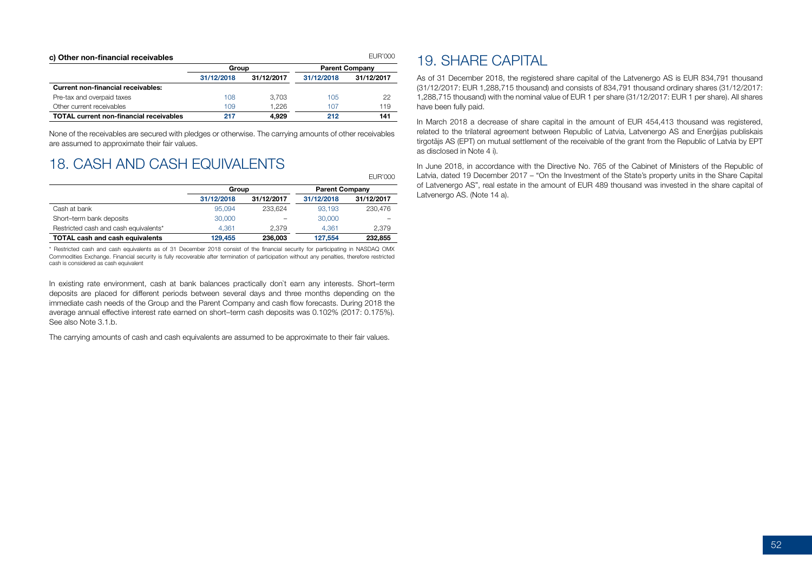| c) Other non-financial receivables             |            |            |                       | <b>EUR'000</b> |  |
|------------------------------------------------|------------|------------|-----------------------|----------------|--|
|                                                | Group      |            | <b>Parent Company</b> |                |  |
|                                                | 31/12/2018 | 31/12/2017 | 31/12/2018            | 31/12/2017     |  |
| <b>Current non-financial receivables:</b>      |            |            |                       |                |  |
| Pre-tax and overpaid taxes                     | 108        | 3.703      | 105                   | 22             |  |
| Other current receivables                      | 109        | 1.226      | 107                   | 119            |  |
| <b>TOTAL current non-financial receivables</b> | 217        | 4.929      | 212                   | 141            |  |

None of the receivables are secured with pledges or otherwise. The carrying amounts of other receivables are assumed to approximate their fair values.

# 18. CASH AND CASH EQUIVALENTS

|                                        |            |            |                       | EUR'000    |  |
|----------------------------------------|------------|------------|-----------------------|------------|--|
|                                        | Group      |            | <b>Parent Company</b> |            |  |
|                                        | 31/12/2018 | 31/12/2017 | 31/12/2018            | 31/12/2017 |  |
| Cash at bank                           | 95.094     | 233.624    | 93.193                | 230.476    |  |
| Short-term bank deposits               | 30,000     |            | 30,000                |            |  |
| Restricted cash and cash equivalents*  | 4.361      | 2.379      | 4.361                 | 2.379      |  |
| <b>TOTAL cash and cash equivalents</b> | 129.455    | 236,003    | 127.554               | 232,855    |  |

\* Restricted cash and cash equivalents as of 31 December 2018 consist of the financial security for participating in NASDAQ OMX Commodities Exchange. Financial security is fully recoverable after termination of participation without any penalties, therefore restricted cash is considered as cash equivalent

In existing rate environment, cash at bank balances practically don't earn any interests. Short-term deposits are placed for different periods between several days and three months depending on the immediate cash needs of the Group and the Parent Company and cash flow forecasts. During 2018 the average annual effective interest rate earned on short–term cash deposits was 0.102% (2017: 0.175%). See also Note 3.1 b.

The carrying amounts of cash and cash equivalents are assumed to be approximate to their fair values.

# 19. SHARE CAPITAL

As of 31 December 2018, the registered share capital of the Latvenergo AS is EUR 834,791 thousand (31/12/2017: EUR 1,288,715 thousand) and consists of 834,791 thousand ordinary shares (31/12/2017: 1,288,715 thousand) with the nominal value of EUR 1 per share (31/12/2017: EUR 1 per share). All shares have been fully paid.

In March 2018 a decrease of share capital in the amount of EUR 454,413 thousand was registered, related to the trilateral agreement between Republic of Latvia, Latvenergo AS and Enerģijas publiskais tirgotājs AS (EPT) on mutual settlement of the receivable of the grant from the Republic of Latvia by EPT as disclosed in Note 4 i).

In June 2018, in accordance with the Directive No. 765 of the Cabinet of Ministers of the Republic of Latvia, dated 19 December 2017 – "On the Investment of the State's property units in the Share Capital of Latvenergo AS", real estate in the amount of EUR 489 thousand was invested in the share capital of Latvenergo AS. (Note 14 a).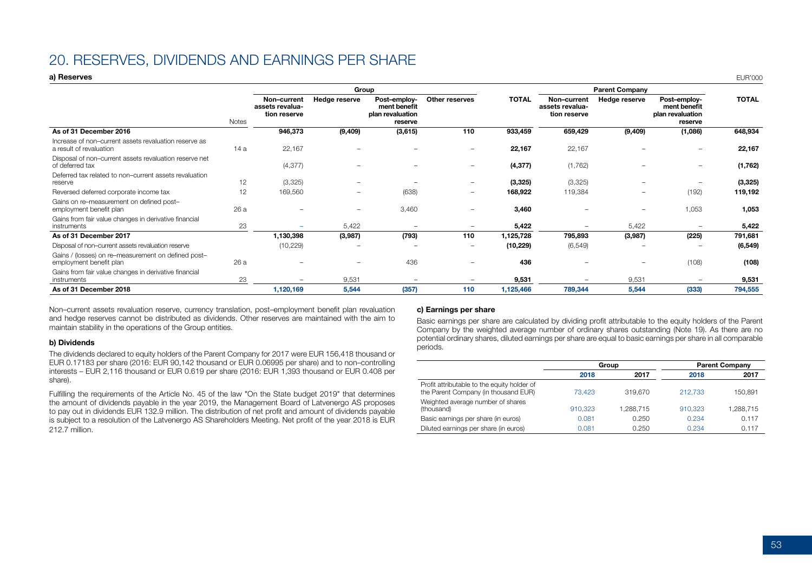# 20. RESERVES, DIVIDENDS AND EARNINGS PER SHARE

#### a) Reserves **EUR'000**

|                                                                                  |              |                                                |                          | Group                                                       |                          |              |                                                | <b>Parent Company</b>    |                                                             |              |
|----------------------------------------------------------------------------------|--------------|------------------------------------------------|--------------------------|-------------------------------------------------------------|--------------------------|--------------|------------------------------------------------|--------------------------|-------------------------------------------------------------|--------------|
|                                                                                  | <b>Notes</b> | Non-current<br>assets revalua-<br>tion reserve | <b>Hedge reserve</b>     | Post-employ-<br>ment benefit<br>plan revaluation<br>reserve | Other reserves           | <b>TOTAL</b> | Non-current<br>assets revalua-<br>tion reserve | <b>Hedge reserve</b>     | Post-employ-<br>ment benefit<br>plan revaluation<br>reserve | <b>TOTAL</b> |
| As of 31 December 2016                                                           |              | 946,373                                        | (9,409)                  | (3,615)                                                     | 110                      | 933,459      | 659,429                                        | (9,409)                  | (1,086)                                                     | 648,934      |
| Increase of non-current assets revaluation reserve as<br>a result of revaluation | 14a          | 22,167                                         | $\overline{\phantom{0}}$ |                                                             | $\overline{\phantom{0}}$ | 22,167       | 22,167                                         |                          | $\overline{\phantom{m}}$                                    | 22,167       |
| Disposal of non-current assets revaluation reserve net<br>of deferred tax        |              | (4, 377)                                       |                          |                                                             | $\overline{\phantom{0}}$ | (4, 377)     | (1,762)                                        |                          | -                                                           | (1,762)      |
| Deferred tax related to non-current assets revaluation<br>reserve                | 12           | (3,325)                                        | $\qquad \qquad$          |                                                             | $\overline{\phantom{0}}$ | (3, 325)     | (3,325)                                        | $\overline{\phantom{0}}$ | $\overline{\phantom{m}}$                                    | (3, 325)     |
| Reversed deferred corporate income tax                                           | 12           | 169,560                                        | $\qquad \qquad$          | (638)                                                       | $\overline{\phantom{0}}$ | 168,922      | 119,384                                        | $\overline{\phantom{0}}$ | (192)                                                       | 119,192      |
| Gains on re-measurement on defined post-<br>employment benefit plan              | 26 a         |                                                | $\overline{\phantom{0}}$ | 3,460                                                       | $\overline{\phantom{0}}$ | 3,460        |                                                | $\overline{\phantom{0}}$ | 1,053                                                       | 1,053        |
| Gains from fair value changes in derivative financial<br>instruments             | 23           | ۰                                              | 5,422                    | $-$                                                         | $\overline{\phantom{0}}$ | 5,422        | $\overline{\phantom{0}}$                       | 5,422                    | $\overline{\phantom{a}}$                                    | 5,422        |
| As of 31 December 2017                                                           |              | 1,130,398                                      | (3,987)                  | (793)                                                       | 110                      | 1,125,728    | 795,893                                        | (3,987)                  | (225)                                                       | 791,681      |
| Disposal of non-current assets revaluation reserve                               |              | (10, 229)                                      |                          | $\overline{\phantom{a}}$                                    | $\overline{\phantom{0}}$ | (10, 229)    | (6, 549)                                       | $\overline{\phantom{0}}$ | $\overline{\phantom{a}}$                                    | (6, 549)     |
| Gains / (losses) on re-measurement on defined post-<br>employment benefit plan   | 26 a         |                                                |                          | 436                                                         |                          | 436          |                                                |                          | (108)                                                       | (108)        |
| Gains from fair value changes in derivative financial<br>instruments             | 23           |                                                | 9,531                    |                                                             | $\overline{\phantom{0}}$ | 9,531        |                                                | 9,531                    | $\overline{\phantom{m}}$                                    | 9,531        |
| As of 31 December 2018                                                           |              | 1,120,169                                      | 5,544                    | (357)                                                       | 110                      | 1,125,466    | 789,344                                        | 5,544                    | (333)                                                       | 794,555      |

Non–current assets revaluation reserve, currency translation, post–employment benefit plan revaluation and hedge reserves cannot be distributed as dividends. Other reserves are maintained with the aim to maintain stability in the operations of the Group entities.

#### b) Dividends

The dividends declared to equity holders of the Parent Company for 2017 were EUR 156,418 thousand or EUR 0.17183 per share (2016: EUR 90,142 thousand or EUR 0.06995 per share) and to non–controlling interests – EUR 2,116 thousand or EUR 0.619 per share (2016: EUR 1,393 thousand or EUR 0.408 per share).

Fulfilling the requirements of the Article No. 45 of the law "On the State budget 2019" that determines the amount of dividends payable in the year 2019, the Management Board of Latvenergo AS proposes to pay out in dividends EUR 132.9 million. The distribution of net profit and amount of dividends payable is subject to a resolution of the Latvenergo AS Shareholders Meeting. Net profit of the year 2018 is EUR 212.7 million.

#### c) Earnings per share

Basic earnings per share are calculated by dividing profit attributable to the equity holders of the Parent Company by the weighted average number of ordinary shares outstanding (Note 19). As there are no potential ordinary shares, diluted earnings per share are equal to basic earnings per share in all comparable periods.

|                                                                                     |         | Group     | <b>Parent Company</b> |           |  |
|-------------------------------------------------------------------------------------|---------|-----------|-----------------------|-----------|--|
|                                                                                     | 2018    | 2017      | 2018                  | 2017      |  |
| Profit attributable to the equity holder of<br>the Parent Company (in thousand EUR) | 73.423  | 319.670   | 212.733               | 150.891   |  |
| Weighted average number of shares<br>(thousand)                                     | 910.323 | 1,288,715 | 910.323               | 1,288,715 |  |
| Basic earnings per share (in euros)                                                 | 0.081   | 0.250     | 0.234                 | 0.117     |  |
| Diluted earnings per share (in euros)                                               | 0.081   | 0.250     | 0.234                 | 0.117     |  |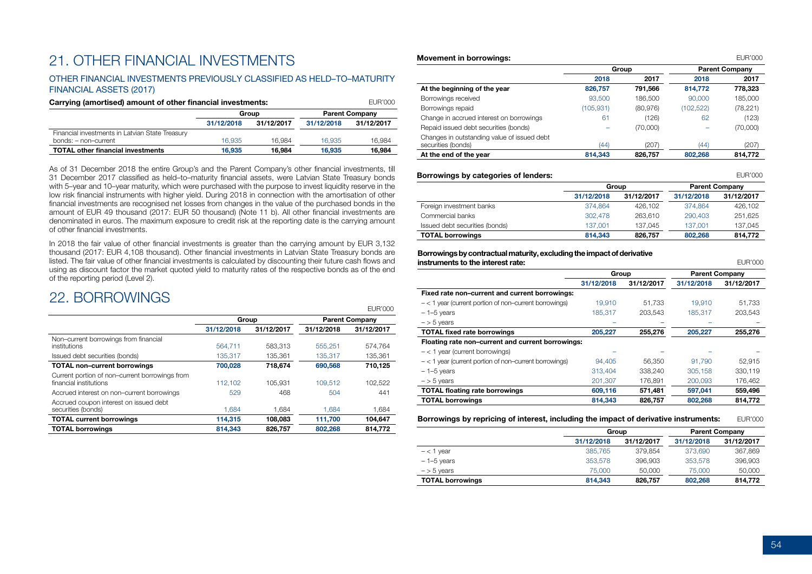# 21. OTHER FINANCIAL INVESTMENTS

### OTHER FINANCIAL INVESTMENTS PREVIOUSLY CLASSIFIED AS HELD–TO–MATURITY FINANCIAL ASSETS (2017)

| Carrying (amortised) amount of other financial investments: |            |            |                       | EUR'000    |  |
|-------------------------------------------------------------|------------|------------|-----------------------|------------|--|
|                                                             |            | Group      | <b>Parent Company</b> |            |  |
|                                                             | 31/12/2018 | 31/12/2017 | 31/12/2018            | 31/12/2017 |  |
| Financial investments in Latvian State Treasury             |            |            |                       |            |  |
| bonds: - non-current                                        | 16.935     | 16.984     | 16.935                | 16.984     |  |
| <b>TOTAL other financial investments</b>                    | 16.935     | 16.984     | 16.935                | 16.984     |  |

As of 31 December 2018 the entire Group's and the Parent Company's other financial investments, till<br>31 December 2017 classified as held–to–maturity financial assets, were Latvian State Treasury bonds **Borrowings by catego** with 5–year and 10–year maturity, which were purchased with the purpose to invest liquidity reserve in the low risk financial instruments with higher yield. During 2018 in connection with the amortisation of other financial investments are recognised net losses from changes in the value of the purchased bonds in the amount of EUR 49 thousand (2017: EUR 50 thousand) (Note 11 b). All other financial investments are denominated in euros. The maximum exposure to credit risk at the reporting date is the carrying amount of other financial investments.

In 2018 the fair value of other financial investments is greater than the carrying amount by EUR 3,132 thousand (2017: EUR 4,108 thousand). Other financial investments in Latvian State Treasury bonds are listed. The fair value of other financial investments is calculated by discounting their future cash flows and using as discount factor the market quoted yield to maturity rates of the respective bonds as of the end of the reporting period (Level 2).

# 22. BORROWINGS

|                                                                          |            |            |                       | EUN VVV    |
|--------------------------------------------------------------------------|------------|------------|-----------------------|------------|
|                                                                          | Group      |            | <b>Parent Company</b> |            |
|                                                                          | 31/12/2018 | 31/12/2017 | 31/12/2018            | 31/12/2017 |
| Non-current borrowings from financial<br>institutions                    | 564.711    | 583.313    | 555.251               | 574.764    |
| Issued debt securities (bonds)                                           | 135.317    | 135.361    | 135.317               | 135,361    |
| <b>TOTAL non-current borrowings</b>                                      | 700.028    | 718.674    | 690,568               | 710.125    |
| Current portion of non-current borrowings from<br>financial institutions | 112.102    | 105.931    | 109.512               | 102.522    |
| Accrued interest on non-current borrowings                               | 529        | 468        | 504                   | 441        |
| Accrued coupon interest on issued debt<br>securities (bonds)             | 1.684      | 1.684      | 1.684                 | 1,684      |
| <b>TOTAL current borrowings</b>                                          | 114,315    | 108.083    | 111,700               | 104.647    |
| <b>TOTAL borrowings</b>                                                  | 814.343    | 826.757    | 802.268               | 814.772    |

#### Movement in borrowings:

|                                                                   | Group      |           | <b>Parent Company</b> |           |  |
|-------------------------------------------------------------------|------------|-----------|-----------------------|-----------|--|
|                                                                   | 2018       | 2017      | 2018                  | 2017      |  |
| At the beginning of the year                                      | 826,757    | 791,566   | 814,772               | 778,323   |  |
| Borrowings received                                               | 93,500     | 186.500   | 90,000                | 185,000   |  |
| Borrowings repaid                                                 | (105, 931) | (80, 976) | (102, 522)            | (78, 221) |  |
| Change in accrued interest on borrowings                          | 61         | (126)     | 62                    | (123)     |  |
| Repaid issued debt securities (bonds)                             |            | (70,000)  |                       | (70,000)  |  |
| Changes in outstanding value of issued debt<br>securities (bonds) | (44)       | (207)     | (44)                  | (207)     |  |
| At the end of the year                                            | 814.343    | 826.757   | 802.268               | 814.772   |  |

EUR'000

|                                |            | Group      | <b>Parent Company</b> |            |  |
|--------------------------------|------------|------------|-----------------------|------------|--|
|                                | 31/12/2018 | 31/12/2017 | 31/12/2018            | 31/12/2017 |  |
| Foreign investment banks       | 374.864    | 426.102    | 374.864               | 426,102    |  |
| Commercial banks               | 302,478    | 263.610    | 290,403               | 251.625    |  |
| Issued debt securities (bonds) | 137.001    | 137.045    | 137.001               | 137.045    |  |
| <b>TOTAL borrowings</b>        | 814.343    | 826,757    | 802.268               | 814,772    |  |

#### Borrowings by contractual maturity, excluding the impact of derivative instruments to the interest rate:

|                                                          | Group      |            | <b>Parent Company</b> |            |
|----------------------------------------------------------|------------|------------|-----------------------|------------|
|                                                          | 31/12/2018 | 31/12/2017 | 31/12/2018            | 31/12/2017 |
| Fixed rate non-current and current borrowings:           |            |            |                       |            |
| $-$ < 1 year (current portion of non-current borrowings) | 19.910     | 51.733     | 19,910                | 51.733     |
| $-1-5$ years                                             | 185,317    | 203,543    | 185,317               | 203,543    |
| $-$ > 5 years                                            |            |            |                       |            |
| <b>TOTAL fixed rate borrowings</b>                       | 205.227    | 255,276    | 205,227               | 255,276    |
| Floating rate non-current and current borrowings:        |            |            |                       |            |
| $-$ < 1 year (current borrowings)                        |            |            |                       |            |
| $-$ < 1 year (current portion of non-current borrowings) | 94.405     | 56.350     | 91.790                | 52,915     |
| $-1-5$ years                                             | 313,404    | 338,240    | 305.158               | 330,119    |
| $-$ > 5 years                                            | 201,307    | 176,891    | 200.093               | 176,462    |
| <b>TOTAL floating rate borrowings</b>                    | 609.116    | 571,481    | 597.041               | 559,496    |
| <b>TOTAL borrowings</b>                                  | 814.343    | 826.757    | 802.268               | 814.772    |

Borrowings by repricing of interest, including the impact of derivative instruments: EUR'000

|                         | Group      |            | <b>Parent Company</b> |            |  |
|-------------------------|------------|------------|-----------------------|------------|--|
|                         | 31/12/2018 | 31/12/2017 | 31/12/2018            | 31/12/2017 |  |
| $-$ < 1 year            | 385.765    | 379.854    | 373,690               | 367,869    |  |
| $-1-5$ years            | 353,578    | 396.903    | 353,578               | 396,903    |  |
| $-$ > 5 years           | 75,000     | 50,000     | 75,000                | 50,000     |  |
| <b>TOTAL borrowings</b> | 814,343    | 826,757    | 802.268               | 814,772    |  |

EUR'000

EUR'000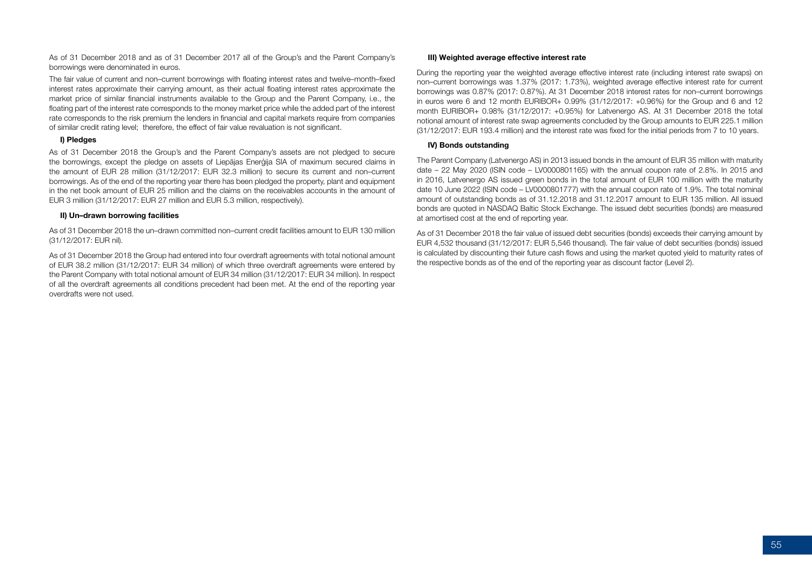As of 31 December 2018 and as of 31 December 2017 all of the Group's and the Parent Company's borrowings were denominated in euros.

The fair value of current and non–current borrowings with floating interest rates and twelve–month–fixed interest rates approximate their carrying amount, as their actual floating interest rates approximate the market price of similar financial instruments available to the Group and the Parent Company, i.e., the floating part of the interest rate corresponds to the money market price while the added part of the interest rate corresponds to the risk premium the lenders in financial and capital markets require from companies of similar credit rating level; therefore, the effect of fair value revaluation is not significant.

#### I) Pledges

As of 31 December 2018 the Group's and the Parent Company's assets are not pledged to secure the borrowings, except the pledge on assets of Liepājas Enerģija SIA of maximum secured claims in the amount of EUR 28 million (31/12/2017: EUR 32.3 million) to secure its current and non–current borrowings. As of the end of the reporting year there has been pledged the property, plant and equipment in the net book amount of EUR 25 million and the claims on the receivables accounts in the amount of EUR 3 million (31/12/2017: EUR 27 million and EUR 5.3 million, respectively).

### II) Un–drawn borrowing facilities

As of 31 December 2018 the un–drawn committed non–current credit facilities amount to EUR 130 million (31/12/2017: EUR nil).

As of 31 December 2018 the Group had entered into four overdraft agreements with total notional amount of EUR 38.2 million (31/12/2017: EUR 34 million) of which three overdraft agreements were entered by the Parent Company with total notional amount of EUR 34 million (31/12/2017: EUR 34 million). In respect of all the overdraft agreements all conditions precedent had been met. At the end of the reporting year overdrafts were not used.

#### III) Weighted average effective interest rate

During the reporting year the weighted average effective interest rate (including interest rate swaps) on non–current borrowings was 1.37% (2017: 1.73%), weighted average effective interest rate for current borrowings was 0.87% (2017: 0.87%). At 31 December 2018 interest rates for non–current borrowings in euros were 6 and 12 month EURIBOR+ 0.99% (31/12/2017: +0.96%) for the Group and 6 and 12 month EURIBOR+ 0.98% (31/12/2017: +0.95%) for Latvenergo AS. At 31 December 2018 the total notional amount of interest rate swap agreements concluded by the Group amounts to EUR 225.1 million (31/12/2017: EUR 193.4 million) and the interest rate was fixed for the initial periods from 7 to 10 years.

### IV) Bonds outstanding

The Parent Company (Latvenergo AS) in 2013 issued bonds in the amount of EUR 35 million with maturity date – 22 May 2020 (ISIN code – LV0000801165) with the annual coupon rate of 2.8%. In 2015 and in 2016, Latvenergo AS issued green bonds in the total amount of EUR 100 million with the maturity date 10 June 2022 (ISIN code – LV0000801777) with the annual coupon rate of 1.9%. The total nominal amount of outstanding bonds as of 31.12.2018 and 31.12.2017 amount to EUR 135 million. All issued bonds are quoted in NASDAQ Baltic Stock Exchange. The issued debt securities (bonds) are measured at amortised cost at the end of reporting year.

As of 31 December 2018 the fair value of issued debt securities (bonds) exceeds their carrying amount by EUR 4,532 thousand (31/12/2017: EUR 5,546 thousand). The fair value of debt securities (bonds) issued is calculated by discounting their future cash flows and using the market quoted yield to maturity rates of the respective bonds as of the end of the reporting year as discount factor (Level 2).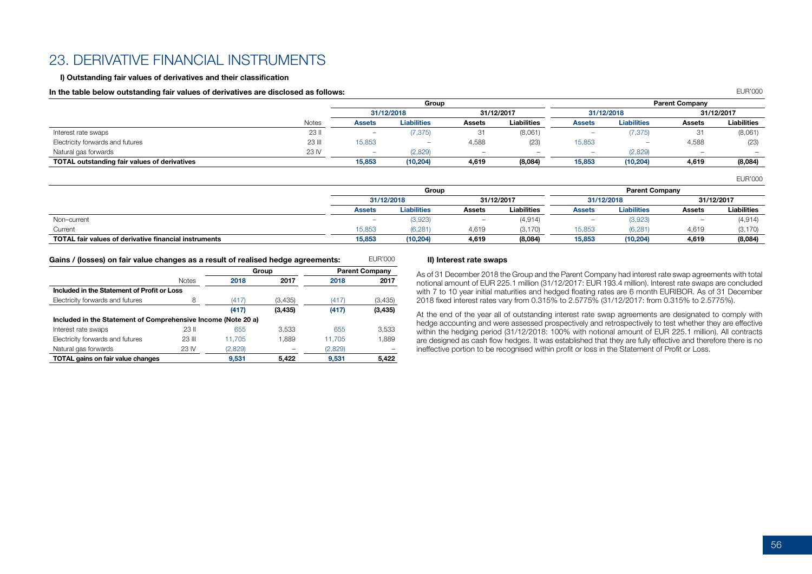# 23. DERIVATIVE FINANCIAL INSTRUMENTS

#### I) Outstanding fair values of derivatives and their classification

#### In the table below outstanding fair values of derivatives are disclosed as follows:

|                                                     |              |                          | Group                    |                          |                    |                          | <b>Parent Company</b>    |        |                          |  |
|-----------------------------------------------------|--------------|--------------------------|--------------------------|--------------------------|--------------------|--------------------------|--------------------------|--------|--------------------------|--|
|                                                     |              |                          | 31/12/2018               |                          | 31/12/2017         | 31/12/2018               |                          |        | 31/12/2017               |  |
|                                                     | <b>Notes</b> | <b>Assets</b>            | <b>Liabilities</b>       | Assets                   | <b>Liabilities</b> | <b>Assets</b>            | <b>Liabilities</b>       | Assets | <b>Liabilities</b>       |  |
| Interest rate swaps                                 | 23 II        | $\overline{\phantom{a}}$ | (7, 375)                 |                          | (8,061)            | $\overline{\phantom{a}}$ | (7, 375)                 | 31     | (8,061)                  |  |
| Electricity forwards and futures                    | 23 III       | 15,853                   | $\overline{\phantom{a}}$ | 4,588                    | (23)               | 15,853                   | $\overline{\phantom{a}}$ | 4,588  | (23)                     |  |
| Natural gas forwards                                | 23 IV        | $\overline{\phantom{a}}$ | (2,829)                  | $\overline{\phantom{a}}$ | -                  | -                        | (2,829)                  |        | $\overline{\phantom{a}}$ |  |
| <b>TOTAL outstanding fair values of derivatives</b> |              | 15,853                   | (10, 204)                | 4,619                    | (8,084)            | 15,853                   | (10, 204)                | 4,619  | (8,084)                  |  |

|                                                       |                          |                    |                       |             |               |                    |                          | <b>EUR'000</b> |
|-------------------------------------------------------|--------------------------|--------------------|-----------------------|-------------|---------------|--------------------|--------------------------|----------------|
|                                                       |                          | Group              | <b>Parent Company</b> |             |               |                    |                          |                |
|                                                       | 31/12/2018               |                    | 31/12/2017            |             | 31/12/2018    |                    | 31/12/2017               |                |
|                                                       | <b>Assets</b>            | <b>Liabilities</b> | Assets                | Liabilities | <b>Assets</b> | <b>Liabilities</b> | Assets                   | Liabilities    |
| Non-current                                           | $\overline{\phantom{a}}$ | (3,923)            | -                     | (4, 914)    | -             | (3,923)            | $\overline{\phantom{a}}$ | (4, 914)       |
| Current                                               | 15.853                   | (6, 281)           | 4,619                 | (3, 170)    | 15.853        | (6, 281)           | 4,619                    | (3, 170)       |
| TOTAL fair values of derivative financial instruments | 15,853                   | (10, 204)          | 4,619                 | (8,084)     | 15,853        | (10, 204)          | 4,619                    | (8,084)        |

#### Gains / (losses) on fair value changes as a result of realised hedge agreements:

|                                                               |        |         | Group    |         | <b>Parent Company</b> |
|---------------------------------------------------------------|--------|---------|----------|---------|-----------------------|
|                                                               | Notes  | 2018    | 2017     | 2018    | 2017                  |
| Included in the Statement of Profit or Loss                   |        |         |          |         |                       |
| Electricity forwards and futures                              | 8      | (417)   | (3,435)  | (417)   | (3,435)               |
|                                                               |        | (417)   | (3, 435) | (417)   | (3, 435)              |
| Included in the Statement of Comprehensive Income (Note 20 a) |        |         |          |         |                       |
| Interest rate swaps                                           | 23 II  | 655     | 3.533    | 655     | 3,533                 |
| Electricity forwards and futures                              | 23 III | 11.705  | 1.889    | 11.705  | 1,889                 |
| Natural gas forwards                                          | 23 IV  | (2,829) |          | (2,829) |                       |
| <b>TOTAL</b> gains on fair value changes                      |        | 9,531   | 5.422    | 9,531   | 5,422                 |

### EUR'000 **II) Interest rate swaps**

As of 31 December 2018 the Group and the Parent Company had interest rate swap agreements with total notional amount of EUR 225.1 million (31/12/2017: EUR 193.4 million). Interest rate swaps are concluded with 7 to 10 year initial maturities and hedged floating rates are 6 month EURIBOR. As of 31 December 2018 fixed interest rates vary from 0.315% to 2.5775% (31/12/2017: from 0.315% to 2.5775%).

At the end of the year all of outstanding interest rate swap agreements are designated to comply with hedge accounting and were assessed prospectively and retrospectively to test whether they are effective within the hedging period (31/12/2018: 100% with notional amount of EUR 225.1 million). All contracts are designed as cash flow hedges. It was established that they are fully effective and therefore there is no ineffective portion to be recognised within profit or loss in the Statement of Profit or Loss.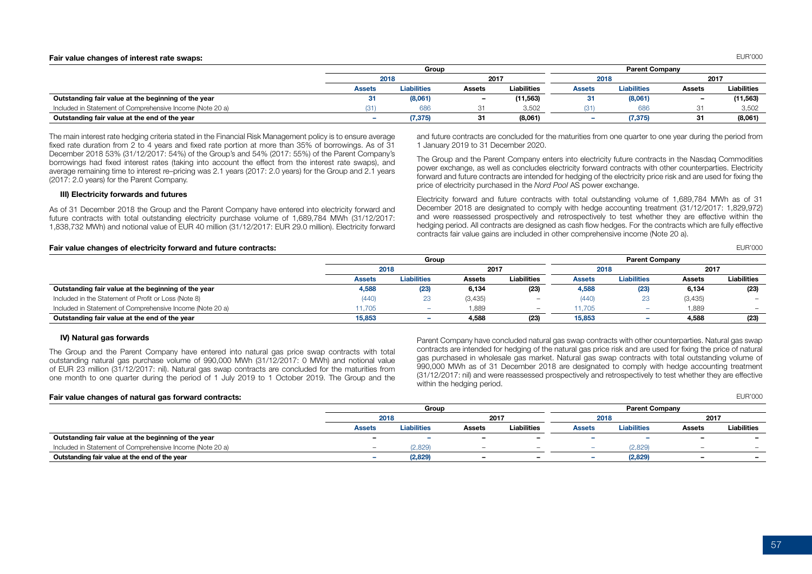#### Fair value changes of interest rate swaps:

|                                                           | Group         |                    |                          |             | <b>Parent Company</b> |                    |                          |             |  |
|-----------------------------------------------------------|---------------|--------------------|--------------------------|-------------|-----------------------|--------------------|--------------------------|-------------|--|
|                                                           | 2018          |                    |                          | 2017        |                       | 2018               |                          | 2017        |  |
|                                                           | <b>Assets</b> | <b>Liabilities</b> | <b>Assets</b>            | Liabilities | <b>Assets</b>         | <b>Liabilities</b> | Assets                   | Liabilities |  |
| Outstanding fair value at the beginning of the year       | 31            | (8,061)            | $\overline{\phantom{0}}$ | (11,563)    | -31                   | (8,061)            | $\overline{\phantom{0}}$ | (11, 563)   |  |
| Included in Statement of Comprehensive Income (Note 20 a) |               | 686                |                          | 3,502       | 121 <sup>1</sup>      | 686                |                          | 3,502       |  |
| Outstanding fair value at the end of the year             |               | (7,375)            | 31                       | (8,061)     | $\sim$                | (7, 375)           | 31                       | (8,061)     |  |

The main interest rate hedging criteria stated in the Financial Risk Management policy is to ensure average fixed rate duration from 2 to 4 years and fixed rate portion at more than 35% of borrowings. As of 31 December 2018 53% (31/12/2017: 54%) of the Group's and 54% (2017: 55%) of the Parent Company's borrowings had fixed interest rates (taking into account the effect from the interest rate swaps), and average remaining time to interest re–pricing was 2.1 years (2017: 2.0 years) for the Group and 2.1 years (2017: 2.0 years) for the Parent Company.

#### III) Electricity forwards and futures

As of 31 December 2018 the Group and the Parent Company have entered into electricity forward and future contracts with total outstanding electricity purchase volume of 1,689,784 MWh (31/12/2017: 1,838,732 MWh) and notional value of EUR 40 million (31/12/2017: EUR 29.0 million). Electricity forward

#### Fair value changes of electricity forward and future contracts:

and future contracts are concluded for the maturities from one quarter to one year during the period from 1 January 2019 to 31 December 2020.

The Group and the Parent Company enters into electricity future contracts in the Nasdaq Commodities power exchange, as well as concludes electricity forward contracts with other counterparties. Electricity forward and future contracts are intended for hedging of the electricity price risk and are used for fixing the price of electricity purchased in the *Nord Pool* AS power exchange.

Electricity forward and future contracts with total outstanding volume of 1,689,784 MWh as of 31 December 2018 are designated to comply with hedge accounting treatment (31/12/2017: 1,829,972) and were reassessed prospectively and retrospectively to test whether they are effective within the hedging period. All contracts are designed as cash flow hedges. For the contracts which are fully effective contracts fair value gains are included in other comprehensive income (Note 20 a).

|                                                           |               | Group                    |         |                          |               | <b>Parent Company</b> |         |                          |  |
|-----------------------------------------------------------|---------------|--------------------------|---------|--------------------------|---------------|-----------------------|---------|--------------------------|--|
|                                                           |               | 2018                     |         | 2017                     |               | 2018                  |         | 2017                     |  |
|                                                           | <b>Assets</b> | <b>Liabilities</b>       | Assets  | <b>Liabilities</b>       | <b>Assets</b> | <b>Liabilities</b>    | Assets  | Liabilities              |  |
| Outstanding fair value at the beginning of the year       | 4,588         | (23)                     | 6,134   | (23)                     | 4,588         | (23)                  | 6,134   | (23)                     |  |
| Included in the Statement of Profit or Loss (Note 8)      | (440)         | 23                       | (3,435) | $\overline{\phantom{a}}$ | (440)         | 20                    | (3,435) | $\overline{\phantom{a}}$ |  |
| Included in Statement of Comprehensive Income (Note 20 a) | 11.705        | $\overline{\phantom{a}}$ | 1.889   | $\overline{\phantom{0}}$ | 11.705        |                       | 1.889   | $\overline{\phantom{0}}$ |  |
| Outstanding fair value at the end of the year             | 15,853        | $\sim$                   | 4.588   | (23)                     | 15,853        |                       | 4.588   | (23)                     |  |

#### IV) Natural gas forwards

The Group and the Parent Company have entered into natural gas price swap contracts with total outstanding natural gas purchase volume of 990,000 MWh (31/12/2017: 0 MWh) and notional value of EUR 23 million (31/12/2017: nil). Natural gas swap contracts are concluded for the maturities from one month to one quarter during the period of 1 July 2019 to 1 October 2019. The Group and the Parent Company have concluded natural gas swap contracts with other counterparties. Natural gas swap contracts are intended for hedging of the natural gas price risk and are used for fixing the price of natural gas purchased in wholesale gas market. Natural gas swap contracts with total outstanding volume of 990,000 MWh as of 31 December 2018 are designated to comply with hedge accounting treatment (31/12/2017: nil) and were reassessed prospectively and retrospectively to test whether they are effective within the hedging period.

#### Fair value changes of natural gas forward contracts:

|                                                           | Group  |                    |                          |                          | <b>Parent Company</b>    |                    |        |             |
|-----------------------------------------------------------|--------|--------------------|--------------------------|--------------------------|--------------------------|--------------------|--------|-------------|
|                                                           | 2018   |                    | 2017                     |                          | 2018                     |                    | 2017   |             |
|                                                           | Assets | <b>Liabilities</b> | Assets                   | <b>Liabilities</b>       | <b>Assets</b>            | <b>Liabilities</b> | Assets | Liabilities |
| Outstanding fair value at the beginning of the year       |        |                    | $\sim$                   | $\overline{\phantom{0}}$ | $\sim$                   | $\sim$             | $\sim$ |             |
| Included in Statement of Comprehensive Income (Note 20 a) |        | (2.829)            | $\overline{\phantom{a}}$ | $\overline{\phantom{a}}$ | $\overline{\phantom{a}}$ | (2,829)            | -      | -           |
| Outstanding fair value at the end of the year             |        | (2,829)            | $\sim$                   | $\overline{\phantom{0}}$ |                          | (2,829)            | $\sim$ |             |

EUR'000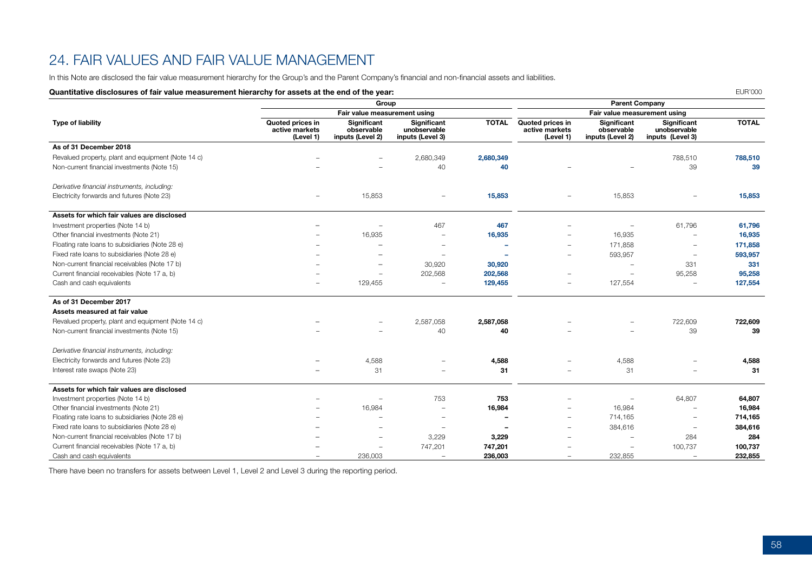# 24. FAIR VALUES AND FAIR VALUE MANAGEMENT

In this Note are disclosed the fair value measurement hierarchy for the Group's and the Parent Company's financial and non-financial assets and liabilities.

#### Quantitative disclosures of fair value measurement hierarchy for assets at the end of the year:

|                                                    |                                                 | Group                                                |                                                        |                          |                                                 | <b>Parent Company</b>                                |                                                        |              |
|----------------------------------------------------|-------------------------------------------------|------------------------------------------------------|--------------------------------------------------------|--------------------------|-------------------------------------------------|------------------------------------------------------|--------------------------------------------------------|--------------|
|                                                    |                                                 | Fair value measurement using                         |                                                        |                          |                                                 | Fair value measurement using                         |                                                        |              |
| <b>Type of liability</b>                           | Quoted prices in<br>active markets<br>(Level 1) | <b>Significant</b><br>observable<br>inputs (Level 2) | <b>Significant</b><br>unobservable<br>inputs (Level 3) | <b>TOTAL</b>             | Quoted prices in<br>active markets<br>(Level 1) | <b>Significant</b><br>observable<br>inputs (Level 2) | <b>Significant</b><br>unobservable<br>inputs (Level 3) | <b>TOTAL</b> |
| As of 31 December 2018                             |                                                 |                                                      |                                                        |                          |                                                 |                                                      |                                                        |              |
| Revalued property, plant and equipment (Note 14 c) |                                                 |                                                      | 2,680,349                                              | 2,680,349                |                                                 |                                                      | 788,510                                                | 788,510      |
| Non-current financial investments (Note 15)        |                                                 |                                                      | 40                                                     | 40                       |                                                 |                                                      | 39                                                     | 39           |
| Derivative financial instruments, including:       |                                                 |                                                      |                                                        |                          |                                                 |                                                      |                                                        |              |
| Electricity forwards and futures (Note 23)         |                                                 | 15,853                                               | $\qquad \qquad -$                                      | 15,853                   |                                                 | 15,853                                               |                                                        | 15,853       |
| Assets for which fair values are disclosed         |                                                 |                                                      |                                                        |                          |                                                 |                                                      |                                                        |              |
| Investment properties (Note 14 b)                  |                                                 |                                                      | 467                                                    | 467                      |                                                 |                                                      | 61,796                                                 | 61,796       |
| Other financial investments (Note 21)              |                                                 | 16,935                                               | $\overline{\phantom{0}}$                               | 16,935                   |                                                 | 16,935                                               | $\equiv$                                               | 16,935       |
| Floating rate loans to subsidiaries (Note 28 e)    |                                                 | -                                                    | $\overline{\phantom{0}}$                               |                          |                                                 | 171.858                                              | ۰                                                      | 171,858      |
| Fixed rate loans to subsidiaries (Note 28 e)       |                                                 |                                                      | $\overline{\phantom{m}}$                               |                          |                                                 | 593,957                                              | $\overline{\phantom{m}}$                               | 593,957      |
| Non-current financial receivables (Note 17 b)      |                                                 | $\overline{\phantom{0}}$                             | 30,920                                                 | 30,920                   |                                                 |                                                      | 331                                                    | 331          |
| Current financial receivables (Note 17 a, b)       |                                                 |                                                      | 202,568                                                | 202,568                  |                                                 |                                                      | 95,258                                                 | 95,258       |
| Cash and cash equivalents                          | $\overline{\phantom{a}}$                        | 129,455                                              | $\overline{\phantom{a}}$                               | 129,455                  | -                                               | 127,554                                              | $\overline{\phantom{m}}$                               | 127,554      |
| As of 31 December 2017                             |                                                 |                                                      |                                                        |                          |                                                 |                                                      |                                                        |              |
| Assets measured at fair value                      |                                                 |                                                      |                                                        |                          |                                                 |                                                      |                                                        |              |
| Revalued property, plant and equipment (Note 14 c) |                                                 | $\overline{\phantom{a}}$                             | 2,587,058                                              | 2,587,058                |                                                 |                                                      | 722,609                                                | 722,609      |
| Non-current financial investments (Note 15)        |                                                 |                                                      | 40                                                     | 40                       |                                                 |                                                      | 39                                                     | 39           |
| Derivative financial instruments, including:       |                                                 |                                                      |                                                        |                          |                                                 |                                                      |                                                        |              |
| Electricity forwards and futures (Note 23)         |                                                 | 4,588                                                | $\overline{\phantom{0}}$                               | 4,588                    |                                                 | 4,588                                                |                                                        | 4,588        |
| Interest rate swaps (Note 23)                      |                                                 | 31                                                   |                                                        | 31                       |                                                 | 31                                                   |                                                        | 31           |
| Assets for which fair values are disclosed         |                                                 |                                                      |                                                        |                          |                                                 |                                                      |                                                        |              |
| Investment properties (Note 14 b)                  |                                                 |                                                      | 753                                                    | 753                      |                                                 |                                                      | 64,807                                                 | 64,807       |
| Other financial investments (Note 21)              |                                                 | 16,984                                               | ۰                                                      | 16,984                   |                                                 | 16,984                                               | ۰                                                      | 16,984       |
| Floating rate loans to subsidiaries (Note 28 e)    |                                                 | ۰                                                    | $\qquad \qquad$                                        | $\overline{\phantom{0}}$ | $\overline{\phantom{m}}$                        | 714,165                                              | $\overline{\phantom{m}}$                               | 714,165      |
| Fixed rate loans to subsidiaries (Note 28 e)       |                                                 |                                                      | $\overline{\phantom{0}}$                               |                          |                                                 | 384,616                                              | ۰                                                      | 384,616      |
| Non-current financial receivables (Note 17 b)      |                                                 | $\overline{\phantom{a}}$                             | 3,229                                                  | 3,229                    |                                                 |                                                      | 284                                                    | 284          |
| Current financial receivables (Note 17 a, b)       |                                                 |                                                      | 747,201                                                | 747,201                  |                                                 |                                                      | 100,737                                                | 100,737      |
| Cash and cash equivalents                          |                                                 | 236.003                                              | $\equiv$                                               | 236,003                  |                                                 | 232.855                                              | $\sim$                                                 | 232.855      |

There have been no transfers for assets between Level 1, Level 2 and Level 3 during the reporting period.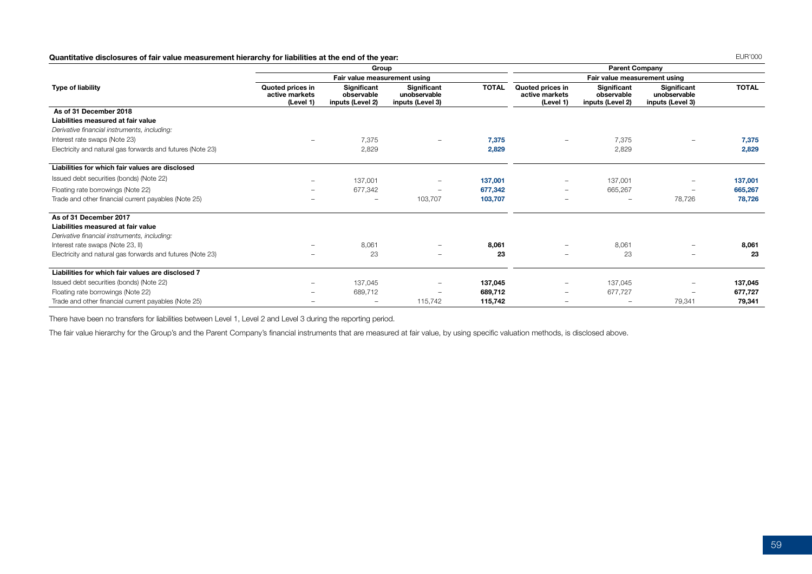### Quantitative disclosures of fair value measurement hierarchy for liabilities at the end of the year:

|                                                            |                                                 | Group                                                |                                                        | <b>Parent Company</b> |                                                 |                                                      |                                                        |              |  |
|------------------------------------------------------------|-------------------------------------------------|------------------------------------------------------|--------------------------------------------------------|-----------------------|-------------------------------------------------|------------------------------------------------------|--------------------------------------------------------|--------------|--|
|                                                            |                                                 | Fair value measurement using                         |                                                        |                       |                                                 | Fair value measurement using                         |                                                        |              |  |
| <b>Type of liability</b>                                   | Quoted prices in<br>active markets<br>(Level 1) | <b>Significant</b><br>observable<br>inputs (Level 2) | <b>Significant</b><br>unobservable<br>inputs (Level 3) | <b>TOTAL</b>          | Quoted prices in<br>active markets<br>(Level 1) | <b>Significant</b><br>observable<br>inputs (Level 2) | <b>Significant</b><br>unobservable<br>inputs (Level 3) | <b>TOTAL</b> |  |
| As of 31 December 2018                                     |                                                 |                                                      |                                                        |                       |                                                 |                                                      |                                                        |              |  |
| Liabilities measured at fair value                         |                                                 |                                                      |                                                        |                       |                                                 |                                                      |                                                        |              |  |
| Derivative financial instruments, including:               |                                                 |                                                      |                                                        |                       |                                                 |                                                      |                                                        |              |  |
| Interest rate swaps (Note 23)                              | $\qquad \qquad -$                               | 7.375                                                | $\overline{\phantom{a}}$                               | 7,375                 |                                                 | 7,375                                                | -                                                      | 7,375        |  |
| Electricity and natural gas forwards and futures (Note 23) |                                                 | 2,829                                                |                                                        | 2,829                 |                                                 | 2,829                                                |                                                        | 2,829        |  |
| Liabilities for which fair values are disclosed            |                                                 |                                                      |                                                        |                       |                                                 |                                                      |                                                        |              |  |
| Issued debt securities (bonds) (Note 22)                   | $\overline{\phantom{m}}$                        | 137,001                                              | $\overline{\phantom{a}}$                               | 137,001               | -                                               | 137,001                                              | $\overline{\phantom{0}}$                               | 137,001      |  |
| Floating rate borrowings (Note 22)                         | -                                               | 677,342                                              | $\overline{\phantom{0}}$                               | 677,342               | -                                               | 665,267                                              | $\overline{\phantom{a}}$                               | 665,267      |  |
| Trade and other financial current payables (Note 25)       | -                                               | $\overline{\phantom{m}}$                             | 103,707                                                | 103,707               |                                                 | $\overline{\phantom{0}}$                             | 78,726                                                 | 78,726       |  |
| As of 31 December 2017                                     |                                                 |                                                      |                                                        |                       |                                                 |                                                      |                                                        |              |  |
| Liabilities measured at fair value                         |                                                 |                                                      |                                                        |                       |                                                 |                                                      |                                                        |              |  |
| Derivative financial instruments, including:               |                                                 |                                                      |                                                        |                       |                                                 |                                                      |                                                        |              |  |
| Interest rate swaps (Note 23, II)                          | -                                               | 8,061                                                |                                                        | 8,061                 |                                                 | 8,061                                                |                                                        | 8,061        |  |
| Electricity and natural gas forwards and futures (Note 23) | $\overline{\phantom{0}}$                        | 23                                                   |                                                        | 23                    |                                                 | 23                                                   |                                                        | 23           |  |
| Liabilities for which fair values are disclosed 7          |                                                 |                                                      |                                                        |                       |                                                 |                                                      |                                                        |              |  |
| Issued debt securities (bonds) (Note 22)                   | $\qquad \qquad -$                               | 137,045                                              |                                                        | 137,045               | -                                               | 137,045                                              | -                                                      | 137,045      |  |
| Floating rate borrowings (Note 22)                         | $\qquad \qquad -$                               | 689,712                                              | $\overline{\phantom{a}}$                               | 689,712               | $\overline{\phantom{0}}$                        | 677,727                                              | $\overline{\phantom{a}}$                               | 677,727      |  |
| Trade and other financial current payables (Note 25)       | -                                               |                                                      | 115,742                                                | 115,742               |                                                 | -                                                    | 79,341                                                 | 79,341       |  |

There have been no transfers for liabilities between Level 1, Level 2 and Level 3 during the reporting period.

The fair value hierarchy for the Group's and the Parent Company's financial instruments that are measured at fair value, by using specific valuation methods, is disclosed above.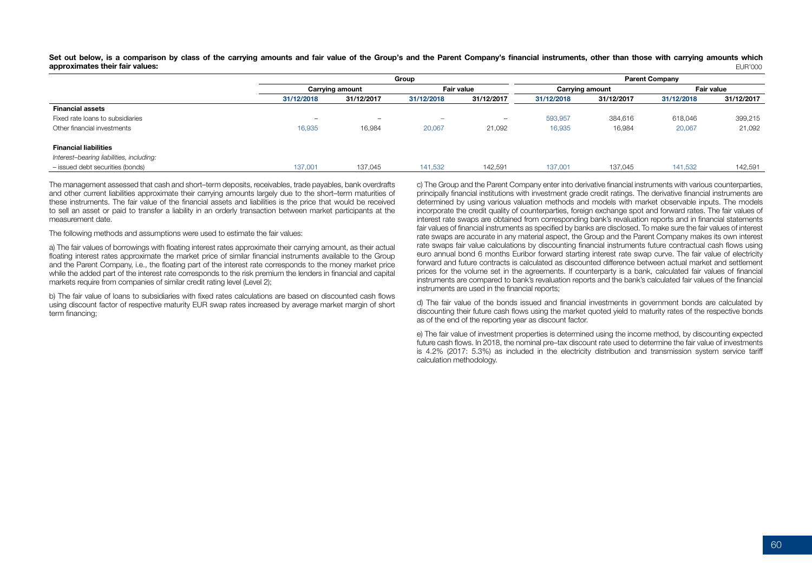Set out below, is a comparison by class of the carrying amounts and fair value of the Group's and the Parent Company's financial instruments, other than those with carrying amounts which approximates their fair values: EUR'000

|                                          |                          |                          | Group      |                          | <b>Parent Company</b>  |            |                   |            |  |
|------------------------------------------|--------------------------|--------------------------|------------|--------------------------|------------------------|------------|-------------------|------------|--|
|                                          |                          | <b>Carrying amount</b>   |            | <b>Fair value</b>        | <b>Carrying amount</b> |            | <b>Fair value</b> |            |  |
|                                          | 31/12/2018               | 31/12/2017               | 31/12/2018 | 31/12/2017               | 31/12/2018             | 31/12/2017 | 31/12/2018        | 31/12/2017 |  |
| <b>Financial assets</b>                  |                          |                          |            |                          |                        |            |                   |            |  |
| Fixed rate loans to subsidiaries         | $\overline{\phantom{a}}$ | $\overline{\phantom{a}}$ | -          | $\overline{\phantom{0}}$ | 593,957                | 384,616    | 618.046           | 399,215    |  |
| Other financial investments              | 16,935                   | 16,984                   | 20,067     | 21,092                   | 16,935                 | 16,984     | 20,067            | 21,092     |  |
| <b>Financial liabilities</b>             |                          |                          |            |                          |                        |            |                   |            |  |
| Interest-bearing liabilities, including: |                          |                          |            |                          |                        |            |                   |            |  |
| - issued debt securities (bonds)         | 137,001                  | 137,045                  | 141,532    | 142,591                  | 137,001                | 137,045    | 141,532           | 142,591    |  |

The management assessed that cash and short–term deposits, receivables, trade payables, bank overdrafts and other current liabilities approximate their carrying amounts largely due to the short–term maturities of these instruments. The fair value of the financial assets and liabilities is the price that would be received to sell an asset or paid to transfer a liability in an orderly transaction between market participants at the measurement date.

The following methods and assumptions were used to estimate the fair values:

a) The fair values of borrowings with floating interest rates approximate their carrying amount, as their actual floating interest rates approximate the market price of similar financial instruments available to the Group and the Parent Company, i.e., the floating part of the interest rate corresponds to the money market price while the added part of the interest rate corresponds to the risk premium the lenders in financial and capital markets require from companies of similar credit rating level (Level 2);

b) The fair value of loans to subsidiaries with fixed rates calculations are based on discounted cash flows using discount factor of respective maturity EUR swap rates increased by average market margin of short term financing;

c) The Group and the Parent Company enter into derivative financial instruments with various counterparties, principally financial institutions with investment grade credit ratings. The derivative financial instruments are determined by using various valuation methods and models with market observable inputs. The models incorporate the credit quality of counterparties, foreign exchange spot and forward rates. The fair values of interest rate swaps are obtained from corresponding bank's revaluation reports and in financial statements fair values of financial instruments as specified by banks are disclosed. To make sure the fair values of interest rate swaps are accurate in any material aspect, the Group and the Parent Company makes its own interest rate swaps fair value calculations by discounting financial instruments future contractual cash flows using euro annual bond 6 months Euribor forward starting interest rate swap curve. The fair value of electricity forward and future contracts is calculated as discounted difference between actual market and settlement prices for the volume set in the agreements. If counterparty is a bank, calculated fair values of financial instruments are compared to bank's revaluation reports and the bank's calculated fair values of the financial instruments are used in the financial reports;

d) The fair value of the bonds issued and financial investments in government bonds are calculated by discounting their future cash flows using the market quoted yield to maturity rates of the respective bonds as of the end of the reporting year as discount factor.

e) The fair value of investment properties is determined using the income method, by discounting expected future cash flows. In 2018, the nominal pre–tax discount rate used to determine the fair value of investments is 4.2% (2017: 5.3%) as included in the electricity distribution and transmission system service tariff calculation methodology.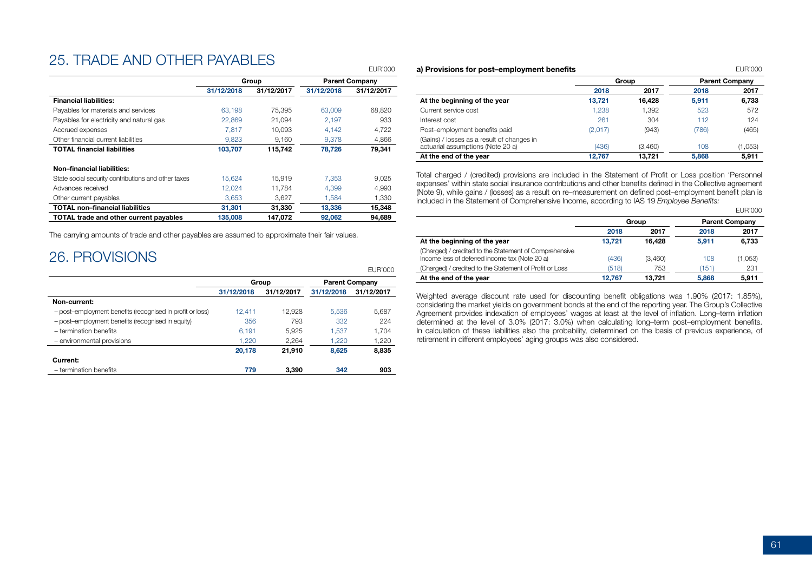# 25. TRADE AND OTHER PAYABLES

|                                                     |            | Group      |            | <b>Parent Company</b> |
|-----------------------------------------------------|------------|------------|------------|-----------------------|
|                                                     | 31/12/2018 | 31/12/2017 | 31/12/2018 | 31/12/2017            |
| <b>Financial liabilities:</b>                       |            |            |            |                       |
| Payables for materials and services                 | 63.198     | 75,395     | 63,009     | 68,820                |
| Payables for electricity and natural gas            | 22,869     | 21.094     | 2.197      | 933                   |
| Accrued expenses                                    | 7.817      | 10.093     | 4.142      | 4,722                 |
| Other financial current liabilities                 | 9.823      | 9.160      | 9.378      | 4,866                 |
| <b>TOTAL financial liabilities</b>                  | 103,707    | 115.742    | 78,726     | 79.341                |
| <b>Non-financial liabilities:</b>                   |            |            |            |                       |
| State social security contributions and other taxes | 15.624     | 15.919     | 7.353      | 9,025                 |
| Advances received                                   | 12.024     | 11.784     | 4.399      | 4.993                 |
| Other current payables                              | 3,653      | 3,627      | 1.584      | 1,330                 |
| <b>TOTAL non-financial liabilities</b>              | 31,301     | 31,330     | 13,336     | 15,348                |
| <b>TOTAL trade and other current payables</b>       | 135,008    | 147,072    | 92,062     | 94.689                |

The carrying amounts of trade and other payables are assumed to approximate their fair values.

# 26. PROVISIONS

|                                                           |            |            |            | <b>EUR'000</b>        |
|-----------------------------------------------------------|------------|------------|------------|-----------------------|
|                                                           |            | Group      |            | <b>Parent Company</b> |
|                                                           | 31/12/2018 | 31/12/2017 | 31/12/2018 | 31/12/2017            |
| Non-current:                                              |            |            |            |                       |
| - post-employment benefits (recognised in profit or loss) | 12.411     | 12.928     | 5.536      | 5,687                 |
| - post-employment benefits (recognised in equity)         | 356        | 793        | 332        | 224                   |
| - termination benefits                                    | 6.191      | 5.925      | 1.537      | 1.704                 |
| - environmental provisions                                | 1.220      | 2.264      | 1.220      | 1,220                 |
|                                                           | 20,178     | 21,910     | 8,625      | 8,835                 |
| Current:                                                  |            |            |            |                       |
| - termination benefits                                    | 779        | 3.390      | 342        | 903                   |

#### EUR'000 EUR'000 a) Provisions for post–employment benefits

|                                                                                 | Group   |         | <b>Parent Company</b> |         |
|---------------------------------------------------------------------------------|---------|---------|-----------------------|---------|
|                                                                                 | 2018    | 2017    | 2018                  | 2017    |
| At the beginning of the year                                                    | 13.721  | 16.428  | 5,911                 | 6,733   |
| Current service cost                                                            | 1.238   | 1,392   | 523                   | 572     |
| Interest cost                                                                   | 261     | 304     | 112                   | 124     |
| Post-employment benefits paid                                                   | (2.017) | (943)   | (786)                 | (465)   |
| (Gains) / losses as a result of changes in<br>actuarial assumptions (Note 20 a) | (436)   | (3,460) | 108                   | (1,053) |
| At the end of the year                                                          | 12.767  | 13.721  | 5,868                 | 5.911   |

Total charged / (credited) provisions are included in the Statement of Profit or Loss position 'Personnel expenses' within state social insurance contributions and other benefits defined in the Collective agreement (Note 9), while gains / (losses) as a result on re–measurement on defined post–employment benefit plan is included in the Statement of Comprehensive Income, according to IAS 19 *Employee Benefits:* EUR'000

|                                                                                                          |        |         |                       | LUN UUU |  |
|----------------------------------------------------------------------------------------------------------|--------|---------|-----------------------|---------|--|
|                                                                                                          | Group  |         | <b>Parent Company</b> |         |  |
|                                                                                                          | 2018   | 2017    | 2018                  | 2017    |  |
| At the beginning of the year                                                                             | 13.721 | 16.428  | 5.911                 | 6,733   |  |
| (Charged) / credited to the Statement of Comprehensive<br>Income less of deferred income tax (Note 20 a) | (436)  | (3,460) | 108                   | (1,053) |  |
| (Charged) / credited to the Statement of Profit or Loss                                                  | (518)  | 753     | (151)                 | 231     |  |
| At the end of the year                                                                                   | 12.767 | 13.721  | 5,868                 | 5.911   |  |

Weighted average discount rate used for discounting benefit obligations was 1.90% (2017: 1.85%), considering the market yields on government bonds at the end of the reporting year. The Group's Collective Agreement provides indexation of employees' wages at least at the level of inflation. Long–term inflation determined at the level of 3.0% (2017: 3.0%) when calculating long–term post–employment benefits. In calculation of these liabilities also the probability, determined on the basis of previous experience, of retirement in different employees' aging groups was also considered.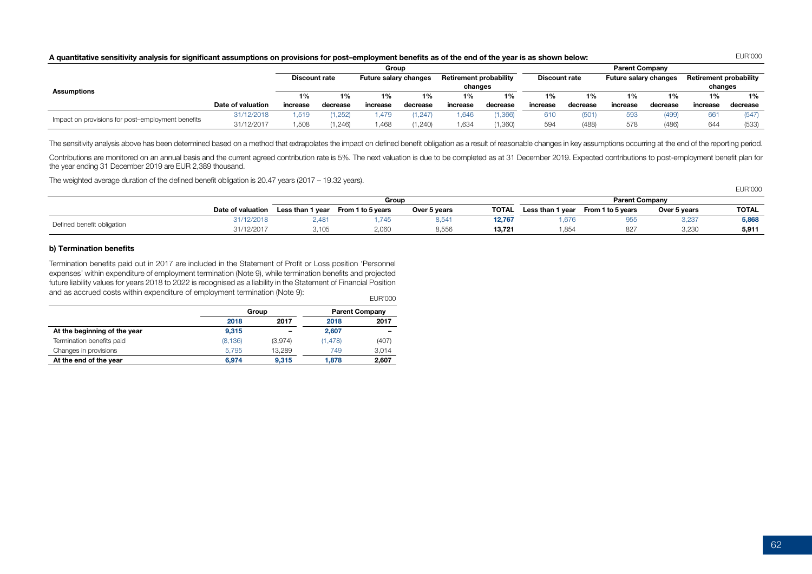#### A quantitative sensitivity analysis for significant assumptions on provisions for post–employment benefits as of the end of the year is as shown below:

|                                                   |                                                                                                               |          | Group    |                              |          |                               | <b>Parent Company</b> |          |          |          |          |          |          |
|---------------------------------------------------|---------------------------------------------------------------------------------------------------------------|----------|----------|------------------------------|----------|-------------------------------|-----------------------|----------|----------|----------|----------|----------|----------|
|                                                   | <b>Retirement probability</b><br><b>Discount rate</b><br><b>Discount rate</b><br><b>Future salary changes</b> |          |          | <b>Future salary changes</b> |          | <b>Retirement probability</b> |                       |          |          |          |          |          |          |
|                                                   |                                                                                                               |          |          |                              |          | changes                       |                       |          |          |          |          | changes  |          |
| <b>Assumptions</b>                                |                                                                                                               | 1%       | 1%       | 1%                           | $1\%$    | 1%                            | 1%                    | 1%       | 1%       | 1%       | 1%       | 1%       | 1%       |
|                                                   | Date of valuation                                                                                             | increase | decrease | increase                     | decrease | increase                      | decrease              | increase | decrease | increase | decrease | increase | decrease |
|                                                   | 31/12/2018                                                                                                    | .519     | .252     | .479                         | 1,247    | .646                          | (1,366)               | 610      | (501     | 593      | (499)    | 661      | (547)    |
| Impact on provisions for post-employment benefits | 31/12/2017                                                                                                    | .508     | (1, 246) | ,468                         | (1, 240) | 1,634                         | (1,360)               | 594      | (488)    | 578      | (486)    | 644      | (533)    |

The sensitivity analysis above has been determined based on a method that extrapolates the impact on defined benefit obligation as a result of reasonable changes in key assumptions occurring at the end of the reporting per

Contributions are monitored on an annual basis and the current agreed contribution rate is 5%. The next valuation is due to be completed as at 31 December 2019. Expected contributions to post-employment benefit plan for the year ending 31 December 2019 are EUR 2,389 thousand.

The weighted average duration of the defined benefit obligation is 20.47 years (2017 – 19.32 years).

|                            |                   |                  | Group             |              |        |                  | <b>Parent Company</b> |              |              |  |
|----------------------------|-------------------|------------------|-------------------|--------------|--------|------------------|-----------------------|--------------|--------------|--|
|                            | Date of valuation | Less than 1 year | From 1 to 5 years | Over 5 years | TOTAL  | Less than 1 year | From 1 to 5 years     | Over 5 years | <b>TOTAL</b> |  |
|                            | 31/12/2018        | 2.48             |                   | 3.54°        | 12,767 | .676             |                       | 3,237        | 5,868        |  |
| Defined benefit obligation | 31/12/2017        | 3.10E            | 2.060             | 8.556        | 13,721 | ,854             |                       | 3,230        | 5,911        |  |

#### b) Termination benefits

Termination benefits paid out in 2017 are included in the Statement of Profit or Loss position 'Personnel expenses' within expenditure of employment termination (Note 9), while termination benefits and projected future liability values for years 2018 to 2022 is recognised as a liability in the Statement of Financial Position and as accrued costs within expenditure of employment termination (Note 9): EUR'000

|                              |          | Group                    |          | <b>Parent Company</b> |  |  |
|------------------------------|----------|--------------------------|----------|-----------------------|--|--|
|                              | 2018     | 2017                     | 2018     | 2017                  |  |  |
| At the beginning of the year | 9.315    | $\overline{\phantom{a}}$ | 2,607    |                       |  |  |
| Termination benefits paid    | (8, 136) | (3,974)                  | (1, 478) | (407)                 |  |  |
| Changes in provisions        | 5.795    | 13.289                   | 749      | 3.014                 |  |  |
| At the end of the year       | 6.974    | 9.315                    | 1.878    | 2.607                 |  |  |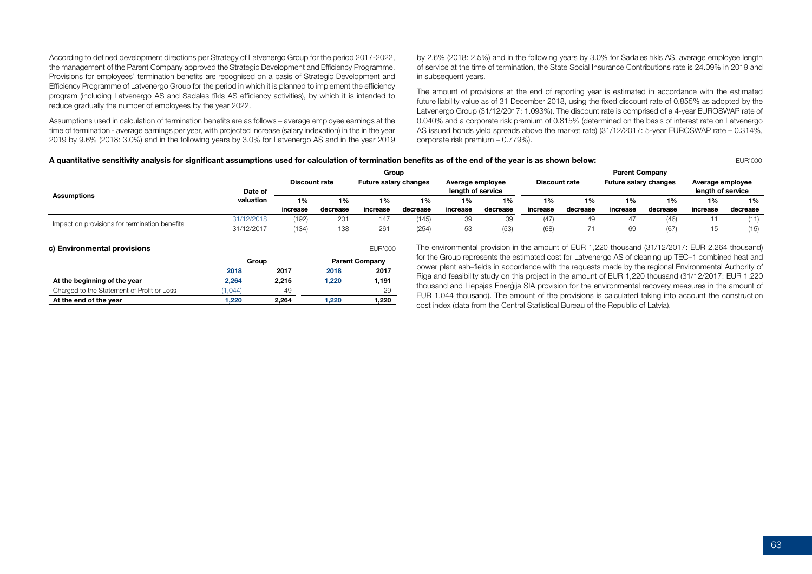According to defined development directions per Strategy of Latvenergo Group for the period 2017-2022, the management of the Parent Company approved the Strategic Development and Efficiency Programme. Provisions for employees' termination benefits are recognised on a basis of Strategic Development and Efficiency Programme of Latvenergo Group for the period in which it is planned to implement the efficiency program (including Latvenergo AS and Sadales tīkls AS efficiency activities), by which it is intended to reduce gradually the number of employees by the year 2022.

Assumptions used in calculation of termination benefits are as follows – average employee earnings at the time of termination - average earnings per year, with projected increase (salary indexation) in the in the year 2019 by 9.6% (2018: 3.0%) and in the following years by 3.0% for Latvenergo AS and in the year 2019 by 2.6% (2018: 2.5%) and in the following years by 3.0% for Sadales tīkls AS, average employee length of service at the time of termination, the State Social Insurance Contributions rate is 24.09% in 2019 and in subsequent years.

The amount of provisions at the end of reporting year is estimated in accordance with the estimated future liability value as of 31 December 2018, using the fixed discount rate of 0.855% as adopted by the Latvenergo Group (31/12/2017: 1.093%). The discount rate is comprised of a 4-year EUROSWAP rate of 0.040% and a corporate risk premium of 0.815% (determined on the basis of interest rate on Latvenergo AS issued bonds yield spreads above the market rate) (31/12/2017: 5-year EUROSWAP rate – 0.314%, corporate risk premium – 0.779%).

#### A quantitative sensitivity analysis for significant assumptions used for calculation of termination benefits as of the end of the year is as shown below:

**Assumptions** Date of **Date of Date of Date of Date of Date of Date of Date of** Group **Parent Company** valuation Discount rate Future salary changes Average employee length of service Discount rate Future salary changes Average employee length of service  $1%$ increase 1% decrease 1% increase 1% decrease 1% increase  $1%$ decrease  $1%$ increase 1% decrease 1% increase 1% decrease  $1%$ increase  $1%$ decrease Impact on provisions for termination benefits 31/12/2018 (192) <sup>201</sup> <sup>147</sup> (145) <sup>39</sup> <sup>39</sup> (47) <sup>49</sup> <sup>47</sup> (46) <sup>11</sup> (11) 31/12/2017 (134) 138 261 (254) 53 (53) (68) 71 69 (67) 15 (15)

| c) Environmental provisions                |         |       |       | EUR'000               |
|--------------------------------------------|---------|-------|-------|-----------------------|
|                                            | Group   |       |       | <b>Parent Company</b> |
|                                            | 2018    | 2017  | 2018  | 2017                  |
| At the beginning of the year               | 2.264   | 2.215 | 1.220 | 1,191                 |
| Charged to the Statement of Profit or Loss | (1.044) | 49    | -     | 29                    |
| At the end of the year                     | 1.220   | 2.264 | 1.220 | 1,220                 |

The environmental provision in the amount of EUR 1,220 thousand (31/12/2017: EUR 2,264 thousand) for the Group represents the estimated cost for Latvenergo AS of cleaning up TEC–1 combined heat and power plant ash–fields in accordance with the requests made by the regional Environmental Authority of Riga and feasibility study on this project in the amount of EUR 1,220 thousand (31/12/2017: EUR 1,220 thousand and Liepājas Enerģija SIA provision for the environmental recovery measures in the amount of EUR 1,044 thousand). The amount of the provisions is calculated taking into account the construction cost index (data from the Central Statistical Bureau of the Republic of Latvia).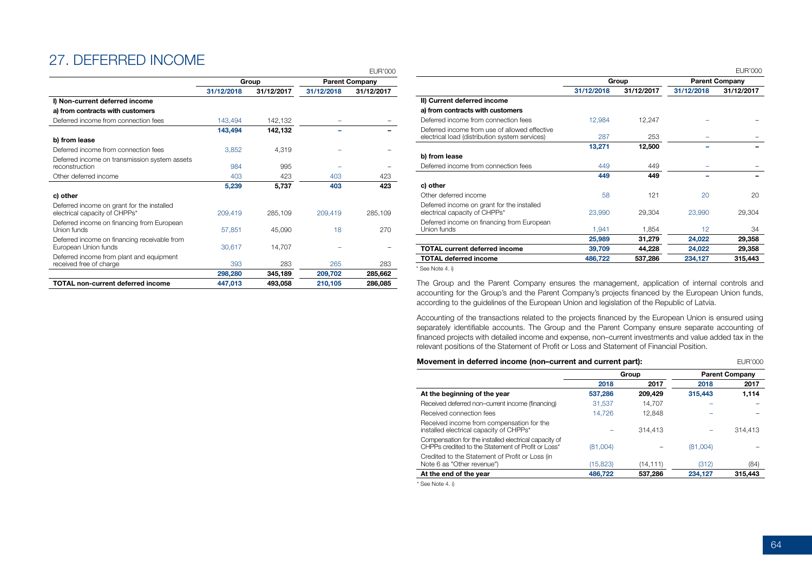# 27. DEFERRED INCOME

|            |            |            | LUN UUU               |
|------------|------------|------------|-----------------------|
|            |            |            | <b>Parent Company</b> |
| 31/12/2018 | 31/12/2017 | 31/12/2018 | 31/12/2017            |
|            |            |            |                       |
|            |            |            |                       |
| 143.494    | 142,132    |            |                       |
| 143,494    | 142,132    |            |                       |
|            |            |            |                       |
| 3,852      | 4,319      |            |                       |
| 984        | 995        |            |                       |
| 403        | 423        | 403        | 423                   |
| 5,239      | 5,737      | 403        | 423                   |
|            |            |            |                       |
| 209,419    | 285,109    | 209.419    | 285,109               |
| 57,851     | 45,090     | 18         | 270                   |
| 30,617     | 14,707     |            |                       |
| 393        | 283        | 265        | 283                   |
| 298,280    | 345,189    | 209,702    | 285,662               |
| 447,013    | 493.058    | 210,105    | 286.085               |
|            |            | Group      |                       |

| EUR'000 |                                                                                                 |            |            |            | EUR'000               |
|---------|-------------------------------------------------------------------------------------------------|------------|------------|------------|-----------------------|
| ny      |                                                                                                 |            | Group      |            | <b>Parent Company</b> |
| 2/2017  |                                                                                                 | 31/12/2018 | 31/12/2017 | 31/12/2018 | 31/12/2017            |
|         | II) Current deferred income                                                                     |            |            |            |                       |
|         | a) from contracts with customers                                                                |            |            |            |                       |
|         | Deferred income from connection fees                                                            | 12,984     | 12,247     |            |                       |
|         | Deferred income from use of allowed effective<br>electrical load (distribution system services) | 287        | 253        |            |                       |
|         |                                                                                                 | 13,271     | 12,500     |            |                       |
|         | b) from lease                                                                                   |            |            |            |                       |
|         | Deferred income from connection fees                                                            | 449        | 449        |            |                       |
| 423     |                                                                                                 | 449        | 449        |            |                       |
| 423     | c) other                                                                                        |            |            |            |                       |
|         | Other deferred income                                                                           | 58         | 121        | 20         | 20                    |
| 85.109  | Deferred income on grant for the installed<br>electrical capacity of CHPPs*                     | 23,990     | 29,304     | 23,990     | 29,304                |
| 270     | Deferred income on financing from European<br>Union funds                                       | 1.941      | 1,854      | 12         | 34                    |
|         |                                                                                                 | 25,989     | 31,279     | 24,022     | 29,358                |
|         | <b>TOTAL current deferred income</b>                                                            | 39,709     | 44,228     | 24,022     | 29,358                |
|         | <b>TOTAL deferred income</b>                                                                    | 486,722    | 537,286    | 234,127    | 315,443               |
| 283     |                                                                                                 |            |            |            |                       |

\* See Note 4. i)

The Group and the Parent Company ensures the management, application of internal controls and accounting for the Group's and the Parent Company's projects financed by the European Union funds, according to the guidelines of the European Union and legislation of the Republic of Latvia.

Accounting of the transactions related to the projects financed by the European Union is ensured using separately identifiable accounts. The Group and the Parent Company ensure separate accounting of financed projects with detailed income and expense, non–current investments and value added tax in the relevant positions of the Statement of Profit or Loss and Statement of Financial Position.

#### Movement in deferred income (non–current and current part):

EUR'000

|                                                                                                             | Group    |          | <b>Parent Company</b> |         |
|-------------------------------------------------------------------------------------------------------------|----------|----------|-----------------------|---------|
|                                                                                                             | 2018     | 2017     | 2018                  | 2017    |
| At the beginning of the year                                                                                | 537.286  | 209,429  | 315,443               | 1.114   |
| Received deferred non-current income (financing)                                                            | 31.537   | 14.707   |                       |         |
| Received connection fees                                                                                    | 14.726   | 12.848   |                       |         |
| Received income from compensation for the<br>installed electrical capacity of CHPPs*                        |          | 314.413  |                       | 314.413 |
| Compensation for the installed electrical capacity of<br>CHPPs credited to the Statement of Profit or Loss* | (81,004) |          | (81.004)              |         |
| Credited to the Statement of Profit or Loss (in<br>Note 6 as "Other revenue")                               | (15.823) | (14.111) | (312)                 | (84)    |
| At the end of the year                                                                                      | 486.722  | 537.286  | 234.127               | 315,443 |

\* See Note 4. i)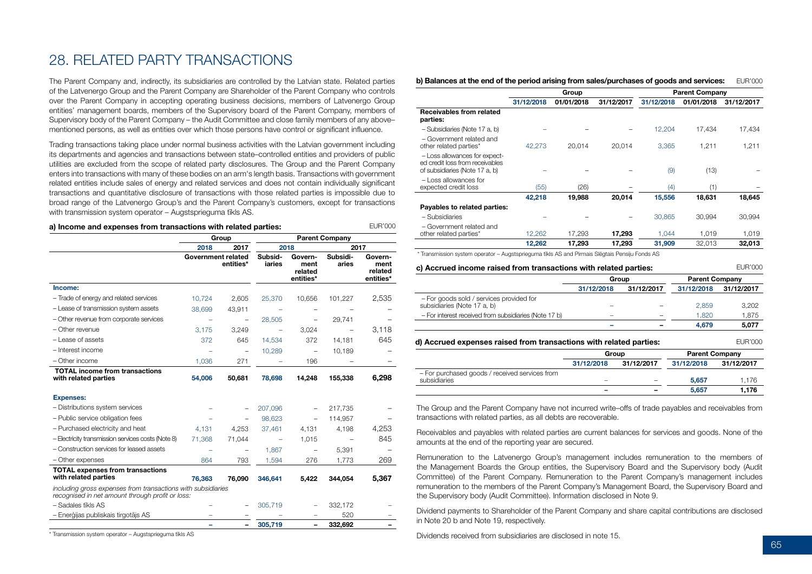# 28. RELATED PARTY TRANSACTIONS

The Parent Company and, indirectly, its subsidiaries are controlled by the Latvian state. Related parties of the Latvenergo Group and the Parent Company are Shareholder of the Parent Company who controls over the Parent Company in accepting operating business decisions, members of Latvenergo Group entities' management boards, members of the Supervisory board of the Parent Company, members of Supervisory body of the Parent Company – the Audit Committee and close family members of any above– mentioned persons, as well as entities over which those persons have control or significant influence.

Trading transactions taking place under normal business activities with the Latvian government including its departments and agencies and transactions between state–controlled entities and providers of public utilities are excluded from the scope of related party disclosures. The Group and the Parent Company enters into transactions with many of these bodies on an arm's length basis. Transactions with government related entities include sales of energy and related services and does not contain individually significant transactions and quantitative disclosure of transactions with those related parties is impossible due to broad range of the Latvenergo Group's and the Parent Company's customers, except for transactions with transmission system operator – Augstsprieguma tīkls AS.

| a) Income and expenses from transactions with related parties:                                                   |                           |                          |                   |                                         |                       |                                         |  |
|------------------------------------------------------------------------------------------------------------------|---------------------------|--------------------------|-------------------|-----------------------------------------|-----------------------|-----------------------------------------|--|
|                                                                                                                  |                           | Group                    |                   |                                         | <b>Parent Company</b> |                                         |  |
|                                                                                                                  | 2018                      | 2017                     |                   | 2018                                    | 2017                  |                                         |  |
|                                                                                                                  | <b>Government related</b> | entities*                | Subsid-<br>iaries | Govern-<br>ment<br>related<br>entities* | Subsidi-<br>aries     | Govern-<br>ment<br>related<br>entities* |  |
| Income:                                                                                                          |                           |                          |                   |                                         |                       |                                         |  |
| - Trade of energy and related services                                                                           | 10,724                    | 2,605                    | 25,370            | 10,656                                  | 101,227               | 2,535                                   |  |
| - Lease of transmission system assets                                                                            | 38,699                    | 43,911                   |                   |                                         |                       |                                         |  |
| - Other revenue from corporate services                                                                          |                           |                          | 28,505            | $\overline{\phantom{0}}$                | 29,741                |                                         |  |
| - Other revenue                                                                                                  | 3,175                     | 3,249                    |                   | 3,024                                   |                       | 3,118                                   |  |
| - Lease of assets                                                                                                | 372                       | 645                      | 14,534            | 372                                     | 14,181                | 645                                     |  |
| - Interest income                                                                                                |                           | $\overline{\phantom{0}}$ | 10,289            | $\overline{\phantom{0}}$                | 10,189                |                                         |  |
| - Other income                                                                                                   | 1,036                     | 271                      |                   | 196                                     |                       |                                         |  |
| <b>TOTAL income from transactions</b><br>with related parties                                                    | 54,006                    | 50,681                   | 78,698            | 14,248                                  | 155,338               | 6,298                                   |  |
| <b>Expenses:</b>                                                                                                 |                           |                          |                   |                                         |                       |                                         |  |
| - Distributions system services                                                                                  |                           |                          | 207,096           |                                         | 217,735               |                                         |  |
| - Public service obligation fees                                                                                 |                           |                          | 98,623            |                                         | 114,957               |                                         |  |
| - Purchased electricity and heat                                                                                 | 4,131                     | 4,253                    | 37,461            | 4,131                                   | 4,198                 | 4,253                                   |  |
| - Electricity transmission services costs (Note 8)                                                               | 71,368                    | 71,044                   |                   | 1,015                                   |                       | 845                                     |  |
| - Construction services for leased assets                                                                        |                           |                          | 1,867             | $\qquad \qquad -$                       | 5,391                 |                                         |  |
| - Other expenses                                                                                                 | 864                       | 793                      | 1,594             | 276                                     | 1,773                 | 269                                     |  |
| <b>TOTAL expenses from transactions</b><br>with related parties                                                  | 76,363                    | 76,090                   | 346,641           | 5,422                                   | 344,054               | 5,367                                   |  |
| including gross expenses from transactions with subsidiaries<br>recognised in net amount through profit or loss: |                           |                          |                   |                                         |                       |                                         |  |
| - Sadales fikls AS                                                                                               |                           |                          | 305,719           |                                         | 332,172               |                                         |  |
| - Enerģijas publiskais tirgotājs AS                                                                              |                           |                          |                   |                                         | 520                   |                                         |  |
|                                                                                                                  |                           | -                        | 305,719           | -                                       | 332,692               |                                         |  |

\* Transmission system operator – Augstsprieguma tīkls AS

#### b) Balances at the end of the period arising from sales/purchases of goods and services: EUR'000

|                                                                                                    |            | Group      |            |            | <b>Parent Company</b> |            |
|----------------------------------------------------------------------------------------------------|------------|------------|------------|------------|-----------------------|------------|
|                                                                                                    | 31/12/2018 | 01/01/2018 | 31/12/2017 | 31/12/2018 | 01/01/2018            | 31/12/2017 |
| Receivables from related<br>parties:                                                               |            |            |            |            |                       |            |
| - Subsidiaries (Note 17 a, b)                                                                      |            |            |            | 12.204     | 17.434                | 17,434     |
| - Government related and<br>other related parties*                                                 | 42.273     | 20.014     | 20.014     | 3.365      | 1.211                 | 1,211      |
| - Loss allowances for expect-<br>ed credit loss from receivables<br>of subsidiaries (Note 17 a, b) |            |            |            | (9)        | (13)                  |            |
| $-$ Loss allowances for<br>expected credit loss                                                    | (55)       | (26)       |            | (4)        | (1)                   |            |
|                                                                                                    | 42,218     | 19,988     | 20,014     | 15,556     | 18.631                | 18.645     |
| Payables to related parties:                                                                       |            |            |            |            |                       |            |
| - Subsidiaries                                                                                     |            |            |            | 30.865     | 30.994                | 30.994     |
| - Government related and<br>other related parties*                                                 | 12,262     | 17,293     | 17,293     | 1.044      | 1,019                 | 1,019      |
|                                                                                                    | 12,262     | 17,293     | 17,293     | 31,909     | 32,013                | 32,013     |

\* Transmission system operator – Augstsprieguma tīkls AS and Pirmais Slēgtais Pensiju Fonds AS

 $E$ 

| c) Accrued income raised from transactions with related parties:        |            |            |                       | EUR'000    |
|-------------------------------------------------------------------------|------------|------------|-----------------------|------------|
|                                                                         |            | Group      | <b>Parent Company</b> |            |
|                                                                         | 31/12/2018 | 31/12/2017 | 31/12/2018            | 31/12/2017 |
| - For goods sold / services provided for<br>subsidiaries (Note 17 a, b) |            |            | 2.859                 | 3.202      |
| - For interest received from subsidiaries (Note 17 b)                   |            | 1.820      | 1.875                 |            |
|                                                                         |            |            | 4,679                 | 5,077      |
| d) Accrued expenses raised from transactions with related parties:      | Group      |            | <b>Parent Company</b> | EUR'000    |
|                                                                         | 31/12/2018 | 31/12/2017 | 31/12/2018            | 31/12/2017 |
| - For purchased goods / received services from<br>subsidiaries          |            |            | 5.657                 | 1.176      |
|                                                                         |            |            | 5.657                 | 1.176      |

The Group and the Parent Company have not incurred write–offs of trade payables and receivables from transactions with related parties, as all debts are recoverable.

Receivables and payables with related parties are current balances for services and goods. None of the amounts at the end of the reporting year are secured.

Remuneration to the Latvenergo Group's management includes remuneration to the members of the Management Boards the Group entities, the Supervisory Board and the Supervisory body (Audit Committee) of the Parent Company. Remuneration to the Parent Company's management includes remuneration to the members of the Parent Company's Management Board, the Supervisory Board and the Supervisory body (Audit Committee). Information disclosed in Note 9.

Dividend payments to Shareholder of the Parent Company and share capital contributions are disclosed in Note 20 b and Note 19, respectively.

Dividends received from subsidiaries are disclosed in note 15.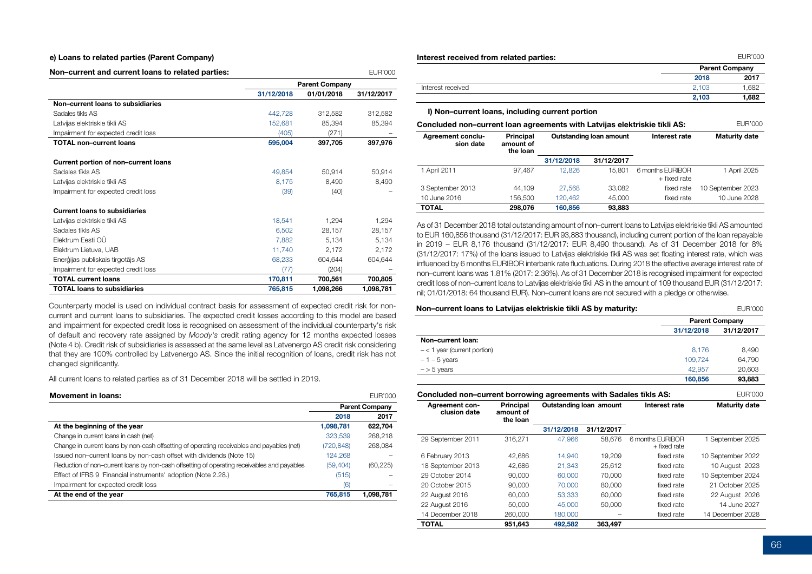#### e) Loans to related parties (Parent Company)

| Non-current and current loans to related parties: |            |                       | <b>EUR'000</b> |
|---------------------------------------------------|------------|-----------------------|----------------|
|                                                   |            | <b>Parent Company</b> |                |
|                                                   | 31/12/2018 | 01/01/2018            | 31/12/2017     |
| Non-current loans to subsidiaries                 |            |                       |                |
| Sadales fikls AS                                  | 442,728    | 312,582               | 312,582        |
| Latvijas elektriskie tīkli AS                     | 152.681    | 85.394                | 85,394         |
| Impairment for expected credit loss               | (405)      | (271)                 |                |
| <b>TOTAL non-current loans</b>                    | 595,004    | 397,705               | 397,976        |
| Current portion of non-current loans              |            |                       |                |
| Sadales fikls AS                                  | 49,854     | 50.914                | 50,914         |
| Latvijas elektriskie tīkli AS                     | 8.175      | 8.490                 | 8.490          |
| Impairment for expected credit loss               | (39)       | (40)                  |                |
| <b>Current loans to subsidiaries</b>              |            |                       |                |
| Latvijas elektriskie tīkli AS                     | 18,541     | 1,294                 | 1,294          |
| Sadales fikls AS                                  | 6,502      | 28.157                | 28,157         |
| Elektrum Eesti OÜ                                 | 7.882      | 5,134                 | 5,134          |
| Elektrum Lietuva, UAB                             | 11,740     | 2,172                 | 2,172          |
| Enerģijas publiskais tirgotājs AS                 | 68,233     | 604.644               | 604,644        |
| Impairment for expected credit loss               | (77)       | (204)                 |                |
| <b>TOTAL current loans</b>                        | 170,811    | 700,561               | 700,805        |
| <b>TOTAL loans to subsidiaries</b>                | 765,815    | 1,098,266             | 1,098,781      |

Counterparty model is used on individual contract basis for assessment of expected credit risk for noncurrent and current loans to subsidiaries. The expected credit losses according to this model are based and impairment for expected credit loss is recognised on assessment of the individual counterparty's risk of default and recovery rate assigned by *Moody's* credit rating agency for 12 months expected losses (Note 4 b). Credit risk of subsidiaries is assessed at the same level as Latvenergo AS credit risk considering that they are 100% controlled by Latvenergo AS. Since the initial recognition of loans, credit risk has not changed significantly.

All current loans to related parties as of 31 December 2018 will be settled in 2019.

| <b>Movement in loans:</b>                                                                   |                       | EUR'000   |
|---------------------------------------------------------------------------------------------|-----------------------|-----------|
|                                                                                             | <b>Parent Company</b> |           |
|                                                                                             | 2018                  | 2017      |
| At the beginning of the year                                                                | 1,098,781             | 622,704   |
| Change in current loans in cash (net)                                                       | 323.539               | 268,218   |
| Change in current loans by non-cash offsetting of operating receivables and payables (net)  | (720, 848)            | 268.084   |
| Issued non-current loans by non-cash offset with dividends (Note 15)                        | 124,268               |           |
| Reduction of non-current loans by non-cash offsetting of operating receivables and payables | (59, 404)             | (60, 225) |
| Effect of IFRS 9 'Financial instruments' adoption (Note 2.28.)                              | (515)                 |           |
| Impairment for expected credit loss                                                         | (6)                   |           |
| At the end of the year                                                                      | 765,815               | 1.098.781 |

| Interest received from related parties: |       | EUR'000               |
|-----------------------------------------|-------|-----------------------|
|                                         |       | <b>Parent Company</b> |
|                                         | 2018  | 2017                  |
| Interest received                       | 2.103 | 1.682                 |
|                                         | 2.103 | 1,682                 |
|                                         |       |                       |

I) Non–current loans, including current portion

| Concluded non-current loan agreements with Latvijas elektriskie tīkli AS: | EUR'000 |
|---------------------------------------------------------------------------|---------|
|                                                                           |         |

| <b>Agreement conclu-</b><br>sion date | Principal<br>amount of<br>the loan | Outstanding loan amount |            | Interest rate                    | <b>Maturity date</b> |
|---------------------------------------|------------------------------------|-------------------------|------------|----------------------------------|----------------------|
|                                       |                                    | 31/12/2018              | 31/12/2017 |                                  |                      |
| 1 April 2011                          | 97.467                             | 12.826                  | 15.801     | 6 months EURIBOR<br>+ fixed rate | 1 April 2025         |
| 3 September 2013                      | 44.109                             | 27.568                  | 33.082     | fixed rate                       | 10 September 2023    |
| 10 June 2016                          | 156.500                            | 120.462                 | 45,000     | fixed rate                       | 10 June 2028         |
| <b>TOTAL</b>                          | 298.076                            | 160,856                 | 93,883     |                                  |                      |

As of 31 December 2018 total outstanding amount of non–current loans to Latvijas elektriskie tīkli AS amounted to EUR 160,856 thousand (31/12/2017: EUR 93,883 thousand), including current portion of the loan repayable in 2019 – EUR 8,176 thousand (31/12/2017: EUR 8,490 thousand). As of 31 December 2018 for 8% (31/12/2017: 17%) of the loans issued to Latvijas elektriskie tīkli AS was set floating interest rate, which was influenced by 6 months EURIBOR interbank rate fluctuations. During 2018 the effective average interest rate of non–current loans was 1.81% (2017: 2.36%). As of 31 December 2018 is recognised impairment for expected credit loss of non–current loans to Latvijas elektriskie tīkli AS in the amount of 109 thousand EUR (31/12/2017: nil; 01/01/2018: 64 thousand EUR). Non–current loans are not secured with a pledge or otherwise.

#### Non–current loans to Latvijas elektriskie tīkli AS by maturity: Parent Company EUR'000

|                                | 31/12/2018 | 31/12/2017 |
|--------------------------------|------------|------------|
| Non-current loan:              |            |            |
| $-$ < 1 year (current portion) | 8.176      | 8,490      |
| $-1 - 5$ years                 | 109.724    | 64.790     |
| $-$ > 5 years                  | 42.957     | 20,603     |
|                                | 160,856    | 93,883     |
|                                |            |            |

Concluded non–current borrowing agreements with Sadales tīkls AS:

| <b>Agreement con-</b><br>clusion date | <b>Principal</b><br>amount of<br>the loan | Outstanding loan amount |            | Interest rate                    | <b>Maturity date</b> |
|---------------------------------------|-------------------------------------------|-------------------------|------------|----------------------------------|----------------------|
|                                       |                                           | 31/12/2018              | 31/12/2017 |                                  |                      |
| 29 September 2011                     | 316.271                                   | 47.966                  | 58.676     | 6 months EURIBOR<br>+ fixed rate | September 2025       |
| 6 February 2013                       | 42.686                                    | 14.940                  | 19.209     | fixed rate                       | 10 September 2022    |
| 18 September 2013                     | 42.686                                    | 21.343                  | 25.612     | fixed rate                       | 10 August 2023       |
| 29 October 2014                       | 90,000                                    | 60,000                  | 70.000     | fixed rate                       | 10 September 2024    |
| 20 October 2015                       | 90,000                                    | 70,000                  | 80,000     | fixed rate                       | 21 October 2025      |
| 22 August 2016                        | 60,000                                    | 53.333                  | 60,000     | fixed rate                       | 22 August 2026       |
| 22 August 2016                        | 50,000                                    | 45,000                  | 50,000     | fixed rate                       | 14 June 2027         |
| 14 December 2018                      | 260,000                                   | 180,000                 |            | fixed rate                       | 14 December 2028     |
| <b>TOTAL</b>                          | 951.643                                   | 492.582                 | 363,497    |                                  |                      |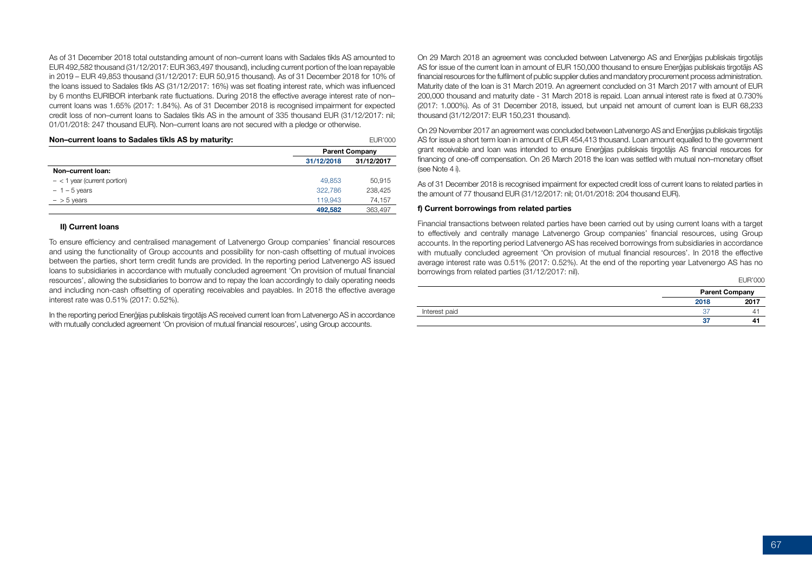As of 31 December 2018 total outstanding amount of non–current loans with Sadales tīkls AS amounted to EUR 492,582 thousand (31/12/2017: EUR 363,497 thousand), including current portion of the loan repayable in 2019 – EUR 49,853 thousand (31/12/2017: EUR 50,915 thousand). As of 31 December 2018 for 10% of the loans issued to Sadales tīkls AS (31/12/2017: 16%) was set floating interest rate, which was influenced by 6 months EURIBOR interbank rate fluctuations. During 2018 the effective average interest rate of non– current loans was 1.65% (2017: 1.84%). As of 31 December 2018 is recognised impairment for expected credit loss of non–current loans to Sadales tīkls AS in the amount of 335 thousand EUR (31/12/2017: nil; 01/01/2018: 247 thousand EUR). Non–current loans are not secured with a pledge or otherwise.

| Non-current loans to Sadales tikls AS by maturity: |                       | EUR'000    |
|----------------------------------------------------|-----------------------|------------|
|                                                    | <b>Parent Company</b> |            |
|                                                    | 31/12/2018            | 31/12/2017 |
| Non-current loan:                                  |                       |            |
| $-$ < 1 year (current portion)                     | 49.853                | 50.915     |
| $-1 - 5$ years                                     | 322,786               | 238.425    |
| $-$ > 5 years                                      | 119.943               | 74,157     |
|                                                    | 492.582               | 363,497    |

#### II) Current loans

To ensure efficiency and centralised management of Latvenergo Group companies' financial resources and using the functionality of Group accounts and possibility for non-cash offsetting of mutual invoices between the parties, short term credit funds are provided. In the reporting period Latvenergo AS issued loans to subsidiaries in accordance with mutually concluded agreement 'On provision of mutual financial resources', allowing the subsidiaries to borrow and to repay the loan accordingly to daily operating needs and including non-cash offsetting of operating receivables and payables. In 2018 the effective average interest rate was 0.51% (2017: 0.52%).

In the reporting period Enerģijas publiskais tirgotājs AS received current loan from Latvenergo AS in accordance with mutually concluded agreement 'On provision of mutual financial resources', using Group accounts.

On 29 March 2018 an agreement was concluded between Latvenergo AS and Enerģijas publiskais tirgotājs AS for issue of the current loan in amount of EUR 150,000 thousand to ensure Enerģijas publiskais tirgotājs AS financial resources for the fulfilment of public supplier duties and mandatory procurement process administration. Maturity date of the loan is 31 March 2019. An agreement concluded on 31 March 2017 with amount of EUR 200,000 thousand and maturity date - 31 March 2018 is repaid. Loan annual interest rate is fixed at 0.730% (2017: 1.000%). As of 31 December 2018, issued, but unpaid net amount of current loan is EUR 68,233 thousand (31/12/2017: EUR 150,231 thousand).

On 29 November 2017 an agreement was concluded between Latvenergo AS and Enerģijas publiskais tirgotājs AS for issue a short term loan in amount of EUR 454,413 thousand. Loan amount equalled to the government grant receivable and loan was intended to ensure Enerģijas publiskais tirgotājs AS financial resources for financing of one-off compensation. On 26 March 2018 the loan was settled with mutual non–monetary offset (see Note 4 i).

As of 31 December 2018 is recognised impairment for expected credit loss of current loans to related parties in the amount of 77 thousand EUR (31/12/2017: nil; 01/01/2018: 204 thousand EUR).

#### f) Current borrowings from related parties

Financial transactions between related parties have been carried out by using current loans with a target to effectively and centrally manage Latvenergo Group companies' financial resources, using Group accounts. In the reporting period Latvenergo AS has received borrowings from subsidiaries in accordance with mutually concluded agreement 'On provision of mutual financial resources'. In 2018 the effective average interest rate was 0.51% (2017: 0.52%). At the end of the reporting year Latvenergo AS has no borrowings from related parties (31/12/2017: nil).

| EUR'000 |  |
|---------|--|
|         |  |

|               | <b>Parent Company</b> |      |
|---------------|-----------------------|------|
|               | 2018                  | 2017 |
| Interest paid |                       |      |
|               | 37                    |      |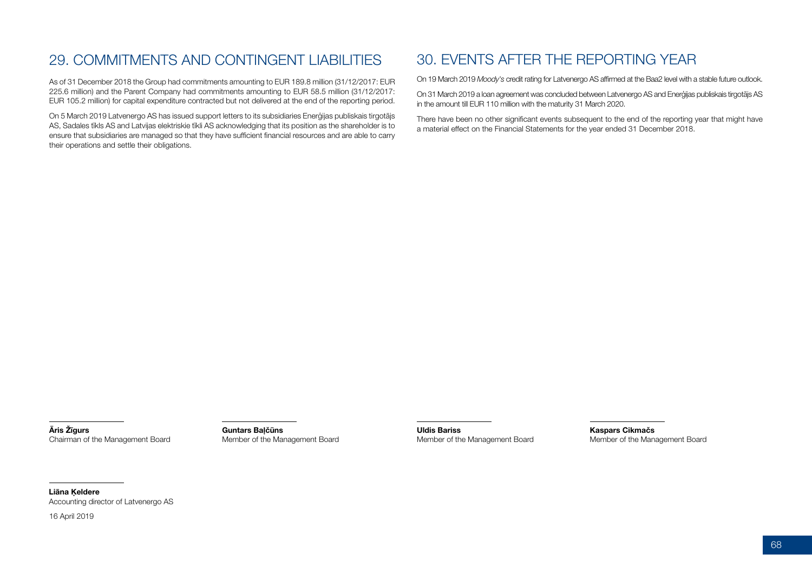# 29. COMMITMENTS AND CONTINGENT LIABILITIES 30. EVENTS AFTER THE REPORTING YEAR

As of 31 December 2018 the Group had commitments amounting to EUR 189.8 million (31/12/2017: EUR 225.6 million) and the Parent Company had commitments amounting to EUR 58.5 million (31/12/2017: EUR 105.2 million) for capital expenditure contracted but not delivered at the end of the reporting period.

On 5 March 2019 Latvenergo AS has issued support letters to its subsidiaries Enerģijas publiskais tirgotājs AS, Sadales tīkls AS and Latvijas elektriskie tīkli AS acknowledging that its position as the shareholder is to ensure that subsidiaries are managed so that they have sufficient financial resources and are able to carry their operations and settle their obligations.

On 19 March 2019 *Moody's* credit rating for Latvenergo AS affirmed at the Baa2 level with a stable future outlook.

On 31 March 2019 a loan agreement was concluded between Latvenergo AS and Enerģijas publiskais tirgotājs AS in the amount till EUR 110 million with the maturity 31 March 2020.

There have been no other significant events subsequent to the end of the reporting year that might have a material effect on the Financial Statements for the year ended 31 December 2018.

Āris Žīgurs Chairman of the Management Board

Guntars Baļčūns Member of the Management Board

Uldis Bariss Member of the Management Board Kaspars Cikmačs Member of the Management Board

Liāna Ķeldere

Accounting director of Latvenergo AS

16 April 2019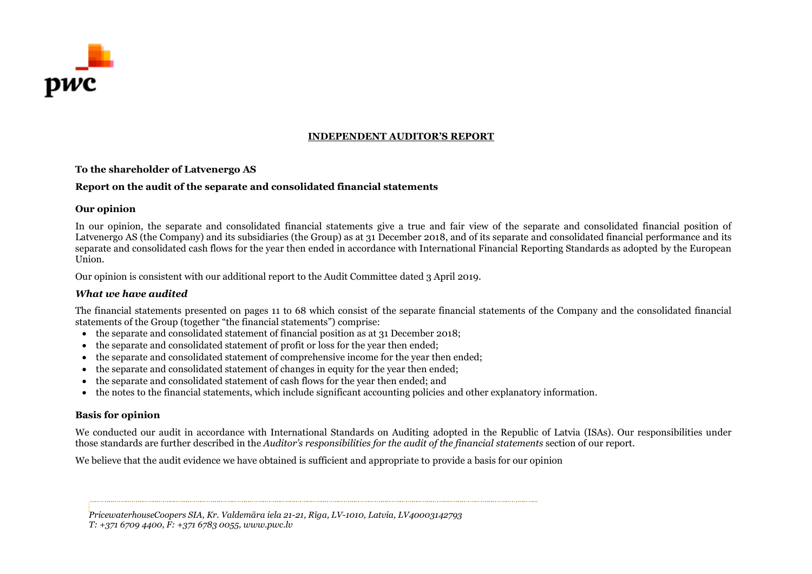

### **INDEPENDENT AUDITOR'S REPORT**

### **To the shareholder of Latvenergo AS**

### **Report on the audit of the separate and consolidated financial statements**

### **Our opinion**

In our opinion, the separate and consolidated financial statements give a true and fair view of the separate and consolidated financial position of Latvenergo AS (the Company) and its subsidiaries (the Group) as at 31 December 2018, and of its separate and consolidated financial performance and its separate and consolidated cash flows for the year then ended in accordance with International Financial Reporting Standards as adopted by the European Union.

Our opinion is consistent with our additional report to the Audit Committee dated 3 April 2019.

### *What we have audited*

The financial statements presented on pages 11 to 68 which consist of the separate financial statements of the Company and the consolidated financial statements of the Group (together "the financial statements") comprise:

- the separate and consolidated statement of financial position as at 31 December 2018;
- the separate and consolidated statement of profit or loss for the year then ended;
- the separate and consolidated statement of comprehensive income for the year then ended;
- the separate and consolidated statement of changes in equity for the year then ended;
- the separate and consolidated statement of cash flows for the year then ended; and
- the notes to the financial statements, which include significant accounting policies and other explanatory information.

### **Basis for opinion**

We conducted our audit in accordance with International Standards on Auditing adopted in the Republic of Latvia (ISAs). Our responsibilities under those standards are further described in the *Auditor's responsibilities for the audit of the financial statements* section of our report.

We believe that the audit evidence we have obtained is sufficient and appropriate to provide a basis for our opinion

*PricewaterhouseCoopers SIA, Kr. Valdemāra iela 21-21, Rīga, LV-1010, Latvia, LV40003142793 T: +371 6709 4400, F: +371 6783 0055, www.pwc.lv*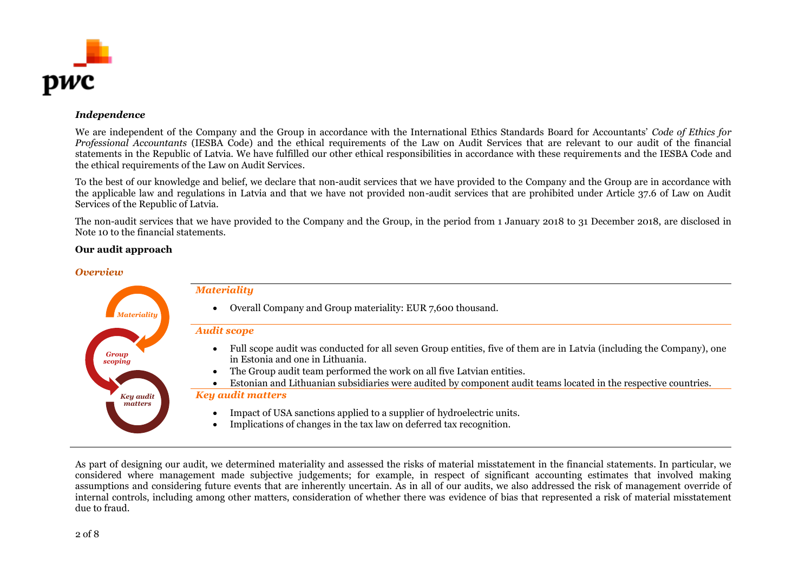

### *Independence*

We are independent of the Company and the Group in accordance with the International Ethics Standards Board for Accountants' *Code of Ethics for Professional Accountants* (IESBA Code) and the ethical requirements of the Law on Audit Services that are relevant to our audit of the financial statements in the Republic of Latvia. We have fulfilled our other ethical responsibilities in accordance with these requirements and the IESBA Code and the ethical requirements of the Law on Audit Services.

To the best of our knowledge and belief, we declare that non-audit services that we have provided to the Company and the Group are in accordance with the applicable law and regulations in Latvia and that we have not provided non-audit services that are prohibited under Article 37.6 of Law on Audit Services of the Republic of Latvia.

The non-audit services that we have provided to the Company and the Group, in the period from 1 January 2018 to 31 December 2018, are disclosed in Note 10 to the financial statements.

### **Our audit approach**

### *Overview*



### *Materiality*

• Overall Company and Group materiality: EUR 7,600 thousand.

## *Audit scope*

- Full scope audit was conducted for all seven Group entities, five of them are in Latvia (including the Company), one in Estonia and one in Lithuania.
- The Group audit team performed the work on all five Latvian entities.

• Estonian and Lithuanian subsidiaries were audited by component audit teams located in the respective countries. *Key audit matters*

- Impact of USA sanctions applied to a supplier of hydroelectric units.
- Implications of changes in the tax law on deferred tax recognition.

As part of designing our audit, we determined materiality and assessed the risks of material misstatement in the financial statements. In particular, we considered where management made subjective judgements; for example, in respect of significant accounting estimates that involved making assumptions and considering future events that are inherently uncertain. As in all of our audits, we also addressed the risk of management override of internal controls, including among other matters, consideration of whether there was evidence of bias that represented a risk of material misstatement due to fraud.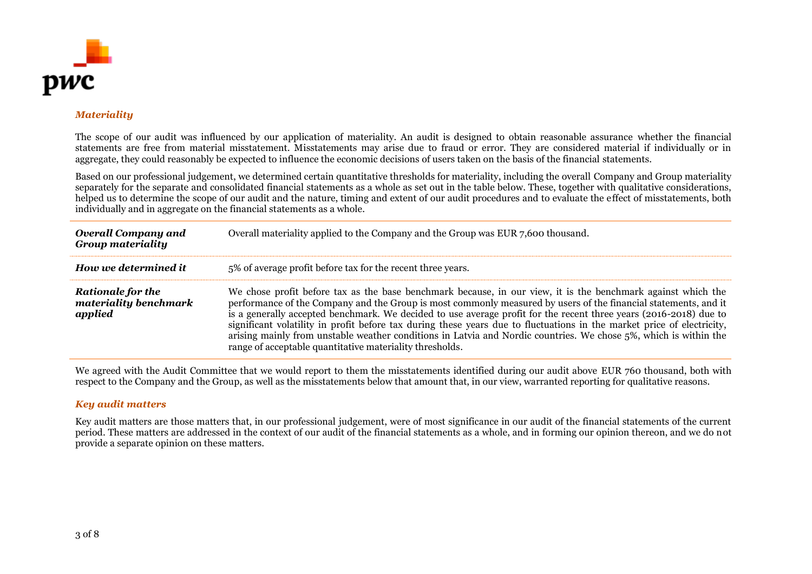

### *Materiality*

The scope of our audit was influenced by our application of materiality. An audit is designed to obtain reasonable assurance whether the financial statements are free from material misstatement. Misstatements may arise due to fraud or error. They are considered material if individually or in aggregate, they could reasonably be expected to influence the economic decisions of users taken on the basis of the financial statements.

Based on our professional judgement, we determined certain quantitative thresholds for materiality, including the overall Company and Group materiality separately for the separate and consolidated financial statements as a whole as set out in the table below. These, together with qualitative considerations, helped us to determine the scope of our audit and the nature, timing and extent of our audit procedures and to evaluate the effect of misstatements, both individually and in aggregate on the financial statements as a whole.

| <b>Overall Company and</b><br><b>Group materiality</b>       | Overall materiality applied to the Company and the Group was EUR 7,600 thousand.                                                                                                                                                                                                                                                                                                                                                                                                                                                                                                                                                                               |
|--------------------------------------------------------------|----------------------------------------------------------------------------------------------------------------------------------------------------------------------------------------------------------------------------------------------------------------------------------------------------------------------------------------------------------------------------------------------------------------------------------------------------------------------------------------------------------------------------------------------------------------------------------------------------------------------------------------------------------------|
| How we determined it                                         | 5% of average profit before tax for the recent three years.                                                                                                                                                                                                                                                                                                                                                                                                                                                                                                                                                                                                    |
| <b>Rationale for the</b><br>materiality benchmark<br>applied | We chose profit before tax as the base benchmark because, in our view, it is the benchmark against which the<br>performance of the Company and the Group is most commonly measured by users of the financial statements, and it<br>is a generally accepted benchmark. We decided to use average profit for the recent three years (2016-2018) due to<br>significant volatility in profit before tax during these years due to fluctuations in the market price of electricity,<br>arising mainly from unstable weather conditions in Latvia and Nordic countries. We chose 5%, which is within the<br>range of acceptable quantitative materiality thresholds. |

We agreed with the Audit Committee that we would report to them the misstatements identified during our audit above EUR 760 thousand, both with respect to the Company and the Group, as well as the misstatements below that amount that, in our view, warranted reporting for qualitative reasons.

### *Key audit matters*

Key audit matters are those matters that, in our professional judgement, were of most significance in our audit of the financial statements of the current period. These matters are addressed in the context of our audit of the financial statements as a whole, and in forming our opinion thereon, and we do not provide a separate opinion on these matters.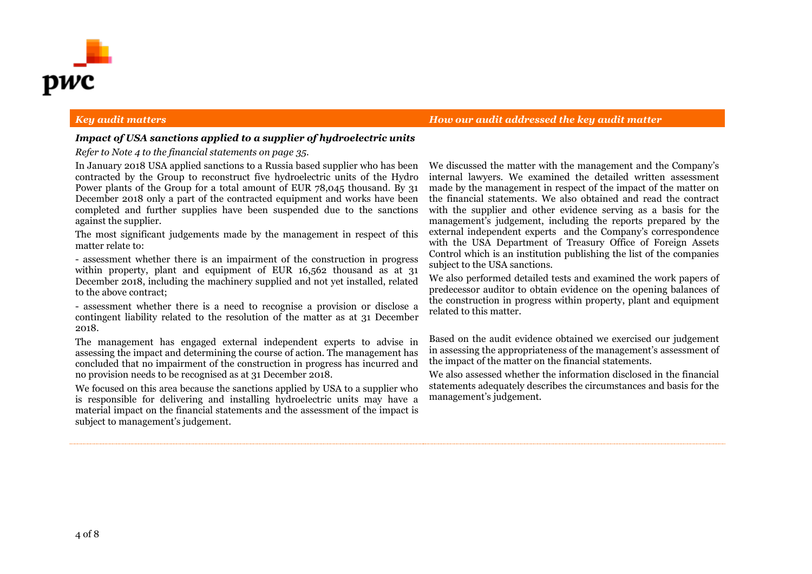

*Key audit matters How our audit addressed the key audit matter*

### *Impact of USA sanctions applied to a supplier of hydroelectric units*

### *Refer to Note 4 to the financial statements on page 35.*

In January 2018 USA applied sanctions to a Russia based supplier who has been contracted by the Group to reconstruct five hydroelectric units of the Hydro Power plants of the Group for a total amount of EUR 78,045 thousand. By 31 December 2018 only a part of the contracted equipment and works have been completed and further supplies have been suspended due to the sanctions against the supplier.

The most significant judgements made by the management in respect of this matter relate to:

- assessment whether there is an impairment of the construction in progress within property, plant and equipment of EUR 16,562 thousand as at 31 December 2018, including the machinery supplied and not yet installed, related to the above contract;

- assessment whether there is a need to recognise a provision or disclose a contingent liability related to the resolution of the matter as at 31 December 2018.

The management has engaged external independent experts to advise in assessing the impact and determining the course of action. The management has concluded that no impairment of the construction in progress has incurred and no provision needs to be recognised as at 31 December 2018.

We focused on this area because the sanctions applied by USA to a supplier who is responsible for delivering and installing hydroelectric units may have a material impact on the financial statements and the assessment of the impact is subject to management's judgement.

We discussed the matter with the management and the Company's internal lawyers. We examined the detailed written assessment made by the management in respect of the impact of the matter on the financial statements. We also obtained and read the contract with the supplier and other evidence serving as a basis for the management's judgement, including the reports prepared by the external independent experts and the Company's correspondence with the USA Department of Treasury Office of Foreign Assets Control which is an institution publishing the list of the companies subject to the USA sanctions.

We also performed detailed tests and examined the work papers of predecessor auditor to obtain evidence on the opening balances of the construction in progress within property, plant and equipment related to this matter.

Based on the audit evidence obtained we exercised our judgement in assessing the appropriateness of the management's assessment of the impact of the matter on the financial statements.

We also assessed whether the information disclosed in the financial statements adequately describes the circumstances and basis for the management's judgement.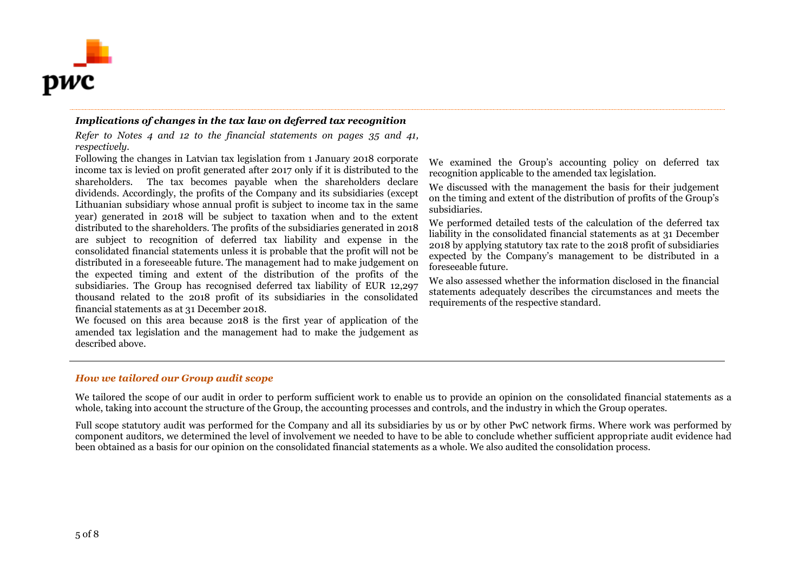

# *Implications of changes in the tax law on deferred tax recognition*

*Refer to Notes 4 and 12 to the financial statements on pages 35 and 41, respectively.*

Following the changes in Latvian tax legislation from 1 January 2018 corporate income tax is levied on profit generated after 2017 only if it is distributed to the shareholders. The tax becomes payable when the shareholders declare dividends. Accordingly, the profits of the Company and its subsidiaries (except Lithuanian subsidiary whose annual profit is subject to income tax in the same year) generated in 2018 will be subject to taxation when and to the extent distributed to the shareholders. The profits of the subsidiaries generated in 2018 are subject to recognition of deferred tax liability and expense in the consolidated financial statements unless it is probable that the profit will not be distributed in a foreseeable future. The management had to make judgement on the expected timing and extent of the distribution of the profits of the subsidiaries. The Group has recognised deferred tax liability of EUR 12,297 thousand related to the 2018 profit of its subsidiaries in the consolidated financial statements as at 31 December 2018.

We focused on this area because 2018 is the first year of application of the amended tax legislation and the management had to make the judgement as described above.

We examined the Group's accounting policy on deferred tax recognition applicable to the amended tax legislation.

We discussed with the management the basis for their judgement on the timing and extent of the distribution of profits of the Group's subsidiaries.

We performed detailed tests of the calculation of the deferred tax liability in the consolidated financial statements as at 31 December 2018 by applying statutory tax rate to the 2018 profit of subsidiaries expected by the Company's management to be distributed in a foreseeable future.

We also assessed whether the information disclosed in the financial statements adequately describes the circumstances and meets the requirements of the respective standard.

## *How we tailored our Group audit scope*

We tailored the scope of our audit in order to perform sufficient work to enable us to provide an opinion on the consolidated financial statements as a whole, taking into account the structure of the Group, the accounting processes and controls, and the industry in which the Group operates.

Full scope statutory audit was performed for the Company and all its subsidiaries by us or by other PwC network firms. Where work was performed by component auditors, we determined the level of involvement we needed to have to be able to conclude whether sufficient appropriate audit evidence had been obtained as a basis for our opinion on the consolidated financial statements as a whole. We also audited the consolidation process.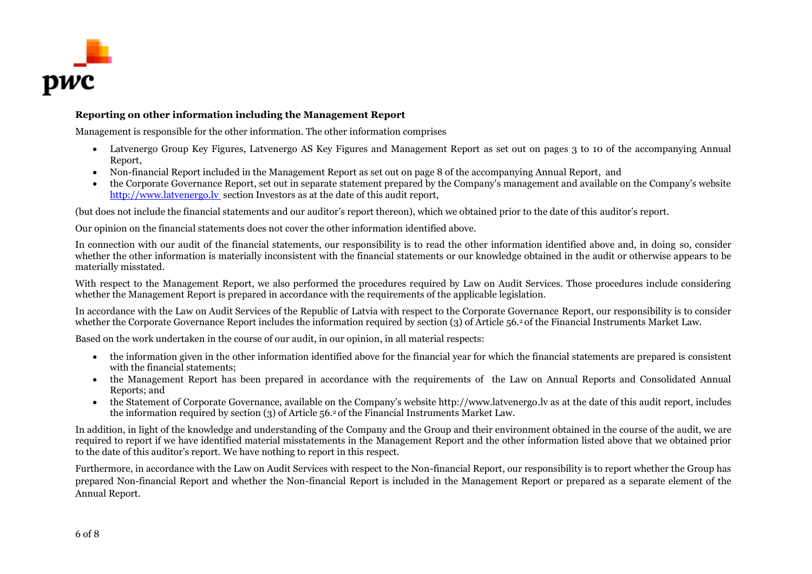

## **Reporting on other information including the Management Report**

Management is responsible for the other information. The other information comprises

- Latvenergo Group Key Figures, Latvenergo AS Key Figures and Management Report as set out on pages 3 to 10 of the accompanying Annual Report,
- Non-financial Report included in the Management Report as set out on page 8 of the accompanying Annual Report, and
- the Corporate Governance Report, set out in separate statement prepared by the Company's management and available on the Company's website http://www.latvenergo.lv section Investors as at the date of this audit report,

(but does not include the financial statements and our auditor's report thereon), which we obtained prior to the date of this auditor's report.

Our opinion on the financial statements does not cover the other information identified above.

In connection with our audit of the financial statements, our responsibility is to read the other information identified above and, in doing so, consider whether the other information is materially inconsistent with the financial statements or our knowledge obtained in the audit or otherwise appears to be materially misstated.

With respect to the Management Report, we also performed the procedures required by Law on Audit Services. Those procedures include considering whether the Management Report is prepared in accordance with the requirements of the applicable legislation.

In accordance with the Law on Audit Services of the Republic of Latvia with respect to the Corporate Governance Report, our responsibility is to consider whether the Corporate Governance Report includes the information required by section (3) of Article 56.<sup>2</sup> of the Financial Instruments Market Law.

Based on the work undertaken in the course of our audit, in our opinion, in all material respects:

- the information given in the other information identified above for the financial year for which the financial statements are prepared is consistent with the financial statements;
- the Management Report has been prepared in accordance with the requirements of the Law on Annual Reports and Consolidated Annual Reports; and
- the Statement of Corporate Governance, available on the Company's website http://www.latvenergo.lv as at the date of this audit report, includes the information required by section (3) of Article 56.2 of the Financial Instruments Market Law.

In addition, in light of the knowledge and understanding of the Company and the Group and their environment obtained in the course of the audit, we are required to report if we have identified material misstatements in the Management Report and the other information listed above that we obtained prior to the date of this auditor's report. We have nothing to report in this respect.

Furthermore, in accordance with the Law on Audit Services with respect to the Non-financial Report, our responsibility is to report whether the Group has prepared Non-financial Report and whether the Non-financial Report is included in the Management Report or prepared as a separate element of the Annual Report.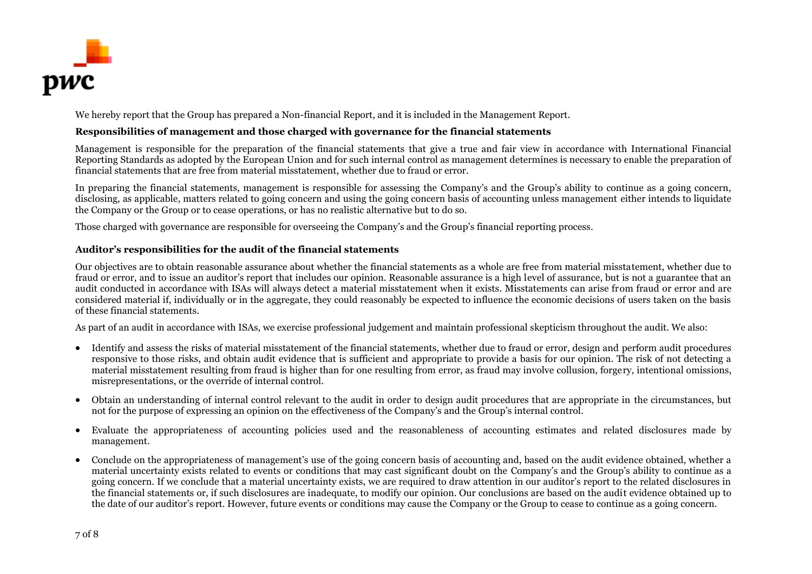

We hereby report that the Group has prepared a Non-financial Report, and it is included in the Management Report.

### **Responsibilities of management and those charged with governance for the financial statements**

Management is responsible for the preparation of the financial statements that give a true and fair view in accordance with International Financial Reporting Standards as adopted by the European Union and for such internal control as management determines is necessary to enable the preparation of financial statements that are free from material misstatement, whether due to fraud or error.

In preparing the financial statements, management is responsible for assessing the Company's and the Group's ability to continue as a going concern, disclosing, as applicable, matters related to going concern and using the going concern basis of accounting unless management either intends to liquidate the Company or the Group or to cease operations, or has no realistic alternative but to do so.

Those charged with governance are responsible for overseeing the Company's and the Group's financial reporting process.

## **Auditor's responsibilities for the audit of the financial statements**

Our objectives are to obtain reasonable assurance about whether the financial statements as a whole are free from material misstatement, whether due to fraud or error, and to issue an auditor's report that includes our opinion. Reasonable assurance is a high level of assurance, but is not a guarantee that an audit conducted in accordance with ISAs will always detect a material misstatement when it exists. Misstatements can arise from fraud or error and are considered material if, individually or in the aggregate, they could reasonably be expected to influence the economic decisions of users taken on the basis of these financial statements.

As part of an audit in accordance with ISAs, we exercise professional judgement and maintain professional skepticism throughout the audit. We also:

- Identify and assess the risks of material misstatement of the financial statements, whether due to fraud or error, design and perform audit procedures responsive to those risks, and obtain audit evidence that is sufficient and appropriate to provide a basis for our opinion. The risk of not detecting a material misstatement resulting from fraud is higher than for one resulting from error, as fraud may involve collusion, forgery, intentional omissions, misrepresentations, or the override of internal control.
- Obtain an understanding of internal control relevant to the audit in order to design audit procedures that are appropriate in the circumstances, but not for the purpose of expressing an opinion on the effectiveness of the Company's and the Group's internal control.
- Evaluate the appropriateness of accounting policies used and the reasonableness of accounting estimates and related disclosures made by management.
- Conclude on the appropriateness of management's use of the going concern basis of accounting and, based on the audit evidence obtained, whether a material uncertainty exists related to events or conditions that may cast significant doubt on the Company's and the Group's ability to continue as a going concern. If we conclude that a material uncertainty exists, we are required to draw attention in our auditor's report to the related disclosures in the financial statements or, if such disclosures are inadequate, to modify our opinion. Our conclusions are based on the audit evidence obtained up to the date of our auditor's report. However, future events or conditions may cause the Company or the Group to cease to continue as a going concern.